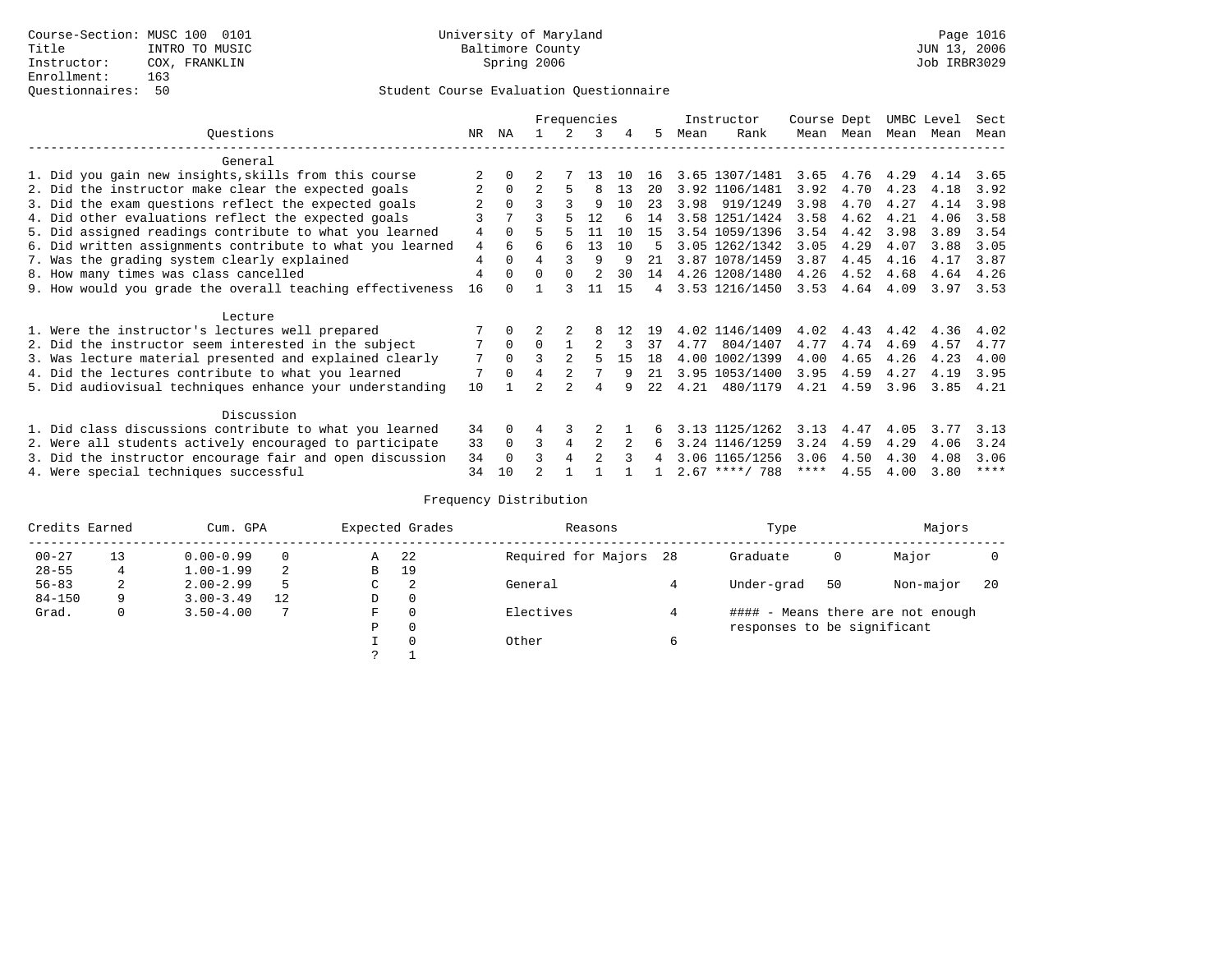# Questionnaires: 50 Student Course Evaluation Questionnaire

|                                                           |                |          |                |          | Frequencies    |    |      |      | Instructor       | Course Dept |           | UMBC Level |      | Sect        |
|-----------------------------------------------------------|----------------|----------|----------------|----------|----------------|----|------|------|------------------|-------------|-----------|------------|------|-------------|
| Ouestions                                                 | NR.            | ΝA       |                |          | ર              |    | 5.   | Mean | Rank             |             | Mean Mean | Mean       | Mean | Mean        |
| General                                                   |                |          |                |          |                |    |      |      |                  |             |           |            |      |             |
| 1. Did you gain new insights, skills from this course     |                |          |                |          | 13             | 10 | 16   |      | 3.65 1307/1481   | 3.65        | 4.76      | 4.29       | 4.14 | 3.65        |
| 2. Did the instructor make clear the expected goals       |                | $\Omega$ |                | 5.       | 8              | 13 | 20   |      | 3.92 1106/1481   | 3.92        | 4.70      | 4.23       | 4.18 | 3.92        |
| 3. Did the exam questions reflect the expected goals      |                | $\Omega$ |                |          | 9              | 10 | 23   | 3.98 | 919/1249         | 3.98        | 4.70      | 4.27       | 4.14 | 3.98        |
| 4. Did other evaluations reflect the expected goals       |                |          |                |          | 12             |    | 14   |      | 3.58 1251/1424   | 3.58        | 4.62      | 4.21       | 4.06 | 3.58        |
| 5. Did assigned readings contribute to what you learned   | 4              | $\Omega$ |                |          | 11             | 10 | 15   |      | 3.54 1059/1396   | 3.54        | 4.42      | 3.98       | 3.89 | 3.54        |
| 6. Did written assignments contribute to what you learned | $\overline{4}$ |          |                | 6        | 13             | 10 | 5    |      | 3.05 1262/1342   | 3.05        | 4.29      | 4.07       | 3.88 | 3.05        |
| 7. Was the grading system clearly explained               | $\overline{4}$ | $\Omega$ | $\overline{4}$ |          | 9              | 9  | 21   |      | 3.87 1078/1459   | 3.87        | 4.45      | 4.16       | 4.17 | 3.87        |
| 8. How many times was class cancelled                     | $\overline{4}$ | $\Omega$ | $\Omega$       | $\Omega$ |                | 30 | 14   |      | 4.26 1208/1480   | 4.26        | 4.52      | 4.68       | 4.64 | 4.26        |
| 9. How would you grade the overall teaching effectiveness | 16             |          |                | २        | 11             | 15 | 4    |      | 3.53 1216/1450   | 3.53        | 4.64      | 4.09       | 3.97 | 3.53        |
| Lecture                                                   |                |          |                |          |                |    |      |      |                  |             |           |            |      |             |
| 1. Were the instructor's lectures well prepared           |                |          |                |          |                |    | 19   |      | 4.02 1146/1409   | 4.02        | 4.43      | 4.42       | 4.36 | 4.02        |
| 2. Did the instructor seem interested in the subject      | 7              | $\Omega$ | $\Omega$       |          |                |    | 37   | 4.77 | 804/1407         | 4.77        | 4.74      | 4.69       | 4.57 | 4.77        |
| 3. Was lecture material presented and explained clearly   | 7              | $\Omega$ |                |          |                | 15 | 18   |      | 4.00 1002/1399   | 4.00        | 4.65      | 4.26       | 4.23 | 4.00        |
| 4. Did the lectures contribute to what you learned        |                | $\Omega$ |                |          |                | q  | 21   |      | 3.95 1053/1400   | 3.95        | 4.59      | 4.27       | 4.19 | 3.95        |
| 5. Did audiovisual techniques enhance your understanding  | 10             |          |                |          | 4              |    | 2.2. | 4.21 | 480/1179         | 4.21        | 4.59      | 3.96       | 3.85 | 4.21        |
| Discussion                                                |                |          |                |          |                |    |      |      |                  |             |           |            |      |             |
| 1. Did class discussions contribute to what you learned   | 34             | $\Omega$ | 4              |          |                |    |      |      | 3.13 1125/1262   | 3.13        | 4.47      | 4.05       | 3.77 | 3.13        |
| 2. Were all students actively encouraged to participate   | 33             | $\Omega$ | 3              | 4        | $\overline{c}$ |    | 6    |      | 3.24 1146/1259   | 3.24        | 4.59      | 4.29       | 4.06 | 3.24        |
| 3. Did the instructor encourage fair and open discussion  | 34             | $\Omega$ |                |          | $\mathfrak{D}$ |    | 4    |      | 3.06 1165/1256   | 3.06        | 4.50      | 4.30       | 4.08 | 3.06        |
| 4. Were special techniques successful                     | 34             | 10       |                |          |                |    |      |      | $2.67$ ****/ 788 | ****        | 4.55      | 4.00       | 3.80 | $***$ * * * |

| Credits Earned |    | Cum. GPA      |    |   | Expected Grades | Reasons                | Type                        |    | Majors                            |     |
|----------------|----|---------------|----|---|-----------------|------------------------|-----------------------------|----|-----------------------------------|-----|
| $00 - 27$      | 13 | $0.00 - 0.99$ |    | Α | 22              | Required for Majors 28 | Graduate                    | 0  | Major                             |     |
| $28 - 55$      | 4  | $1.00 - 1.99$ | 2  | B | 19              |                        |                             |    |                                   |     |
| $56 - 83$      | 2  | $2.00 - 2.99$ |    | C | 2               | General                | Under-grad                  | 50 | Non-major                         | -20 |
| $84 - 150$     | 9  | $3.00 - 3.49$ | 12 | D | 0               |                        |                             |    |                                   |     |
| Grad.          | 0  | $3.50 - 4.00$ |    | F | 0               | Electives              |                             |    | #### - Means there are not enough |     |
|                |    |               |    | Ρ | 0               |                        | responses to be significant |    |                                   |     |
|                |    |               |    |   | $\Omega$        | Other                  |                             |    |                                   |     |
|                |    |               |    | っ |                 |                        |                             |    |                                   |     |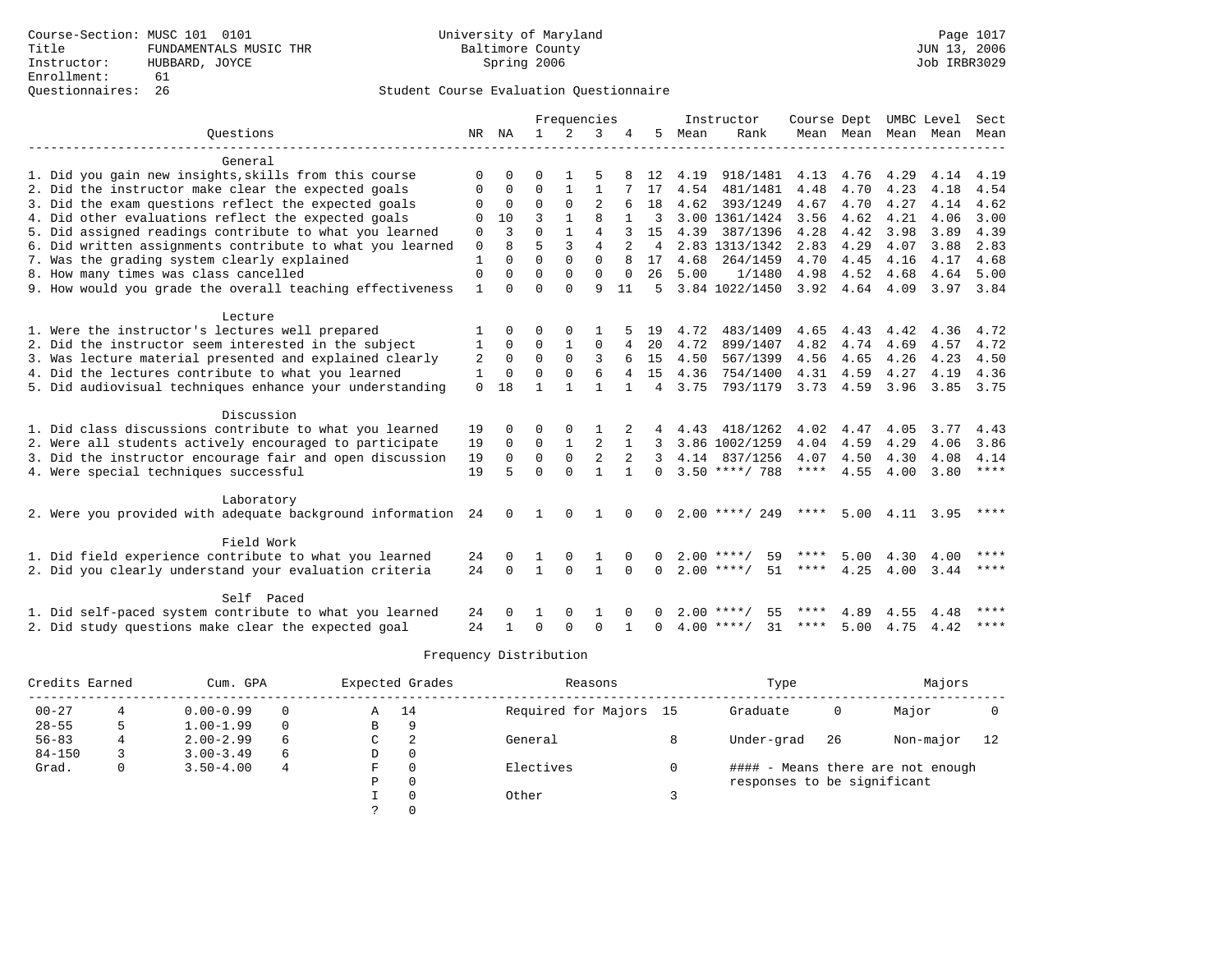## Questionnaires: 26 Student Course Evaluation Questionnaire

|                                                              |              |          |              | Frequencies |                |          |                |      | Instructor         | Course Dept |                     |                   | UMBC Level | Sect        |
|--------------------------------------------------------------|--------------|----------|--------------|-------------|----------------|----------|----------------|------|--------------------|-------------|---------------------|-------------------|------------|-------------|
| Ouestions                                                    | NR           | NA       | $\mathbf{1}$ | 2           | 3              | 4        | 5              | Mean | Rank               |             | Mean Mean Mean Mean |                   |            | Mean        |
|                                                              |              |          |              |             |                |          |                |      |                    |             |                     |                   |            |             |
| General                                                      |              |          |              |             |                |          |                |      |                    |             |                     |                   |            |             |
| 1. Did you gain new insights, skills from this course        |              |          | ∩            |             |                |          | 12             | 4.19 | 918/1481           | 4.13        | 4.76                | 4.29              | 4.14       | 4.19        |
| 2. Did the instructor make clear the expected goals          | 0            | $\Omega$ | $\Omega$     |             | $\mathbf{1}$   |          | 17             | 4.54 | 481/1481           | 4.48        | 4.70                | 4.23              | 4.18       | 4.54        |
| 3. Did the exam questions reflect the expected goals         | $\Omega$     | $\Omega$ | $\Omega$     | $\Omega$    | $\overline{a}$ | 6        | 18             | 4.62 | 393/1249           | 4.67        | 4.70                | 4.27              | 4.14       | 4.62        |
| 4. Did other evaluations reflect the expected goals          | 0            | 10       | 3            |             | $\mathsf{R}$   |          | 3              |      | 3.00 1361/1424     | 3.56        | 4.62                | 4.21              | 4.06       | 3.00        |
| 5. Did assigned readings contribute to what you learned      | 0            | 3        | $\Omega$     |             | $\overline{4}$ |          | 15             | 4.39 | 387/1396           | 4.28        | 4.42                | 3.98              | 3.89       | 4.39        |
| 6. Did written assignments contribute to what you learned    | 0            | 8        | 5            | 3           | $\overline{4}$ |          | 4              |      | 2.83 1313/1342     | 2.83        | 4.29                | 4.07              | 3.88       | 2.83        |
| 7. Was the grading system clearly explained                  | 1            | $\Omega$ | $\Omega$     | $\Omega$    | $\Omega$       |          | 17             | 4.68 | 264/1459           | 4.70        | 4.45                | 4.16              | 4.17       | 4.68        |
| 8. How many times was class cancelled                        | $\mathbf 0$  | $\Omega$ | $\Omega$     | $\Omega$    | $\Omega$       | $\Omega$ | 26             | 5.00 | 1/1480             | 4.98        | 4.52                | 4.68              | 4.64       | 5.00        |
| 9. How would you grade the overall teaching effectiveness    | $\mathbf{1}$ | $\Omega$ | $\Omega$     | $\Omega$    | 9              | 11       | 5              |      | 3.84 1022/1450     | 3.92        | 4.64                | 4.09              | 3.97 3.84  |             |
|                                                              |              |          |              |             |                |          |                |      |                    |             |                     |                   |            |             |
| Lecture                                                      |              |          |              |             |                |          |                |      |                    |             |                     |                   |            |             |
| 1. Were the instructor's lectures well prepared              |              | $\Omega$ | ∩            | $\Omega$    |                |          | 19             | 4.72 | 483/1409           | 4.65        | 4.43                | 4.42              | 4.36       | 4.72        |
| 2. Did the instructor seem interested in the subject         | 1            | $\Omega$ | $\Omega$     |             | 0              | 4        | 20             | 4.72 | 899/1407           | 4.82        | 4.74                | 4.69              | 4.57       | 4.72        |
| 3. Was lecture material presented and explained clearly      | 2            | $\Omega$ | $\Omega$     | $\Omega$    | 3              |          | 15             | 4.50 | 567/1399           | 4.56        | 4.65                | 4.26              | 4.23       | 4.50        |
| 4. Did the lectures contribute to what you learned           | $\mathbf{1}$ | $\Omega$ | $\Omega$     | $\Omega$    | 6              |          | 15             | 4.36 | 754/1400           | 4.31        | 4.59                | 4.27              | 4.19       | 4.36        |
| 5. Did audiovisual techniques enhance your understanding     | $\Omega$     | 18       | $\mathbf{1}$ |             |                |          | $\overline{4}$ | 3.75 | 793/1179           |             | $3.73$ 4.59         | 3.96              | 3.85       | 3.75        |
| Discussion                                                   |              |          |              |             |                |          |                |      |                    |             |                     |                   |            |             |
| 1. Did class discussions contribute to what you learned      | 19           |          | ∩            |             |                |          |                | 4.43 | 418/1262           | 4.02        | 4.47                | 4.05              | 3.77       | 4.43        |
| 2. Were all students actively encouraged to participate      | 19           | $\Omega$ | $\Omega$     |             |                |          | 3              |      | 3.86 1002/1259     | 4.04        | 4.59                | 4.29              | 4.06       | 3.86        |
| 3. Did the instructor encourage fair and open discussion     | 19           | $\Omega$ | $\Omega$     | $\Omega$    |                |          | 3              |      | 4.14 837/1256      | 4.07        | 4.50                | 4.30              | 4.08       | 4.14        |
| 4. Were special techniques successful                        | 19           | 5        | $\Omega$     | $\Omega$    |                |          | $\Omega$       |      | $3.50$ ****/ 788   | ****        | 4.55                | 4.00              | 3.80       | $***$ * * * |
|                                                              |              |          |              |             |                |          |                |      |                    |             |                     |                   |            |             |
| Laboratory                                                   |              |          |              |             |                |          |                |      |                    |             |                     |                   |            |             |
| 2. Were you provided with adequate background information 24 |              | $\Omega$ |              | $\Omega$    |                | $\Omega$ | $\Omega$       |      | $2.00$ ****/ 249   | ****        |                     | $5.00 \quad 4.11$ | 3.95       | ****        |
|                                                              |              |          |              |             |                |          |                |      |                    |             |                     |                   |            |             |
| Field Work                                                   |              |          |              |             |                |          |                |      |                    |             |                     |                   |            |             |
| 1. Did field experience contribute to what you learned       | 24           |          |              |             |                |          | <sup>0</sup>   |      | $2.00$ ****/<br>59 | ****        | 5.00                | 4.30              | 4.00       | ****        |
| 2. Did you clearly understand your evaluation criteria       | 24           | $\Omega$ |              | $\Omega$    |                | $\Omega$ | $\Omega$       |      | $2.00$ ****/<br>51 | ****        | 4.25                | 4.00              | 3.44       | $***$ *     |
|                                                              |              |          |              |             |                |          |                |      |                    |             |                     |                   |            |             |
| Self Paced                                                   |              |          |              |             |                |          |                |      |                    |             |                     |                   |            |             |
| 1. Did self-paced system contribute to what you learned      | 24           |          |              |             |                |          |                |      | $2.00$ ****/<br>55 | ****        | 4.89                | 4.55              | 4.48       | ****        |
| 2. Did study questions make clear the expected goal          | 24           |          | $\Omega$     | $\Omega$    | $\Omega$       |          | $\Omega$       |      | $4.00$ ****/<br>31 | ****        | 5.00                | 4.75              | 4.42       | $***$ * * * |

| Credits Earned |   | Cum. GPA      |   | Expected Grades |          | Reasons                | Type                        |    | Majors                            |    |
|----------------|---|---------------|---|-----------------|----------|------------------------|-----------------------------|----|-----------------------------------|----|
| $00 - 27$      |   | $0.00 - 0.99$ |   | Α               | -14      | Required for Majors 15 | Graduate                    | 0  | Major                             |    |
| $28 - 55$      |   | $1.00 - 1.99$ |   | В               | 9        |                        |                             |    |                                   |    |
| $56 - 83$      |   | $2.00 - 2.99$ | 6 | C               | 2        | General                | Under-grad                  | 26 | Non-major                         | 12 |
| $84 - 150$     |   | $3.00 - 3.49$ | 6 | D               | 0        |                        |                             |    |                                   |    |
| Grad.          | 0 | $3.50 - 4.00$ | 4 | F               | $\Omega$ | Electives              |                             |    | #### - Means there are not enough |    |
|                |   |               |   | Ρ               | 0        |                        | responses to be significant |    |                                   |    |
|                |   |               |   |                 | $\Omega$ | Other                  |                             |    |                                   |    |
|                |   |               |   |                 |          |                        |                             |    |                                   |    |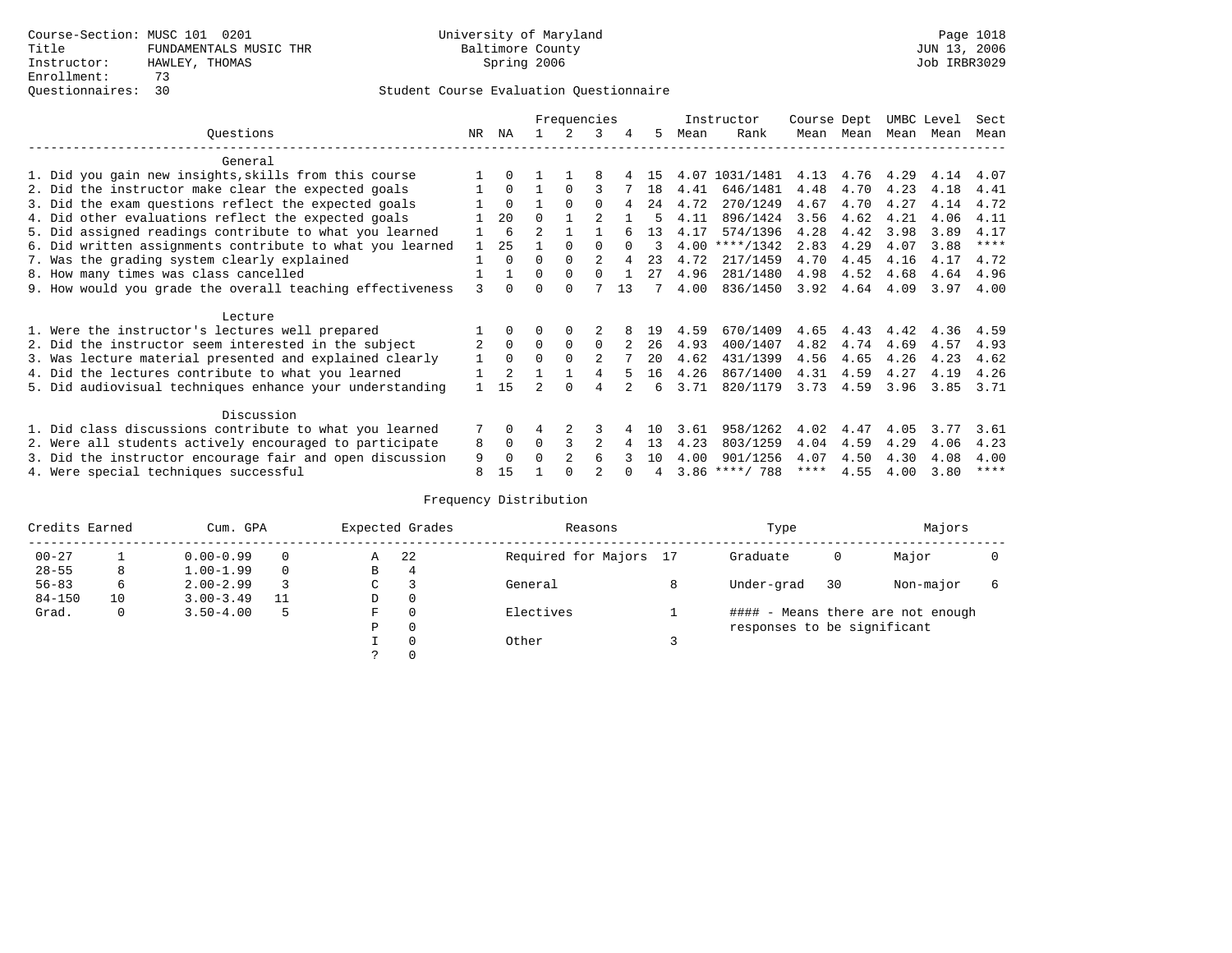|                                                           |     |             |                | Frequencies    |              |          |     |      | Instructor       | Course Dept |      | UMBC Level |      | Sect        |
|-----------------------------------------------------------|-----|-------------|----------------|----------------|--------------|----------|-----|------|------------------|-------------|------|------------|------|-------------|
| Questions                                                 | NR. | ΝA          |                |                | 3            | 4        | 5   | Mean | Rank             | Mean        | Mean | Mean       | Mean | Mean        |
| General                                                   |     |             |                |                |              |          |     |      |                  |             |      |            |      |             |
| 1. Did you gain new insights, skills from this course     |     | $\Omega$    |                |                |              |          | 15  | 4.07 | 1031/1481        | 4.13        | 4.76 | 4.29       | 4.14 | 4.07        |
| 2. Did the instructor make clear the expected goals       |     | $\Omega$    |                | $\Omega$       | ς            |          | 18  | 4.41 | 646/1481         | 4.48        | 4.70 | 4.23       | 4.18 | 4.41        |
| 3. Did the exam questions reflect the expected goals      |     | $\Omega$    |                | $\Omega$       | $\Omega$     | 4        | 24  | 4.72 | 270/1249         | 4.67        | 4.70 | 4.27       | 4.14 | 4.72        |
| 4. Did other evaluations reflect the expected goals       |     | 20          | $\Omega$       |                |              |          |     | 4.11 | 896/1424         | 3.56        | 4.62 | 4.21       | 4.06 | 4.11        |
| 5. Did assigned readings contribute to what you learned   |     | 6           | $\mathfrak{D}$ |                |              |          | 13  | 4.17 | 574/1396         | 4.28        | 4.42 | 3.98       | 3.89 | 4.17        |
| 6. Did written assignments contribute to what you learned |     | 25          |                | $\Omega$       | <sup>0</sup> | $\Omega$ | 3   |      | $4.00$ ****/1342 | 2.83        | 4.29 | 4.07       | 3.88 | $***$ * * * |
| 7. Was the grading system clearly explained               |     | $\Omega$    | U              | $\Omega$       |              | 4        | 23  | 4.72 | 217/1459         | 4.70        | 4.45 | 4.16       | 4.17 | 4.72        |
| 8. How many times was class cancelled                     |     |             | $\Omega$       | $\Omega$       | <sup>n</sup> |          | 27  | 4.96 | 281/1480         | 4.98        | 4.52 | 4.68       | 4.64 | 4.96        |
| 9. How would you grade the overall teaching effectiveness | ζ   | $\cap$      | U              | $\cap$         |              | 13       |     | 4.00 | 836/1450         | 3.92        | 4.64 | 4.09       | 3.97 | 4.00        |
| Lecture                                                   |     |             |                |                |              |          |     |      |                  |             |      |            |      |             |
| 1. Were the instructor's lectures well prepared           |     |             |                |                |              |          | 19  | 4.59 | 670/1409         | 4.65        | 4.43 | 4.42       | 4.36 | 4.59        |
| 2. Did the instructor seem interested in the subject      | 2   | $\Omega$    | $\Omega$       | $\mathbf 0$    | $\Omega$     |          | 26  | 4.93 | 400/1407         | 4.82        | 4.74 | 4.69       | 4.57 | 4.93        |
| 3. Was lecture material presented and explained clearly   |     | $\Omega$    | 0              |                |              |          | 20  | 4.62 | 431/1399         | 4.56        | 4.65 | 4.26       | 4.23 | 4.62        |
| 4. Did the lectures contribute to what you learned        |     | 2           |                |                |              |          | 16  | 4.26 | 867/1400         | 4.31        | 4.59 | 4.27       | 4.19 | 4.26        |
| 5. Did audiovisual techniques enhance your understanding  |     | 1.5         |                | $\cap$         | 4            |          | 6   | 3.71 | 820/1179         | 3.73        | 4.59 | 3.96       | 3.85 | 3.71        |
| Discussion                                                |     |             |                |                |              |          |     |      |                  |             |      |            |      |             |
| 1. Did class discussions contribute to what you learned   |     | $\Omega$    | 4              |                | 3            |          | 1 N | 3.61 | 958/1262         | 4.02        | 4.47 | 4.05       | 3.77 | 3.61        |
| 2. Were all students actively encouraged to participate   | 8   | $\mathbf 0$ | 0              |                | 2            | 4        | 13  | 4.23 | 803/1259         | 4.04        | 4.59 | 4.29       | 4.06 | 4.23        |
| 3. Did the instructor encourage fair and open discussion  | 9   | $\Omega$    |                | $\mathfrak{D}$ | 6            |          | 10  | 4.00 | 901/1256         | 4.07        | 4.50 | 4.30       | 4.08 | 4.00        |
| 4. Were special techniques successful                     | 8   | 15          |                |                |              |          |     |      | $3.86$ ****/ 788 | ****        | 4.55 | 4.00       | 3.80 | $***$ * * * |

| Credits Earned |    | Cum. GPA      |    |               | Expected Grades | Reasons                | Type                        |    | Majors                            |   |
|----------------|----|---------------|----|---------------|-----------------|------------------------|-----------------------------|----|-----------------------------------|---|
| $00 - 27$      |    | $0.00 - 0.99$ |    | Α             | 22              | Required for Majors 17 | Graduate                    | 0  | Major                             |   |
| $28 - 55$      | 8  | $1.00 - 1.99$ |    | В             | 4               |                        |                             |    |                                   |   |
| $56 - 83$      | 6  | $2.00 - 2.99$ |    | $\sim$<br>◡   |                 | General                | Under-grad                  | 30 | Non-major                         | 6 |
| $84 - 150$     | 10 | $3.00 - 3.49$ | 11 | D             | 0               |                        |                             |    |                                   |   |
| Grad.          | 0  | $3.50 - 4.00$ | 5  | F             | 0               | Electives              |                             |    | #### - Means there are not enough |   |
|                |    |               |    | Ρ             | 0               |                        | responses to be significant |    |                                   |   |
|                |    |               |    |               | 0               | Other                  |                             |    |                                   |   |
|                |    |               |    | $\mathcal{L}$ |                 |                        |                             |    |                                   |   |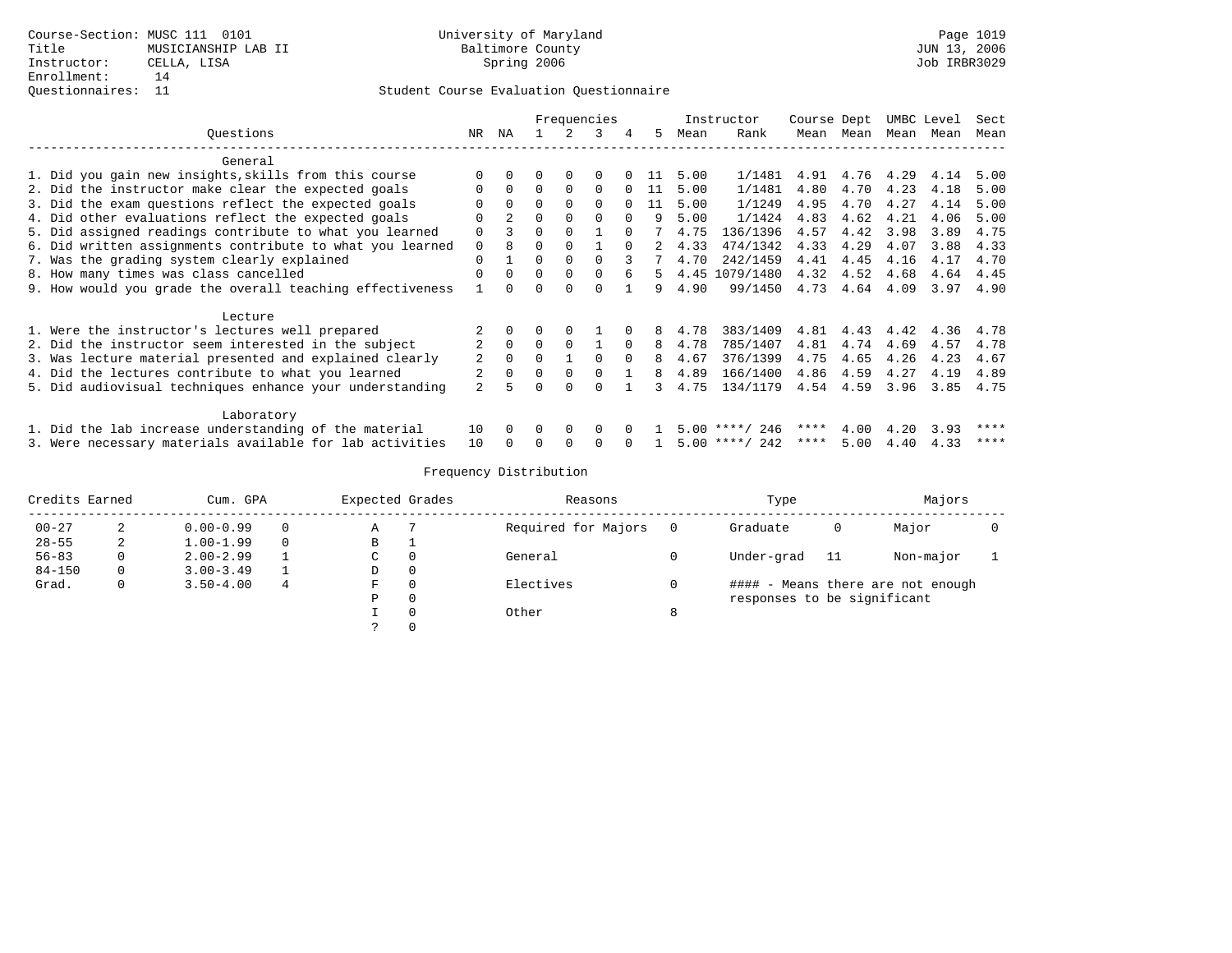|                                                           |                |             |          | Frequencies |          |          |    |      | Instructor       | Course Dept |                |      | UMBC Level | Sect        |
|-----------------------------------------------------------|----------------|-------------|----------|-------------|----------|----------|----|------|------------------|-------------|----------------|------|------------|-------------|
| Questions                                                 | NR             | ΝA          |          |             | 3        | 4        | 5. | Mean | Rank             |             | Mean Mean      | Mean | Mean       | Mean        |
| General                                                   |                |             |          |             |          |          |    |      |                  |             |                |      |            |             |
| 1. Did you gain new insights, skills from this course     |                |             |          | $\Omega$    |          |          | 11 | 5.00 | 1/1481           | 4.91        | 4.76 4.29      |      | 4.14       | 5.00        |
| 2. Did the instructor make clear the expected goals       | $\Omega$       | $\Omega$    | $\Omega$ | $\Omega$    | $\Omega$ | $\Omega$ | 11 | 5.00 | 1/1481           | 4.80        | 4.70           | 4.23 | 4.18       | 5.00        |
| 3. Did the exam questions reflect the expected goals      |                | $\Omega$    | $\Omega$ | $\Omega$    | $\Omega$ |          | 11 | 5.00 | 1/1249           | 4.95        | 4.70           | 4.27 | 4.14       | 5.00        |
| 4. Did other evaluations reflect the expected goals       | O              | $2^{\circ}$ | $\Omega$ | $\Omega$    | $\Omega$ | $\Omega$ | 9  | 5.00 | 1/1424           | 4.83        | 4.62           | 4.21 | 4.06       | 5.00        |
| 5. Did assigned readings contribute to what you learned   | $\Omega$       | 3           |          |             |          |          |    | 4.75 | 136/1396         | 4.57        | 4.42           | 3.98 | 3.89       | 4.75        |
| 6. Did written assignments contribute to what you learned | 0              | 8           | $\Omega$ | $\Omega$    |          |          |    | 4.33 | 474/1342         | 4.33        | 4.29           | 4.07 | 3.88       | 4.33        |
| 7. Was the grading system clearly explained               | $\Omega$       |             | $\Omega$ | $\Omega$    | $\cap$   | 3        |    | 4.70 | 242/1459         | 4.41        | 4.45           | 4.16 | 4.17       | 4.70        |
| 8. How many times was class cancelled                     | O              | $\Omega$    | $\Omega$ | $\Omega$    | $\Omega$ | б.       | 5. | 4.45 | 1079/1480        | 4.32        | 4.52           | 4.68 | 4.64       | 4.45        |
| 9. How would you grade the overall teaching effectiveness |                | $\cap$      | 0        | $\cap$      | $\cap$   |          | 9  | 4.90 | 99/1450          |             | 4.73 4.64 4.09 |      |            | $3.97$ 4.90 |
| Lecture                                                   |                |             |          |             |          |          |    |      |                  |             |                |      |            |             |
| 1. Were the instructor's lectures well prepared           |                |             |          |             |          |          | 8  | 4.78 | 383/1409         | 4.81        | 4.43           | 4.42 | 4.36       | 4.78        |
| 2. Did the instructor seem interested in the subject      | 2              | $\Omega$    | $\Omega$ | $\Omega$    |          | $\Omega$ | 8  | 4.78 | 785/1407         | 4.81        | 4.74           | 4.69 | 4.57       | 4.78        |
| 3. Was lecture material presented and explained clearly   | 2              | $\Omega$    | $\Omega$ |             | $\Omega$ | $\Omega$ | 8  | 4.67 | 376/1399         | 4.75        | 4.65           | 4.26 | 4.23       | 4.67        |
| 4. Did the lectures contribute to what you learned        | 2              | $\Omega$    | $\Omega$ | $\Omega$    | $\Omega$ |          | 8  | 4.89 | 166/1400         | 4.86        | 4.59           | 4.27 | 4.19       | 4.89        |
| 5. Did audiovisual techniques enhance your understanding  | $\overline{a}$ | 5           | 0        | $\cap$      |          |          | 3  | 4.75 | 134/1179         |             | 4.54 4.59      | 3.96 | 3.85       | 4.75        |
| Laboratory                                                |                |             |          |             |          |          |    |      |                  |             |                |      |            |             |
| 1. Did the lab increase understanding of the material     | 10             |             |          | $\Omega$    | $\Omega$ |          |    | 5.00 | 246<br>**** /    | ****        | 4.00           | 4.20 | 3.93       | ****        |
| 3. Were necessary materials available for lab activities  | 10             |             |          |             |          |          |    |      | $5.00$ ****/ 242 | ****        | 5.00           | 4.40 | 4.33       | ****        |

| Credits Earned |   | Cum. GPA      |   | Expected Grades |          | Reasons             |          | Type                        |    | Majors                            |  |
|----------------|---|---------------|---|-----------------|----------|---------------------|----------|-----------------------------|----|-----------------------------------|--|
| $00 - 27$      | 2 | $0.00 - 0.99$ |   | А               |          | Required for Majors | $\Omega$ | Graduate                    |    | Major                             |  |
| $28 - 55$      | ∠ | $1.00 - 1.99$ |   | B               |          |                     |          |                             |    |                                   |  |
| $56 - 83$      |   | $2.00 - 2.99$ |   | C               | $\Omega$ | General             |          | Under-grad                  | 11 | Non-major                         |  |
| $84 - 150$     | 0 | $3.00 - 3.49$ |   | D               | 0        |                     |          |                             |    |                                   |  |
| Grad.          | 0 | $3.50 - 4.00$ | 4 | F               | $\Omega$ | Electives           |          |                             |    | #### - Means there are not enough |  |
|                |   |               |   | Ρ               | 0        |                     |          | responses to be significant |    |                                   |  |
|                |   |               |   |                 | $\Omega$ | Other               | 8        |                             |    |                                   |  |
|                |   |               |   |                 |          |                     |          |                             |    |                                   |  |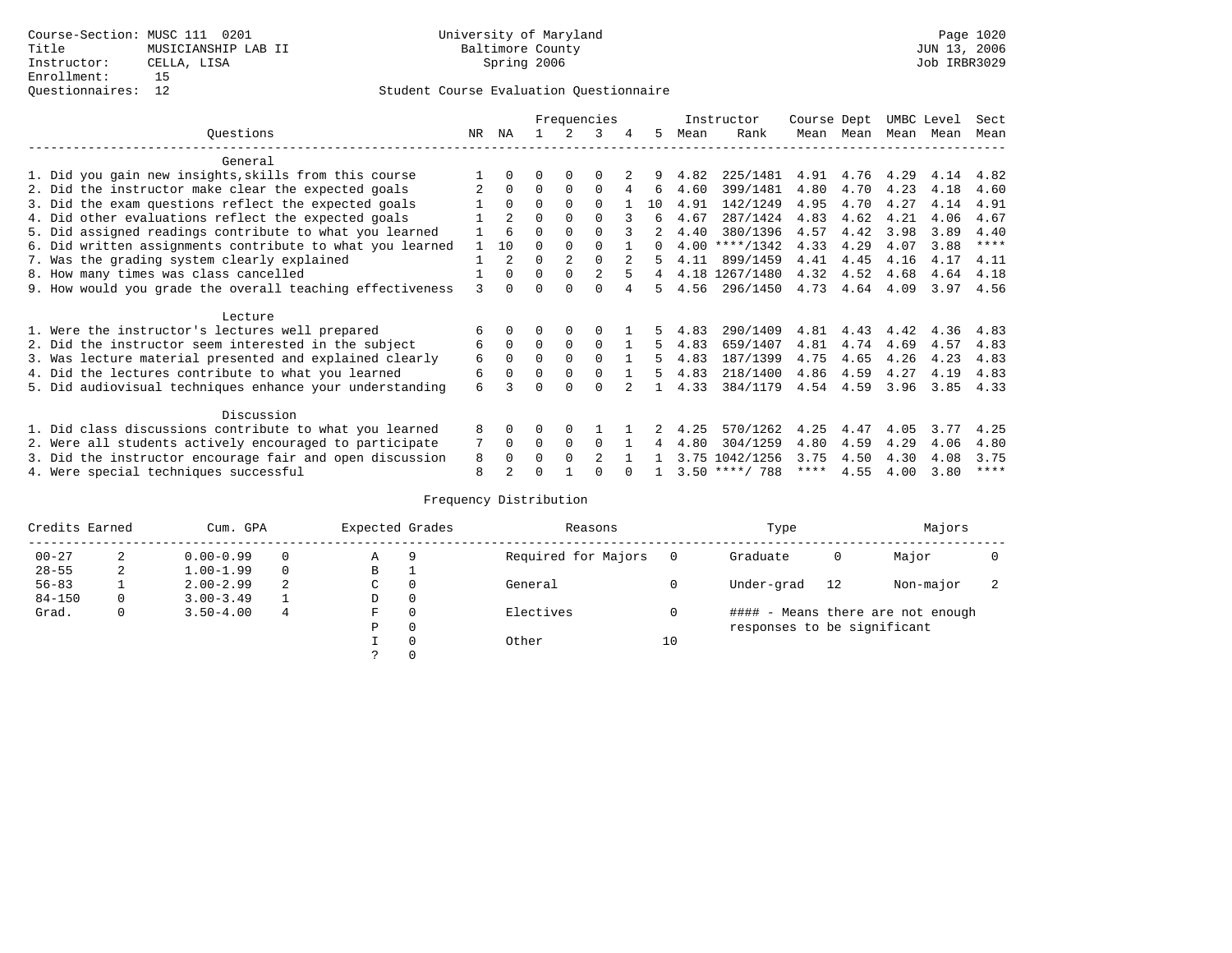|                                                           |              |                |          |          | Frequencies    |   |                |      | Instructor       | Course Dept |      | UMBC Level |      | Sect        |
|-----------------------------------------------------------|--------------|----------------|----------|----------|----------------|---|----------------|------|------------------|-------------|------|------------|------|-------------|
| Ouestions                                                 | NR.          | ΝA             |          |          | 3              | 4 | 5.             | Mean | Rank             | Mean        | Mean | Mean       | Mean | Mean        |
| General                                                   |              |                |          |          |                |   |                |      |                  |             |      |            |      |             |
| 1. Did you gain new insights, skills from this course     |              | $\Omega$       | O        | $\Omega$ | O              |   |                | 4.82 | 225/1481         | 4.91        | 4.76 | 4.29       | 4.14 | 4.82        |
| 2. Did the instructor make clear the expected goals       |              | $\Omega$       | $\Omega$ | $\Omega$ | $\Omega$       | 4 | 6              | 4.60 | 399/1481         | 4.80        | 4.70 | 4.23       | 4.18 | 4.60        |
| 3. Did the exam questions reflect the expected goals      |              | $\Omega$       | $\Omega$ | $\Omega$ | $\Omega$       |   | 10             | 4.91 | 142/1249         | 4.95        | 4.70 | 4.27       | 4.14 | 4.91        |
| 4. Did other evaluations reflect the expected goals       |              | $\mathfrak{D}$ | $\Omega$ | $\Omega$ | $\Omega$       |   | б.             | 4.67 | 287/1424         | 4.83        | 4.62 | 4.21       | 4.06 | 4.67        |
| 5. Did assigned readings contribute to what you learned   |              | 6              | $\Omega$ |          | $\Omega$       |   |                | 4.40 | 380/1396         | 4.57        | 4.42 | 3.98       | 3.89 | 4.40        |
| 6. Did written assignments contribute to what you learned | $\mathbf{1}$ | 10             | $\Omega$ |          |                |   | $\Omega$       |      | $4.00$ ****/1342 | 4.33        | 4.29 | 4.07       | 3.88 | ****        |
| 7. Was the grading system clearly explained               |              | $\mathfrak{D}$ | $\Omega$ |          | $\Omega$       |   |                | 4.11 | 899/1459         | 4.41        | 4.45 | 4.16       | 4.17 | 4.11        |
| 8. How many times was class cancelled                     |              | $\Omega$       | $\Omega$ | $\Omega$ | $\mathfrak{D}$ |   | $\overline{4}$ |      | 4.18 1267/1480   | 4.32        | 4.52 | 4.68       | 4.64 | 4.18        |
| 9. How would you grade the overall teaching effectiveness | 3            | $\cap$         | ∩        | ∩        | U              |   | 5.             | 4.56 | 296/1450         | 4.73        | 4.64 | 4.09       | 3.97 | 4.56        |
| Lecture                                                   |              |                |          |          |                |   |                |      |                  |             |      |            |      |             |
| 1. Were the instructor's lectures well prepared           | 6            |                |          | 0        |                |   |                | 4.83 | 290/1409         | 4.81        | 4.43 | 4.42       | 4.36 | 4.83        |
| 2. Did the instructor seem interested in the subject      | 6            | $\Omega$       | $\Omega$ | $\Omega$ | $\Omega$       |   | 5.             | 4.83 | 659/1407         | 4.81        | 4.74 | 4.69       | 4.57 | 4.83        |
| 3. Was lecture material presented and explained clearly   | 6            | $\Omega$       | $\Omega$ | $\Omega$ | $\Omega$       |   | 5              | 4.83 | 187/1399         | 4.75        | 4.65 | 4.26       | 4.23 | 4.83        |
| 4. Did the lectures contribute to what you learned        | 6            | $\Omega$       | $\Omega$ | $\Omega$ | $\Omega$       |   | 5              | 4.83 | 218/1400         | 4.86        | 4.59 | 4.27       | 4.19 | 4.83        |
| 5. Did audiovisual techniques enhance your understanding  | 6            |                |          | ∩        | $\cap$         |   |                | 4.33 | 384/1179         | 4.54        | 4.59 | 3.96       | 3.85 | 4.33        |
|                                                           |              |                |          |          |                |   |                |      |                  |             |      |            |      |             |
| Discussion                                                |              |                |          |          |                |   |                |      |                  |             |      |            |      |             |
| 1. Did class discussions contribute to what you learned   | 8            | $\Omega$       | O        | $\Omega$ |                |   |                | 4.25 | 570/1262         | 4.25        | 4.47 | 4.05       | 3.77 | 4.25        |
| 2. Were all students actively encouraged to participate   |              | $\Omega$       | $\Omega$ | $\Omega$ | $\Omega$       |   | 4              | 4.80 | 304/1259         | 4.80        | 4.59 | 4.29       | 4.06 | 4.80        |
| 3. Did the instructor encourage fair and open discussion  | 8            | $\Omega$       | 0        | $\Omega$ | $\mathfrak{D}$ |   |                | 3.75 | 1042/1256        | 3.75        | 4.50 | 4.30       | 4.08 | 3.75        |
| 4. Were special techniques successful                     | 8            |                |          |          |                |   |                |      | $3.50$ ****/ 788 | ****        | 4.55 | 4.00       | 3.80 | $***$ * * * |

| Credits Earned |   | Cum. GPA      |   | Expected Grades |          | Reasons             |          | Type                        |    | Majors                            |  |
|----------------|---|---------------|---|-----------------|----------|---------------------|----------|-----------------------------|----|-----------------------------------|--|
| $00 - 27$      | 2 | $0.00 - 0.99$ |   | Α               | 9        | Required for Majors | $\Omega$ | Graduate                    | 0  | Major                             |  |
| $28 - 55$      | 2 | $1.00 - 1.99$ |   | В               |          |                     |          |                             |    |                                   |  |
| $56 - 83$      |   | $2.00 - 2.99$ | 2 | $\sim$<br>◡     | 0        | General             |          | Under-grad                  | 12 | Non-major                         |  |
| $84 - 150$     | 0 | $3.00 - 3.49$ |   | D               | 0        |                     |          |                             |    |                                   |  |
| Grad.          | 0 | $3.50 - 4.00$ | 4 | F               | 0        | Electives           | 0        |                             |    | #### - Means there are not enough |  |
|                |   |               |   | Ρ               | 0        |                     |          | responses to be significant |    |                                   |  |
|                |   |               |   |                 | $\Omega$ | Other               | 10       |                             |    |                                   |  |
|                |   |               |   |                 |          |                     |          |                             |    |                                   |  |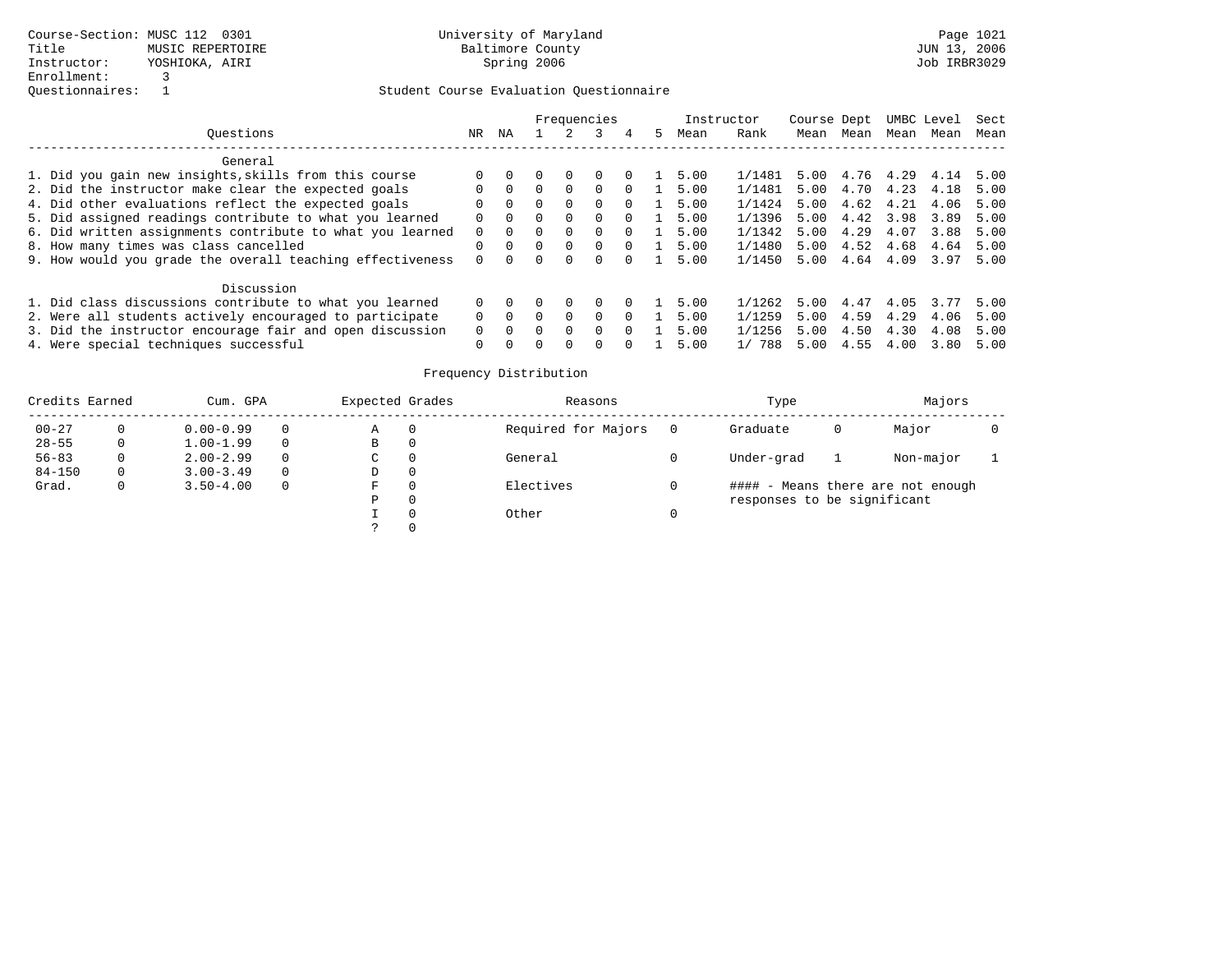|                                                           |          |          |              | Frequencies  |                  |   | Instructor |           | Course Dept |           |      | UMBC Level | Sect |
|-----------------------------------------------------------|----------|----------|--------------|--------------|------------------|---|------------|-----------|-------------|-----------|------|------------|------|
| Ouestions                                                 | NR.      | ΝA       |              |              | 4                | 5 | Mean       | Rank      | Mean        | Mean      | Mean | Mean       | Mean |
| General                                                   |          |          |              |              |                  |   |            |           |             |           |      |            |      |
| 1. Did you gain new insights, skills from this course     |          |          |              |              | $\left( \right)$ |   | 5.00       | 1/1481    | 5.00        | 4.76 4.29 |      | 4.14       | 5.00 |
| 2. Did the instructor make clear the expected goals       |          |          | $\Omega$     | <sup>0</sup> | $\Omega$         |   | 5.00       | 1/1481    | 5.00        | 4.70      | 4.23 | 4.18       | 5.00 |
| 4. Did other evaluations reflect the expected goals       | $\Omega$ | $\Omega$ | $\Omega$     | 0            | $\Omega$         |   | 5.00       | 1/1424    | 5.00        | 4.62      | 4.21 | 4.06       | 5.00 |
| 5. Did assigned readings contribute to what you learned   | $\Omega$ | $\Omega$ | $\Omega$     | <sup>0</sup> | $\Omega$         |   | 5.00       | 1/1396    | 5.00        | 4.42      | 3.98 | 3.89       | 5.00 |
| 6. Did written assignments contribute to what you learned | $\Omega$ | $\Omega$ | $\Omega$     | 0            | $\Omega$         |   | 5.00       | 1/1342    | 5.00        | 4.29      | 4.07 | 3.88       | 5.00 |
| 8. How many times was class cancelled                     |          | $\Omega$ | $\Omega$     | $\Omega$     | $\Omega$         |   | 5.00       | 1/1480    | 5.00        | 4.52      | 4.68 | 4.64       | 5.00 |
| 9. How would you grade the overall teaching effectiveness |          |          | <sup>0</sup> | 0            |                  |   | 5.00       | 1/1450    | 5.00        | 4.64      | 4.09 | 3.97       | 5.00 |
| Discussion                                                |          |          |              |              |                  |   |            |           |             |           |      |            |      |
| 1. Did class discussions contribute to what you learned   |          |          |              |              |                  |   | 5.00       | 1/1262    | 5.00        | 4.47      | 4.05 | 3.77       | 5.00 |
| 2. Were all students actively encouraged to participate   |          | $\Omega$ | $\Omega$     | <sup>0</sup> | $\Omega$         |   | 5.00       | 1/1259    | 5.00        | 4.59      | 4.29 | 4.06       | 5.00 |
| 3. Did the instructor encourage fair and open discussion  |          | $\Omega$ | $\Omega$     | $\Omega$     | $\Omega$         |   | 5.00       | 1/1256    | 5.00        | 4.50      | 4.30 | 4.08       | 5.00 |
| 4. Were special techniques successful                     | 0        | $\Omega$ | $\Omega$     |              |                  |   | 5.00       | 788<br>1/ | 5.00        | 4.55      | 4.00 | 3.80       | 5.00 |

| Credits Earned |    | Cum. GPA      |          | Expected Grades | Reasons             | Type                        |   | Majors                            |  |
|----------------|----|---------------|----------|-----------------|---------------------|-----------------------------|---|-----------------------------------|--|
| $00 - 27$      |    | $0.00 - 0.99$ | 0        | Α               | Required for Majors | Graduate                    | 0 | Major                             |  |
| $28 - 55$      | 0  | $1.00 - 1.99$ | $\Omega$ | В               |                     |                             |   |                                   |  |
| $56 - 83$      |    | $2.00 - 2.99$ | $\Omega$ | C               | General             | Under-grad                  |   | Non-major                         |  |
| $84 - 150$     | 0. | $3.00 - 3.49$ | $\Omega$ | D               |                     |                             |   |                                   |  |
| Grad.          | 0  | $3.50 - 4.00$ | $\Omega$ | F               | Electives           |                             |   | #### - Means there are not enough |  |
|                |    |               |          | Ρ               |                     | responses to be significant |   |                                   |  |
|                |    |               |          |                 | Other               |                             |   |                                   |  |
|                |    |               |          |                 |                     |                             |   |                                   |  |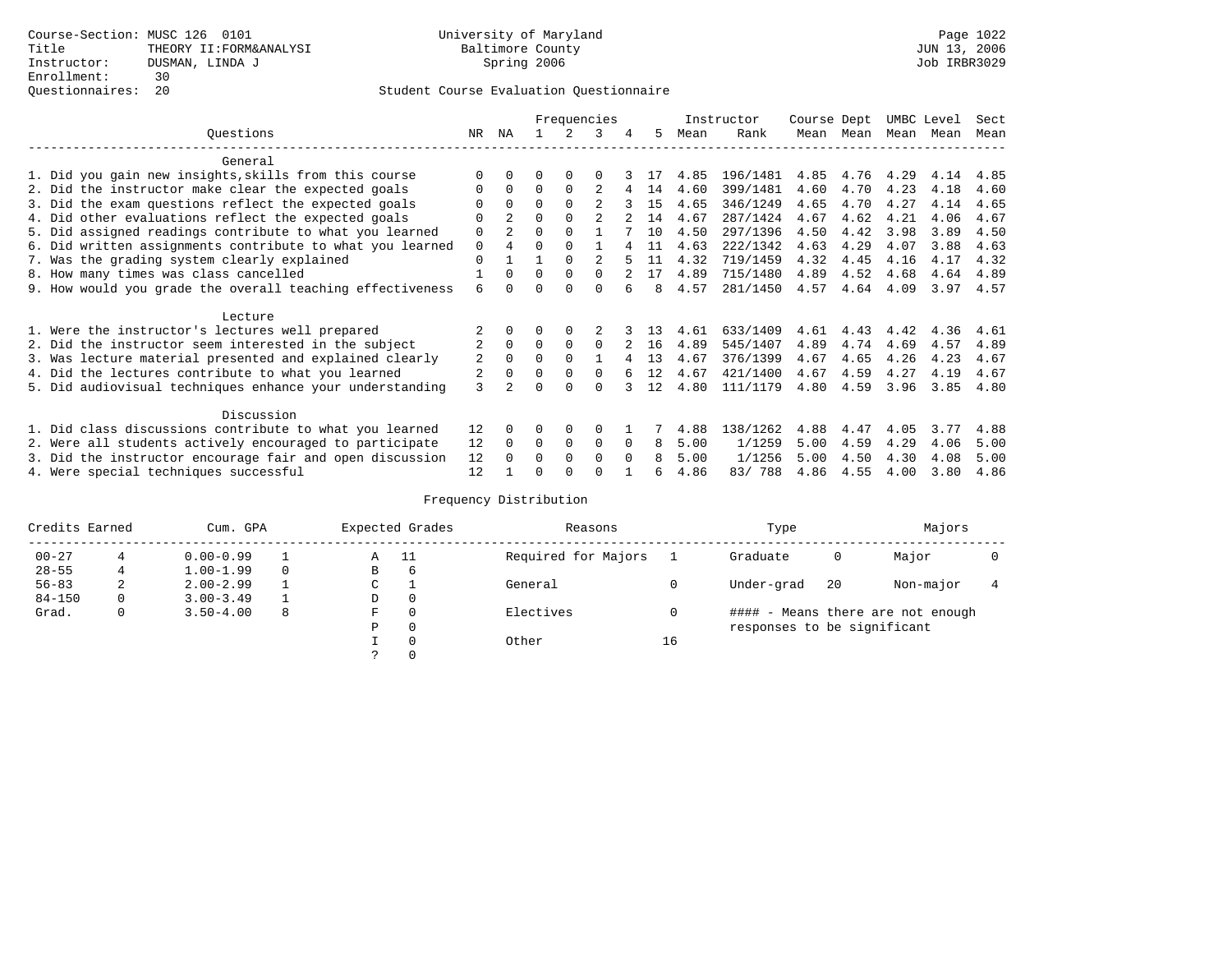|                                                           |                |                |          |             | Frequencies    |          |    |      | Instructor | Course Dept |      | UMBC Level |      | Sect |
|-----------------------------------------------------------|----------------|----------------|----------|-------------|----------------|----------|----|------|------------|-------------|------|------------|------|------|
| Questions                                                 | NR.            | ΝA             |          |             | 3              | 4        | 5. | Mean | Rank       | Mean        | Mean | Mean       | Mean | Mean |
| General                                                   |                |                |          |             |                |          |    |      |            |             |      |            |      |      |
| 1. Did you gain new insights, skills from this course     |                | $\Omega$       | U        | $\Omega$    | O              |          |    | 4.85 | 196/1481   | 4.85        | 4.76 | 4.29       | 4.14 | 4.85 |
| 2. Did the instructor make clear the expected goals       |                | $\Omega$       | $\Omega$ | $\Omega$    |                | 4        | 14 | 4.60 | 399/1481   | 4.60        | 4.70 | 4.23       | 4.18 | 4.60 |
| 3. Did the exam questions reflect the expected goals      |                | $\Omega$       | 0        | $\Omega$    | $\mathfrak{D}$ |          | 15 | 4.65 | 346/1249   | 4.65        | 4.70 | 4.27       | 4.14 | 4.65 |
| 4. Did other evaluations reflect the expected goals       | O              | $\overline{a}$ | 0        | $\Omega$    |                |          | 14 | 4.67 | 287/1424   | 4.67        | 4.62 | 4.21       | 4.06 | 4.67 |
| 5. Did assigned readings contribute to what you learned   | 0              | $\overline{a}$ | 0        | $\Omega$    |                |          | 10 | 4.50 | 297/1396   | 4.50        | 4.42 | 3.98       | 3.89 | 4.50 |
| 6. Did written assignments contribute to what you learned | 0              |                |          |             |                |          | 11 | 4.63 | 222/1342   | 4.63        | 4.29 | 4.07       | 3.88 | 4.63 |
| 7. Was the grading system clearly explained               | 0              |                |          | $\Omega$    |                |          | 11 | 4.32 | 719/1459   | 4.32        | 4.45 | 4.16       | 4.17 | 4.32 |
| 8. How many times was class cancelled                     |                | $\Omega$       | $\Omega$ | $\Omega$    | 0              |          | 17 | 4.89 | 715/1480   | 4.89        | 4.52 | 4.68       | 4.64 | 4.89 |
| 9. How would you grade the overall teaching effectiveness | 6              |                |          | U           | U              |          | 8  | 4.57 | 281/1450   | 4.57        | 4.64 | 4.09       | 3.97 | 4.57 |
| Lecture                                                   |                |                |          |             |                |          |    |      |            |             |      |            |      |      |
| 1. Were the instructor's lectures well prepared           |                |                |          |             |                |          | 13 | 4.61 | 633/1409   | 4.61        | 4.43 | 4.42       | 4.36 | 4.61 |
| 2. Did the instructor seem interested in the subject      | $\overline{2}$ | $\Omega$       | $\Omega$ | $\Omega$    | $\Omega$       |          | 16 | 4.89 | 545/1407   | 4.89        | 4.74 | 4.69       | 4.57 | 4.89 |
| 3. Was lecture material presented and explained clearly   | 2              | $\Omega$       | 0        | $\Omega$    |                |          | 13 | 4.67 | 376/1399   | 4.67        | 4.65 | 4.26       | 4.23 | 4.67 |
| 4. Did the lectures contribute to what you learned        | 2              | $\mathbf 0$    |          | $\Omega$    | <sup>0</sup>   |          | 12 | 4.67 | 421/1400   | 4.67        | 4.59 | 4.27       | 4.19 | 4.67 |
| 5. Did audiovisual techniques enhance your understanding  | 3              |                |          | $\cap$      |                |          | 12 | 4.80 | 111/1179   | 4.80        | 4.59 | 3.96       | 3.85 | 4.80 |
| Discussion                                                |                |                |          |             |                |          |    |      |            |             |      |            |      |      |
| 1. Did class discussions contribute to what you learned   | 12             | $\Omega$       | U        | $\Omega$    | $\Omega$       |          |    | 4.88 | 138/1262   | 4.88        | 4.47 | 4.05       | 3.77 | 4.88 |
| 2. Were all students actively encouraged to participate   | 12             | $\Omega$       | $\Omega$ | $\mathbf 0$ | 0              | $\Omega$ | 8  | 5.00 | 1/1259     | 5.00        | 4.59 | 4.29       | 4.06 | 5.00 |
| 3. Did the instructor encourage fair and open discussion  | 12             |                | U        | $\Omega$    | $\Omega$       | $\Omega$ | 8  | 5.00 | 1/1256     | 5.00        | 4.50 | 4.30       | 4.08 | 5.00 |
| 4. Were special techniques successful                     | 12             |                |          |             |                |          |    | 4.86 | 83/788     | 4.86        | 4.55 | 4.00       | 3.80 | 4.86 |

| Credits Earned |   | Cum. GPA      |   |               | Expected Grades | Reasons             |    | Type                        |    | Majors                            |  |
|----------------|---|---------------|---|---------------|-----------------|---------------------|----|-----------------------------|----|-----------------------------------|--|
| $00 - 27$      |   | $0.00 - 0.99$ |   | A             | - 11            | Required for Majors |    | Graduate                    | 0  | Major                             |  |
| $28 - 55$      | 4 | $1.00 - 1.99$ |   | В             | 6               |                     |    |                             |    |                                   |  |
| $56 - 83$      | 2 | $2.00 - 2.99$ |   | $\sim$<br>◡   |                 | General             |    | Under-grad                  | 20 | Non-major                         |  |
| $84 - 150$     | 0 | $3.00 - 3.49$ |   | D             | 0               |                     |    |                             |    |                                   |  |
| Grad.          | 0 | $3.50 - 4.00$ | 8 | F             | 0               | Electives           |    |                             |    | #### - Means there are not enough |  |
|                |   |               |   | Ρ             | 0               |                     |    | responses to be significant |    |                                   |  |
|                |   |               |   |               | 0               | Other               | 16 |                             |    |                                   |  |
|                |   |               |   | $\mathcal{L}$ |                 |                     |    |                             |    |                                   |  |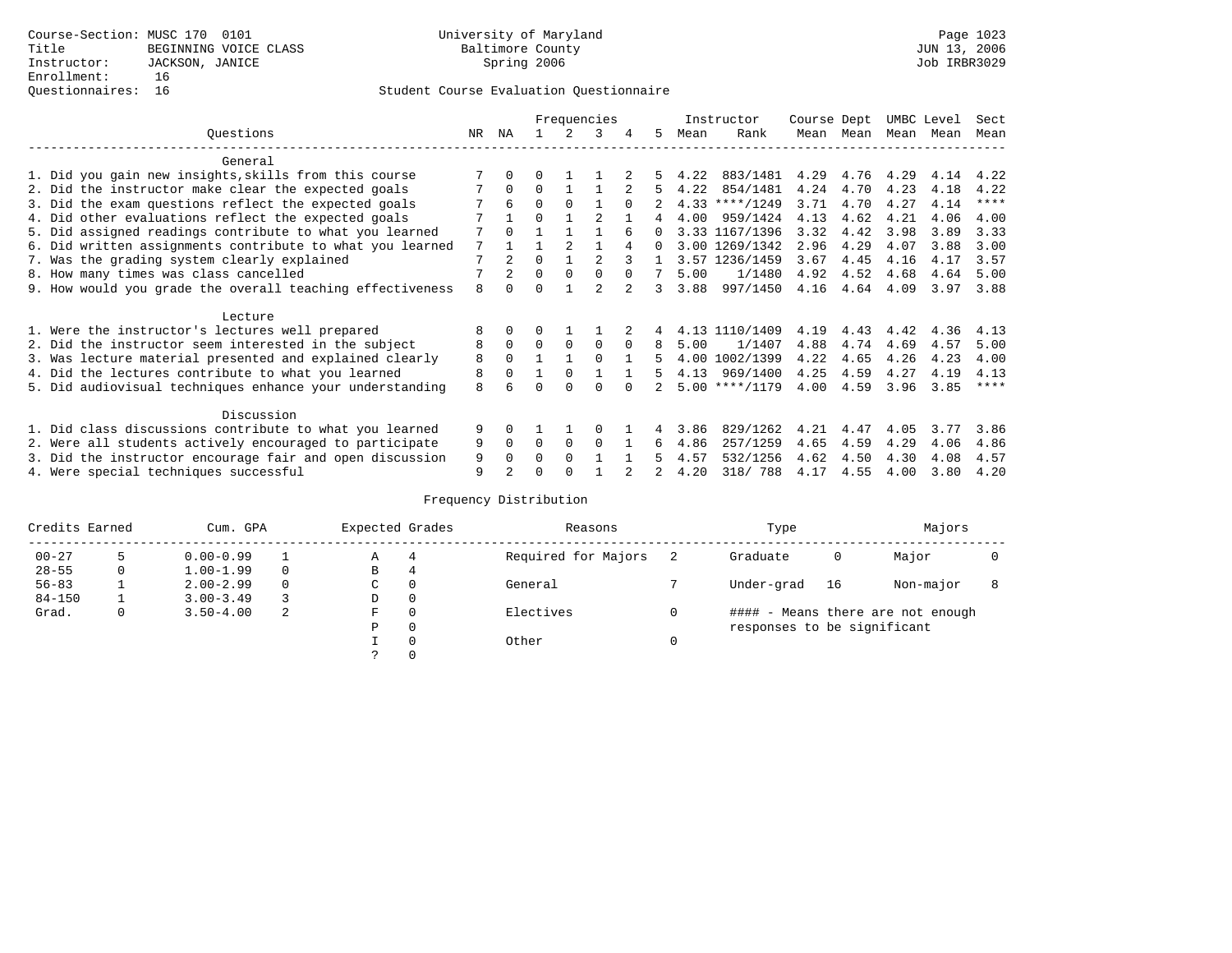|                                                           |    |                |          |                | Frequencies    |          |          |      | Instructor       | Course Dept |           | UMBC Level |      | Sect        |
|-----------------------------------------------------------|----|----------------|----------|----------------|----------------|----------|----------|------|------------------|-------------|-----------|------------|------|-------------|
| Ouestions                                                 | NR | ΝA             |          | $\mathcal{L}$  | 3              | 4        | 5        | Mean | Rank             |             | Mean Mean | Mean       | Mean | Mean        |
| General                                                   |    |                |          |                |                |          |          |      |                  |             |           |            |      |             |
| 1. Did you gain new insights, skills from this course     |    | 0              | 0        |                |                |          |          | 4.22 | 883/1481         | 4.29        | 4.76      | 4.29       | 4.14 | 4.22        |
| 2. Did the instructor make clear the expected goals       |    | $\Omega$       | $\Omega$ |                |                |          | 5        | 4.22 | 854/1481         | 4.24        | 4.70      | 4.23       | 4.18 | 4.22        |
| 3. Did the exam questions reflect the expected goals      |    | 6              | $\Omega$ | $\Omega$       |                | $\Omega$ |          |      | $4.33$ ****/1249 | 3.71        | 4.70      | 4.27       | 4.14 | $***$ * * * |
| 4. Did other evaluations reflect the expected goals       |    |                | U        |                |                |          | 4        | 4.00 | 959/1424         | 4.13        | 4.62      | 4.21       | 4.06 | 4.00        |
| 5. Did assigned readings contribute to what you learned   | 7  | $\Omega$       |          |                |                |          | 0        |      | 3.33 1167/1396   | 3.32        | 4.42      | 3.98       | 3.89 | 3.33        |
| 6. Did written assignments contribute to what you learned | 7  |                |          | $\mathfrak{D}$ |                |          | $\Omega$ |      | 3.00 1269/1342   | 2.96        | 4.29      | 4.07       | 3.88 | 3.00        |
| 7. Was the grading system clearly explained               | 7  | $\overline{a}$ | U        |                | 2              |          |          |      | 3.57 1236/1459   | 3.67        | 4.45      | 4.16       | 4.17 | 3.57        |
| 8. How many times was class cancelled                     |    |                | $\Omega$ | $\Omega$       | $\Omega$       | $\Omega$ | 7        | 5.00 | 1/1480           | 4.92        | 4.52      | 4.68       | 4.64 | 5.00        |
| 9. How would you grade the overall teaching effectiveness | 8  | <sup>n</sup>   | ∩        |                | $\mathfrak{D}$ |          | 3        | 3.88 | 997/1450         | 4.16        | 4.64      | 4.09       | 3.97 | 3.88        |
| Lecture                                                   |    |                |          |                |                |          |          |      |                  |             |           |            |      |             |
| 1. Were the instructor's lectures well prepared           | 8  |                |          |                |                |          |          |      | 4.13 1110/1409   | 4.19        | 4.43      | 4.42       | 4.36 | 4.13        |
| 2. Did the instructor seem interested in the subject      | 8  | $\Omega$       | $\Omega$ | $\Omega$       | $\Omega$       | $\Omega$ | 8        | 5.00 | 1/1407           | 4.88        | 4.74      | 4.69       | 4.57 | 5.00        |
| 3. Was lecture material presented and explained clearly   | 8  | $\Omega$       |          |                | $\Omega$       |          | 5        |      | 4.00 1002/1399   | 4.22        | 4.65      | 4.26       | 4.23 | 4.00        |
| 4. Did the lectures contribute to what you learned        | 8  | $\Omega$       |          | $\Omega$       |                |          | 5        |      | 4.13 969/1400    | 4.25        | 4.59      | 4.27       | 4.19 | 4.13        |
| 5. Did audiovisual techniques enhance your understanding  | 8  |                |          |                |                |          |          |      | $5.00$ ****/1179 | 4.00        | 4.59      | 3.96       | 3.85 | $***$ * * * |
| Discussion                                                |    |                |          |                |                |          |          |      |                  |             |           |            |      |             |
| 1. Did class discussions contribute to what you learned   | 9  | 0              |          |                |                |          |          | 3.86 | 829/1262         | 4.21        | 4.47      | 4.05       | 3.77 | 3.86        |
| 2. Were all students actively encouraged to participate   | 9  | 0              | $\Omega$ | 0              | $\Omega$       |          | 6        | 4.86 | 257/1259         | 4.65        | 4.59      | 4.29       | 4.06 | 4.86        |
| 3. Did the instructor encourage fair and open discussion  | 9  | 0              | U        | $\Omega$       |                |          |          | 4.57 | 532/1256         | 4.62        | 4.50      | 4.30       | 4.08 | 4.57        |
| 4. Were special techniques successful                     | 9  | $\mathfrak{D}$ |          |                |                |          |          | 4.20 | 318/788          | 4.17        | 4.55      | 4.00       | 3.80 | 4.20        |

| Credits Earned |   | Cum. GPA      |   | Expected Grades |          | Reasons             |   | Type                        |    | Majors                            |  |
|----------------|---|---------------|---|-----------------|----------|---------------------|---|-----------------------------|----|-----------------------------------|--|
| $00 - 27$      |   | $0.00 - 0.99$ |   | А               | 4        | Required for Majors |   | Graduate                    | 0  | Major                             |  |
| $28 - 55$      | 0 | $1.00 - 1.99$ |   | В               | 4        |                     |   |                             |    |                                   |  |
| $56 - 83$      |   | $2.00 - 2.99$ |   | $\sim$<br>◡     | 0        | General             |   | Under-grad                  | 16 | Non-major                         |  |
| $84 - 150$     |   | $3.00 - 3.49$ |   | D               | 0        |                     |   |                             |    |                                   |  |
| Grad.          | 0 | $3.50 - 4.00$ | 2 | F               | 0        | Electives           | 0 |                             |    | #### - Means there are not enough |  |
|                |   |               |   | Ρ               | 0        |                     |   | responses to be significant |    |                                   |  |
|                |   |               |   |                 | $\Omega$ | Other               |   |                             |    |                                   |  |
|                |   |               |   |                 |          |                     |   |                             |    |                                   |  |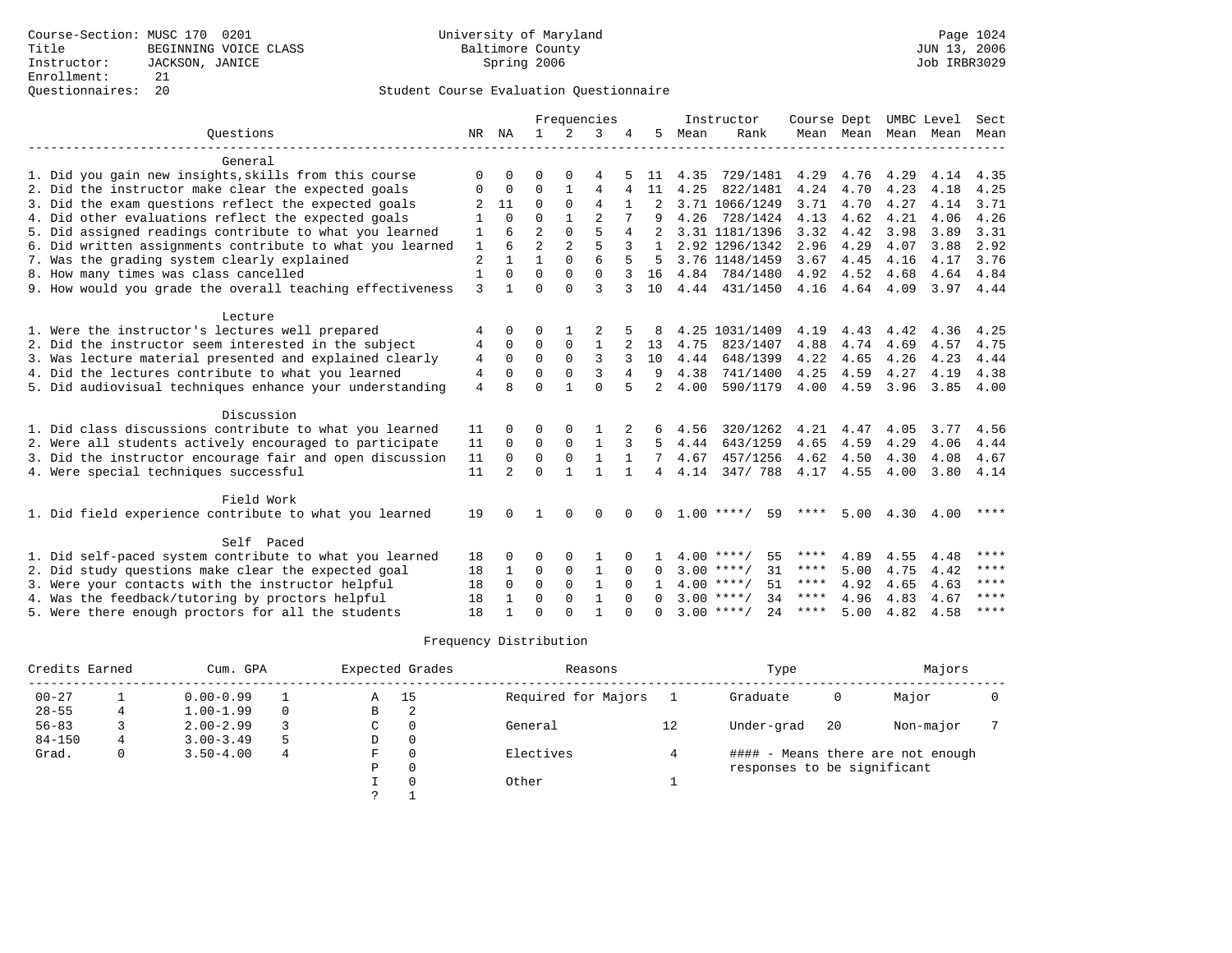|                                                           |                |                |                |                | Frequencies  |          |                |      | Instructor         | Course Dept |                |      | UMBC Level | Sect        |
|-----------------------------------------------------------|----------------|----------------|----------------|----------------|--------------|----------|----------------|------|--------------------|-------------|----------------|------|------------|-------------|
| Ouestions                                                 | NR             | NA             | $\mathbf{1}$   | 2              | 3            |          | 5              | Mean | Rank               |             | Mean Mean Mean |      | Mean       | Mean        |
|                                                           |                |                |                |                |              |          |                |      |                    |             |                |      |            |             |
| General                                                   |                |                |                |                |              |          |                |      |                    |             |                |      |            |             |
| 1. Did you gain new insights, skills from this course     | $\Omega$       |                |                |                |              |          | 11             | 4.35 | 729/1481           | 4.29        | 4.76           | 4.29 | 4.14       | 4.35        |
| 2. Did the instructor make clear the expected goals       | 0              | $\Omega$       | $\Omega$       |                | 4            |          | 11             | 4.25 | 822/1481           | 4.24        | 4.70           | 4.23 | 4.18       | 4.25        |
| 3. Did the exam questions reflect the expected goals      |                | 11             | $\Omega$       | $\Omega$       | 4            |          |                |      | 3.71 1066/1249     | 3.71        | 4.70           | 4.27 | 4.14       | 3.71        |
| 4. Did other evaluations reflect the expected goals       |                | $\Omega$       | $\Omega$       |                |              |          |                | 4.26 | 728/1424           | 4.13        | 4.62           | 4.21 | 4.06       | 4.26        |
| 5. Did assigned readings contribute to what you learned   | 1              | 6              |                | $\Omega$       | 5            |          |                |      | 3.31 1181/1396     | 3.32        | 4.42           | 3.98 | 3.89       | 3.31        |
| 6. Did written assignments contribute to what you learned | $\mathbf{1}$   | 6              | $\overline{a}$ | $\overline{2}$ | 5            |          | $\mathbf{1}$   |      | 2.92 1296/1342     | 2.96        | 4.29           | 4.07 | 3.88       | 2.92        |
| 7. Was the grading system clearly explained               | $\overline{c}$ |                |                | $\Omega$       | 6            |          | 5              |      | 3.76 1148/1459     | 3.67        | 4.45           | 4.16 | 4.17       | 3.76        |
| 8. How many times was class cancelled                     | $\mathbf{1}$   | $\Omega$       | $\Omega$       | $\Omega$       | $\Omega$     |          | 16             |      | 4.84 784/1480      | 4.92        | 4.52           | 4.68 | 4.64       | 4.84        |
| 9. How would you grade the overall teaching effectiveness | 3              |                | $\Omega$       | $\cap$         | 3            |          | 10             |      | 4.44 431/1450      | 4.16        | 4.64           | 4.09 | 3.97 4.44  |             |
| Lecture                                                   |                |                |                |                |              |          |                |      |                    |             |                |      |            |             |
| 1. Were the instructor's lectures well prepared           |                | $\Omega$       | ∩              |                |              |          |                |      | 4.25 1031/1409     | 4.19        | 4.43           | 4.42 | 4.36       | 4.25        |
| 2. Did the instructor seem interested in the subject      | 4              | $\Omega$       | $\Omega$       | 0              | 1            |          | 13             | 4.75 | 823/1407           | 4.88        | 4.74           | 4.69 | 4.57       | 4.75        |
| 3. Was lecture material presented and explained clearly   | 4<br>4         | $\Omega$       | $\Omega$       | $\Omega$       | 3            | 3        | 10             | 4.44 | 648/1399           | 4.22        | 4.65           | 4.26 | 4.23       | 4.44        |
| 4. Did the lectures contribute to what you learned        | 4              | $\Omega$       | $\Omega$       | $\Omega$       | 3            | 4        | 9              | 4.38 | 741/1400           | 4.25        | 4.59           | 4.27 | 4.19       | 4.38        |
|                                                           |                | $\mathsf{R}$   | $\Omega$       |                | $\Omega$     |          |                | 4.00 | 590/1179           | 4.00        | 4.59           |      | 3.85       |             |
| 5. Did audiovisual techniques enhance your understanding  | 4              |                |                |                |              |          | 2              |      |                    |             |                | 3.96 |            | 4.00        |
| Discussion                                                |                |                |                |                |              |          |                |      |                    |             |                |      |            |             |
| 1. Did class discussions contribute to what you learned   | 11             |                |                |                |              |          |                | 4.56 | 320/1262           | 4.21        | 4.47           | 4.05 | 3.77       | 4.56        |
| 2. Were all students actively encouraged to participate   | 11             | $\Omega$       | $\Omega$       | $\Omega$       | 1            | 3        | 5              | 4.44 | 643/1259           | 4.65        | 4.59           | 4.29 | 4.06       | 4.44        |
| 3. Did the instructor encourage fair and open discussion  | 11             | $\Omega$       | $\mathbf 0$    | $\Omega$       | $\mathbf{1}$ | 1        | 7              | 4.67 | 457/1256           | 4.62        | 4.50           | 4.30 | 4.08       | 4.67        |
| 4. Were special techniques successful                     | 11             | $\mathfrak{D}$ | $\Omega$       |                | 1            |          | $\overline{4}$ | 4.14 | 347/788            | 4.17        | 4.55           | 4.00 | 3.80       | 4.14        |
|                                                           |                |                |                |                |              |          |                |      |                    |             |                |      |            |             |
| Field Work                                                |                |                |                |                |              |          |                |      |                    |             |                |      |            |             |
| 1. Did field experience contribute to what you learned    | 19             |                |                | $\Omega$       | $\Omega$     |          | $\Omega$       |      | $1.00***$<br>59    | ****        | 5.00           | 4.30 | 4.00       | ****        |
| Self Paced                                                |                |                |                |                |              |          |                |      |                    |             |                |      |            |             |
| 1. Did self-paced system contribute to what you learned   | 18             |                | ∩              |                |              |          |                |      | $4.00$ ****/<br>55 | ****        | 4.89           | 4.55 | 4.48       | ****        |
| 2. Did study questions make clear the expected goal       | 18             |                | 0              | 0              | 1            | $\Omega$ | $\Omega$       |      | $3.00$ ****/<br>31 | ****        | 5.00           | 4.75 | 4.42       | $***$ * * * |
| 3. Were your contacts with the instructor helpful         | 18             | $\Omega$       | $\mathbf 0$    | $\Omega$       | $\mathbf{1}$ | $\Omega$ |                |      | $4.00$ ****/<br>51 | ****        | 4.92           | 4.65 | 4.63       | ****        |
| 4. Was the feedback/tutoring by proctors helpful          | 18             |                | $\Omega$       | $\Omega$       | 1            |          |                |      | $3.00$ ****/<br>34 | ****        | 4.96           | 4.83 | 4.67       | $***$ * * * |
| 5. Were there enough proctors for all the students        | 18             |                | $\Omega$       |                |              |          | $\Omega$       |      | $3.00$ ****/<br>24 | ****        | 5.00           | 4.82 | 4.58       | $***$ * * * |

| Credits Earned |   | Cum. GPA      |   |               | Expected Grades | Reasons             |    | Type                        |    | Majors                            |  |
|----------------|---|---------------|---|---------------|-----------------|---------------------|----|-----------------------------|----|-----------------------------------|--|
| $00 - 27$      |   | $0.00 - 0.99$ |   | Α             | 15              | Required for Majors |    | Graduate                    |    | Major                             |  |
| $28 - 55$      |   | $1.00 - 1.99$ |   | В             | 2               |                     |    |                             |    |                                   |  |
| $56 - 83$      |   | $2.00 - 2.99$ |   | C             | $\Omega$        | General             | 12 | Under-grad                  | 20 | Non-major                         |  |
| $84 - 150$     | 4 | $3.00 - 3.49$ | 5 | D             | 0               |                     |    |                             |    |                                   |  |
| Grad.          | 0 | $3.50 - 4.00$ | 4 | F             | $\Omega$        | Electives           |    |                             |    | #### - Means there are not enough |  |
|                |   |               |   | Ρ             | 0               |                     |    | responses to be significant |    |                                   |  |
|                |   |               |   |               | $\Omega$        | Other               |    |                             |    |                                   |  |
|                |   |               |   | $\mathcal{L}$ |                 |                     |    |                             |    |                                   |  |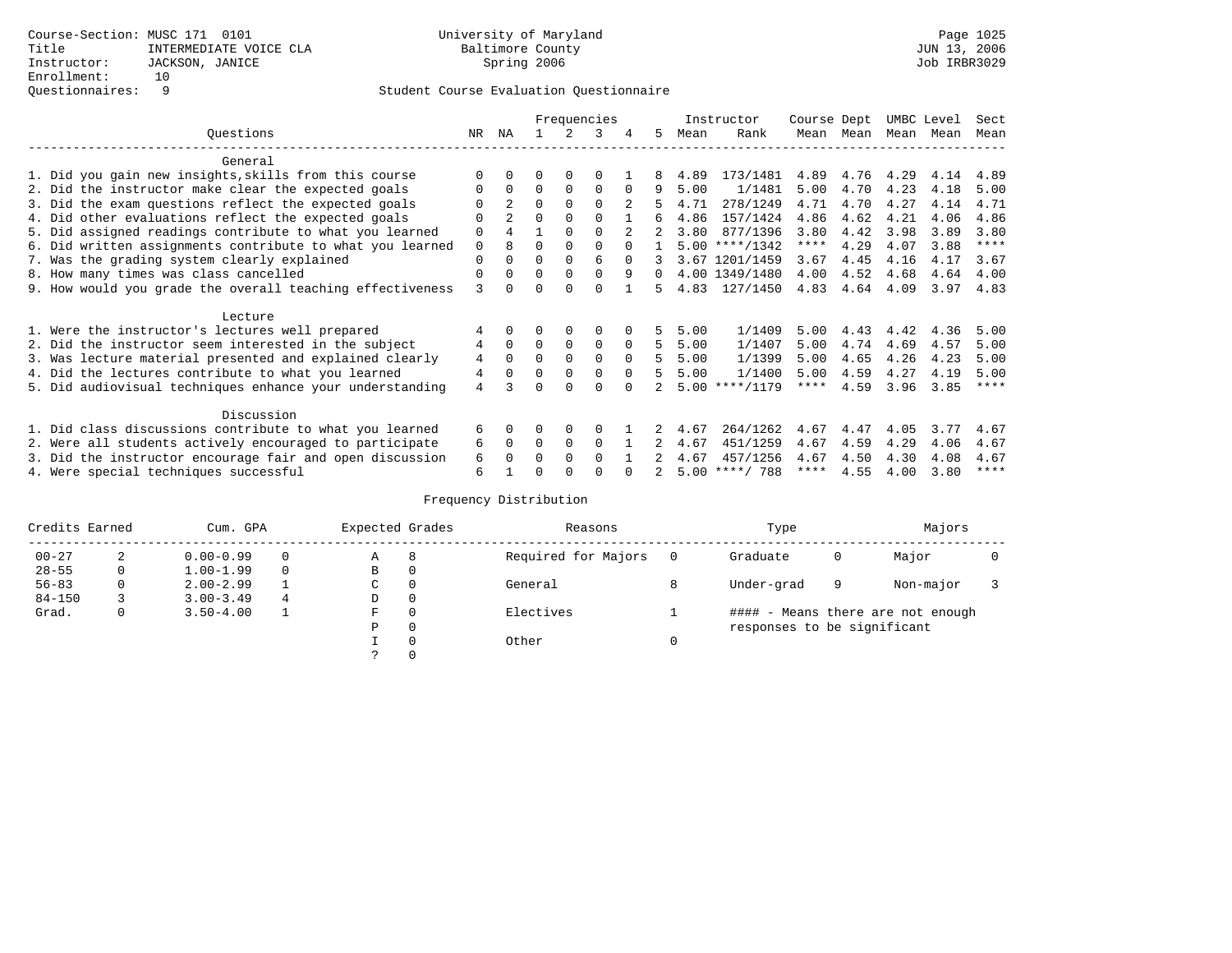|                                                           |     |                |          |             | Frequencies  |          |          |      | Instructor       | Course Dept |      | UMBC Level |      | Sect        |
|-----------------------------------------------------------|-----|----------------|----------|-------------|--------------|----------|----------|------|------------------|-------------|------|------------|------|-------------|
| Ouestions                                                 | NR. | ΝA             |          |             | २            | 4        | 5        | Mean | Rank             | Mean        | Mean | Mean Mean  |      | Mean        |
| General                                                   |     |                |          |             |              |          |          |      |                  |             |      |            |      |             |
| 1. Did you gain new insights, skills from this course     |     |                |          | O           |              |          |          | 4.89 | 173/1481         | 4.89        | 4.76 | 4.29       | 4.14 | 4.89        |
| 2. Did the instructor make clear the expected goals       |     | $\Omega$       | $\Omega$ | $\Omega$    | $\Omega$     | $\Omega$ | 9        | 5.00 | 1/1481           | 5.00        | 4.70 | 4.23       | 4.18 | 5.00        |
| 3. Did the exam questions reflect the expected goals      |     | $\overline{a}$ | $\Omega$ | $\Omega$    | $\Omega$     |          |          | 4.71 | 278/1249         | 4.71        | 4.70 | 4.27       | 4.14 | 4.71        |
| 4. Did other evaluations reflect the expected goals       | O   | $\overline{a}$ | 0        | $\Omega$    | $\Omega$     |          | 6        | 4.86 | 157/1424         | 4.86        | 4.62 | 4.21       | 4.06 | 4.86        |
| 5. Did assigned readings contribute to what you learned   | 0   | 4              |          | $\Omega$    | $\Omega$     |          |          | 3.80 | 877/1396         | 3.80        | 4.42 | 3.98       | 3.89 | 3.80        |
| 6. Did written assignments contribute to what you learned | 0   | 8              | U        | $\Omega$    |              |          |          |      | $5.00$ ****/1342 | $***$ * *   | 4.29 | 4.07       | 3.88 | $* * * * *$ |
| 7. Was the grading system clearly explained               | O   |                | 0        | $\Omega$    | 6            |          |          |      | 3.67 1201/1459   | 3.67        | 4.45 | 4.16       | 4.17 | 3.67        |
| 8. How many times was class cancelled                     | 0   | $\Omega$       | $\Omega$ | $\Omega$    | 0            | 9        | $\Omega$ |      | 4.00 1349/1480   | 4.00        | 4.52 | 4.68       | 4.64 | 4.00        |
| 9. How would you grade the overall teaching effectiveness | 3   |                |          |             | U            |          |          | 4.83 | 127/1450         | 4.83        | 4.64 | 4.09       | 3.97 | 4.83        |
| Lecture                                                   |     |                |          |             |              |          |          |      |                  |             |      |            |      |             |
| 1. Were the instructor's lectures well prepared           |     |                |          |             | 0            |          |          | 5.00 | 1/1409           | 5.00        | 4.43 | 4.42       | 4.36 | 5.00        |
| 2. Did the instructor seem interested in the subject      | 4   | $\Omega$       | $\Omega$ | $\mathbf 0$ | 0            | $\Omega$ | 5        | 5.00 | 1/1407           | 5.00        | 4.74 | 4.69       | 4.57 | 5.00        |
| 3. Was lecture material presented and explained clearly   | 4   | $\Omega$       | 0        | $\Omega$    | $\Omega$     | $\Omega$ | 5        | 5.00 | 1/1399           | 5.00        | 4.65 | 4.26       | 4.23 | 5.00        |
| 4. Did the lectures contribute to what you learned        | 4   | $\Omega$       | 0        | $\Omega$    | $\Omega$     | $\Omega$ | 5.       | 5.00 | 1/1400           | 5.00        | 4.59 | 4.27       | 4.19 | 5.00        |
| 5. Did audiovisual techniques enhance your understanding  | 4   |                |          |             |              |          |          |      | $5.00$ ****/1179 | ****        | 4.59 | 3.96       | 3.85 | $* * * * *$ |
| Discussion                                                |     |                |          |             |              |          |          |      |                  |             |      |            |      |             |
| 1. Did class discussions contribute to what you learned   | 6   | 0              | O        | $\Omega$    | O            |          |          | 4.67 | 264/1262         | 4.67        | 4.47 | 4.05       | 3.77 | 4.67        |
| 2. Were all students actively encouraged to participate   | 6   | $\Omega$       | $\Omega$ | $\Omega$    | $\Omega$     |          |          | 4.67 | 451/1259         | 4.67        | 4.59 | 4.29       | 4.06 | 4.67        |
| 3. Did the instructor encourage fair and open discussion  | 6   |                | U        | $\Omega$    | <sup>0</sup> |          |          | 4.67 | 457/1256         | 4.67        | 4.50 | 4.30       | 4.08 | 4.67        |
| 4. Were special techniques successful                     | 6   |                |          |             |              |          |          |      | $5.00$ ****/ 788 | ****        | 4.55 | 4.00       | 3.80 | $***$ * * * |

| Credits Earned |   | Cum. GPA      |          | Expected Grades |          | Reasons             | Type                        |   | Majors                            |  |
|----------------|---|---------------|----------|-----------------|----------|---------------------|-----------------------------|---|-----------------------------------|--|
| $00 - 27$      | 2 | $0.00 - 0.99$ |          | Α               | 8        | Required for Majors | Graduate                    | 0 | Major                             |  |
| $28 - 55$      | 0 | $1.00 - 1.99$ | $\Omega$ | В               | 0        |                     |                             |   |                                   |  |
| $56 - 83$      | 0 | $2.00 - 2.99$ |          | C.              | $\Omega$ | General             | Under-grad                  | 9 | Non-major                         |  |
| $84 - 150$     |   | $3.00 - 3.49$ | 4        | D               | 0        |                     |                             |   |                                   |  |
| Grad.          | 0 | $3.50 - 4.00$ |          | F               | $\Omega$ | Electives           |                             |   | #### - Means there are not enough |  |
|                |   |               |          | Ρ               | 0        |                     | responses to be significant |   |                                   |  |
|                |   |               |          |                 | $\Omega$ | Other               |                             |   |                                   |  |
|                |   |               |          |                 |          |                     |                             |   |                                   |  |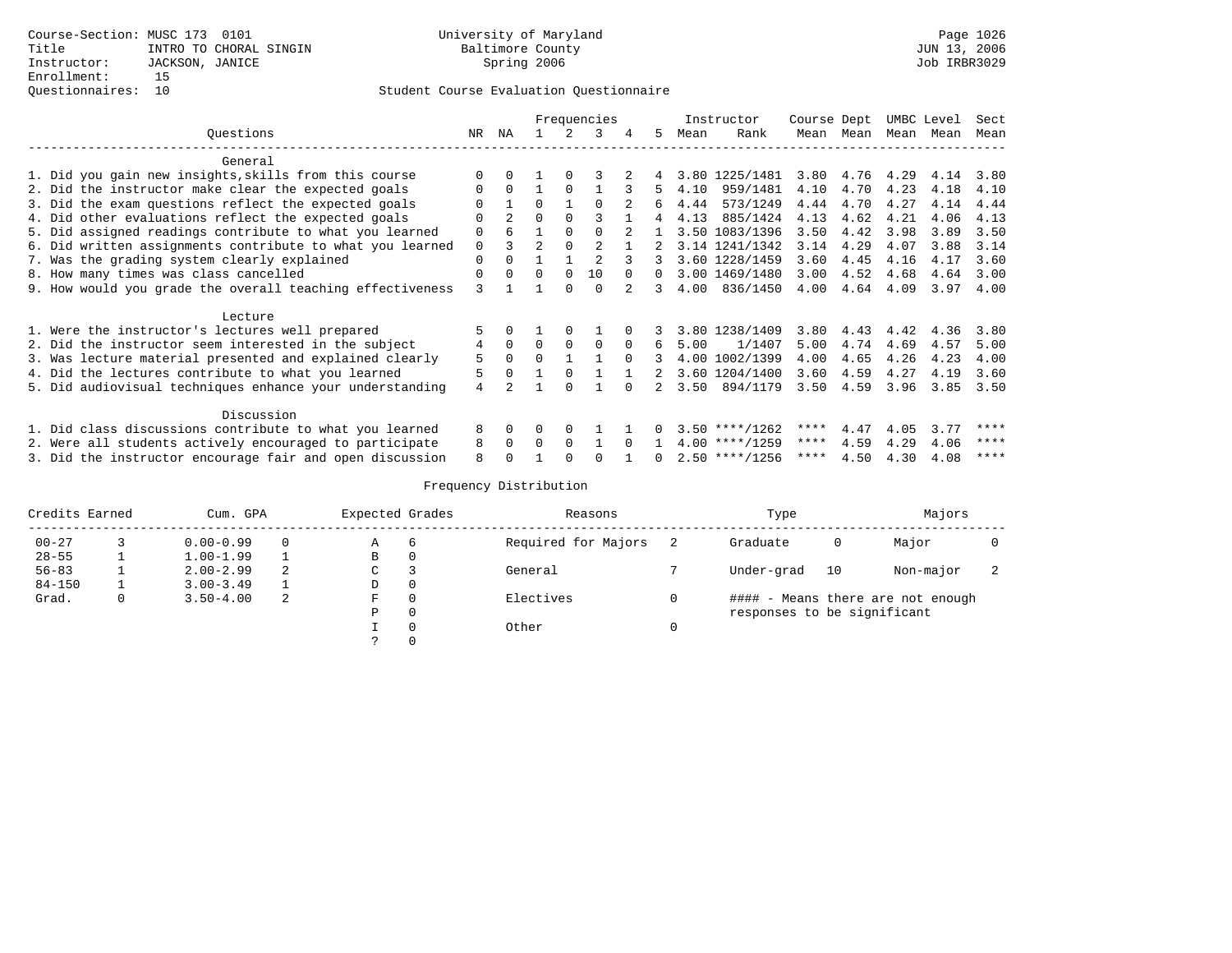|                                                           |                |                |                |          | Frequencies |          |              |      | Instructor       | Course Dept |           | UMBC Level |      | Sect |
|-----------------------------------------------------------|----------------|----------------|----------------|----------|-------------|----------|--------------|------|------------------|-------------|-----------|------------|------|------|
| Ouestions                                                 | NR             | ΝA             |                |          | 3           | 4        | 5            | Mean | Rank             |             | Mean Mean | Mean       | Mean | Mean |
| General                                                   |                |                |                |          |             |          |              |      |                  |             |           |            |      |      |
| 1. Did you gain new insights, skills from this course     | $\Omega$       |                |                |          |             |          |              |      | 3.80 1225/1481   | 3.80        | 4.76 4.29 |            | 4.14 | 3.80 |
| 2. Did the instructor make clear the expected goals       | $\Omega$       | $\Omega$       |                |          |             |          | 5            | 4.10 | 959/1481         | 4.10        | 4.70      | 4.23       | 4.18 | 4.10 |
| 3. Did the exam questions reflect the expected goals      |                |                | $\Omega$       |          |             |          | б.           | 4.44 | 573/1249         | 4.44        | 4.70      | 4.27       | 4.14 | 4.44 |
| 4. Did other evaluations reflect the expected goals       | $\Omega$       | $\overline{2}$ | $\Omega$       |          |             |          |              | 4.13 | 885/1424         | 4.13        | 4.62      | 4.21       | 4.06 | 4.13 |
| 5. Did assigned readings contribute to what you learned   | $\Omega$       | 6              |                |          | $\Omega$    |          | $\mathbf{1}$ |      | 3.50 1083/1396   | 3.50        | 4.42      | 3.98       | 3.89 | 3.50 |
| 6. Did written assignments contribute to what you learned | $\mathbf 0$    | 3              | $\mathfrak{D}$ |          |             |          |              |      | 3.14 1241/1342   | 3.14        | 4.29      | 4.07       | 3.88 | 3.14 |
| 7. Was the grading system clearly explained               | $\Omega$       | $\Omega$       |                |          |             |          | 3            |      | 3.60 1228/1459   | 3.60        | 4.45      | 4.16       | 4.17 | 3.60 |
| 8. How many times was class cancelled                     | $\Omega$       | $\Omega$       | $\Omega$       | $\Omega$ | 10          | $\cap$   | 0            |      | 3.00 1469/1480   | 3.00        | 4.52      | 4.68       | 4.64 | 3.00 |
| 9. How would you grade the overall teaching effectiveness | 3              |                |                | $\Omega$ | $\cap$      |          | 3            | 4.00 | 836/1450         | 4.00        | 4.64      | 4.09       | 3.97 | 4.00 |
| Lecture                                                   |                |                |                |          |             |          |              |      |                  |             |           |            |      |      |
| 1. Were the instructor's lectures well prepared           | 5              |                |                | $\Omega$ |             |          |              |      | 3.80 1238/1409   | 3.80        | 4.43      | 4.42       | 4.36 | 3.80 |
| 2. Did the instructor seem interested in the subject      | 4              | $\Omega$       | $\Omega$       | $\Omega$ | $\Omega$    | $\Omega$ | б.           | 5.00 | 1/1407           | 5.00        | 4.74      | 4.69       | 4.57 | 5.00 |
| 3. Was lecture material presented and explained clearly   | 5              | 0              | $\Omega$       |          |             | $\cap$   | 3.           |      | 4.00 1002/1399   | 4.00        | 4.65      | 4.26       | 4.23 | 4.00 |
| 4. Did the lectures contribute to what you learned        | 5              | $\Omega$       |                | $\Omega$ |             |          |              |      | 3.60 1204/1400   | 3.60        | 4.59      | 4.27       | 4.19 | 3.60 |
| 5. Did audiovisual techniques enhance your understanding  | $\overline{4}$ |                |                | ∩        |             |          |              | 3.50 | 894/1179         | 3.50        | 4.59      | 3.96       | 3.85 | 3.50 |
| Discussion                                                |                |                |                |          |             |          |              |      |                  |             |           |            |      |      |
| 1. Did class discussions contribute to what you learned   | 8              | $\Omega$       | <sup>0</sup>   | $\Omega$ |             |          |              |      | $3.50$ ****/1262 | ****        | 4.47      | 4.05       | 3.77 | **** |
| 2. Were all students actively encouraged to participate   | 8              | $\Omega$       | $\Omega$       | $\Omega$ |             | $\cap$   |              |      | $4.00$ ****/1259 | ****        | 4.59      | 4.29       | 4.06 | **** |
| 3. Did the instructor encourage fair and open discussion  | 8              |                |                |          |             |          | n.           |      | $2.50$ ****/1256 | ****        | 4.50      | 4.30       | 4.08 | **** |

| Credits Earned | Cum. GPA      |    | Expected Grades |          | Reasons             |   | Type                        |    | Majors                            |  |
|----------------|---------------|----|-----------------|----------|---------------------|---|-----------------------------|----|-----------------------------------|--|
| $00 - 27$      | $0.00 - 0.99$ |    | Α               | -6       | Required for Majors |   | Graduate                    | 0  | Major                             |  |
| $28 - 55$      | $1.00 - 1.99$ |    | В               | 0        |                     |   |                             |    |                                   |  |
| $56 - 83$      | $2.00 - 2.99$ | 2  | C               |          | General             |   | Under-grad                  | 10 | Non-major                         |  |
| $84 - 150$     | $3.00 - 3.49$ |    | D               | 0        |                     |   |                             |    |                                   |  |
| Grad.          | $3.50 - 4.00$ | -2 | F               | $\Omega$ | Electives           |   |                             |    | #### - Means there are not enough |  |
|                |               |    | Ρ               | 0        |                     |   | responses to be significant |    |                                   |  |
|                |               |    |                 | $\Omega$ | Other               | 0 |                             |    |                                   |  |
|                |               |    |                 |          |                     |   |                             |    |                                   |  |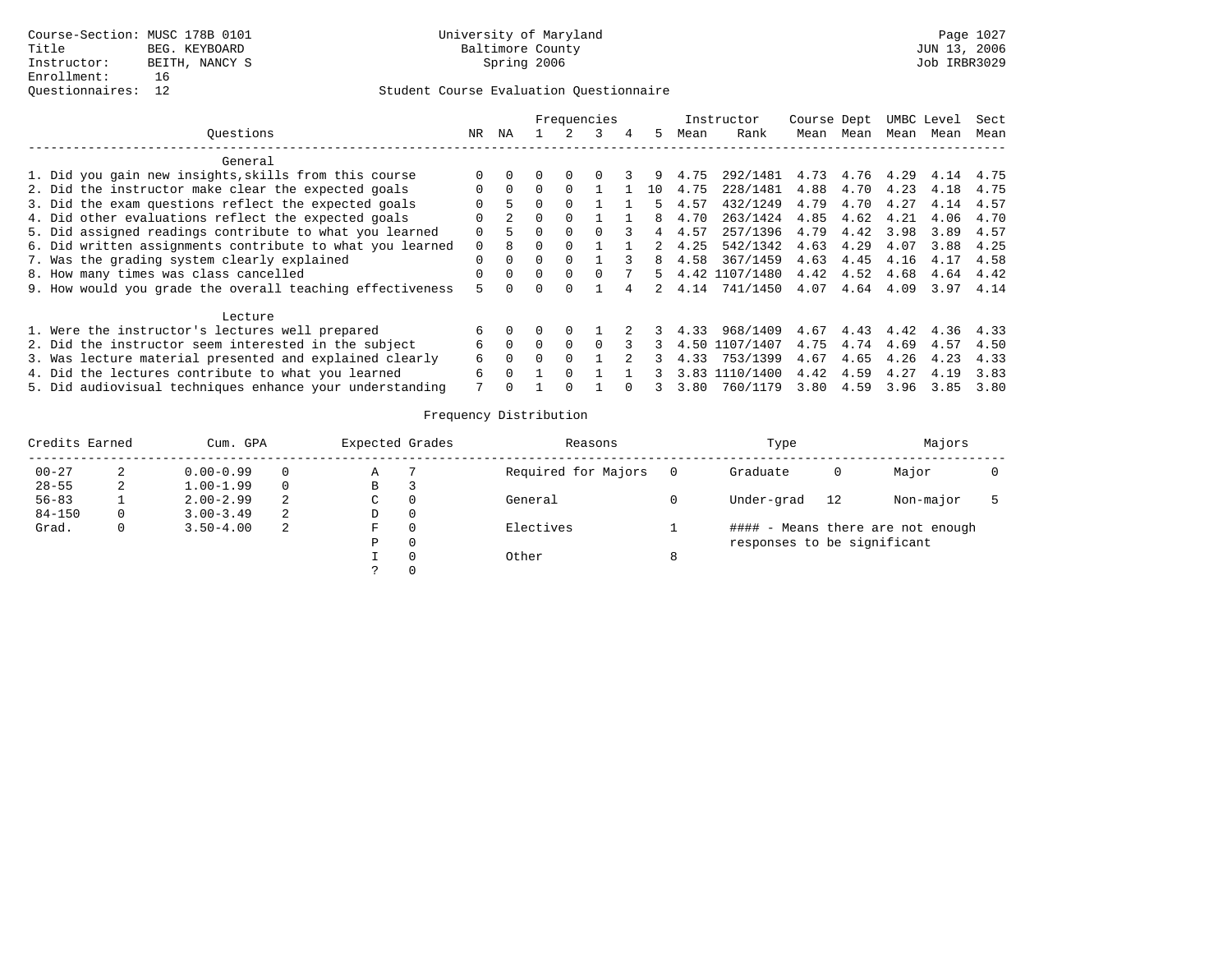|                                                           |          |          |              |              | Frequencies |   |     |      | Instructor     | Course Dept |      |      | UMBC Level | Sect |
|-----------------------------------------------------------|----------|----------|--------------|--------------|-------------|---|-----|------|----------------|-------------|------|------|------------|------|
| Ouestions                                                 | NR.      | ΝA       |              |              |             | 4 | 5.  | Mean | Rank           | Mean        | Mean | Mean | Mean       | Mean |
| General                                                   |          |          |              |              |             |   |     |      |                |             |      |      |            |      |
| 1. Did you gain new insights, skills from this course     |          |          |              | $\Omega$     |             |   | 9   | 4.75 | 292/1481       | 4.73        | 4.76 | 4.29 | 4.14       | 4.75 |
| 2. Did the instructor make clear the expected goals       |          | $\Omega$ |              |              |             |   | 1 ດ | 4.75 | 228/1481       | 4.88        | 4.70 | 4.23 | 4.18       | 4.75 |
| 3. Did the exam questions reflect the expected goals      |          | 5.       |              |              |             |   |     | 4.57 | 432/1249       | 4.79        | 4.70 | 4.27 | 4.14       | 4.57 |
| 4. Did other evaluations reflect the expected goals       |          |          | <sup>n</sup> | <sup>0</sup> |             |   |     | 4.70 | 263/1424       | 4.85        | 4.62 | 4.21 | 4.06       | 4.70 |
| 5. Did assigned readings contribute to what you learned   | 0        | 5        | 0            | 0            |             |   | 4   | 4.57 | 257/1396       | 4.79        | 4.42 | 3.98 | 3.89       | 4.57 |
| 6. Did written assignments contribute to what you learned | $\Omega$ |          |              |              |             |   |     | 4.25 | 542/1342       | 4.63        | 4.29 | 4.07 | 3.88       | 4.25 |
| 7. Was the grading system clearly explained               |          | $\Omega$ |              | $\cap$       |             |   | 8   | 4.58 | 367/1459       | 4.63        | 4.45 | 4.16 | 4.17       | 4.58 |
| 8. How many times was class cancelled                     |          | $\Omega$ | 0            | $\Omega$     |             |   | 5.  |      | 4.42 1107/1480 | 4.42        | 4.52 | 4.68 | 4.64       | 4.42 |
| 9. How would you grade the overall teaching effectiveness | 5        |          |              |              |             |   | 2.  | 4.14 | 741/1450       | 4.07        | 4.64 | 4.09 | 3.97       | 4.14 |
| Lecture                                                   |          |          |              |              |             |   |     |      |                |             |      |      |            |      |
| 1. Were the instructor's lectures well prepared           | 6        |          |              | $\Omega$     |             |   |     | 4.33 | 968/1409       | 4.67        | 4.43 | 4.42 | 4.36       | 4.33 |
| 2. Did the instructor seem interested in the subject      | 6        | $\Omega$ |              | $\Omega$     |             |   |     |      | 4.50 1107/1407 | 4.75        | 4.74 | 4.69 | 4.57       | 4.50 |
| 3. Was lecture material presented and explained clearly   | 6        | $\Omega$ |              |              |             |   |     | 4.33 | 753/1399       | 4.67        | 4.65 | 4.26 | 4.23       | 4.33 |
| 4. Did the lectures contribute to what you learned        | 6        |          |              |              |             |   |     |      | 3.83 1110/1400 | 4.42        | 4.59 | 4.27 | 4.19       | 3.83 |
| 5. Did audiovisual techniques enhance your understanding  |          |          |              |              |             |   |     | 3.80 | 760/1179       | 3.80        | 4.59 | 3.96 | 3.85       | 3.80 |

| Credits Earned |    | Cum. GPA      |          | Expected Grades | Reasons             |          | Type                        |    | Majors                            |  |
|----------------|----|---------------|----------|-----------------|---------------------|----------|-----------------------------|----|-----------------------------------|--|
| $00 - 27$      |    | $0.00 - 0.99$ | 0        | Α               | Required for Majors |          | Graduate                    | 0  | Major                             |  |
| $28 - 55$      | z. | $1.00 - 1.99$ | $\Omega$ | В               |                     |          |                             |    |                                   |  |
| $56 - 83$      |    | $2.00 - 2.99$ | 2        | C               | General             |          | Under-grad                  | 12 | Non-major                         |  |
| $84 - 150$     | 0. | $3.00 - 3.49$ | 2        | D               |                     |          |                             |    |                                   |  |
| Grad.          |    | $3.50 - 4.00$ | 2        | F               | Electives           |          |                             |    | #### - Means there are not enough |  |
|                |    |               |          | P               |                     |          | responses to be significant |    |                                   |  |
|                |    |               |          |                 | Other               | $\Omega$ |                             |    |                                   |  |
|                |    |               |          |                 |                     |          |                             |    |                                   |  |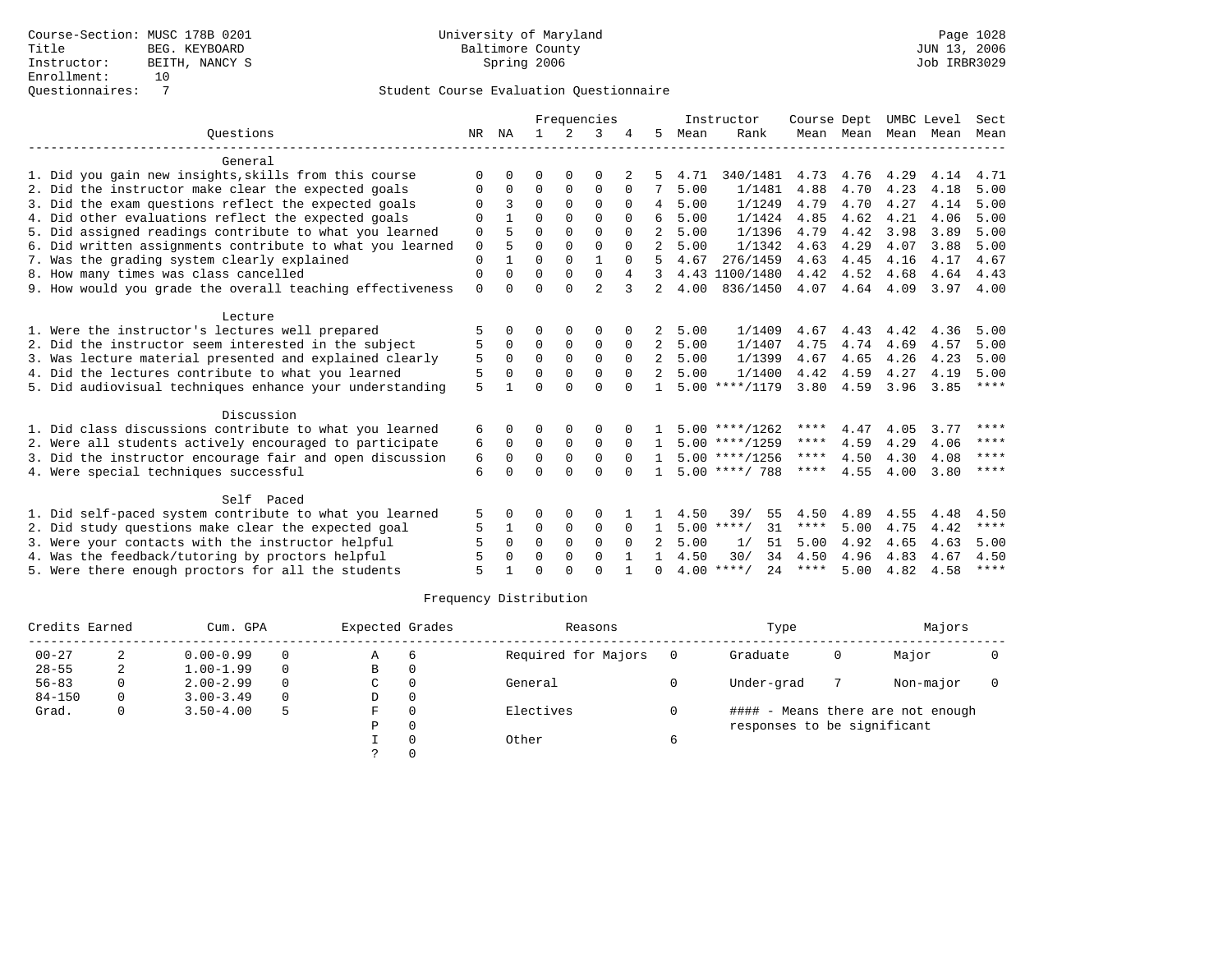|                                                           |             |          |              |             | Frequencies    |          |                |      | Instructor         | Course Dept |                |      | UMBC Level | Sect        |
|-----------------------------------------------------------|-------------|----------|--------------|-------------|----------------|----------|----------------|------|--------------------|-------------|----------------|------|------------|-------------|
| Ouestions                                                 | NR          | NA       | $\mathbf{1}$ | 2           | 3              |          | 5              | Mean | Rank               |             | Mean Mean Mean |      | Mean       | Mean        |
| General                                                   |             |          |              |             |                |          |                |      |                    |             |                |      |            |             |
| 1. Did you gain new insights, skills from this course     | ∩           |          | ∩            | $\Omega$    | $\Omega$       | 2        |                | 4.71 | 340/1481           | 4.73        | 4.76           | 4.29 | 4.14       | 4.71        |
| 2. Did the instructor make clear the expected goals       | O           | $\Omega$ | 0            | $\mathbf 0$ | $\Omega$       | $\Omega$ | 7              | 5.00 | 1/1481             | 4.88        | 4.70           | 4.23 | 4.18       | 5.00        |
| 3. Did the exam questions reflect the expected goals      |             | 3        | $\Omega$     | $\Omega$    | $\Omega$       | 0        | 4              | 5.00 | 1/1249             | 4.79        | 4.70           | 4.27 | 4.14       | 5.00        |
| 4. Did other evaluations reflect the expected goals       | $\Omega$    |          | $\Omega$     | $\Omega$    | $\Omega$       | $\Omega$ | 6              | 5.00 | 1/1424             | 4.85        | 4.62           | 4.21 | 4.06       | 5.00        |
| 5. Did assigned readings contribute to what you learned   | 0           |          | $\Omega$     | $\Omega$    | $\Omega$       |          |                | 5.00 | 1/1396             | 4.79        | 4.42           | 3.98 | 3.89       | 5.00        |
| 6. Did written assignments contribute to what you learned | $\mathbf 0$ | 5        | $\Omega$     | $\Omega$    | $\Omega$       | $\Omega$ | $\mathfrak{D}$ | 5.00 | 1/1342             | 4.63        | 4.29           | 4.07 | 3.88       | 5.00        |
| 7. Was the grading system clearly explained               | $\Omega$    |          | $\Omega$     | $\Omega$    |                |          |                | 4.67 | 276/1459           | 4.63        | 4.45           | 4.16 | 4.17       | 4.67        |
| 8. How many times was class cancelled                     | $\mathbf 0$ | $\Omega$ | $\Omega$     | $\Omega$    | 0              | 4        | 3              |      | 4.43 1100/1480     | 4.42        | 4.52           | 4.68 | 4.64       | 4.43        |
| 9. How would you grade the overall teaching effectiveness | $\Omega$    |          | $\Omega$     | $\cap$      | $\overline{a}$ | 3        | 2              | 4.00 | 836/1450           | 4.07        | 4.64           | 4.09 | 3.97       | 4.00        |
| Lecture                                                   |             |          |              |             |                |          |                |      |                    |             |                |      |            |             |
| 1. Were the instructor's lectures well prepared           |             |          |              |             | O              |          | 2              | 5.00 | 1/1409             | 4.67        | 4.43           | 4.42 | 4.36       | 5.00        |
| 2. Did the instructor seem interested in the subject      | 5           | $\Omega$ | $\Omega$     | $\Omega$    | $\Omega$       |          | 2              | 5.00 | 1/1407             | 4.75        | 4.74           | 4.69 | 4.57       | 5.00        |
| 3. Was lecture material presented and explained clearly   | 5           | $\Omega$ | $\Omega$     | $\Omega$    | $\Omega$       | $\Omega$ | 2              | 5.00 | 1/1399             | 4.67        | 4.65           | 4.26 | 4.23       | 5.00        |
| 4. Did the lectures contribute to what you learned        | 5           | $\Omega$ | $\Omega$     | $\Omega$    | $\Omega$       | $\Omega$ | 2              | 5.00 | 1/1400             | 4.42        | 4.59           | 4.27 | 4.19       | 5.00        |
| 5. Did audiovisual techniques enhance your understanding  | 5           |          | $\cap$       | $\cap$      | $\cap$         |          |                |      | $5.00$ ****/1179   | 3.80        | 4.59           | 3.96 | 3.85       | $***$ * * * |
| Discussion                                                |             |          |              |             |                |          |                |      |                    |             |                |      |            |             |
| 1. Did class discussions contribute to what you learned   | 6           | $\Omega$ | ∩            | $\Omega$    | $\Omega$       |          |                |      | $5.00$ ****/1262   | ****        | 4.47           | 4.05 | 3.77       | ****        |
| 2. Were all students actively encouraged to participate   | 6           | $\Omega$ | $\Omega$     | $\Omega$    | $\Omega$       | $\Omega$ | 1.             |      | $5.00$ ****/1259   | ****        | 4.59           | 4.29 | 4.06       | ****        |
| 3. Did the instructor encourage fair and open discussion  | 6           | $\Omega$ | $\Omega$     | $\Omega$    | $\Omega$       | $\Omega$ | $\mathbf{1}$   |      | $5.00$ ****/1256   | $***$ * * * | 4.50           | 4.30 | 4.08       | ****        |
| 4. Were special techniques successful                     | 6           | $\cap$   | $\Omega$     | $\cap$      | $\Omega$       | $\cap$   |                |      | $5.00$ ****/ 788   | ****        | 4.55           | 4.00 | 3.80       | ****        |
| Self Paced                                                |             |          |              |             |                |          |                |      |                    |             |                |      |            |             |
| 1. Did self-paced system contribute to what you learned   | 5           |          | $\Omega$     | $\Omega$    | $\Omega$       |          |                | 4.50 | 55<br>39/          | 4.50        | 4.89           | 4.55 | 4.48       | 4.50        |
| 2. Did study questions make clear the expected goal       | 5           |          | 0            | 0           | 0              | 0        | $\mathbf{1}$   |      | $5.00$ ****/<br>31 | ****        | 5.00           | 4.75 | 4.42       | $***$ * * * |
| 3. Were your contacts with the instructor helpful         |             | $\Omega$ | $\Omega$     | $\Omega$    | $\Omega$       | $\Omega$ |                | 5.00 | 1/<br>51           | 5.00        | 4.92           | 4.65 | 4.63       | 5.00        |
| 4. Was the feedback/tutoring by proctors helpful          |             | $\Omega$ | $\Omega$     | $\Omega$    | $\Omega$       |          |                | 4.50 | 34<br>30/          | 4.50        | 4.96           | 4.83 | 4.67       | 4.50        |
| 5. Were there enough proctors for all the students        |             |          | $\Omega$     | $\cap$      | $\cap$         |          | $\Omega$       |      | $4.00$ ****/<br>24 | ****        | 5.00           | 4.82 | 4.58       | $***$ * * * |

| Credits Earned |   | Cum. GPA      |          | Expected Grades |          | Reasons             | Type                        |   | Majors                            |  |
|----------------|---|---------------|----------|-----------------|----------|---------------------|-----------------------------|---|-----------------------------------|--|
| $00 - 27$      | 2 | $0.00 - 0.99$ | $\Omega$ | Α               | -6       | Required for Majors | Graduate                    | 0 | Major                             |  |
| $28 - 55$      | 4 | $1.00 - 1.99$ | $\Omega$ | B               | $\Omega$ |                     |                             |   |                                   |  |
| $56 - 83$      |   | $2.00 - 2.99$ | $\Omega$ | C               |          | General             | Under-grad                  |   | Non-major                         |  |
| $84 - 150$     | 0 | $3.00 - 3.49$ | $\Omega$ | D               | $\Omega$ |                     |                             |   |                                   |  |
| Grad.          |   | $3.50 - 4.00$ | 5        | F               |          | Electives           |                             |   | #### - Means there are not enough |  |
|                |   |               |          | P               | $\Omega$ |                     | responses to be significant |   |                                   |  |
|                |   |               |          |                 |          | Other               |                             |   |                                   |  |
|                |   |               |          |                 |          |                     |                             |   |                                   |  |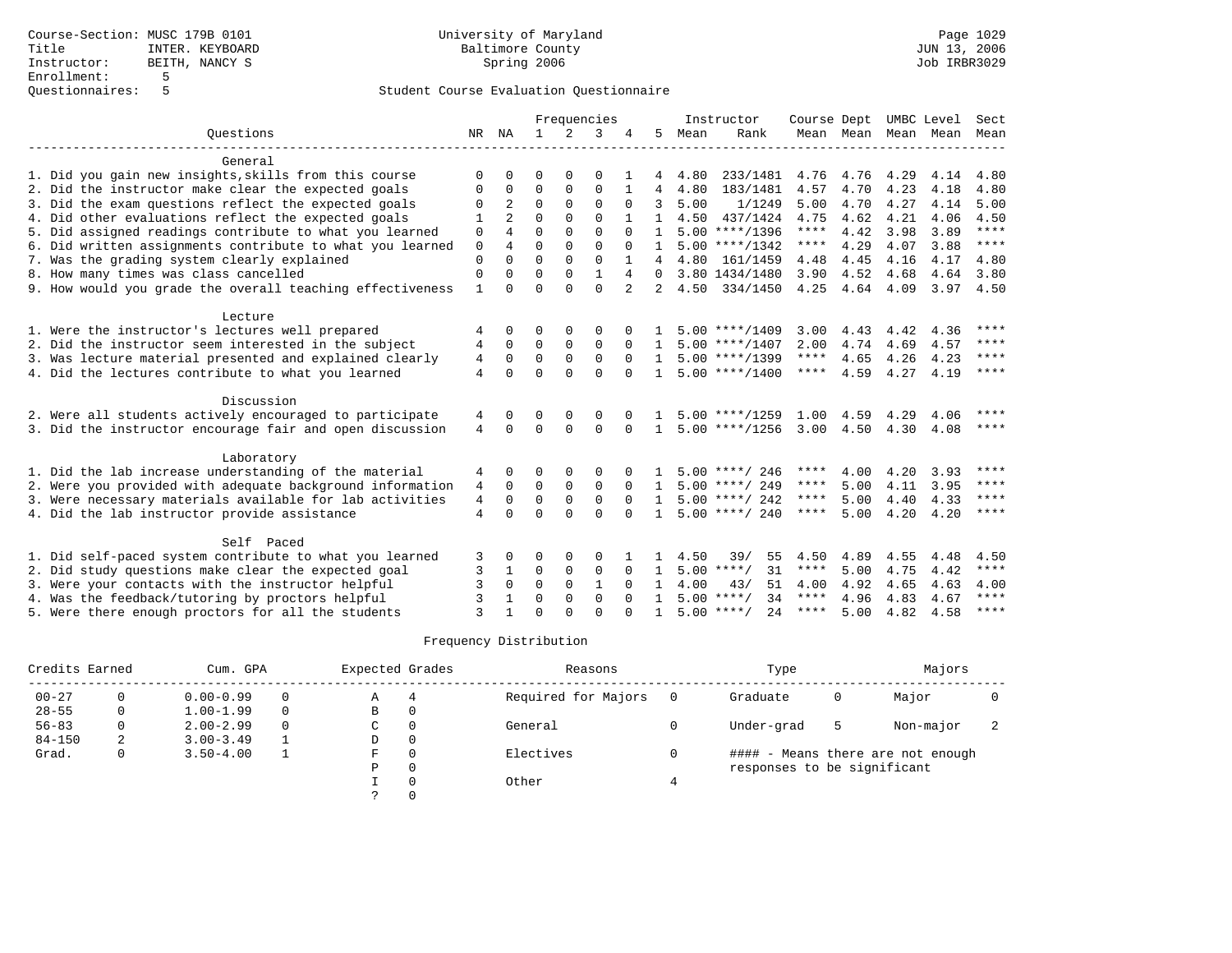|                                                                                                         |              |                |              |              | Frequencies   |              |                   |      | Instructor          | Course Dept  |                     |              | UMBC Level   | Sect        |
|---------------------------------------------------------------------------------------------------------|--------------|----------------|--------------|--------------|---------------|--------------|-------------------|------|---------------------|--------------|---------------------|--------------|--------------|-------------|
| Ouestions                                                                                               | NR           | NA             | $\mathbf{1}$ | 2            | 3             |              | 5                 | Mean | Rank                |              | Mean Mean Mean Mean |              |              | Mean        |
| General                                                                                                 |              |                |              |              |               |              |                   |      |                     |              |                     |              |              |             |
| 1. Did you gain new insights, skills from this course                                                   | ∩            |                | ∩            |              | ∩             |              |                   | 4.80 | 233/1481            | 4.76         | 4.76                | 4.29         | 4.14         | 4.80        |
| 2. Did the instructor make clear the expected goals                                                     |              | $\Omega$       | $\Omega$     | $\Omega$     | $\Omega$      |              |                   | 4.80 | 183/1481            | 4.57         | 4.70                | 4.23         | 4.18         | 4.80        |
| 3. Did the exam questions reflect the expected goals                                                    |              | $\overline{a}$ | $\Omega$     | $\Omega$     | $\Omega$      | <sup>0</sup> | 3                 | 5.00 | 1/1249              | 5.00         | 4.70                | 4.27         | 4.14         | 5.00        |
| 4. Did other evaluations reflect the expected goals                                                     |              | 2              | $\Omega$     | $\Omega$     | $\Omega$      |              | $\mathbf{1}$      | 4.50 | 437/1424            | 4.75         | 4.62                | 4.21         | 4.06         | 4.50        |
| 5. Did assigned readings contribute to what you learned                                                 | $\Omega$     | 4              | $\Omega$     | $\Omega$     | $\cap$        | $\Omega$     | $\mathbf{1}$      |      | $5.00$ ****/1396    | $***$ * * *  | 4.42                | 3.98         | 3.89         | $***$       |
| 6. Did written assignments contribute to what you learned                                               | $\Omega$     | 4              | $\Omega$     | $\Omega$     | $\Omega$      | $\Omega$     | $\mathbf{1}$      |      | $5.00$ ****/1342    | ****         | 4.29                | 4.07         | 3.88         | $***$       |
| 7. Was the grading system clearly explained                                                             | $\mathbf 0$  | $\Omega$       | $\Omega$     | $\Omega$     | $\Omega$      |              | 4                 | 4.80 | 161/1459            | 4.48         | 4.45                | 4.16         | 4.17         | 4.80        |
| 8. How many times was class cancelled                                                                   | $\mathbf 0$  | $\Omega$       | $\Omega$     | $\mathbf{0}$ | $\mathbf{1}$  | 4            | $\Omega$          |      | 3.80 1434/1480      | 3.90         | 4.52                | 4.68         | 4.64         | 3.80        |
| 9. How would you grade the overall teaching effectiveness                                               | $\mathbf{1}$ |                | $\Omega$     | $\Omega$     | $\Omega$      | 2            |                   | 4.50 | 334/1450            | 4.25         | 4.64                | 4.09         | 3.97         | 4.50        |
|                                                                                                         |              |                |              |              |               |              |                   |      |                     |              |                     |              |              |             |
| Lecture                                                                                                 |              | $\Omega$       | ∩            | ∩            |               |              |                   |      | $5.00$ ****/1409    |              |                     |              |              | ****        |
| 1. Were the instructor's lectures well prepared<br>2. Did the instructor seem interested in the subject |              | $\Omega$       | $\mathbf 0$  | 0            | O<br>$\Omega$ | $\Omega$     |                   |      | $5.00$ ****/1407    | 3.00<br>2.00 | 4.43<br>4.74        | 4.42<br>4.69 | 4.36<br>4.57 | $***$ * * * |
| 3. Was lecture material presented and explained clearly                                                 | 4<br>4       | $\mathbf 0$    | $\mathbf 0$  | $\Omega$     | $\Omega$      | $\Omega$     | $\mathbf{1}$<br>1 |      | $5.00$ ****/1399    | ****         | 4.65                | 4.26         | 4.23         | ****        |
| 4. Did the lectures contribute to what you learned                                                      | 4            | $\Omega$       | $\Omega$     | $\Omega$     | $\Omega$      | $\Omega$     |                   |      | $5.00$ ****/1400    | ****         | 4.59                | 4.27         | 4.19         | ****        |
|                                                                                                         |              |                |              |              |               |              |                   |      |                     |              |                     |              |              |             |
| Discussion                                                                                              |              |                |              |              |               |              |                   |      |                     |              |                     |              |              |             |
| 2. Were all students actively encouraged to participate                                                 | 4            | $\Omega$       | $\Omega$     |              | $\Omega$      |              |                   |      | $5.00$ ****/1259    | 1.00         | 4.59                | 4.29         | 4.06         | ****        |
| 3. Did the instructor encourage fair and open discussion                                                | 4            | $\Omega$       | $\Omega$     | $\Omega$     | $\Omega$      | $\Omega$     | $\mathbf{1}$      |      | $5.00$ ****/1256    | 3.00         | 4.50                | 4.30         | 4.08         | $***$ * * * |
| Laboratory                                                                                              |              |                |              |              |               |              |                   |      |                     |              |                     |              |              |             |
| 1. Did the lab increase understanding of the material                                                   | 4            | 0              | O            | 0            | 0             |              |                   |      | $5.00$ ****/ 246    | ****         | 4.00                | 4.20         | 3.93         | ****        |
| 2. Were you provided with adequate background information                                               | 4            | $\Omega$       | $\Omega$     | $\Omega$     | $\Omega$      | $\Omega$     |                   |      | $5.00$ ****/ 249    | ****         | 5.00                | 4.11         | 3.95         | $***$ * * * |
| 3. Were necessary materials available for lab activities                                                | 4            | $\Omega$       | $\Omega$     | $\Omega$     | $\Omega$      |              | $\mathbf{1}$      |      | $5.00$ ****/ 242    | ****         | 5.00                | 4.40         | 4.33         | ****        |
| 4. Did the lab instructor provide assistance                                                            | 4            | $\cap$         | $\Omega$     | $\cap$       | $\Omega$      |              | $\mathbf{1}$      |      | $5.00$ ****/ 240    | ****         | 5.00                | 4.20         | 4.20         | $***$ * * * |
|                                                                                                         |              |                |              |              |               |              |                   |      |                     |              |                     |              |              |             |
| Self Paced                                                                                              |              |                |              |              |               |              |                   |      |                     |              |                     |              |              |             |
| 1. Did self-paced system contribute to what you learned                                                 | 3            | $\Omega$       | $\Omega$     | $\Omega$     | $\Omega$      |              |                   | 4.50 | 39/<br>55           | 4.50         | 4.89                | 4.55         | 4.48         | 4.50        |
| 2. Did study questions make clear the expected goal                                                     | 3            | 1              | $\Omega$     | $\Omega$     | $\Omega$      | $\Omega$     | $\mathbf{1}$      |      | 31<br>$5.00$ ****/  | ****         | 5.00                | 4.75         | 4.42         | $***$       |
| 3. Were your contacts with the instructor helpful                                                       | 3            | $\Omega$       | $\Omega$     | $\Omega$     | $\mathbf{1}$  | $\Omega$     | $\mathbf{1}$      | 4.00 | 43/<br>51           | 4.00         | 4.92                | 4.65         | 4.63         | 4.00        |
| 4. Was the feedback/tutoring by proctors helpful                                                        | 3            |                | $\Omega$     | $\Omega$     | $\Omega$      | $\Omega$     | $\mathbf{1}$      |      | $5.00$ ****/<br>34  | $***$ * * *  | 4.96                | 4.83         | 4.67         | $***$ * * * |
| 5. Were there enough proctors for all the students                                                      | ζ            |                | $\Omega$     |              | $\cap$        |              |                   |      | 2.4<br>$5.00$ ****/ | ****         | 5.00                | 4.82         | 4.58         | ****        |

| Credits Earned |   | Cum. GPA      | Expected Grades |          | Reasons             |          | Type                        |   | Majors                            |  |
|----------------|---|---------------|-----------------|----------|---------------------|----------|-----------------------------|---|-----------------------------------|--|
| $00 - 27$      |   | $0.00 - 0.99$ | Α               |          | Required for Majors | $\Omega$ | Graduate                    | 0 | Major                             |  |
| $28 - 55$      |   | $1.00 - 1.99$ | В               | 0        |                     |          |                             |   |                                   |  |
| $56 - 83$      |   | $2.00 - 2.99$ | C               | $\Omega$ | General             |          | Under-grad                  | 5 | Non-major                         |  |
| $84 - 150$     | 2 | $3.00 - 3.49$ | D               | 0        |                     |          |                             |   |                                   |  |
| Grad.          | 0 | $3.50 - 4.00$ | F               | $\Omega$ | Electives           |          |                             |   | #### - Means there are not enough |  |
|                |   |               | Ρ               | 0        |                     |          | responses to be significant |   |                                   |  |
|                |   |               |                 | $\Omega$ | Other               |          |                             |   |                                   |  |
|                |   |               |                 |          |                     |          |                             |   |                                   |  |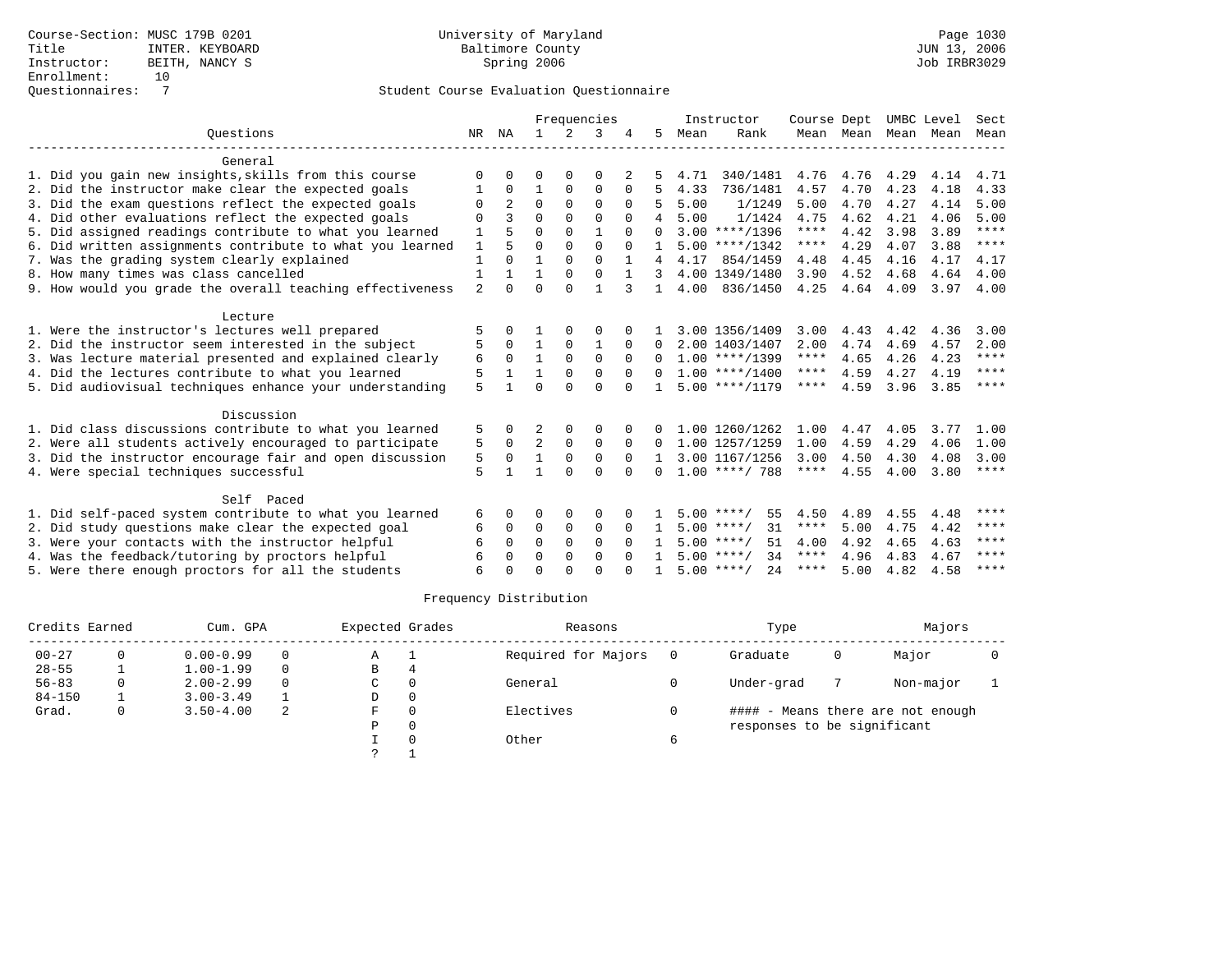|                                                           |                |                |                |          | Frequencies  |          |              |      | Instructor          | Course Dept |           | UMBC Level |      | Sect        |
|-----------------------------------------------------------|----------------|----------------|----------------|----------|--------------|----------|--------------|------|---------------------|-------------|-----------|------------|------|-------------|
| Ouestions                                                 | NR             | NA             | $\mathbf{1}$   | 2        | 3            |          | 5.           | Mean | Rank                |             | Mean Mean | Mean Mean  |      | Mean        |
| General                                                   |                |                |                |          |              |          |              |      |                     |             |           |            |      |             |
| 1. Did you gain new insights, skills from this course     |                |                | O              |          | $\Omega$     |          |              | 4.71 | 340/1481            | 4.76        | 4.76      | 4.29       | 4.14 | 4.71        |
| 2. Did the instructor make clear the expected goals       |                | $\Omega$       |                | $\Omega$ | $\Omega$     | $\Omega$ |              | 4.33 | 736/1481            | 4.57        | 4.70      | 4.23       | 4.18 | 4.33        |
| 3. Did the exam questions reflect the expected goals      | $\Omega$       | $\overline{a}$ | $\Omega$       | $\Omega$ | $\Omega$     | $\Omega$ |              | 5.00 | 1/1249              | 5.00        | 4.70      | 4.27       | 4.14 | 5.00        |
| 4. Did other evaluations reflect the expected goals       | $\Omega$       | २              | $\Omega$       | $\Omega$ | $\Omega$     | $\Omega$ |              | 5.00 | 1/1424              | 4.75        | 4.62      | 4.21       | 4.06 | 5.00        |
| 5. Did assigned readings contribute to what you learned   |                |                | $\Omega$       | $\Omega$ | $\mathbf{1}$ |          | $\Omega$     |      | $3.00$ ****/1396    | ****        | 4.42      | 3.98       | 3.89 | $* * * * *$ |
| 6. Did written assignments contribute to what you learned | 1              |                | $\Omega$       | $\Omega$ | $\Omega$     | $\cap$   |              |      | $5.00$ ****/1342    | $***$ * * * | 4.29      | 4.07       | 3.88 | ****        |
| 7. Was the grading system clearly explained               |                | $\Omega$       |                | $\Omega$ | $\Omega$     |          |              | 4.17 | 854/1459            | 4.48        | 4.45      | 4.16       | 4.17 | 4.17        |
| 8. How many times was class cancelled                     |                |                |                | $\Omega$ | $\Omega$     |          | 3            |      | 4.00 1349/1480      | 3.90        | 4.52      | 4.68       | 4.64 | 4.00        |
| 9. How would you grade the overall teaching effectiveness | $\overline{2}$ | $\cap$         | $\Omega$       | $\Omega$ | 1            | 3        | $\mathbf{1}$ | 4.00 | 836/1450            | 4.25        | 4.64      | 4.09       | 3.97 | 4.00        |
| Lecture                                                   |                |                |                |          |              |          |              |      |                     |             |           |            |      |             |
| 1. Were the instructor's lectures well prepared           |                |                |                |          | $\Omega$     |          |              |      | 3.00 1356/1409      | 3.00        | 4.43      | 4.42       | 4.36 | 3.00        |
| 2. Did the instructor seem interested in the subject      | 5              | $\Omega$       | $\mathbf{1}$   | $\Omega$ | 1            | $\Omega$ | 0            |      | 2.00 1403/1407      | 2.00        | 4.74      | 4.69       | 4.57 | 2.00        |
| 3. Was lecture material presented and explained clearly   | 6              | $\Omega$       |                | $\Omega$ | $\Omega$     | $\Omega$ |              |      | $1.00$ ****/1399    | ****        | 4.65      | 4.26       | 4.23 | $***$ * * * |
| 4. Did the lectures contribute to what you learned        | 5              |                |                | $\Omega$ | $\Omega$     | $\Omega$ |              |      | $1.00$ ****/1400    | $***$ * *   | 4.59      | 4.27       | 4.19 | $* * * * *$ |
| 5. Did audiovisual techniques enhance your understanding  | 5              |                | $\Omega$       | $\cap$   | $\cap$       | $\cap$   |              |      | $5.00$ ****/1179    | ****        | 4.59      | 3.96       | 3.85 | ****        |
| Discussion                                                |                |                |                |          |              |          |              |      |                     |             |           |            |      |             |
| 1. Did class discussions contribute to what you learned   | 5              |                |                | $\Omega$ | $\Omega$     |          |              |      | 1.00 1260/1262      | 1.00        | 4.47      | 4.05       | 3.77 | 1.00        |
| 2. Were all students actively encouraged to participate   | 5              | $\Omega$       | $\overline{a}$ | $\Omega$ | $\Omega$     | $\Omega$ | $\Omega$     |      | 1.00 1257/1259      | 1.00        | 4.59      | 4.29       | 4.06 | 1.00        |
| 3. Did the instructor encourage fair and open discussion  | 5              | $\Omega$       | $\mathbf{1}$   | $\Omega$ | $\Omega$     | $\Omega$ | $\mathbf{1}$ |      | 3.00 1167/1256      | 3.00        | 4.50      | 4.30       | 4.08 | 3.00        |
| 4. Were special techniques successful                     | 5              |                |                | $\Omega$ | $\Omega$     | $\Omega$ | $\Omega$     |      | $1.00$ ****/ 788    | $***$ * * * | 4.55      | 4.00       | 3.80 | ****        |
| Self Paced                                                |                |                |                |          |              |          |              |      |                     |             |           |            |      |             |
| 1. Did self-paced system contribute to what you learned   | 6              | $\Omega$       | $\Omega$       | $\Omega$ | $\Omega$     |          |              |      | $5.00$ ****/<br>55  | 4.50        | 4.89      | 4.55       | 4.48 | ****        |
| 2. Did study questions make clear the expected goal       | 6              | $\Omega$       | 0              | 0        | 0            | $\Omega$ | $\mathbf{1}$ |      | $5.00$ ****/<br>31  | $***$ * * * | 5.00      | 4.75       | 4.42 | $* * * *$   |
| 3. Were your contacts with the instructor helpful         | 6              | $\Omega$       | $\Omega$       | $\Omega$ | $\Omega$     | $\Omega$ |              |      | $5.00$ ****/<br>51  | 4.00        | 4.92      | 4.65       | 4.63 | ****        |
| 4. Was the feedback/tutoring by proctors helpful          |                | $\Omega$       | $\Omega$       | $\Omega$ | $\Omega$     |          |              |      | $5.00$ ****/<br>34  | $***$ * * * | 4.96      | 4.83       | 4.67 | ****        |
| 5. Were there enough proctors for all the students        |                |                | ∩              | $\cap$   | $\cap$       |          |              |      | $5.00$ ****/<br>2.4 | ****        | 5.00      | 4.82       | 4.58 | $***$ * * * |

| Credits Earned |   | Cum. GPA      |          | Expected Grades |          | Reasons             | Type                        |   | Majors                            |  |
|----------------|---|---------------|----------|-----------------|----------|---------------------|-----------------------------|---|-----------------------------------|--|
| $00 - 27$      |   | $0.00 - 0.99$ | 0        | Α               |          | Required for Majors | Graduate                    | 0 | Major                             |  |
| $28 - 55$      |   | $1.00 - 1.99$ | $\Omega$ | B               | 4        |                     |                             |   |                                   |  |
| $56 - 83$      |   | $2.00 - 2.99$ | $\Omega$ | C               |          | General             | Under-grad                  |   | Non-major                         |  |
| $84 - 150$     |   | $3.00 - 3.49$ |          | D               | $\Omega$ |                     |                             |   |                                   |  |
| Grad.          | 0 | $3.50 - 4.00$ | 2        | F.              |          | Electives           |                             |   | #### - Means there are not enough |  |
|                |   |               |          | P               | $\Omega$ |                     | responses to be significant |   |                                   |  |
|                |   |               |          |                 |          | Other               |                             |   |                                   |  |
|                |   |               |          |                 |          |                     |                             |   |                                   |  |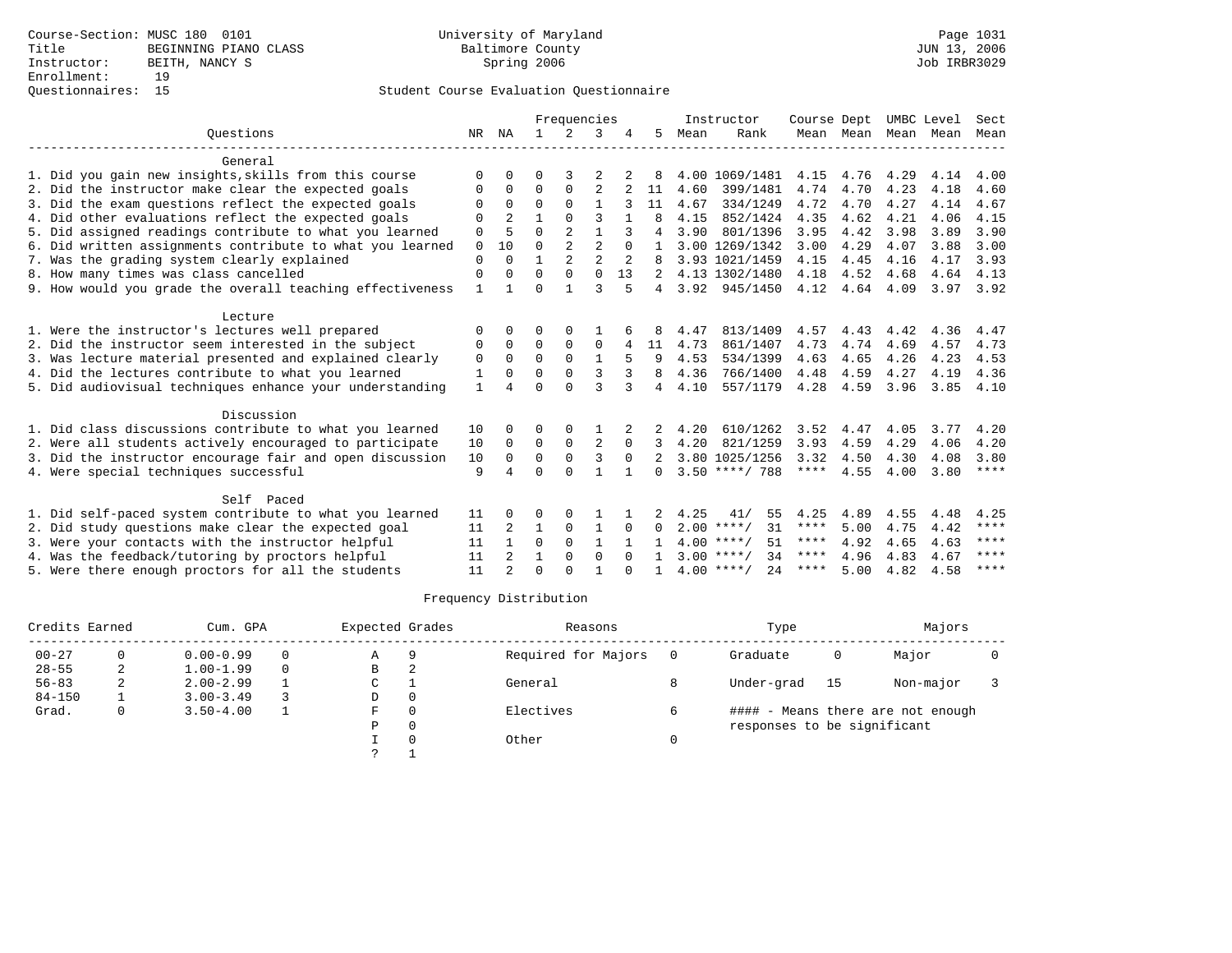|                                                           |              |                |              | Frequencies    |                |          |               |      | Instructor          | Course Dept |           | UMBC Level |      | Sect        |
|-----------------------------------------------------------|--------------|----------------|--------------|----------------|----------------|----------|---------------|------|---------------------|-------------|-----------|------------|------|-------------|
| Ouestions                                                 | NR           | ΝA             | $\mathbf{1}$ | $\mathcal{L}$  | 3              |          | 5.            | Mean | Rank                |             | Mean Mean | Mean       | Mean | Mean        |
| General                                                   |              |                |              |                |                |          |               |      |                     |             |           |            |      |             |
| 1. Did you gain new insights, skills from this course     | $\Omega$     | O              | 0            | 3              |                |          |               |      | 4.00 1069/1481      | 4.15        | 4.76      | 4.29       | 4.14 | 4.00        |
| 2. Did the instructor make clear the expected goals       | $\Omega$     | $\Omega$       | 0            | 0              | $\overline{2}$ |          | 11            | 4.60 | 399/1481            | 4.74        | 4.70      | 4.23       | 4.18 | 4.60        |
| 3. Did the exam questions reflect the expected goals      | $\Omega$     | $\Omega$       | $\Omega$     | $\Omega$       |                |          | 11            | 4.67 | 334/1249            | 4.72        | 4.70      | 4.27       | 4.14 | 4.67        |
| 4. Did other evaluations reflect the expected goals       | $\Omega$     | $\mathfrak{D}$ | 1            | $\cap$         | ς              |          | 8             | 4.15 | 852/1424            | 4.35        | 4.62      | 4.21       | 4.06 | 4.15        |
| 5. Did assigned readings contribute to what you learned   | $\Omega$     | 5              | $\Omega$     | $\mathfrak{D}$ | $\mathbf{1}$   |          | 4             | 3.90 | 801/1396            | 3.95        | 4.42      | 3.98       | 3.89 | 3.90        |
| 6. Did written assignments contribute to what you learned | $\mathbf 0$  | 10             | $\Omega$     | $\overline{2}$ | $\overline{2}$ | $\Omega$ |               |      | 3.00 1269/1342      | 3.00        | 4.29      | 4.07       | 3.88 | 3.00        |
| 7. Was the grading system clearly explained               | $\Omega$     | $\Omega$       | 1            | $\mathfrak{D}$ | $\mathfrak{D}$ |          |               |      | 3.93 1021/1459      | 4.15        | 4.45      | 4.16       | 4.17 | 3.93        |
| 8. How many times was class cancelled                     | $\Omega$     | $\Omega$       | $\Omega$     | $\Omega$       | $\Omega$       | 13       | 2             |      | 4.13 1302/1480      | 4.18        | 4.52      | 4.68       | 4.64 | 4.13        |
| 9. How would you grade the overall teaching effectiveness | $\mathbf{1}$ | 1              | $\Omega$     | $\mathbf{1}$   | $\mathbf{3}$   | 5        | 4             | 3.92 | 945/1450            | 4.12        | 4.64      | 4.09       | 3.97 | 3.92        |
| Lecture                                                   |              |                |              |                |                |          |               |      |                     |             |           |            |      |             |
| 1. Were the instructor's lectures well prepared           | O            | 0              | 0            | $\Omega$       |                |          |               | 4.47 | 813/1409            | 4.57        | 4.43      | 4.42       | 4.36 | 4.47        |
| 2. Did the instructor seem interested in the subject      | 0            | 0              | $\mathbf 0$  | 0              | $\mathbf 0$    | 4        | 11            | 4.73 | 861/1407            | 4.73        | 4.74      | 4.69       | 4.57 | 4.73        |
| 3. Was lecture material presented and explained clearly   | 0            | $\Omega$       | $\Omega$     | $\mathbf 0$    | $\mathbf{1}$   |          | 9             | 4.53 | 534/1399            | 4.63        | 4.65      | 4.26       | 4.23 | 4.53        |
| 4. Did the lectures contribute to what you learned        | 1            | 0              | $\Omega$     | $\Omega$       | 3              | 3        | 8             | 4.36 | 766/1400            | 4.48        | 4.59      | 4.27       | 4.19 | 4.36        |
| 5. Did audiovisual techniques enhance your understanding  | $\mathbf{1}$ |                | $\Omega$     | $\Omega$       | ঽ              | 3        | 4             | 4.10 | 557/1179            | 4.28        | 4.59      | 3.96       | 3.85 | 4.10        |
| Discussion                                                |              |                |              |                |                |          |               |      |                     |             |           |            |      |             |
| 1. Did class discussions contribute to what you learned   | 10           | 0              | O            | $\Omega$       |                |          |               | 4.20 | 610/1262            | 3.52        | 4.47      | 4.05       | 3.77 | 4.20        |
| 2. Were all students actively encouraged to participate   | 10           | $\Omega$       | $\mathbf 0$  | $\mathbf 0$    | 2              | $\Omega$ |               | 4.20 | 821/1259            | 3.93        | 4.59      | 4.29       | 4.06 | 4.20        |
| 3. Did the instructor encourage fair and open discussion  | 10           | $\Omega$       | $\Omega$     | $\Omega$       | 3              | $\Omega$ | $\mathcal{L}$ |      | 3.80 1025/1256      | 3.32        | 4.50      | 4.30       | 4.08 | 3.80        |
| 4. Were special techniques successful                     | 9            |                | $\Omega$     | $\cap$         | $\mathbf{1}$   |          | $\Omega$      |      | $3.50$ ****/ 788    | ****        | 4.55      | 4.00       | 3.80 | $***$ * * * |
| Self Paced                                                |              |                |              |                |                |          |               |      |                     |             |           |            |      |             |
| 1. Did self-paced system contribute to what you learned   | 11           | 0              | 0            |                |                |          |               | 4.25 | 55<br>41/           | 4.25        | 4.89      | 4.55       | 4.48 | 4.25        |
| 2. Did study questions make clear the expected goal       | 11           | 2              | $\mathbf{1}$ | $\Omega$       | $\mathbf{1}$   | $\Omega$ | 0             |      | $2.00$ ****/<br>31  | ****        | 5.00      | 4.75       | 4.42 | ****        |
| 3. Were your contacts with the instructor helpful         | 11           |                | $\Omega$     | $\Omega$       | $\mathbf{1}$   |          |               |      | $4.00$ ****/<br>51  | ****        | 4.92      | 4.65       | 4.63 | ****        |
| 4. Was the feedback/tutoring by proctors helpful          | 11           | 2              | 1            | 0              | $\mathbf 0$    | $\Omega$ |               |      | $3.00$ ****/<br>34  | ****        | 4.96      | 4.83       | 4.67 | ****        |
| 5. Were there enough proctors for all the students        | 11           |                | $\Omega$     | $\cap$         |                |          |               |      | $4.00$ ****/<br>2.4 | ****        | 5.00      | 4.82       | 4.58 | ****        |

| Credits Earned |   | Cum. GPA      |          | Expected Grades |          | Reasons             |     | Type                        |              | Majors                            |  |
|----------------|---|---------------|----------|-----------------|----------|---------------------|-----|-----------------------------|--------------|-----------------------------------|--|
| $00 - 27$      | 0 | $0.00 - 0.99$ | $\Omega$ | A               | 9        | Required for Majors | - 0 | Graduate                    | $\mathbf{0}$ | Major                             |  |
| $28 - 55$      | 2 | $1.00 - 1.99$ | $\Omega$ | B               | 2        |                     |     |                             |              |                                   |  |
| $56 - 83$      | 2 | $2.00 - 2.99$ |          | C               |          | General             |     | Under-grad                  | 15           | Non-major                         |  |
| $84 - 150$     |   | $3.00 - 3.49$ |          | D               | $\Omega$ |                     |     |                             |              |                                   |  |
| Grad.          | 0 | $3.50 - 4.00$ |          | F.              | $\Omega$ | Electives           | 6   |                             |              | #### - Means there are not enough |  |
|                |   |               |          | Ρ               | $\Omega$ |                     |     | responses to be significant |              |                                   |  |
|                |   |               |          |                 |          | Other               |     |                             |              |                                   |  |
|                |   |               |          |                 |          |                     |     |                             |              |                                   |  |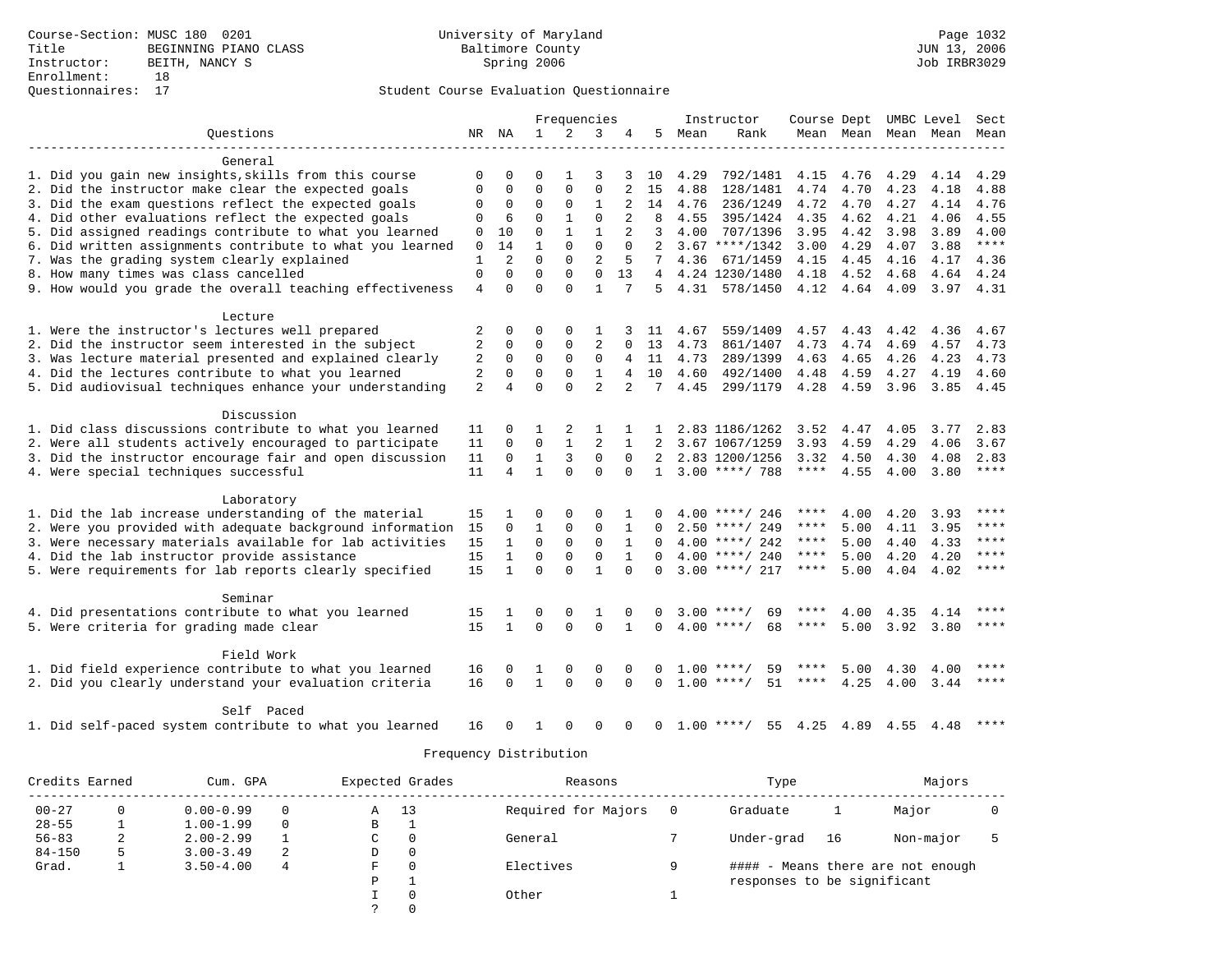| Ouestions<br>2<br>NR NA<br>$\mathbf{1}$<br>3<br>5.<br>Rank<br>Mean<br>Mean Mean<br>Mean Mean<br>Mean<br>General<br>1. Did you gain new insights, skills from this course<br>792/1481<br>0<br>0<br>O<br>1<br>3<br>3 10<br>4.29<br>4.15<br>4.76<br>4.29<br>4.14<br>4.29<br>2. Did the instructor make clear the expected goals<br>$\Omega$<br>4.88<br>$\Omega$<br>$\Omega$<br>$\Omega$<br>15<br>4.88<br>128/1481<br>4.74<br>4.70<br>4.23<br>4.18<br>$\Omega$<br>$\mathbf{1}$<br>3. Did the exam questions reflect the expected goals<br>$\Omega$<br>4.27<br>0<br>$\Omega$<br>14<br>4.76<br>236/1249<br>4.72<br>4.70<br>4.14<br>4.76<br>$\Omega$<br>4. Did other evaluations reflect the expected goals<br>$\Omega$<br>$\mathbf{1}$<br>$\Omega$<br>2<br>4.35<br>4.62<br>4.21<br>4.55<br>$\Omega$<br>6<br>8<br>4.55<br>395/1424<br>4.06<br>5. Did assigned readings contribute to what you learned<br>$\Omega$<br>$\mathbf{1}$<br>$\mathbf{1}$<br>$\overline{a}$<br>3<br>10<br>4.00<br>707/1396<br>3.95<br>4.42<br>3.98<br>3.89<br>4.00<br>$\Omega$<br>$\Omega$<br>$***$<br>6. Did written assignments contribute to what you learned<br>1<br>$\Omega$<br>$\overline{2}$<br>$\mathbf 0$<br>14<br>$\Omega$<br>$3.67$ ****/1342<br>3.00<br>4.29<br>4.07<br>3.88<br>$\Omega$<br>$\overline{2}$<br>7. Was the grading system clearly explained<br>1<br>2<br>$\Omega$<br>5<br>7<br>4.36<br>671/1459<br>4.15<br>4.45<br>4.17<br>4.16<br>4.36<br>$\Omega$<br>$\Omega$<br>$\Omega$<br>8. How many times was class cancelled<br>$\Omega$<br>$\Omega$<br>13<br>4.24 1230/1480<br>4.18<br>4.52<br>4.68<br>4.64<br>4.24<br>4<br>$\Omega$<br>$\mathbf{1}$<br>9. How would you grade the overall teaching effectiveness<br>$\Omega$<br>$\Omega$<br>4<br>5.<br>4.31<br>578/1450<br>4.12<br>4.64<br>4.09<br>3.97<br>4.31<br>Lecture<br>1. Were the instructor's lectures well prepared<br>2<br>0<br>0<br>$\Omega$<br>4.67<br>559/1409<br>4.57<br>4.43<br>4.42<br>4.36<br>4.67<br>1<br>-11<br>$\overline{2}$<br>$\overline{2}$<br>2. Did the instructor seem interested in the subject<br>$\Omega$<br>$\Omega$<br>0<br>13<br>4.73<br>861/1407<br>4.73<br>4.74<br>4.69<br>4.57<br>4.73<br>$\Omega$<br>3. Was lecture material presented and explained clearly<br>2<br>0<br>0<br>$\Omega$<br>$\mathbf 0$<br>4.73<br>289/1399<br>4.63<br>4.65<br>4.26<br>4.23<br>4.73<br>4<br>11<br>2<br>$\Omega$<br>$\Omega$<br>$\mathbf 0$<br>$\mathbf{1}$<br>4. Did the lectures contribute to what you learned<br>10<br>4.60<br>492/1400<br>4.48<br>4.59<br>4.27<br>4<br>4.19<br>4.60<br>$\Omega$<br>$\overline{a}$<br>5. Did audiovisual techniques enhance your understanding<br>$\overline{2}$<br>$\Omega$<br>4<br>2<br>7<br>4.45<br>299/1179<br>4.28<br>4.59<br>3.96<br>3.85<br>4.45<br>Discussion<br>1. Did class discussions contribute to what you learned<br>2.83<br>2<br>2.83 1186/1262<br>3.52<br>4.47<br>4.05<br>3.77<br>11<br>0<br>1<br>1<br>$\mathbf{1}$<br>$\overline{2}$<br>2. Were all students actively encouraged to participate<br>0<br>$\mathbf{0}$<br>11<br>1<br>2<br>3.67 1067/1259<br>3.93<br>4.59<br>4.29<br>4.06<br>3.67<br>3. Did the instructor encourage fair and open discussion<br>$\mathbf{1}$<br>3<br>$\mathbf 0$<br>11<br>$\Omega$<br>2.83 1200/1256<br>3.32<br>2.83<br>$\Omega$<br>4.50<br>4.30<br>4.08<br>4. Were special techniques successful<br>11<br>4<br>$\mathbf{1}$<br>$\Omega$<br>$3.00$ ****/ 788<br>$***$ * * *<br>4.55<br>****<br>$\Omega$<br>$\Omega$<br>4.00<br>3.80<br>$\mathbf{1}$<br>Laboratory<br>1. Did the lab increase understanding of the material<br>4.20<br>****<br>15<br>$\Omega$<br>$\Omega$<br>$\Omega$<br>$4.00$ ****/ 246<br>4.00<br>3.93<br><sup>0</sup><br>****<br>****<br>$\mathbf{1}$<br>$\mathbf 0$<br>2. Were you provided with adequate background information<br>15<br>0<br>0<br>1<br>****<br>5.00<br>4.11<br>3.95<br>$\Omega$<br>$2.50$ ****/ 249<br>15<br>$\mathbf 0$<br>$\mathbf 0$<br>$\mathbf 0$<br>****<br>3. Were necessary materials available for lab activities<br>1<br>1<br>$4.00$ ****/ 242<br>****<br>5.00<br>4.40<br>4.33<br>$\Omega$<br>$\Omega$<br>0<br>$\Omega$<br>4. Did the lab instructor provide assistance<br>15<br>$\mathbf{1}$<br>$\mathbf{1}$<br>$4.00$ ****/ 240<br>4.20<br>$***$<br>****<br>5.00<br>4.20<br>$\Omega$<br>$\Omega$<br>5. Were requirements for lab reports clearly specified<br>15<br>$\mathbf{1}$<br>$\Omega$<br>$\mathbf{1}$<br>$3.00$ ****/ 217<br>$* * * * *$<br>$\Omega$<br>****<br>5.00<br>4.04<br>4.02<br>$\Omega$<br>Seminar<br>****<br>4. Did presentations contribute to what you learned<br>15<br>0<br>$3.00$ ****/<br>69<br>4.00<br>4.35<br>0<br>1<br>0<br>0<br>4.14<br>1 |                                         |    |              |          |          | Frequencies |              |          | Instructor |      |      |      | Course Dept UMBC Level | Sect        |
|--------------------------------------------------------------------------------------------------------------------------------------------------------------------------------------------------------------------------------------------------------------------------------------------------------------------------------------------------------------------------------------------------------------------------------------------------------------------------------------------------------------------------------------------------------------------------------------------------------------------------------------------------------------------------------------------------------------------------------------------------------------------------------------------------------------------------------------------------------------------------------------------------------------------------------------------------------------------------------------------------------------------------------------------------------------------------------------------------------------------------------------------------------------------------------------------------------------------------------------------------------------------------------------------------------------------------------------------------------------------------------------------------------------------------------------------------------------------------------------------------------------------------------------------------------------------------------------------------------------------------------------------------------------------------------------------------------------------------------------------------------------------------------------------------------------------------------------------------------------------------------------------------------------------------------------------------------------------------------------------------------------------------------------------------------------------------------------------------------------------------------------------------------------------------------------------------------------------------------------------------------------------------------------------------------------------------------------------------------------------------------------------------------------------------------------------------------------------------------------------------------------------------------------------------------------------------------------------------------------------------------------------------------------------------------------------------------------------------------------------------------------------------------------------------------------------------------------------------------------------------------------------------------------------------------------------------------------------------------------------------------------------------------------------------------------------------------------------------------------------------------------------------------------------------------------------------------------------------------------------------------------------------------------------------------------------------------------------------------------------------------------------------------------------------------------------------------------------------------------------------------------------------------------------------------------------------------------------------------------------------------------------------------------------------------------------------------------------------------------------------------------------------------------------------------------------------------------------------------------------------------------------------------------------------------------------------------------------------------------------------------------------------------------------------------------------------------------------------------------------------------------------------------------------------------------------------------------------------------------------------------------------------------------------------------------------------------------------------------------------------------------------------------------------------------------------------------------------------------------------------------------------------------------------------------------------------------------------------------------------------------------------------------------------|-----------------------------------------|----|--------------|----------|----------|-------------|--------------|----------|------------|------|------|------|------------------------|-------------|
|                                                                                                                                                                                                                                                                                                                                                                                                                                                                                                                                                                                                                                                                                                                                                                                                                                                                                                                                                                                                                                                                                                                                                                                                                                                                                                                                                                                                                                                                                                                                                                                                                                                                                                                                                                                                                                                                                                                                                                                                                                                                                                                                                                                                                                                                                                                                                                                                                                                                                                                                                                                                                                                                                                                                                                                                                                                                                                                                                                                                                                                                                                                                                                                                                                                                                                                                                                                                                                                                                                                                                                                                                                                                                                                                                                                                                                                                                                                                                                                                                                                                                                                                                                                                                                                                                                                                                                                                                                                                                                                                                                                                                                                                    |                                         |    |              |          |          |             |              |          |            |      |      |      |                        |             |
|                                                                                                                                                                                                                                                                                                                                                                                                                                                                                                                                                                                                                                                                                                                                                                                                                                                                                                                                                                                                                                                                                                                                                                                                                                                                                                                                                                                                                                                                                                                                                                                                                                                                                                                                                                                                                                                                                                                                                                                                                                                                                                                                                                                                                                                                                                                                                                                                                                                                                                                                                                                                                                                                                                                                                                                                                                                                                                                                                                                                                                                                                                                                                                                                                                                                                                                                                                                                                                                                                                                                                                                                                                                                                                                                                                                                                                                                                                                                                                                                                                                                                                                                                                                                                                                                                                                                                                                                                                                                                                                                                                                                                                                                    |                                         |    |              |          |          |             |              |          |            |      |      |      |                        |             |
|                                                                                                                                                                                                                                                                                                                                                                                                                                                                                                                                                                                                                                                                                                                                                                                                                                                                                                                                                                                                                                                                                                                                                                                                                                                                                                                                                                                                                                                                                                                                                                                                                                                                                                                                                                                                                                                                                                                                                                                                                                                                                                                                                                                                                                                                                                                                                                                                                                                                                                                                                                                                                                                                                                                                                                                                                                                                                                                                                                                                                                                                                                                                                                                                                                                                                                                                                                                                                                                                                                                                                                                                                                                                                                                                                                                                                                                                                                                                                                                                                                                                                                                                                                                                                                                                                                                                                                                                                                                                                                                                                                                                                                                                    |                                         |    |              |          |          |             |              |          |            |      |      |      |                        |             |
|                                                                                                                                                                                                                                                                                                                                                                                                                                                                                                                                                                                                                                                                                                                                                                                                                                                                                                                                                                                                                                                                                                                                                                                                                                                                                                                                                                                                                                                                                                                                                                                                                                                                                                                                                                                                                                                                                                                                                                                                                                                                                                                                                                                                                                                                                                                                                                                                                                                                                                                                                                                                                                                                                                                                                                                                                                                                                                                                                                                                                                                                                                                                                                                                                                                                                                                                                                                                                                                                                                                                                                                                                                                                                                                                                                                                                                                                                                                                                                                                                                                                                                                                                                                                                                                                                                                                                                                                                                                                                                                                                                                                                                                                    |                                         |    |              |          |          |             |              |          |            |      |      |      |                        |             |
|                                                                                                                                                                                                                                                                                                                                                                                                                                                                                                                                                                                                                                                                                                                                                                                                                                                                                                                                                                                                                                                                                                                                                                                                                                                                                                                                                                                                                                                                                                                                                                                                                                                                                                                                                                                                                                                                                                                                                                                                                                                                                                                                                                                                                                                                                                                                                                                                                                                                                                                                                                                                                                                                                                                                                                                                                                                                                                                                                                                                                                                                                                                                                                                                                                                                                                                                                                                                                                                                                                                                                                                                                                                                                                                                                                                                                                                                                                                                                                                                                                                                                                                                                                                                                                                                                                                                                                                                                                                                                                                                                                                                                                                                    |                                         |    |              |          |          |             |              |          |            |      |      |      |                        |             |
|                                                                                                                                                                                                                                                                                                                                                                                                                                                                                                                                                                                                                                                                                                                                                                                                                                                                                                                                                                                                                                                                                                                                                                                                                                                                                                                                                                                                                                                                                                                                                                                                                                                                                                                                                                                                                                                                                                                                                                                                                                                                                                                                                                                                                                                                                                                                                                                                                                                                                                                                                                                                                                                                                                                                                                                                                                                                                                                                                                                                                                                                                                                                                                                                                                                                                                                                                                                                                                                                                                                                                                                                                                                                                                                                                                                                                                                                                                                                                                                                                                                                                                                                                                                                                                                                                                                                                                                                                                                                                                                                                                                                                                                                    |                                         |    |              |          |          |             |              |          |            |      |      |      |                        |             |
|                                                                                                                                                                                                                                                                                                                                                                                                                                                                                                                                                                                                                                                                                                                                                                                                                                                                                                                                                                                                                                                                                                                                                                                                                                                                                                                                                                                                                                                                                                                                                                                                                                                                                                                                                                                                                                                                                                                                                                                                                                                                                                                                                                                                                                                                                                                                                                                                                                                                                                                                                                                                                                                                                                                                                                                                                                                                                                                                                                                                                                                                                                                                                                                                                                                                                                                                                                                                                                                                                                                                                                                                                                                                                                                                                                                                                                                                                                                                                                                                                                                                                                                                                                                                                                                                                                                                                                                                                                                                                                                                                                                                                                                                    |                                         |    |              |          |          |             |              |          |            |      |      |      |                        |             |
|                                                                                                                                                                                                                                                                                                                                                                                                                                                                                                                                                                                                                                                                                                                                                                                                                                                                                                                                                                                                                                                                                                                                                                                                                                                                                                                                                                                                                                                                                                                                                                                                                                                                                                                                                                                                                                                                                                                                                                                                                                                                                                                                                                                                                                                                                                                                                                                                                                                                                                                                                                                                                                                                                                                                                                                                                                                                                                                                                                                                                                                                                                                                                                                                                                                                                                                                                                                                                                                                                                                                                                                                                                                                                                                                                                                                                                                                                                                                                                                                                                                                                                                                                                                                                                                                                                                                                                                                                                                                                                                                                                                                                                                                    |                                         |    |              |          |          |             |              |          |            |      |      |      |                        |             |
|                                                                                                                                                                                                                                                                                                                                                                                                                                                                                                                                                                                                                                                                                                                                                                                                                                                                                                                                                                                                                                                                                                                                                                                                                                                                                                                                                                                                                                                                                                                                                                                                                                                                                                                                                                                                                                                                                                                                                                                                                                                                                                                                                                                                                                                                                                                                                                                                                                                                                                                                                                                                                                                                                                                                                                                                                                                                                                                                                                                                                                                                                                                                                                                                                                                                                                                                                                                                                                                                                                                                                                                                                                                                                                                                                                                                                                                                                                                                                                                                                                                                                                                                                                                                                                                                                                                                                                                                                                                                                                                                                                                                                                                                    |                                         |    |              |          |          |             |              |          |            |      |      |      |                        |             |
|                                                                                                                                                                                                                                                                                                                                                                                                                                                                                                                                                                                                                                                                                                                                                                                                                                                                                                                                                                                                                                                                                                                                                                                                                                                                                                                                                                                                                                                                                                                                                                                                                                                                                                                                                                                                                                                                                                                                                                                                                                                                                                                                                                                                                                                                                                                                                                                                                                                                                                                                                                                                                                                                                                                                                                                                                                                                                                                                                                                                                                                                                                                                                                                                                                                                                                                                                                                                                                                                                                                                                                                                                                                                                                                                                                                                                                                                                                                                                                                                                                                                                                                                                                                                                                                                                                                                                                                                                                                                                                                                                                                                                                                                    |                                         |    |              |          |          |             |              |          |            |      |      |      |                        |             |
|                                                                                                                                                                                                                                                                                                                                                                                                                                                                                                                                                                                                                                                                                                                                                                                                                                                                                                                                                                                                                                                                                                                                                                                                                                                                                                                                                                                                                                                                                                                                                                                                                                                                                                                                                                                                                                                                                                                                                                                                                                                                                                                                                                                                                                                                                                                                                                                                                                                                                                                                                                                                                                                                                                                                                                                                                                                                                                                                                                                                                                                                                                                                                                                                                                                                                                                                                                                                                                                                                                                                                                                                                                                                                                                                                                                                                                                                                                                                                                                                                                                                                                                                                                                                                                                                                                                                                                                                                                                                                                                                                                                                                                                                    |                                         |    |              |          |          |             |              |          |            |      |      |      |                        |             |
|                                                                                                                                                                                                                                                                                                                                                                                                                                                                                                                                                                                                                                                                                                                                                                                                                                                                                                                                                                                                                                                                                                                                                                                                                                                                                                                                                                                                                                                                                                                                                                                                                                                                                                                                                                                                                                                                                                                                                                                                                                                                                                                                                                                                                                                                                                                                                                                                                                                                                                                                                                                                                                                                                                                                                                                                                                                                                                                                                                                                                                                                                                                                                                                                                                                                                                                                                                                                                                                                                                                                                                                                                                                                                                                                                                                                                                                                                                                                                                                                                                                                                                                                                                                                                                                                                                                                                                                                                                                                                                                                                                                                                                                                    |                                         |    |              |          |          |             |              |          |            |      |      |      |                        |             |
|                                                                                                                                                                                                                                                                                                                                                                                                                                                                                                                                                                                                                                                                                                                                                                                                                                                                                                                                                                                                                                                                                                                                                                                                                                                                                                                                                                                                                                                                                                                                                                                                                                                                                                                                                                                                                                                                                                                                                                                                                                                                                                                                                                                                                                                                                                                                                                                                                                                                                                                                                                                                                                                                                                                                                                                                                                                                                                                                                                                                                                                                                                                                                                                                                                                                                                                                                                                                                                                                                                                                                                                                                                                                                                                                                                                                                                                                                                                                                                                                                                                                                                                                                                                                                                                                                                                                                                                                                                                                                                                                                                                                                                                                    |                                         |    |              |          |          |             |              |          |            |      |      |      |                        |             |
|                                                                                                                                                                                                                                                                                                                                                                                                                                                                                                                                                                                                                                                                                                                                                                                                                                                                                                                                                                                                                                                                                                                                                                                                                                                                                                                                                                                                                                                                                                                                                                                                                                                                                                                                                                                                                                                                                                                                                                                                                                                                                                                                                                                                                                                                                                                                                                                                                                                                                                                                                                                                                                                                                                                                                                                                                                                                                                                                                                                                                                                                                                                                                                                                                                                                                                                                                                                                                                                                                                                                                                                                                                                                                                                                                                                                                                                                                                                                                                                                                                                                                                                                                                                                                                                                                                                                                                                                                                                                                                                                                                                                                                                                    |                                         |    |              |          |          |             |              |          |            |      |      |      |                        |             |
|                                                                                                                                                                                                                                                                                                                                                                                                                                                                                                                                                                                                                                                                                                                                                                                                                                                                                                                                                                                                                                                                                                                                                                                                                                                                                                                                                                                                                                                                                                                                                                                                                                                                                                                                                                                                                                                                                                                                                                                                                                                                                                                                                                                                                                                                                                                                                                                                                                                                                                                                                                                                                                                                                                                                                                                                                                                                                                                                                                                                                                                                                                                                                                                                                                                                                                                                                                                                                                                                                                                                                                                                                                                                                                                                                                                                                                                                                                                                                                                                                                                                                                                                                                                                                                                                                                                                                                                                                                                                                                                                                                                                                                                                    |                                         |    |              |          |          |             |              |          |            |      |      |      |                        |             |
|                                                                                                                                                                                                                                                                                                                                                                                                                                                                                                                                                                                                                                                                                                                                                                                                                                                                                                                                                                                                                                                                                                                                                                                                                                                                                                                                                                                                                                                                                                                                                                                                                                                                                                                                                                                                                                                                                                                                                                                                                                                                                                                                                                                                                                                                                                                                                                                                                                                                                                                                                                                                                                                                                                                                                                                                                                                                                                                                                                                                                                                                                                                                                                                                                                                                                                                                                                                                                                                                                                                                                                                                                                                                                                                                                                                                                                                                                                                                                                                                                                                                                                                                                                                                                                                                                                                                                                                                                                                                                                                                                                                                                                                                    |                                         |    |              |          |          |             |              |          |            |      |      |      |                        |             |
|                                                                                                                                                                                                                                                                                                                                                                                                                                                                                                                                                                                                                                                                                                                                                                                                                                                                                                                                                                                                                                                                                                                                                                                                                                                                                                                                                                                                                                                                                                                                                                                                                                                                                                                                                                                                                                                                                                                                                                                                                                                                                                                                                                                                                                                                                                                                                                                                                                                                                                                                                                                                                                                                                                                                                                                                                                                                                                                                                                                                                                                                                                                                                                                                                                                                                                                                                                                                                                                                                                                                                                                                                                                                                                                                                                                                                                                                                                                                                                                                                                                                                                                                                                                                                                                                                                                                                                                                                                                                                                                                                                                                                                                                    |                                         |    |              |          |          |             |              |          |            |      |      |      |                        |             |
|                                                                                                                                                                                                                                                                                                                                                                                                                                                                                                                                                                                                                                                                                                                                                                                                                                                                                                                                                                                                                                                                                                                                                                                                                                                                                                                                                                                                                                                                                                                                                                                                                                                                                                                                                                                                                                                                                                                                                                                                                                                                                                                                                                                                                                                                                                                                                                                                                                                                                                                                                                                                                                                                                                                                                                                                                                                                                                                                                                                                                                                                                                                                                                                                                                                                                                                                                                                                                                                                                                                                                                                                                                                                                                                                                                                                                                                                                                                                                                                                                                                                                                                                                                                                                                                                                                                                                                                                                                                                                                                                                                                                                                                                    |                                         |    |              |          |          |             |              |          |            |      |      |      |                        |             |
|                                                                                                                                                                                                                                                                                                                                                                                                                                                                                                                                                                                                                                                                                                                                                                                                                                                                                                                                                                                                                                                                                                                                                                                                                                                                                                                                                                                                                                                                                                                                                                                                                                                                                                                                                                                                                                                                                                                                                                                                                                                                                                                                                                                                                                                                                                                                                                                                                                                                                                                                                                                                                                                                                                                                                                                                                                                                                                                                                                                                                                                                                                                                                                                                                                                                                                                                                                                                                                                                                                                                                                                                                                                                                                                                                                                                                                                                                                                                                                                                                                                                                                                                                                                                                                                                                                                                                                                                                                                                                                                                                                                                                                                                    |                                         |    |              |          |          |             |              |          |            |      |      |      |                        |             |
|                                                                                                                                                                                                                                                                                                                                                                                                                                                                                                                                                                                                                                                                                                                                                                                                                                                                                                                                                                                                                                                                                                                                                                                                                                                                                                                                                                                                                                                                                                                                                                                                                                                                                                                                                                                                                                                                                                                                                                                                                                                                                                                                                                                                                                                                                                                                                                                                                                                                                                                                                                                                                                                                                                                                                                                                                                                                                                                                                                                                                                                                                                                                                                                                                                                                                                                                                                                                                                                                                                                                                                                                                                                                                                                                                                                                                                                                                                                                                                                                                                                                                                                                                                                                                                                                                                                                                                                                                                                                                                                                                                                                                                                                    |                                         |    |              |          |          |             |              |          |            |      |      |      |                        |             |
|                                                                                                                                                                                                                                                                                                                                                                                                                                                                                                                                                                                                                                                                                                                                                                                                                                                                                                                                                                                                                                                                                                                                                                                                                                                                                                                                                                                                                                                                                                                                                                                                                                                                                                                                                                                                                                                                                                                                                                                                                                                                                                                                                                                                                                                                                                                                                                                                                                                                                                                                                                                                                                                                                                                                                                                                                                                                                                                                                                                                                                                                                                                                                                                                                                                                                                                                                                                                                                                                                                                                                                                                                                                                                                                                                                                                                                                                                                                                                                                                                                                                                                                                                                                                                                                                                                                                                                                                                                                                                                                                                                                                                                                                    |                                         |    |              |          |          |             |              |          |            |      |      |      |                        |             |
|                                                                                                                                                                                                                                                                                                                                                                                                                                                                                                                                                                                                                                                                                                                                                                                                                                                                                                                                                                                                                                                                                                                                                                                                                                                                                                                                                                                                                                                                                                                                                                                                                                                                                                                                                                                                                                                                                                                                                                                                                                                                                                                                                                                                                                                                                                                                                                                                                                                                                                                                                                                                                                                                                                                                                                                                                                                                                                                                                                                                                                                                                                                                                                                                                                                                                                                                                                                                                                                                                                                                                                                                                                                                                                                                                                                                                                                                                                                                                                                                                                                                                                                                                                                                                                                                                                                                                                                                                                                                                                                                                                                                                                                                    |                                         |    |              |          |          |             |              |          |            |      |      |      |                        |             |
|                                                                                                                                                                                                                                                                                                                                                                                                                                                                                                                                                                                                                                                                                                                                                                                                                                                                                                                                                                                                                                                                                                                                                                                                                                                                                                                                                                                                                                                                                                                                                                                                                                                                                                                                                                                                                                                                                                                                                                                                                                                                                                                                                                                                                                                                                                                                                                                                                                                                                                                                                                                                                                                                                                                                                                                                                                                                                                                                                                                                                                                                                                                                                                                                                                                                                                                                                                                                                                                                                                                                                                                                                                                                                                                                                                                                                                                                                                                                                                                                                                                                                                                                                                                                                                                                                                                                                                                                                                                                                                                                                                                                                                                                    |                                         |    |              |          |          |             |              |          |            |      |      |      |                        |             |
|                                                                                                                                                                                                                                                                                                                                                                                                                                                                                                                                                                                                                                                                                                                                                                                                                                                                                                                                                                                                                                                                                                                                                                                                                                                                                                                                                                                                                                                                                                                                                                                                                                                                                                                                                                                                                                                                                                                                                                                                                                                                                                                                                                                                                                                                                                                                                                                                                                                                                                                                                                                                                                                                                                                                                                                                                                                                                                                                                                                                                                                                                                                                                                                                                                                                                                                                                                                                                                                                                                                                                                                                                                                                                                                                                                                                                                                                                                                                                                                                                                                                                                                                                                                                                                                                                                                                                                                                                                                                                                                                                                                                                                                                    |                                         |    |              |          |          |             |              |          |            |      |      |      |                        |             |
|                                                                                                                                                                                                                                                                                                                                                                                                                                                                                                                                                                                                                                                                                                                                                                                                                                                                                                                                                                                                                                                                                                                                                                                                                                                                                                                                                                                                                                                                                                                                                                                                                                                                                                                                                                                                                                                                                                                                                                                                                                                                                                                                                                                                                                                                                                                                                                                                                                                                                                                                                                                                                                                                                                                                                                                                                                                                                                                                                                                                                                                                                                                                                                                                                                                                                                                                                                                                                                                                                                                                                                                                                                                                                                                                                                                                                                                                                                                                                                                                                                                                                                                                                                                                                                                                                                                                                                                                                                                                                                                                                                                                                                                                    |                                         |    |              |          |          |             |              |          |            |      |      |      |                        |             |
|                                                                                                                                                                                                                                                                                                                                                                                                                                                                                                                                                                                                                                                                                                                                                                                                                                                                                                                                                                                                                                                                                                                                                                                                                                                                                                                                                                                                                                                                                                                                                                                                                                                                                                                                                                                                                                                                                                                                                                                                                                                                                                                                                                                                                                                                                                                                                                                                                                                                                                                                                                                                                                                                                                                                                                                                                                                                                                                                                                                                                                                                                                                                                                                                                                                                                                                                                                                                                                                                                                                                                                                                                                                                                                                                                                                                                                                                                                                                                                                                                                                                                                                                                                                                                                                                                                                                                                                                                                                                                                                                                                                                                                                                    |                                         |    |              |          |          |             |              |          |            |      |      |      |                        |             |
|                                                                                                                                                                                                                                                                                                                                                                                                                                                                                                                                                                                                                                                                                                                                                                                                                                                                                                                                                                                                                                                                                                                                                                                                                                                                                                                                                                                                                                                                                                                                                                                                                                                                                                                                                                                                                                                                                                                                                                                                                                                                                                                                                                                                                                                                                                                                                                                                                                                                                                                                                                                                                                                                                                                                                                                                                                                                                                                                                                                                                                                                                                                                                                                                                                                                                                                                                                                                                                                                                                                                                                                                                                                                                                                                                                                                                                                                                                                                                                                                                                                                                                                                                                                                                                                                                                                                                                                                                                                                                                                                                                                                                                                                    |                                         |    |              |          |          |             |              |          |            |      |      |      |                        |             |
|                                                                                                                                                                                                                                                                                                                                                                                                                                                                                                                                                                                                                                                                                                                                                                                                                                                                                                                                                                                                                                                                                                                                                                                                                                                                                                                                                                                                                                                                                                                                                                                                                                                                                                                                                                                                                                                                                                                                                                                                                                                                                                                                                                                                                                                                                                                                                                                                                                                                                                                                                                                                                                                                                                                                                                                                                                                                                                                                                                                                                                                                                                                                                                                                                                                                                                                                                                                                                                                                                                                                                                                                                                                                                                                                                                                                                                                                                                                                                                                                                                                                                                                                                                                                                                                                                                                                                                                                                                                                                                                                                                                                                                                                    |                                         |    |              |          |          |             |              |          |            |      |      |      |                        |             |
|                                                                                                                                                                                                                                                                                                                                                                                                                                                                                                                                                                                                                                                                                                                                                                                                                                                                                                                                                                                                                                                                                                                                                                                                                                                                                                                                                                                                                                                                                                                                                                                                                                                                                                                                                                                                                                                                                                                                                                                                                                                                                                                                                                                                                                                                                                                                                                                                                                                                                                                                                                                                                                                                                                                                                                                                                                                                                                                                                                                                                                                                                                                                                                                                                                                                                                                                                                                                                                                                                                                                                                                                                                                                                                                                                                                                                                                                                                                                                                                                                                                                                                                                                                                                                                                                                                                                                                                                                                                                                                                                                                                                                                                                    |                                         |    |              |          |          |             |              |          |            |      |      |      |                        |             |
|                                                                                                                                                                                                                                                                                                                                                                                                                                                                                                                                                                                                                                                                                                                                                                                                                                                                                                                                                                                                                                                                                                                                                                                                                                                                                                                                                                                                                                                                                                                                                                                                                                                                                                                                                                                                                                                                                                                                                                                                                                                                                                                                                                                                                                                                                                                                                                                                                                                                                                                                                                                                                                                                                                                                                                                                                                                                                                                                                                                                                                                                                                                                                                                                                                                                                                                                                                                                                                                                                                                                                                                                                                                                                                                                                                                                                                                                                                                                                                                                                                                                                                                                                                                                                                                                                                                                                                                                                                                                                                                                                                                                                                                                    |                                         |    |              |          |          |             |              |          |            |      |      |      |                        |             |
|                                                                                                                                                                                                                                                                                                                                                                                                                                                                                                                                                                                                                                                                                                                                                                                                                                                                                                                                                                                                                                                                                                                                                                                                                                                                                                                                                                                                                                                                                                                                                                                                                                                                                                                                                                                                                                                                                                                                                                                                                                                                                                                                                                                                                                                                                                                                                                                                                                                                                                                                                                                                                                                                                                                                                                                                                                                                                                                                                                                                                                                                                                                                                                                                                                                                                                                                                                                                                                                                                                                                                                                                                                                                                                                                                                                                                                                                                                                                                                                                                                                                                                                                                                                                                                                                                                                                                                                                                                                                                                                                                                                                                                                                    |                                         |    |              |          |          |             |              |          |            |      |      |      |                        |             |
|                                                                                                                                                                                                                                                                                                                                                                                                                                                                                                                                                                                                                                                                                                                                                                                                                                                                                                                                                                                                                                                                                                                                                                                                                                                                                                                                                                                                                                                                                                                                                                                                                                                                                                                                                                                                                                                                                                                                                                                                                                                                                                                                                                                                                                                                                                                                                                                                                                                                                                                                                                                                                                                                                                                                                                                                                                                                                                                                                                                                                                                                                                                                                                                                                                                                                                                                                                                                                                                                                                                                                                                                                                                                                                                                                                                                                                                                                                                                                                                                                                                                                                                                                                                                                                                                                                                                                                                                                                                                                                                                                                                                                                                                    |                                         |    |              |          |          |             |              |          |            |      |      |      |                        |             |
| $4.00$ ****/                                                                                                                                                                                                                                                                                                                                                                                                                                                                                                                                                                                                                                                                                                                                                                                                                                                                                                                                                                                                                                                                                                                                                                                                                                                                                                                                                                                                                                                                                                                                                                                                                                                                                                                                                                                                                                                                                                                                                                                                                                                                                                                                                                                                                                                                                                                                                                                                                                                                                                                                                                                                                                                                                                                                                                                                                                                                                                                                                                                                                                                                                                                                                                                                                                                                                                                                                                                                                                                                                                                                                                                                                                                                                                                                                                                                                                                                                                                                                                                                                                                                                                                                                                                                                                                                                                                                                                                                                                                                                                                                                                                                                                                       | 5. Were criteria for grading made clear | 15 | $\mathbf{1}$ | $\Omega$ | $\Omega$ | $\Omega$    | $\mathbf{1}$ | $\Omega$ | 68         | **** | 5.00 | 3.92 | 3.80                   | $* * * * *$ |
| Field Work                                                                                                                                                                                                                                                                                                                                                                                                                                                                                                                                                                                                                                                                                                                                                                                                                                                                                                                                                                                                                                                                                                                                                                                                                                                                                                                                                                                                                                                                                                                                                                                                                                                                                                                                                                                                                                                                                                                                                                                                                                                                                                                                                                                                                                                                                                                                                                                                                                                                                                                                                                                                                                                                                                                                                                                                                                                                                                                                                                                                                                                                                                                                                                                                                                                                                                                                                                                                                                                                                                                                                                                                                                                                                                                                                                                                                                                                                                                                                                                                                                                                                                                                                                                                                                                                                                                                                                                                                                                                                                                                                                                                                                                         |                                         |    |              |          |          |             |              |          |            |      |      |      |                        |             |
| $***$<br>1. Did field experience contribute to what you learned<br>16<br>$\Omega$<br>0<br>5.00<br>4.00<br>0<br>1<br>$\Omega$<br>1.00<br>59<br>4.30                                                                                                                                                                                                                                                                                                                                                                                                                                                                                                                                                                                                                                                                                                                                                                                                                                                                                                                                                                                                                                                                                                                                                                                                                                                                                                                                                                                                                                                                                                                                                                                                                                                                                                                                                                                                                                                                                                                                                                                                                                                                                                                                                                                                                                                                                                                                                                                                                                                                                                                                                                                                                                                                                                                                                                                                                                                                                                                                                                                                                                                                                                                                                                                                                                                                                                                                                                                                                                                                                                                                                                                                                                                                                                                                                                                                                                                                                                                                                                                                                                                                                                                                                                                                                                                                                                                                                                                                                                                                                                                 |                                         |    |              |          |          |             |              |          |            |      |      |      |                        |             |
| $***$ * * *<br>2. Did you clearly understand your evaluation criteria<br>16<br>$\Omega$<br>$\mathbf{1}$<br>$\Omega$<br>$\Omega$<br>$1.00$ ****/<br>51<br>$***$ * * *<br>4.25<br>4.00<br>$\Omega$<br>$\Omega$<br>3.44                                                                                                                                                                                                                                                                                                                                                                                                                                                                                                                                                                                                                                                                                                                                                                                                                                                                                                                                                                                                                                                                                                                                                                                                                                                                                                                                                                                                                                                                                                                                                                                                                                                                                                                                                                                                                                                                                                                                                                                                                                                                                                                                                                                                                                                                                                                                                                                                                                                                                                                                                                                                                                                                                                                                                                                                                                                                                                                                                                                                                                                                                                                                                                                                                                                                                                                                                                                                                                                                                                                                                                                                                                                                                                                                                                                                                                                                                                                                                                                                                                                                                                                                                                                                                                                                                                                                                                                                                                               |                                         |    |              |          |          |             |              |          |            |      |      |      |                        |             |
| Self Paced                                                                                                                                                                                                                                                                                                                                                                                                                                                                                                                                                                                                                                                                                                                                                                                                                                                                                                                                                                                                                                                                                                                                                                                                                                                                                                                                                                                                                                                                                                                                                                                                                                                                                                                                                                                                                                                                                                                                                                                                                                                                                                                                                                                                                                                                                                                                                                                                                                                                                                                                                                                                                                                                                                                                                                                                                                                                                                                                                                                                                                                                                                                                                                                                                                                                                                                                                                                                                                                                                                                                                                                                                                                                                                                                                                                                                                                                                                                                                                                                                                                                                                                                                                                                                                                                                                                                                                                                                                                                                                                                                                                                                                                         |                                         |    |              |          |          |             |              |          |            |      |      |      |                        |             |
| 1. Did self-paced system contribute to what you learned<br>16<br>0<br>$\mathbf 0$<br>$\mathbf 0$<br>0<br>$1.00$ ****/<br>55<br>4.25 4.89 4.55 4.48<br><sup>0</sup><br>1                                                                                                                                                                                                                                                                                                                                                                                                                                                                                                                                                                                                                                                                                                                                                                                                                                                                                                                                                                                                                                                                                                                                                                                                                                                                                                                                                                                                                                                                                                                                                                                                                                                                                                                                                                                                                                                                                                                                                                                                                                                                                                                                                                                                                                                                                                                                                                                                                                                                                                                                                                                                                                                                                                                                                                                                                                                                                                                                                                                                                                                                                                                                                                                                                                                                                                                                                                                                                                                                                                                                                                                                                                                                                                                                                                                                                                                                                                                                                                                                                                                                                                                                                                                                                                                                                                                                                                                                                                                                                            |                                         |    |              |          |          |             |              |          |            |      |      |      |                        |             |

| Credits Earned |   | Cum. GPA      |          |   | Expected Grades | Reasons             | Type                        |    | Majors                       |  |
|----------------|---|---------------|----------|---|-----------------|---------------------|-----------------------------|----|------------------------------|--|
| $00 - 27$      | 0 | $0.00 - 0.99$ | $\Omega$ | Α | 13              | Required for Majors | Graduate                    |    | Major                        |  |
| $28 - 55$      |   | $1.00 - 1.99$ | $\Omega$ | B | 1               |                     |                             |    |                              |  |
| $56 - 83$      | 2 | $2.00 - 2.99$ |          | C | 0               | General             | Under-grad                  | 16 | Non-major                    |  |
| $84 - 150$     | 5 | $3.00 - 3.49$ | 2        | D | $\overline{0}$  |                     |                             |    |                              |  |
| Grad.          |   | $3.50 - 4.00$ | 4        |   | 0               | Electives           | ####                        |    | - Means there are not enough |  |
|                |   |               |          | Р | ᅩ               |                     | responses to be significant |    |                              |  |
|                |   |               |          |   | 0               | Other               |                             |    |                              |  |
|                |   |               |          |   | $\Omega$        |                     |                             |    |                              |  |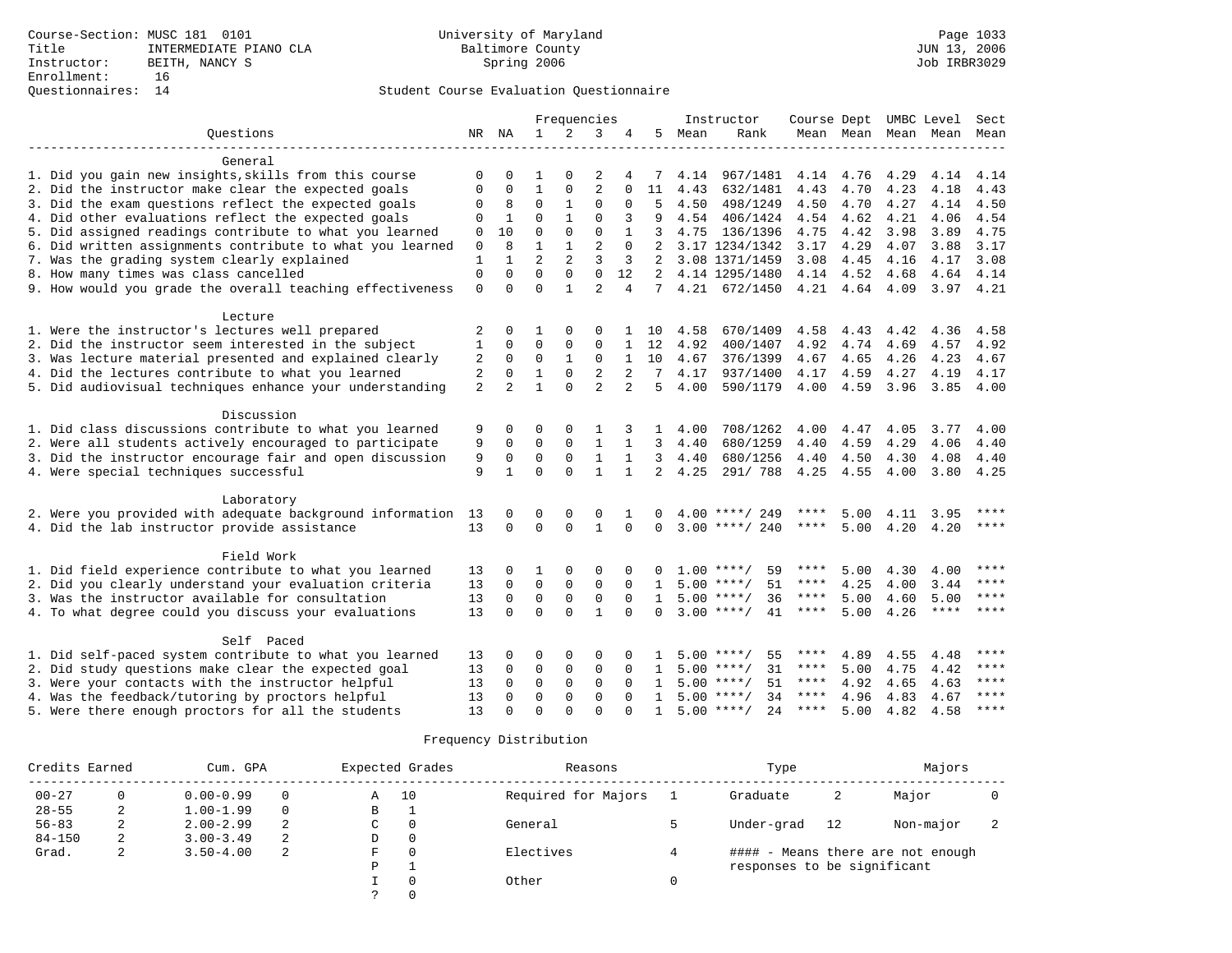|                                                              |                |                |                | Frequencies    |                |                |                |      | Instructor         | Course Dept UMBC Level |                |           |             | Sect  |
|--------------------------------------------------------------|----------------|----------------|----------------|----------------|----------------|----------------|----------------|------|--------------------|------------------------|----------------|-----------|-------------|-------|
| Ouestions                                                    |                | NR NA          | $\mathbf{1}$   | $\overline{2}$ | 3              | 4              | 5.             | Mean | Rank               |                        | Mean Mean      | Mean      | Mean        | Mean  |
|                                                              |                |                |                |                |                |                |                |      |                    |                        |                |           |             |       |
| General                                                      |                |                |                |                |                |                |                |      |                    |                        |                |           |             |       |
| 1. Did you gain new insights, skills from this course        | $\Omega$       | $\Omega$       |                | $\Omega$       | 2              | 4              | 7              | 4.14 | 967/1481           | 4.14                   |                | 4.76 4.29 | 4.14        | 4.14  |
| 2. Did the instructor make clear the expected goals          | $\Omega$       | $\Omega$       | 1              | 0              | $\overline{c}$ | $\Omega$       | 11             | 4.43 | 632/1481           | 4.43                   | 4.70           | 4.23      | 4.18        | 4.43  |
| 3. Did the exam questions reflect the expected goals         | 0              | 8              | $\mathbf 0$    | 1              | $\Omega$       | $\Omega$       | 5              | 4.50 | 498/1249           | 4.50                   | 4.70           | 4.27      | 4.14        | 4.50  |
| 4. Did other evaluations reflect the expected goals          | 0              | $\mathbf{1}$   | $\mathbf 0$    | $\mathbf{1}$   | $\Omega$       | 3              | 9              | 4.54 | 406/1424           | 4.54                   | 4.62           | 4.21      | 4.06        | 4.54  |
| 5. Did assigned readings contribute to what you learned      | $\mathbf 0$    | 10             | $\Omega$       | $\Omega$       | $\Omega$       |                | 3              | 4.75 | 136/1396           | 4.75                   | 4.42           | 3.98      | 3.89        | 4.75  |
| 6. Did written assignments contribute to what you learned    | $\mathbf 0$    | $\mathsf{R}$   | $\mathbf{1}$   | $\mathbf{1}$   | $\overline{2}$ | $\Omega$       |                |      | 3.17 1234/1342     | 3.17                   | 4.29           | 4.07      | 3.88        | 3.17  |
| 7. Was the grading system clearly explained                  | 1              |                | $\overline{a}$ | 2              | 3              | 3              | 2              |      | 3.08 1371/1459     | 3.08                   | 4.45           | 4.16      | 4.17        | 3.08  |
| 8. How many times was class cancelled                        | $\mathbf 0$    | $\Omega$       | $\Omega$       | $\Omega$       | $\Omega$       | 12             | 2              |      | 4.14 1295/1480     |                        | 4.14 4.52      | 4.68      | 4.64        | 4.14  |
| 9. How would you grade the overall teaching effectiveness    | $\mathbf 0$    | $\Omega$       | $\Omega$       | $\mathbf{1}$   | $\overline{2}$ | $\overline{4}$ | 7              |      | 4.21 672/1450      |                        | 4.21 4.64 4.09 |           | $3.97$ 4.21 |       |
|                                                              |                |                |                |                |                |                |                |      |                    |                        |                |           |             |       |
| Lecture                                                      |                |                |                |                |                |                |                |      |                    |                        |                |           |             |       |
| 1. Were the instructor's lectures well prepared              | 2              | $\Omega$       | 1              | $\Omega$       | $\Omega$       |                | 10             | 4.58 | 670/1409           | 4.58                   | 4.43           | 4.42      | 4.36        | 4.58  |
| 2. Did the instructor seem interested in the subject         | $\mathbf{1}$   | $\Omega$       | $\Omega$       | 0              | $\Omega$       | $\mathbf{1}$   | 12             | 4.92 | 400/1407           | 4.92                   | 4.74           | 4.69      | 4.57        | 4.92  |
| 3. Was lecture material presented and explained clearly      | 2              | 0              | 0              | 1              | 0              | 1              | 10             | 4.67 | 376/1399           | 4.67                   | 4.65           | 4.26      | 4.23        | 4.67  |
| 4. Did the lectures contribute to what you learned           | $\overline{c}$ | $\Omega$       | $\mathbf{1}$   | $\Omega$       | $\overline{a}$ | $\overline{2}$ | 7              | 4.17 | 937/1400           | 4.17                   | 4.59           | 4.27      | 4.19        | 4.17  |
| 5. Did audiovisual techniques enhance your understanding     | 2              | $\overline{2}$ | $\mathbf{1}$   | $\Omega$       | 2              | $\overline{a}$ | 5              | 4.00 | 590/1179           | 4.00                   | 4.59           | 3.96      | 3.85        | 4.00  |
|                                                              |                |                |                |                |                |                |                |      |                    |                        |                |           |             |       |
| Discussion                                                   |                |                |                |                |                |                |                |      |                    |                        |                |           |             |       |
| 1. Did class discussions contribute to what you learned      | 9              | $\Omega$       | $\Omega$       | $\Omega$       |                |                | $\mathbf{1}$   | 4.00 | 708/1262           | 4.00                   | 4.47           | 4.05      | 3.77        | 4.00  |
| 2. Were all students actively encouraged to participate      | 9              | 0              | $\mathbf 0$    | $\mathbf{0}$   | $\mathbf{1}$   |                | 3              | 4.40 | 680/1259           | 4.40                   | 4.59           | 4.29      | 4.06        | 4.40  |
| 3. Did the instructor encourage fair and open discussion     | 9              | 0              | $\mathbf 0$    | 0              | 1              | 1              | 3              | 4.40 | 680/1256           | 4.40                   | 4.50           | 4.30      | 4.08        | 4.40  |
| 4. Were special techniques successful                        | 9              | $\mathbf{1}$   | $\Omega$       | $\Omega$       | $\mathbf{1}$   | $\mathbf{1}$   | $\overline{a}$ | 4.25 | 291/ 788           | 4.25                   | 4.55           | 4.00      | 3.80        | 4.25  |
|                                                              |                |                |                |                |                |                |                |      |                    |                        |                |           |             |       |
| Laboratory                                                   |                |                |                |                |                |                |                |      |                    |                        |                |           |             |       |
| 2. Were you provided with adequate background information 13 |                | 0              | 0              | 0              | 0              |                | 0              | 4.00 | ****/ 249          |                        | 5.00           | 4.11      | 3.95        | ****  |
| 4. Did the lab instructor provide assistance                 | 13             | $\Omega$       | $\Omega$       | $\Omega$       | $\mathbf{1}$   | $\Omega$       | $\Omega$       |      | $3.00$ ****/ 240   | $***$ * * *            | 5.00           | 4.20      | 4.20        | ****  |
|                                                              |                |                |                |                |                |                |                |      |                    |                        |                |           |             |       |
| Field Work                                                   |                |                |                |                |                |                |                |      |                    |                        |                |           |             |       |
| 1. Did field experience contribute to what you learned       | 13             | $\Omega$       |                | 0              | $\Omega$       |                | <sup>0</sup>   |      | $1.00$ ****/<br>59 | ****                   | 5.00           | 4.30      | 4.00        | ****  |
| 2. Did you clearly understand your evaluation criteria       | 13             | $\mathbf 0$    | 0              | $\mathbf 0$    | $\mathbf 0$    | $\Omega$       | 1              |      | 51<br>$5.00$ ****/ | ****                   | 4.25           | 4.00      | 3.44        | ****  |
| 3. Was the instructor available for consultation             | 13             | $\Omega$       | $\Omega$       | $\mathbf 0$    | $\Omega$       | $\Omega$       | $\mathbf{1}$   |      | $5.00$ ****/<br>36 | $***$ * * *            | 5.00           | 4.60      | 5.00        | $***$ |
| 4. To what degree could you discuss your evaluations         | 13             | $\Omega$       | $\Omega$       | $\Omega$       | $\mathbf{1}$   | $\Omega$       | $\Omega$       |      | $3.00$ ****/<br>41 | $***$ * *              | 5.00           | 4.26      | ****        | ****  |
|                                                              |                |                |                |                |                |                |                |      |                    |                        |                |           |             |       |
| Self Paced                                                   |                |                |                |                |                |                |                |      |                    |                        |                |           |             |       |
| 1. Did self-paced system contribute to what you learned      | 13             | $\Omega$       | $\Omega$       | $\mathbf 0$    | $\Omega$       |                |                |      | $5.00$ ****/<br>55 | ****                   | 4.89           | 4.55      | 4.48        | ****  |
| 2. Did study questions make clear the expected goal          | 13             | 0              | $\mathbf 0$    | $\mathbf 0$    | $\mathbf 0$    | $\Omega$       | 1              |      | 31<br>$5.00$ ****/ | ****                   | 5.00           | 4.75      | 4.42        | ****  |
| 3. Were your contacts with the instructor helpful            | 13             | $\Omega$       | $\mathbf 0$    | $\mathbf 0$    | $\Omega$       | $\Omega$       | $\mathbf{1}$   |      | 51<br>$5.00$ ****/ | ****                   | 4.92           | 4.65      | 4.63        | ****  |
| 4. Was the feedback/tutoring by proctors helpful             | 13             | $\Omega$       | $\mathbf 0$    | $\mathbf 0$    | $\Omega$       | $\Omega$       | $\mathbf{1}$   |      | $5.00$ ****/<br>34 | ****                   | 4.96           | 4.83      | 4.67        | ****  |
| 5. Were there enough proctors for all the students           | 13             | $\cap$         | $\Omega$       | $\cap$         | $\cap$         |                |                |      | $5.00$ ****/<br>24 | ****                   | 5.00           | 4.82      | 4.58        | ****  |

| Credits Earned |          | Cum. GPA      |          | Expected Grades |          | Reasons             | Type                        |    | Majors                            |  |
|----------------|----------|---------------|----------|-----------------|----------|---------------------|-----------------------------|----|-----------------------------------|--|
| $00 - 27$      | $\Omega$ | $0.00 - 0.99$ | $\Omega$ | Α               | 10       | Required for Majors | Graduate                    | 2  | Major                             |  |
| $28 - 55$      | ∠        | $1.00 - 1.99$ | $\Omega$ | В               | <b>.</b> |                     |                             |    |                                   |  |
| $56 - 83$      | z.       | $2.00 - 2.99$ | 2        | C               | 0        | General             | Under-grad                  | 12 | Non-major                         |  |
| $84 - 150$     | 2        | $3.00 - 3.49$ | 2        | D               | 0        |                     |                             |    |                                   |  |
| Grad.          | ◠<br>z.  | $3.50 - 4.00$ | 2        | F               | $\Omega$ | Electives           |                             |    | #### - Means there are not enough |  |
|                |          |               |          | P               |          |                     | responses to be significant |    |                                   |  |
|                |          |               |          |                 | $\Omega$ | Other               |                             |    |                                   |  |
|                |          |               |          |                 | $\Omega$ |                     |                             |    |                                   |  |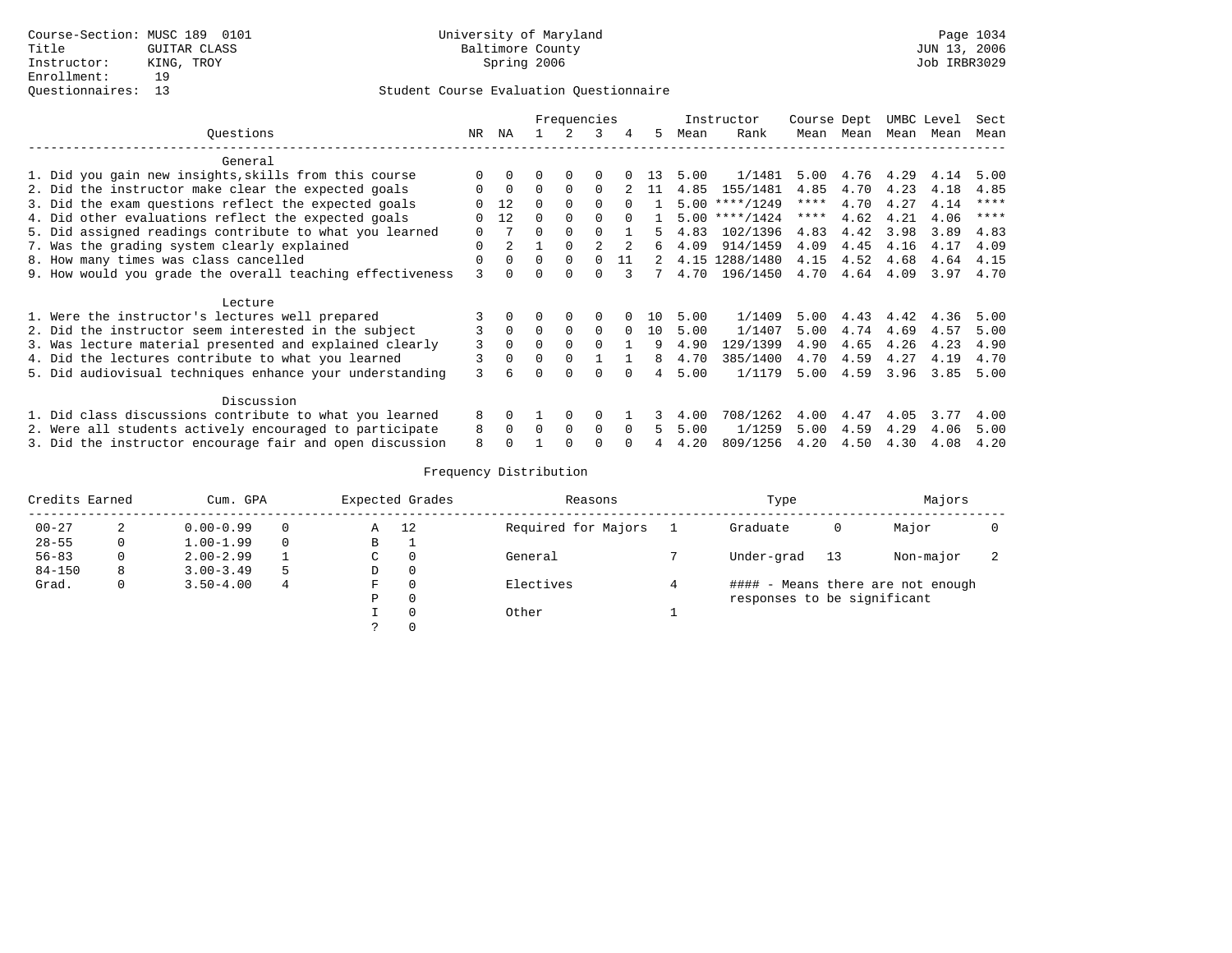|                                                           |              | Frequencies<br>3<br>5.<br>4 |          |          |          |          |     | Instructor | Course Dept      |      |      | UMBC Level | Sect |             |
|-----------------------------------------------------------|--------------|-----------------------------|----------|----------|----------|----------|-----|------------|------------------|------|------|------------|------|-------------|
| Ouestions                                                 | NR.          | ΝA                          |          |          |          |          |     | Mean       | Rank             | Mean | Mean | Mean       | Mean | Mean        |
| General                                                   |              |                             |          |          |          |          |     |            |                  |      |      |            |      |             |
| 1. Did you gain new insights, skills from this course     |              | $\Omega$                    |          | O        |          |          | 13. | 5.00       | 1/1481           | 5.00 | 4.76 | 4.29       | 4.14 | 5.00        |
| 2. Did the instructor make clear the expected goals       | $\Omega$     | $\Omega$                    | $\Omega$ | $\Omega$ | $\Omega$ |          | -11 | 4.85       | 155/1481         | 4.85 | 4.70 | 4.23       | 4.18 | 4.85        |
| 3. Did the exam questions reflect the expected goals      |              | 12                          | 0        | $\Omega$ | $\Omega$ | $\cap$   |     |            | $5.00$ ****/1249 | **** | 4.70 | 4.27       | 4.14 | $* * * * *$ |
| 4. Did other evaluations reflect the expected goals       | <sup>0</sup> | 12                          | $\cap$   | $\Omega$ | $\Omega$ | $\cap$   |     | 5.00       | ****/1424        | **** | 4.62 | 4.21       | 4.06 | $* * * *$   |
| 5. Did assigned readings contribute to what you learned   | $\Omega$     |                             | U        |          |          |          |     | 4.83       | 102/1396         | 4.83 | 4.42 | 3.98       | 3.89 | 4.83        |
| 7. Was the grading system clearly explained               | $\Omega$     |                             |          |          |          |          | б.  | 4.09       | 914/1459         | 4.09 | 4.45 | 4.16       | 4.17 | 4.09        |
| 8. How many times was class cancelled                     | $\mathbf 0$  | $\Omega$                    | $\Omega$ | $\Omega$ |          | 11       |     | 4.15       | 1288/1480        | 4.15 | 4.52 | 4.68       | 4.64 | 4.15        |
| 9. How would you grade the overall teaching effectiveness | 3            |                             |          |          |          |          |     | 4.70       | 196/1450         | 4.70 | 4.64 | 4.09       | 3.97 | 4.70        |
| Lecture                                                   |              |                             |          |          |          |          |     |            |                  |      |      |            |      |             |
| 1. Were the instructor's lectures well prepared           |              |                             |          | $\Omega$ | $\Omega$ |          | 1 O | 5.00       | 1/1409           | 5.00 | 4.43 | 4.42       | 4.36 | 5.00        |
| 2. Did the instructor seem interested in the subject      | 3            | $\Omega$                    | $\Omega$ | $\Omega$ | $\Omega$ | $\Omega$ | 10  | 5.00       | 1/1407           | 5.00 | 4.74 | 4.69       | 4.57 | 5.00        |
| 3. Was lecture material presented and explained clearly   | 3            | $\Omega$                    | $\Omega$ | $\Omega$ | $\Omega$ |          | 9   | 4.90       | 129/1399         | 4.90 | 4.65 | 4.26       | 4.23 | 4.90        |
| 4. Did the lectures contribute to what you learned        | 3            | $\Omega$                    | 0        | $\Omega$ |          |          | 8   | 4.70       | 385/1400         | 4.70 | 4.59 | 4.27       | 4.19 | 4.70        |
| 5. Did audiovisual techniques enhance your understanding  | 3            |                             | U        | $\cap$   | $\cap$   | $\cap$   | 4   | 5.00       | 1/1179           | 5.00 | 4.59 | 3.96       | 3.85 | 5.00        |
| Discussion                                                |              |                             |          |          |          |          |     |            |                  |      |      |            |      |             |
| 1. Did class discussions contribute to what you learned   | 8            | $\Omega$                    |          | $\Omega$ | 0        |          |     | 4.00       | 708/1262         | 4.00 | 4.47 | 4.05       | 3.77 | 4.00        |
| 2. Were all students actively encouraged to participate   | 8            | $\Omega$                    | $\Omega$ | $\Omega$ | $\Omega$ | $\Omega$ | 5   | 5.00       | 1/1259           | 5.00 | 4.59 | 4.29       | 4.06 | 5.00        |
| 3. Did the instructor encourage fair and open discussion  | 8            |                             |          |          |          |          |     | 4.20       | 809/1256         | 4.20 | 4.50 | 4.30       | 4.08 | 4.20        |

| Credits Earned |          | Cum. GPA      |          | Expected Grades |              | Reasons             | Type                        |    | Majors                            |  |
|----------------|----------|---------------|----------|-----------------|--------------|---------------------|-----------------------------|----|-----------------------------------|--|
| $00 - 27$      |          | $0.00 - 0.99$ | $\Omega$ | -12<br>Α        |              | Required for Majors | Graduate                    | 0  | Major                             |  |
| $28 - 55$      | $\Omega$ | $1.00 - 1.99$ | $\Omega$ | В               | л.           |                     |                             |    |                                   |  |
| $56 - 83$      | 0        | $2.00 - 2.99$ |          | C               | 0            | General             | Under-grad                  | 13 | Non-major                         |  |
| $84 - 150$     | 8        | $3.00 - 3.49$ |          | D               | $\mathbf 0$  |                     |                             |    |                                   |  |
| Grad.          | 0        | $3.50 - 4.00$ | 4        | F               | $\Omega$     | Electives           |                             |    | #### - Means there are not enough |  |
|                |          |               |          | Ρ               | $\Omega$     |                     | responses to be significant |    |                                   |  |
|                |          |               |          |                 | $\Omega$     | Other               |                             |    |                                   |  |
|                |          |               |          |                 | $\mathbf{0}$ |                     |                             |    |                                   |  |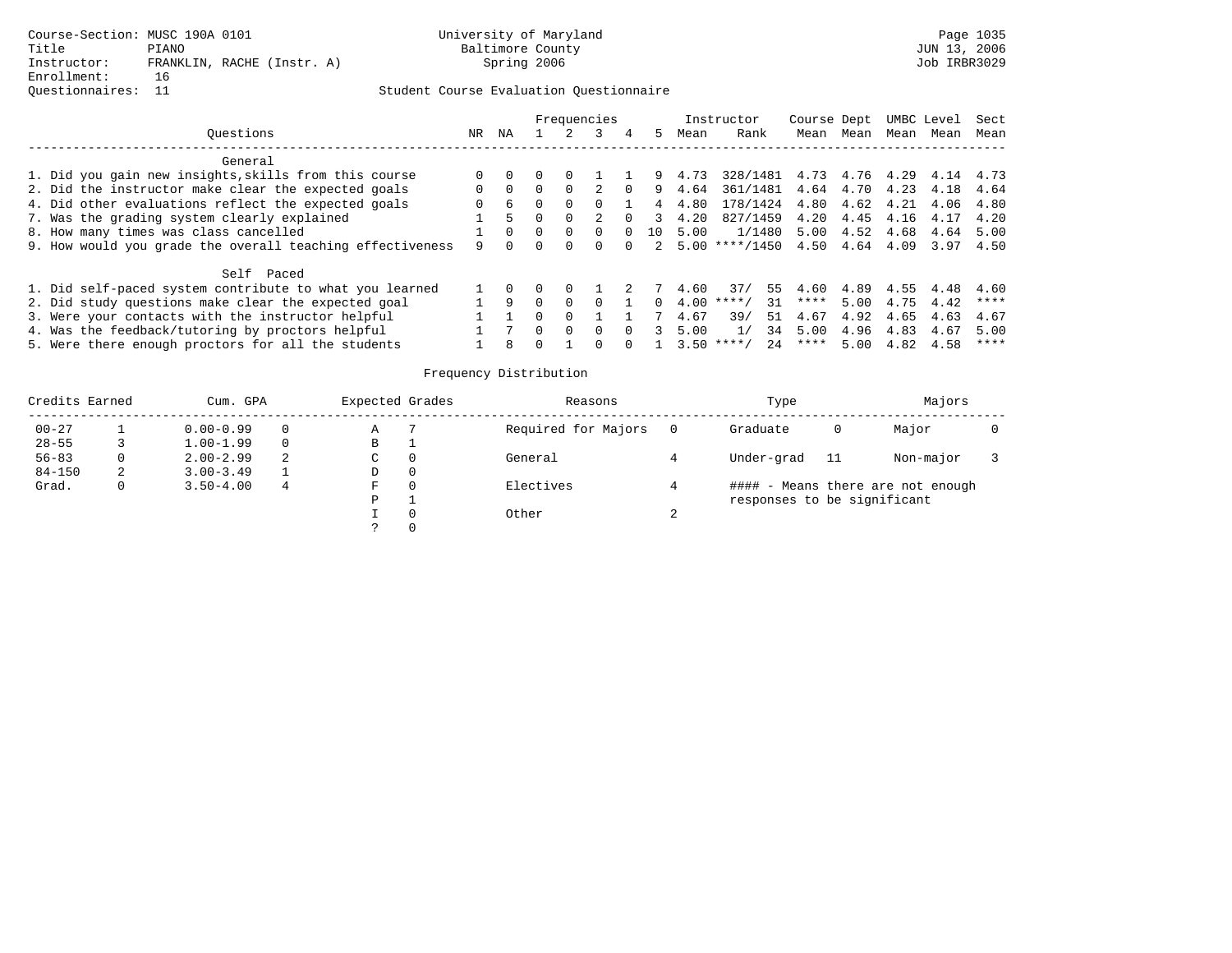## Questionnaires: 11 Student Course Evaluation Questionnaire

|                                                           |          |              | Frequencies |              |                |               |      | Instructor                   | Course Dept |           |      | UMBC Level | Sect |
|-----------------------------------------------------------|----------|--------------|-------------|--------------|----------------|---------------|------|------------------------------|-------------|-----------|------|------------|------|
| Ouestions                                                 | NR       | NA           |             |              | $\overline{4}$ | 5.            | Mean | Rank                         | Mean        | Mean      | Mean | Mean       | Mean |
| General                                                   |          |              |             |              |                |               |      |                              |             |           |      |            |      |
| 1. Did you gain new insights, skills from this course     | 0        |              |             |              |                | 9.            | 4.73 | 328/1481 4.73 4.76 4.29 4.14 |             |           |      |            | 4.73 |
| 2. Did the instructor make clear the expected goals       | $\Omega$ | $\Omega$     | $\Omega$    |              | $\Omega$       | 9             | 4.64 | 361/1481                     | 4.64        | 4.70      | 4.23 | 4.18       | 4.64 |
| 4. Did other evaluations reflect the expected goals       | $\Omega$ | 6            | $\Omega$    |              |                | 4             | 4.80 | 178/1424                     | 4.80        | 4.62      | 4.21 | 4.06       | 4.80 |
| 7. Was the grading system clearly explained               |          |              |             |              |                | $\mathcal{R}$ | 4.20 | 827/1459                     | 4.20        | 4.45      | 4.16 | 4.17       | 4.20 |
| 8. How many times was class cancelled                     |          |              | $\Omega$    | <sup>0</sup> |                | 10            | 5.00 | 1/1480 5.00                  |             | 4.52 4.68 |      | 4.64       | 5.00 |
| 9. How would you grade the overall teaching effectiveness |          |              |             |              | $\cap$         |               |      | $2, 5.00$ ****/1450          | 4.50        | 4.64 4.09 |      | 3.97       | 4.50 |
| Self Paced                                                |          |              |             |              |                |               |      |                              |             |           |      |            |      |
| 1. Did self-paced system contribute to what you learned   |          |              |             |              |                |               | 4.60 | 37/<br>55                    | 4.60        | 4.89      | 4.55 | 4.48       | 4.60 |
| 2. Did study questions make clear the expected goal       |          | <sup>Q</sup> | $\Omega$    |              |                | 0             | 4.00 | 31<br>$* * * * /$            | ****        | 5.00      | 4.75 | 4.42       | **** |
| 3. Were your contacts with the instructor helpful         |          |              |             |              |                |               | 4.67 | 39/<br>51                    | 4.67        | 4.92      | 4.65 | 4.63       | 4.67 |
| 4. Was the feedback/tutoring by proctors helpful          |          |              | $\Omega$    |              |                |               | 5.00 | 34<br>1/                     | 5.00        | 4.96      | 4.83 | 4.67       | 5.00 |
| 5. Were there enough proctors for all the students        |          | R            |             |              |                |               | 3.50 | 2.4<br>$* * * * /$           | ****        | 5.00      | 4.82 | 4.58       | **** |

| Credits Earned |   | Cum. GPA      |          | Expected Grades | Reasons             |   | Type                        |    | Majors                            |  |
|----------------|---|---------------|----------|-----------------|---------------------|---|-----------------------------|----|-----------------------------------|--|
| $00 - 27$      |   | $0.00 - 0.99$ | 0        | Α               | Required for Majors |   | Graduate                    | 0  | Major                             |  |
| $28 - 55$      |   | $1.00 - 1.99$ | $\Omega$ | В               |                     |   |                             |    |                                   |  |
| $56 - 83$      |   | $2.00 - 2.99$ | 2        | C               | General             |   | Under-grad                  | 11 | Non-major                         |  |
| $84 - 150$     | 2 | $3.00 - 3.49$ |          | D               |                     |   |                             |    |                                   |  |
| Grad.          | 0 | $3.50 - 4.00$ | 4        | F               | Electives           |   |                             |    | #### - Means there are not enough |  |
|                |   |               |          | Ρ               |                     |   | responses to be significant |    |                                   |  |
|                |   |               |          |                 | Other               | ▵ |                             |    |                                   |  |
|                |   |               |          |                 |                     |   |                             |    |                                   |  |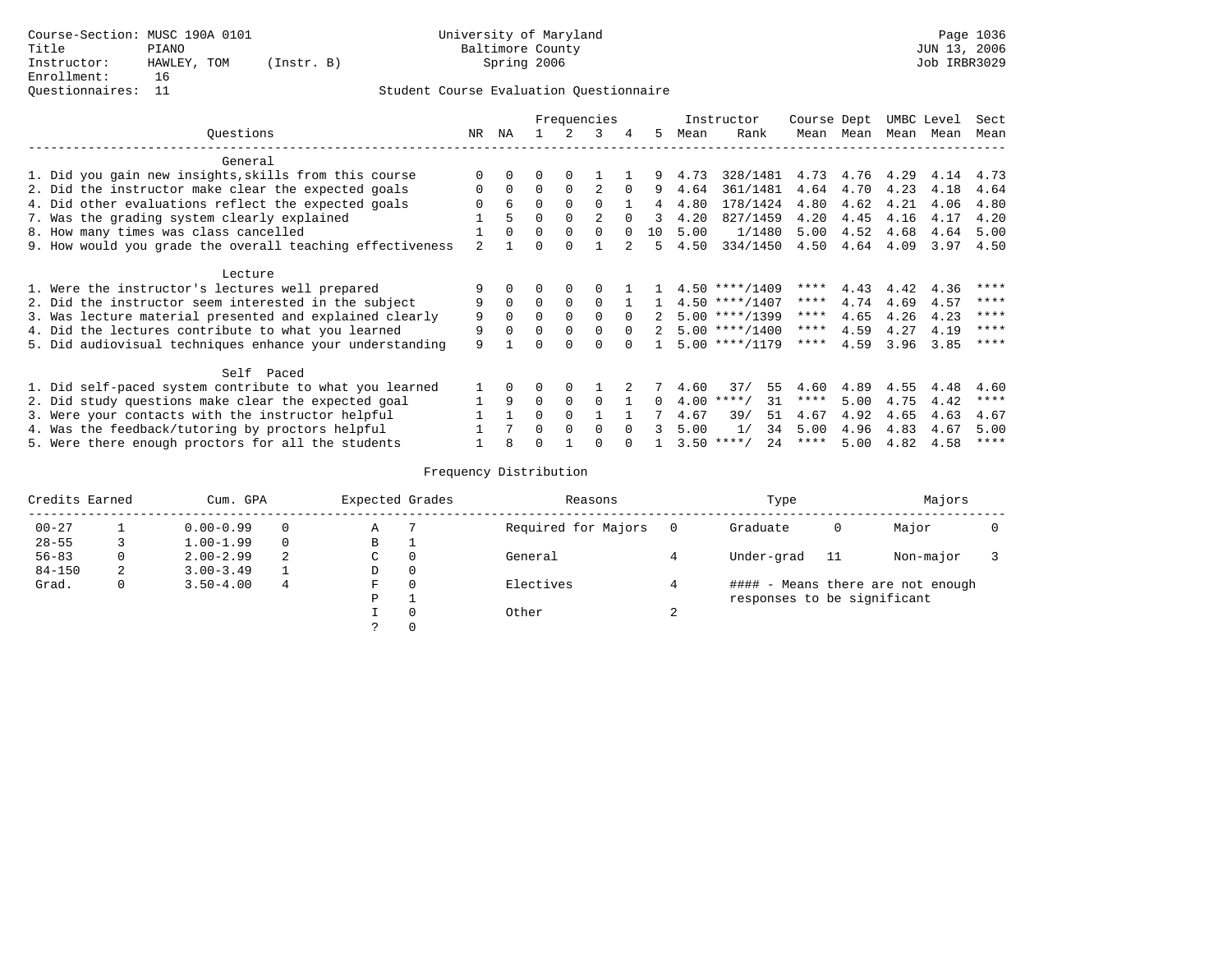|                                                           | Frequencies<br>ΝA<br>3<br>NR<br>5.<br>4 |          |          |          |                |          |                |      | Instructor         | Course Dept |      |      | UMBC Level | Sect        |
|-----------------------------------------------------------|-----------------------------------------|----------|----------|----------|----------------|----------|----------------|------|--------------------|-------------|------|------|------------|-------------|
| Ouestions                                                 |                                         |          |          |          |                |          |                | Mean | Rank               | Mean        | Mean | Mean | Mean       | Mean        |
| General                                                   |                                         |          |          |          |                |          |                |      |                    |             |      |      |            |             |
| 1. Did you gain new insights, skills from this course     | $\Omega$                                |          |          | $\Omega$ |                |          | 9.             | 4.73 | 328/1481           | 4.73        | 4.76 | 4.29 | 4.14       | 4.73        |
| 2. Did the instructor make clear the expected goals       | $\Omega$                                | $\Omega$ | $\Omega$ | $\Omega$ | 2              | $\Omega$ | 9              | 4.64 | 361/1481           | 4.64        | 4.70 | 4.23 | 4.18       | 4.64        |
| 4. Did other evaluations reflect the expected goals       |                                         | 6        | $\Omega$ | $\Omega$ | $\Omega$       |          | $\overline{4}$ | 4.80 | 178/1424           | 4.80        | 4.62 | 4.21 | 4.06       | 4.80        |
| 7. Was the grading system clearly explained               |                                         | 5        | $\Omega$ | $\Omega$ | $\mathfrak{D}$ | $\cap$   | 3              | 4.20 | 827/1459           | 4.20        | 4.45 | 4.16 | 4.17       | 4.20        |
| 8. How many times was class cancelled                     |                                         | $\Omega$ | $\Omega$ | $\Omega$ | $\Omega$       |          | 10             | 5.00 | 1/1480             | 5.00        | 4.52 | 4.68 | 4.64       | 5.00        |
| 9. How would you grade the overall teaching effectiveness | $\overline{a}$                          |          | $\cap$   | $\cap$   |                |          | 5.             | 4.50 | 334/1450           | 4.50        | 4.64 | 4.09 | 3.97       | 4.50        |
| Lecture                                                   |                                         |          |          |          |                |          |                |      |                    |             |      |      |            |             |
| 1. Were the instructor's lectures well prepared           |                                         |          |          | $\Omega$ |                |          |                |      | $4.50$ ****/1409   | ****        | 4.43 | 4.42 | 4.36       | ****        |
| 2. Did the instructor seem interested in the subject      | 9                                       | $\Omega$ | $\Omega$ | $\Omega$ | $\Omega$       |          |                |      | $4.50$ ****/1407   | ****        | 4.74 | 4.69 | 4.57       | ****        |
| 3. Was lecture material presented and explained clearly   | 9                                       | $\Omega$ | $\Omega$ | $\Omega$ | $\Omega$       | $\Omega$ | 2              |      | $5.00$ ****/1399   | ****        | 4.65 | 4.26 | 4.23       | $* * * * *$ |
| 4. Did the lectures contribute to what you learned        | 9                                       | $\Omega$ | $\Omega$ | $\Omega$ | $\Omega$       | $\Omega$ | $\overline{2}$ |      | $5.00$ ****/1400   | ****        | 4.59 | 4.27 | 4.19       | ****        |
| 5. Did audiovisual techniques enhance your understanding  | 9                                       |          |          |          | <sup>n</sup>   |          |                |      | $5.00$ ****/1179   | ****        | 4.59 | 3.96 | 3.85       | ****        |
| Self Paced                                                |                                         |          |          |          |                |          |                |      |                    |             |      |      |            |             |
| 1. Did self-paced system contribute to what you learned   |                                         |          |          | $\Omega$ |                |          |                | 4.60 | 37/<br>55          | 4.60        | 4.89 | 4.55 | 4.48       | 4.60        |
| 2. Did study questions make clear the expected goal       |                                         | 9        | $\Omega$ | $\Omega$ | $\Omega$       |          | $\Omega$       | 4.00 | $***$ /<br>31      | ****        | 5.00 | 4.75 | 4.42       | ****        |
| 3. Were your contacts with the instructor helpful         |                                         |          | $\Omega$ | $\Omega$ |                |          |                | 4.67 | 39/<br>51          | 4.67        | 4.92 | 4.65 | 4.63       | 4.67        |
| 4. Was the feedback/tutoring by proctors helpful          |                                         |          | $\Omega$ | $\Omega$ | $\Omega$       | $\Omega$ | 3              | 5.00 | 1/<br>34           | 5.00        | 4.96 | 4.83 | 4.67       | 5.00        |
| 5. Were there enough proctors for all the students        |                                         |          |          |          |                |          |                |      | $3.50$ ****/<br>24 | ****        | 5.00 | 4.82 | 4.58       | $***$ * * * |

| Credits Earned |          | Cum. GPA      |          | Expected Grades |              | Reasons             |   | Type                        |    | Majors                            |  |
|----------------|----------|---------------|----------|-----------------|--------------|---------------------|---|-----------------------------|----|-----------------------------------|--|
| $00 - 27$      |          | $0.00 - 0.99$ | $\Omega$ | Α               |              | Required for Majors |   | Graduate                    | 0  | Major                             |  |
| $28 - 55$      |          | $1.00 - 1.99$ | $\Omega$ | В               | л.           |                     |   |                             |    |                                   |  |
| $56 - 83$      | $\Omega$ | $2.00 - 2.99$ | 2        | C               | $\mathbf{0}$ | General             |   | Under-grad                  | 11 | Non-major                         |  |
| $84 - 150$     | 2        | $3.00 - 3.49$ |          | D               | 0            |                     |   |                             |    |                                   |  |
| Grad.          | 0        | $3.50 - 4.00$ | 4        | F               | 0            | Electives           |   |                             |    | #### - Means there are not enough |  |
|                |          |               |          | P               |              |                     |   | responses to be significant |    |                                   |  |
|                |          |               |          |                 | $\Omega$     | Other               | ◠ |                             |    |                                   |  |
|                |          |               |          |                 | $\mathbf{0}$ |                     |   |                             |    |                                   |  |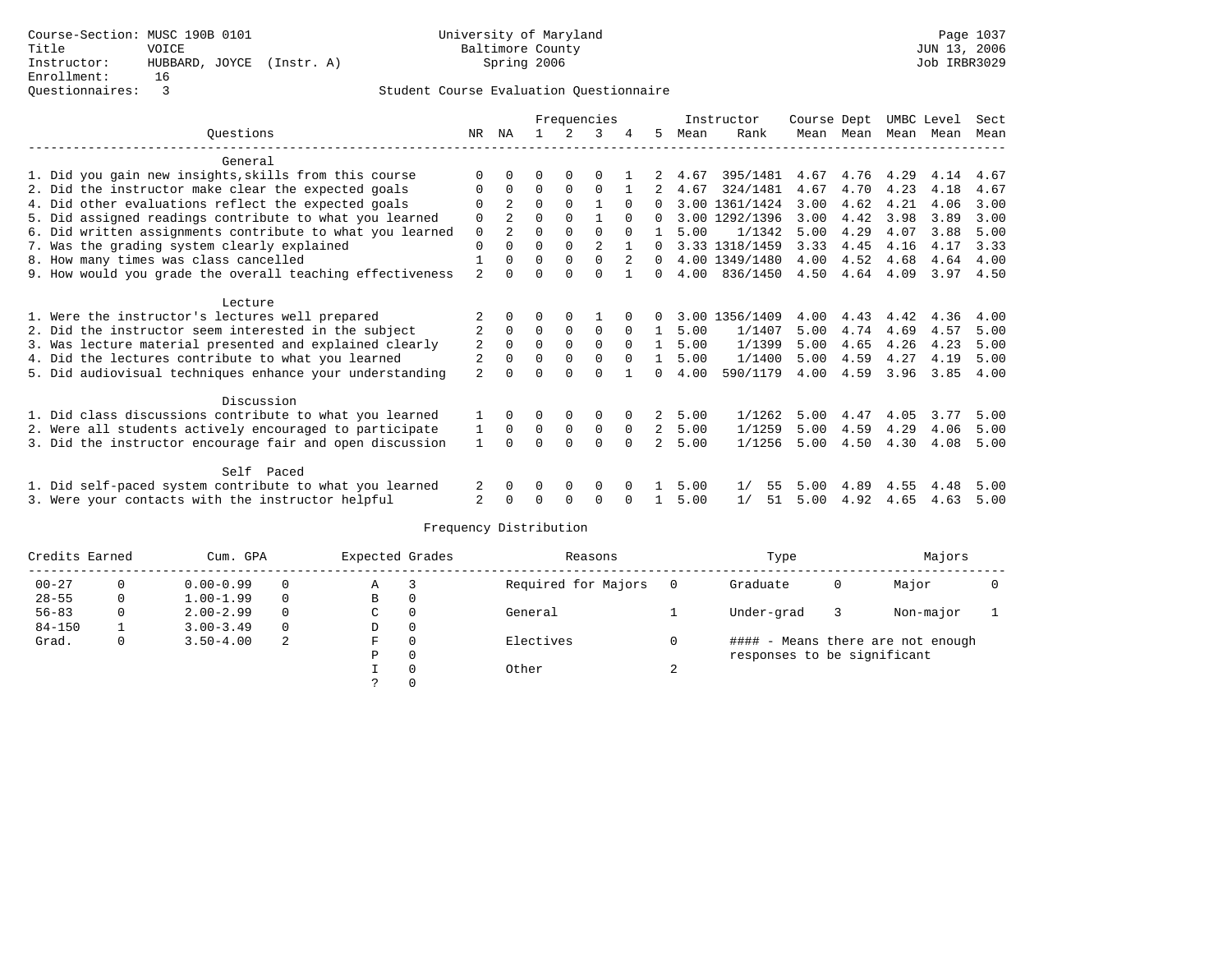|                                                           |                | Frequencies    |          |              |              |          |                | Instructor | Course Dept    |      |      | UMBC Level | Sect |      |
|-----------------------------------------------------------|----------------|----------------|----------|--------------|--------------|----------|----------------|------------|----------------|------|------|------------|------|------|
| Ouestions                                                 | NR.            | ΝA             |          |              | κ            |          | 5.             | Mean       | Rank           | Mean | Mean | Mean       | Mean | Mean |
| General                                                   |                |                |          |              |              |          |                |            |                |      |      |            |      |      |
| 1. Did you gain new insights, skills from this course     | $\Omega$       |                |          |              |              |          |                | 4.67       | 395/1481       | 4.67 | 4.76 | 4.29       | 4.14 | 4.67 |
| 2. Did the instructor make clear the expected goals       | $\Omega$       | $\Omega$       | $\Omega$ | $\Omega$     | $\Omega$     |          |                | 4.67       | 324/1481       | 4.67 | 4.70 | 4.23       | 4.18 | 4.67 |
| 4. Did other evaluations reflect the expected goals       | $\Omega$       | $\overline{2}$ | $\Omega$ | $\Omega$     |              | $\Omega$ | $\cap$         |            | 3.00 1361/1424 | 3.00 | 4.62 | 4.21       | 4.06 | 3.00 |
| 5. Did assigned readings contribute to what you learned   | $\mathbf 0$    | $\overline{a}$ | 0        | $\Omega$     |              | $\Omega$ |                |            | 3.00 1292/1396 | 3.00 | 4.42 | 3.98       | 3.89 | 3.00 |
| 6. Did written assignments contribute to what you learned | 0              |                | $\Omega$ | $\Omega$     | $\Omega$     | $\Omega$ |                | 5.00       | 1/1342         | 5.00 | 4.29 | 4.07       | 3.88 | 5.00 |
| 7. Was the grading system clearly explained               | $\Omega$       | $\Omega$       | $\Omega$ | $\Omega$     | 2            |          | $\Omega$       |            | 3.33 1318/1459 | 3.33 | 4.45 | 4.16       | 4.17 | 3.33 |
| 8. How many times was class cancelled                     | 1              | $\Omega$       | $\Omega$ | $\mathbf 0$  | $\Omega$     | 2        | $\Omega$       |            | 4.00 1349/1480 | 4.00 | 4.52 | 4.68       | 4.64 | 4.00 |
| 9. How would you grade the overall teaching effectiveness | $\overline{a}$ |                | $\Omega$ | $\cap$       | $\Omega$     |          | <sup>n</sup>   | 4.00       | 836/1450       | 4.50 | 4.64 | 4.09       | 3.97 | 4.50 |
| Lecture                                                   |                |                |          |              |              |          |                |            |                |      |      |            |      |      |
| 1. Were the instructor's lectures well prepared           |                |                |          |              |              |          |                |            | 3.00 1356/1409 | 4.00 | 4.43 | 4.42       | 4.36 | 4.00 |
| 2. Did the instructor seem interested in the subject      | 2              | $\Omega$       | $\Omega$ | $\Omega$     | $\Omega$     | $\Omega$ | 1              | 5.00       | 1/1407         | 5.00 | 4.74 | 4.69       | 4.57 | 5.00 |
| 3. Was lecture material presented and explained clearly   | 2              | $\Omega$       | 0        | $\mathbf{0}$ | $\mathbf 0$  | $\Omega$ | $\mathbf{1}$   | 5.00       | 1/1399         | 5.00 | 4.65 | 4.26       | 4.23 | 5.00 |
| 4. Did the lectures contribute to what you learned        | $\overline{2}$ | $\Omega$       | $\Omega$ | $\Omega$     | $\Omega$     | $\Omega$ |                | 5.00       | 1/1400         | 5.00 | 4.59 | 4.27       | 4.19 | 5.00 |
| 5. Did audiovisual techniques enhance your understanding  | $\overline{a}$ |                | U        |              | $\Omega$     |          | <sup>n</sup>   | 4.00       | 590/1179       | 4.00 | 4.59 | 3.96       | 3.85 | 4.00 |
| Discussion                                                |                |                |          |              |              |          |                |            |                |      |      |            |      |      |
| 1. Did class discussions contribute to what you learned   |                | 0              | 0        | 0            | 0            |          | 2              | 5.00       | 1/1262         | 5.00 | 4.47 | 4.05       | 3.77 | 5.00 |
| 2. Were all students actively encouraged to participate   | 1              | $\mathbf{0}$   | 0        | $\mathbf 0$  | $\mathbf{0}$ | 0        | $\overline{2}$ | 5.00       | 1/1259         | 5.00 | 4.59 | 4.29       | 4.06 | 5.00 |
| 3. Did the instructor encourage fair and open discussion  | $\mathbf{1}$   | $\Omega$       | $\Omega$ | $\Omega$     | $\Omega$     | $\Omega$ | $\mathfrak{D}$ | 5.00       | 1/1256         | 5.00 | 4.50 | 4.30       | 4.08 | 5.00 |
|                                                           |                |                |          |              |              |          |                |            |                |      |      |            |      |      |
| Self Paced                                                |                |                |          |              |              |          |                |            |                |      |      |            |      |      |
| 1. Did self-paced system contribute to what you learned   |                | 0              | 0        | 0            | 0            |          |                | 5.00       | 1/<br>55       | 5.00 | 4.89 | 4.55       | 4.48 | 5.00 |
| 3. Were your contacts with the instructor helpful         | $\overline{a}$ | $\Omega$       | U        | $\Omega$     | $\Omega$     | $\Omega$ |                | 5.00       | 1/<br>51       | 5.00 | 4.92 | 4.65       | 4.63 | 5.00 |

| Credits Earned |              | Cum. GPA      |          | Expected Grades |          | Reasons             |   | Type                        |   | Majors                            |  |
|----------------|--------------|---------------|----------|-----------------|----------|---------------------|---|-----------------------------|---|-----------------------------------|--|
| $00 - 27$      | 0            | $0.00 - 0.99$ | $\Omega$ | Α               |          | Required for Majors |   | Graduate                    | 0 | Major                             |  |
| $28 - 55$      | $\mathbf{0}$ | $1.00 - 1.99$ | $\Omega$ | В               | 0        |                     |   |                             |   |                                   |  |
| $56 - 83$      | 0            | $2.00 - 2.99$ | $\Omega$ | C               | $\Omega$ | General             |   | Under-grad                  |   | Non-major                         |  |
| $84 - 150$     |              | $3.00 - 3.49$ | $\Omega$ | D               | 0        |                     |   |                             |   |                                   |  |
| Grad.          | 0            | $3.50 - 4.00$ | 2        | F.              | $\Omega$ | Electives           |   |                             |   | #### - Means there are not enough |  |
|                |              |               |          | Ρ               | $\Omega$ |                     |   | responses to be significant |   |                                   |  |
|                |              |               |          |                 | $\Omega$ | Other               | ⌒ |                             |   |                                   |  |
|                |              |               |          |                 |          |                     |   |                             |   |                                   |  |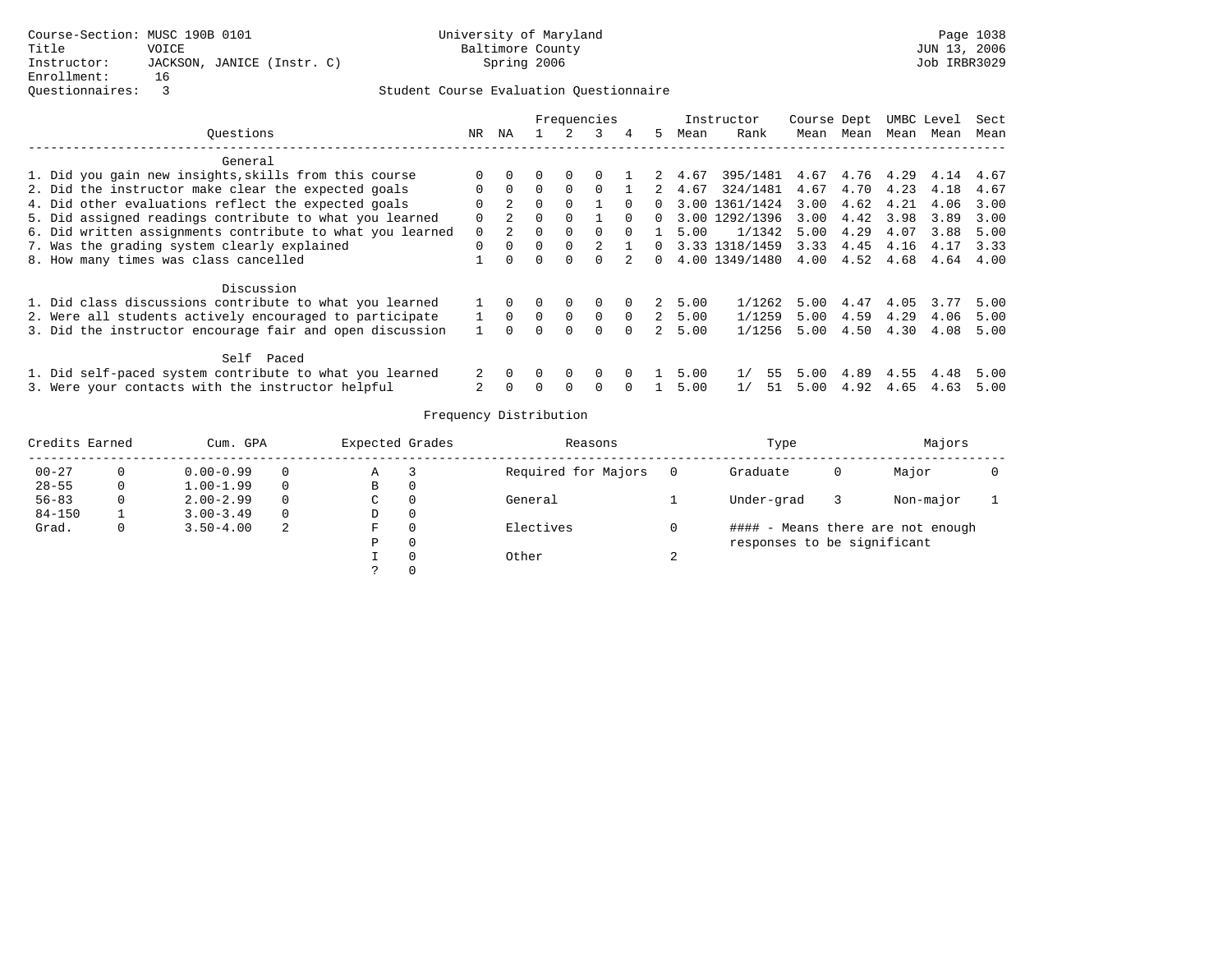|                                                           |                |          | Frequencies<br>5.<br>4 |          |          |          |   |      | Instructor     | Course Dept |      | UMBC Level |      | Sect |
|-----------------------------------------------------------|----------------|----------|------------------------|----------|----------|----------|---|------|----------------|-------------|------|------------|------|------|
| Ouestions                                                 | NR.            | ΝA       |                        |          |          |          |   | Mean | Rank           | Mean        | Mean | Mean       | Mean | Mean |
| General                                                   |                |          |                        |          |          |          |   |      |                |             |      |            |      |      |
| 1. Did you gain new insights, skills from this course     | $\Omega$       |          |                        |          |          |          | 2 | 4.67 | 395/1481       | 4.67        | 4.76 | 4.29       | 4.14 | 4.67 |
| 2. Did the instructor make clear the expected goals       | $\Omega$       | $\Omega$ |                        | $\Omega$ |          |          |   | 4.67 | 324/1481       | 4.67        | 4.70 | 4.23       | 4.18 | 4.67 |
| 4. Did other evaluations reflect the expected goals       | $\Omega$       |          | $\Omega$               | 0        |          |          |   | 3.00 | 1361/1424      | 3.00        | 4.62 | 4.21       | 4.06 | 3.00 |
| 5. Did assigned readings contribute to what you learned   | $\Omega$       | 2        |                        |          |          | $\Omega$ |   | 3.00 | 1292/1396      | 3.00        | 4.42 | 3.98       | 3.89 | 3.00 |
| 6. Did written assignments contribute to what you learned | $\mathbf{0}$   |          |                        |          |          |          |   | 5.00 | 1/1342         | 5.00        | 4.29 | 4.07       | 3.88 | 5.00 |
| 7. Was the grading system clearly explained               | $\Omega$       | $\Omega$ | $\Omega$               | $\Omega$ |          |          |   |      | 3.33 1318/1459 | 3.33        | 4.45 | 4.16       | 4.17 | 3.33 |
| 8. How many times was class cancelled                     |                |          |                        |          |          |          |   | 4.00 | 1349/1480      | 4.00        | 4.52 | 4.68       | 4.64 | 4.00 |
| Discussion                                                |                |          |                        |          |          |          |   |      |                |             |      |            |      |      |
| 1. Did class discussions contribute to what you learned   |                |          |                        | 0        | 0        | $\Omega$ | 2 | 5.00 | 1/1262         | 5.00        | 4.47 | 4.05       | 3.77 | 5.00 |
| 2. Were all students actively encouraged to participate   |                | $\Omega$ |                        | $\Omega$ | $\Omega$ | $\Omega$ | 2 | 5.00 | 1/1259         | 5.00        | 4.59 | 4.29       | 4.06 | 5.00 |
| 3. Did the instructor encourage fair and open discussion  |                |          |                        | $\Omega$ | 0        | $\Omega$ |   | 5.00 | 1/1256         | 5.00        | 4.50 | 4.30       | 4.08 | 5.00 |
| Self Paced                                                |                |          |                        |          |          |          |   |      |                |             |      |            |      |      |
| 1. Did self-paced system contribute to what you learned   | 2              |          |                        | $\Omega$ | $\Omega$ | $\Omega$ |   | 5.00 | 55             | 5.00        | 4.89 | 4.55       | 4.48 | 5.00 |
| 3. Were your contacts with the instructor helpful         | $\overline{a}$ |          |                        |          |          |          |   | 5.00 | 51             | 5.00        | 4.92 | 4.65       | 4.63 | 5.00 |

| Credits Earned |   | Cum. GPA      |          | Expected Grades | Reasons             |    | Type                        |   | Majors                            |  |
|----------------|---|---------------|----------|-----------------|---------------------|----|-----------------------------|---|-----------------------------------|--|
| $00 - 27$      |   | $0.00 - 0.99$ | 0        | Α               | Required for Majors |    | Graduate                    | 0 | Major                             |  |
| $28 - 55$      |   | $1.00 - 1.99$ | $\Omega$ | в               |                     |    |                             |   |                                   |  |
| $56 - 83$      |   | $2.00 - 2.99$ | $\Omega$ | C               | General             |    | Under-grad                  |   | Non-major                         |  |
| $84 - 150$     |   | $3.00 - 3.49$ | $\Omega$ | D               |                     |    |                             |   |                                   |  |
| Grad.          | 0 | $3.50 - 4.00$ | 2        | F.              | Electives           |    |                             |   | #### - Means there are not enough |  |
|                |   |               |          | Ρ               |                     |    | responses to be significant |   |                                   |  |
|                |   |               |          |                 | Other               | z. |                             |   |                                   |  |
|                |   |               |          |                 |                     |    |                             |   |                                   |  |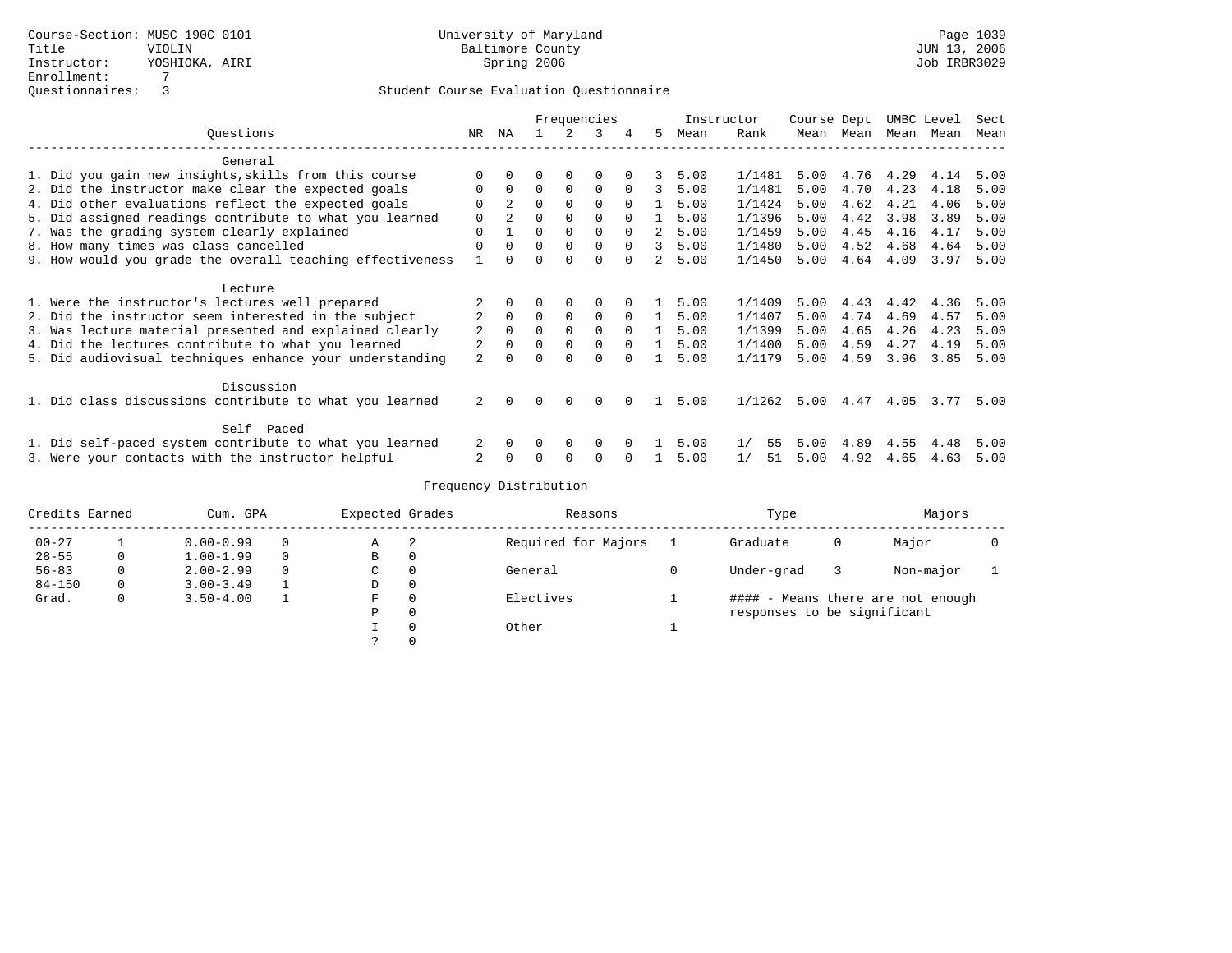|                                                           |                |                |          |             | Frequencies  |          |   | Instructor |          | Course Dept |      |      | UMBC Level | Sect |
|-----------------------------------------------------------|----------------|----------------|----------|-------------|--------------|----------|---|------------|----------|-------------|------|------|------------|------|
| Ouestions                                                 | NR             | ΝA             |          |             | 3            | 4        | 5 | Mean       | Rank     | Mean        | Mean | Mean | Mean       | Mean |
| General                                                   |                |                |          |             |              |          |   |            |          |             |      |      |            |      |
| 1. Did you gain new insights, skills from this course     |                |                |          | $\Omega$    | $\Omega$     |          | 3 | 5.00       | 1/1481   | 5.00        | 4.76 | 4.29 | 4.14       | 5.00 |
| 2. Did the instructor make clear the expected goals       | $\Omega$       | $\Omega$       | $\Omega$ | $\Omega$    | $\Omega$     | $\Omega$ | 3 | 5.00       | 1/1481   | 5.00        | 4.70 | 4.23 | 4.18       | 5.00 |
| 4. Did other evaluations reflect the expected goals       | 0              | $\overline{2}$ | $\Omega$ | $\Omega$    | $\Omega$     | $\Omega$ |   | 5.00       | 1/1424   | 5.00        | 4.62 | 4.21 | 4.06       | 5.00 |
| 5. Did assigned readings contribute to what you learned   | $\Omega$       |                |          | $\Omega$    | <sup>0</sup> |          |   | 5.00       | 1/1396   | 5.00        | 4.42 | 3.98 | 3.89       | 5.00 |
| 7. Was the grading system clearly explained               | 0              |                | 0        | $\Omega$    | $\Omega$     | $\Omega$ | 2 | 5.00       | 1/1459   | 5.00        | 4.45 | 4.16 | 4.17       | 5.00 |
| 8. How many times was class cancelled                     | $\Omega$       |                | 0        | $\Omega$    | $\Omega$     | $\Omega$ | 3 | 5.00       | 1/1480   | 5.00        | 4.52 | 4.68 | 4.64       | 5.00 |
| 9. How would you grade the overall teaching effectiveness |                |                |          | $\cap$      | $\Omega$     |          | 2 | 5.00       | 1/1450   | 5.00        | 4.64 | 4.09 | 3.97       | 5.00 |
| Lecture                                                   |                |                |          |             |              |          |   |            |          |             |      |      |            |      |
| 1. Were the instructor's lectures well prepared           |                |                |          | $\Omega$    | 0            |          |   | 5.00       | 1/1409   | 5.00        | 4.43 | 4.42 | 4.36       | 5.00 |
| 2. Did the instructor seem interested in the subject      |                | $\Omega$       | $\Omega$ | $\Omega$    | $\Omega$     | $\Omega$ |   | 5.00       | 1/1407   | 5.00        | 4.74 | 4.69 | 4.57       | 5.00 |
| 3. Was lecture material presented and explained clearly   | 2              | $\Omega$       | 0        | $\Omega$    | $\Omega$     | $\Omega$ |   | 5.00       | 1/1399   | 5.00        | 4.65 | 4.26 | 4.23       | 5.00 |
| 4. Did the lectures contribute to what you learned        |                | $\Omega$       | $\Omega$ | $\mathbf 0$ | 0            | $\Omega$ |   | 5.00       | 1/1400   | 5.00        | 4.59 | 4.27 | 4.19       | 5.00 |
| 5. Did audiovisual techniques enhance your understanding  | $\overline{a}$ |                |          |             | U            |          |   | 5.00       | 1/1179   | 5.00        | 4.59 | 3.96 | 3.85       | 5.00 |
| Discussion                                                |                |                |          |             |              |          |   |            |          |             |      |      |            |      |
| 1. Did class discussions contribute to what you learned   | 2              | $\Omega$       | 0        | $\Omega$    | 0            |          |   | 5.00       | 1/1262   | 5.00        | 4.47 | 4.05 | 3.77       | 5.00 |
| Self Paced                                                |                |                |          |             |              |          |   |            |          |             |      |      |            |      |
| 1. Did self-paced system contribute to what you learned   |                |                |          | $\Omega$    | $\Omega$     |          |   | 5.00       | 1/<br>55 | 5.00        | 4.89 | 4.55 | 4.48       | 5.00 |
| 3. Were your contacts with the instructor helpful         | 2              |                |          | $\Omega$    | O            |          |   | 5.00       | 1/<br>51 | 5.00        | 4.92 | 4.65 | 4.63       | 5.00 |

| Credits Earned |              | Cum. GPA      |          | Expected Grades |          | Reasons             | Type                        |   | Majors                            |  |
|----------------|--------------|---------------|----------|-----------------|----------|---------------------|-----------------------------|---|-----------------------------------|--|
| $00 - 27$      |              | $0.00 - 0.99$ | 0        | Α               | 2        | Required for Majors | Graduate                    | 0 | Major                             |  |
| $28 - 55$      | 0            | $1.00 - 1.99$ | 0        | в               | 0        |                     |                             |   |                                   |  |
| $56 - 83$      | 0            | $2.00 - 2.99$ | $\Omega$ | C               | $\Omega$ | General             | Under-grad                  |   | Non-major                         |  |
| $84 - 150$     | $\mathbf{0}$ | $3.00 - 3.49$ |          | D               | 0        |                     |                             |   |                                   |  |
| Grad.          | 0            | $3.50 - 4.00$ |          | F.              | $\Omega$ | Electives           |                             |   | #### - Means there are not enough |  |
|                |              |               |          | Р               | 0        |                     | responses to be significant |   |                                   |  |
|                |              |               |          |                 | $\Omega$ | Other               |                             |   |                                   |  |
|                |              |               |          |                 |          |                     |                             |   |                                   |  |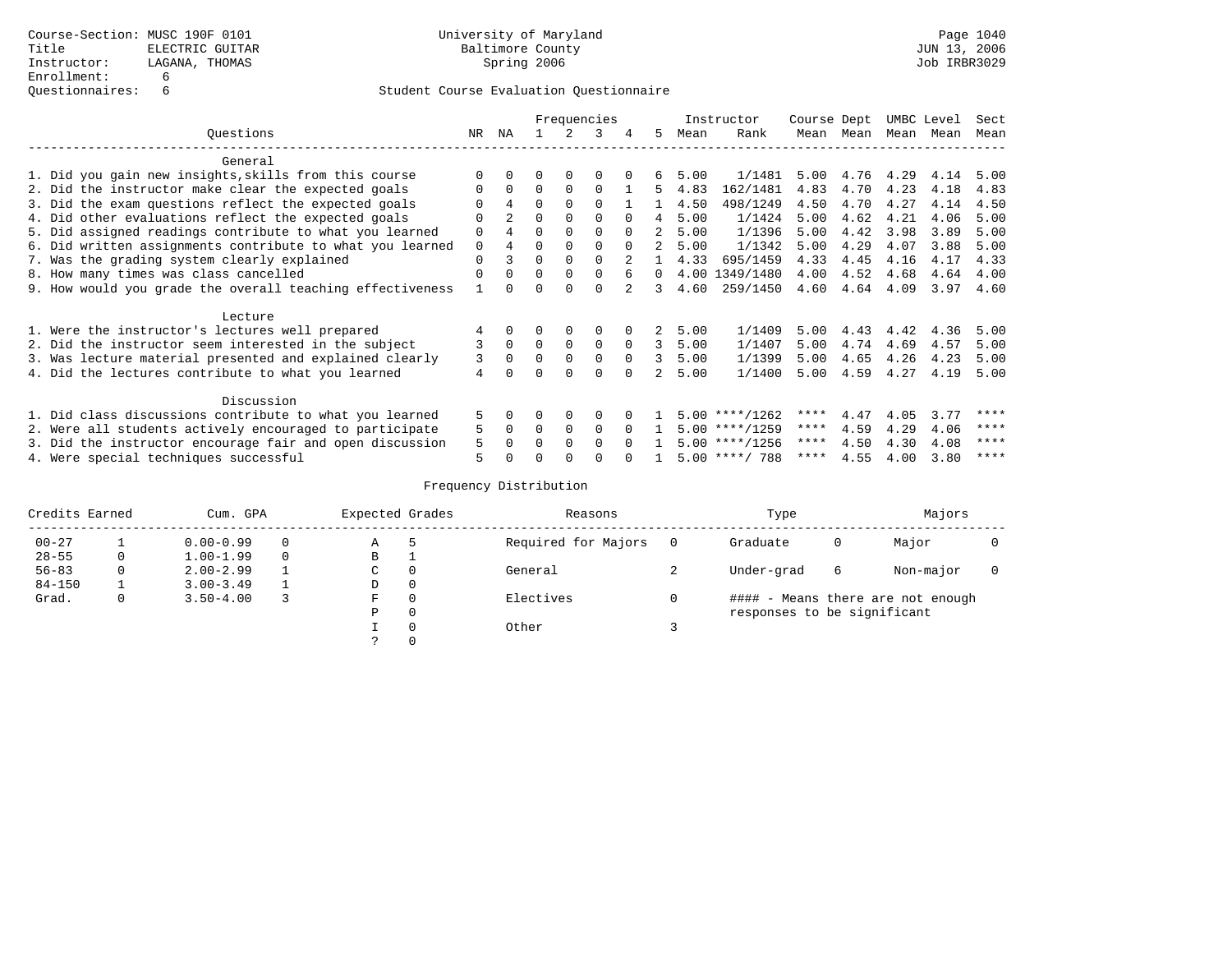|                                                           |          |                |          |          | Frequencies |          |    |      | Instructor       | Course Dept |      |      | UMBC Level | Sect |
|-----------------------------------------------------------|----------|----------------|----------|----------|-------------|----------|----|------|------------------|-------------|------|------|------------|------|
| Ouestions                                                 | NR       | ΝA             |          |          | 3           | 4        | .5 | Mean | Rank             | Mean        | Mean | Mean | Mean       | Mean |
| General                                                   |          |                |          |          |             |          |    |      |                  |             |      |      |            |      |
| 1. Did you gain new insights, skills from this course     |          |                |          |          |             |          | 6  | 5.00 | 1/1481           | 5.00        | 4.76 | 4.29 | 4.14       | 5.00 |
| 2. Did the instructor make clear the expected goals       |          | $\Omega$       | $\Omega$ | $\Omega$ | $\Omega$    |          | 5. | 4.83 | 162/1481         | 4.83        | 4.70 | 4.23 | 4.18       | 4.83 |
| 3. Did the exam questions reflect the expected goals      |          | 4              | $\Omega$ | $\cap$   | $\cap$      |          |    | 4.50 | 498/1249         | 4.50        | 4.70 | 4.27 | 4.14       | 4.50 |
| 4. Did other evaluations reflect the expected goals       |          | $\overline{2}$ | ∩        |          |             |          | 4  | 5.00 | 1/1424           | 5.00        | 4.62 | 4.21 | 4.06       | 5.00 |
| 5. Did assigned readings contribute to what you learned   | $\Omega$ | 4              | $\Omega$ |          |             |          | 2  | 5.00 | 1/1396           | 5.00        | 4.42 | 3.98 | 3.89       | 5.00 |
| 6. Did written assignments contribute to what you learned | $\Omega$ | 4              | $\Omega$ |          |             |          |    | 5.00 | 1/1342           | 5.00        | 4.29 | 4.07 | 3.88       | 5.00 |
| 7. Was the grading system clearly explained               | $\Omega$ | 3              | $\Omega$ | $\Omega$ |             |          |    | 4.33 | 695/1459         | 4.33        | 4.45 | 4.16 | 4.17       | 4.33 |
| 8. How many times was class cancelled                     |          |                | $\Omega$ | $\cap$   |             |          |    | 4.00 | 1349/1480        | 4.00        | 4.52 | 4.68 | 4.64       | 4.00 |
| 9. How would you grade the overall teaching effectiveness |          |                | $\Omega$ |          |             |          | 3  | 4.60 | 259/1450         | 4.60        | 4.64 | 4.09 | 3.97       | 4.60 |
| Lecture                                                   |          |                |          |          |             |          |    |      |                  |             |      |      |            |      |
| 1. Were the instructor's lectures well prepared           |          |                |          |          |             |          | 2  | 5.00 | 1/1409           | 5.00        | 4.43 | 4.42 | 4.36       | 5.00 |
| 2. Did the instructor seem interested in the subject      | 3        | $\Omega$       | $\Omega$ | $\Omega$ | $\Omega$    | $\Omega$ | 3  | 5.00 | 1/1407           | 5.00        | 4.74 | 4.69 | 4.57       | 5.00 |
| 3. Was lecture material presented and explained clearly   | 3        |                |          | $\Omega$ | $\Omega$    | $\Omega$ | 3  | 5.00 | 1/1399           | 5.00        | 4.65 | 4.26 | 4.23       | 5.00 |
| 4. Did the lectures contribute to what you learned        | 4        |                |          |          | ∩           |          |    | 5.00 | 1/1400           | 5.00        | 4.59 | 4.27 | 4.19       | 5.00 |
| Discussion                                                |          |                |          |          |             |          |    |      |                  |             |      |      |            |      |
| 1. Did class discussions contribute to what you learned   | 5        |                |          |          |             |          |    |      | $5.00$ ****/1262 | ****        | 4.47 | 4.05 | 3.77       | **** |
| 2. Were all students actively encouraged to participate   | 5        | $\Omega$       | $\Omega$ |          | $\Omega$    |          |    |      | $5.00$ ****/1259 | ****        | 4.59 | 4.29 | 4.06       | **** |
| 3. Did the instructor encourage fair and open discussion  | 5        |                |          |          |             |          |    |      | $5.00$ ****/1256 | ****        | 4.50 | 4.30 | 4.08       | **** |
| 4. Were special techniques successful                     | 5        |                |          |          |             |          |    |      | $5.00$ ****/ 788 | ****        | 4.55 | 4.00 | 3.80       | **** |

| Credits Earned |   | Cum. GPA      |   | Expected Grades |              | Reasons             |   | Type                        |   | Majors                            |  |
|----------------|---|---------------|---|-----------------|--------------|---------------------|---|-----------------------------|---|-----------------------------------|--|
| $00 - 27$      |   | $0.00 - 0.99$ |   | Α               |              | Required for Majors |   | Graduate                    | 0 | Major                             |  |
| $28 - 55$      | 0 | $1.00 - 1.99$ | 0 | В               |              |                     |   |                             |   |                                   |  |
| $56 - 83$      | 0 | $2.00 - 2.99$ |   | C               | $\Omega$     | General             | ∠ | Under-grad                  | 6 | Non-major                         |  |
| $84 - 150$     |   | $3.00 - 3.49$ |   | D               | $\mathbf{0}$ |                     |   |                             |   |                                   |  |
| Grad.          |   | $3.50 - 4.00$ |   | F               | $\Omega$     | Electives           |   |                             |   | #### - Means there are not enough |  |
|                |   |               |   | Ρ               | 0            |                     |   | responses to be significant |   |                                   |  |
|                |   |               |   |                 | $\Omega$     | Other               |   |                             |   |                                   |  |
|                |   |               |   |                 |              |                     |   |                             |   |                                   |  |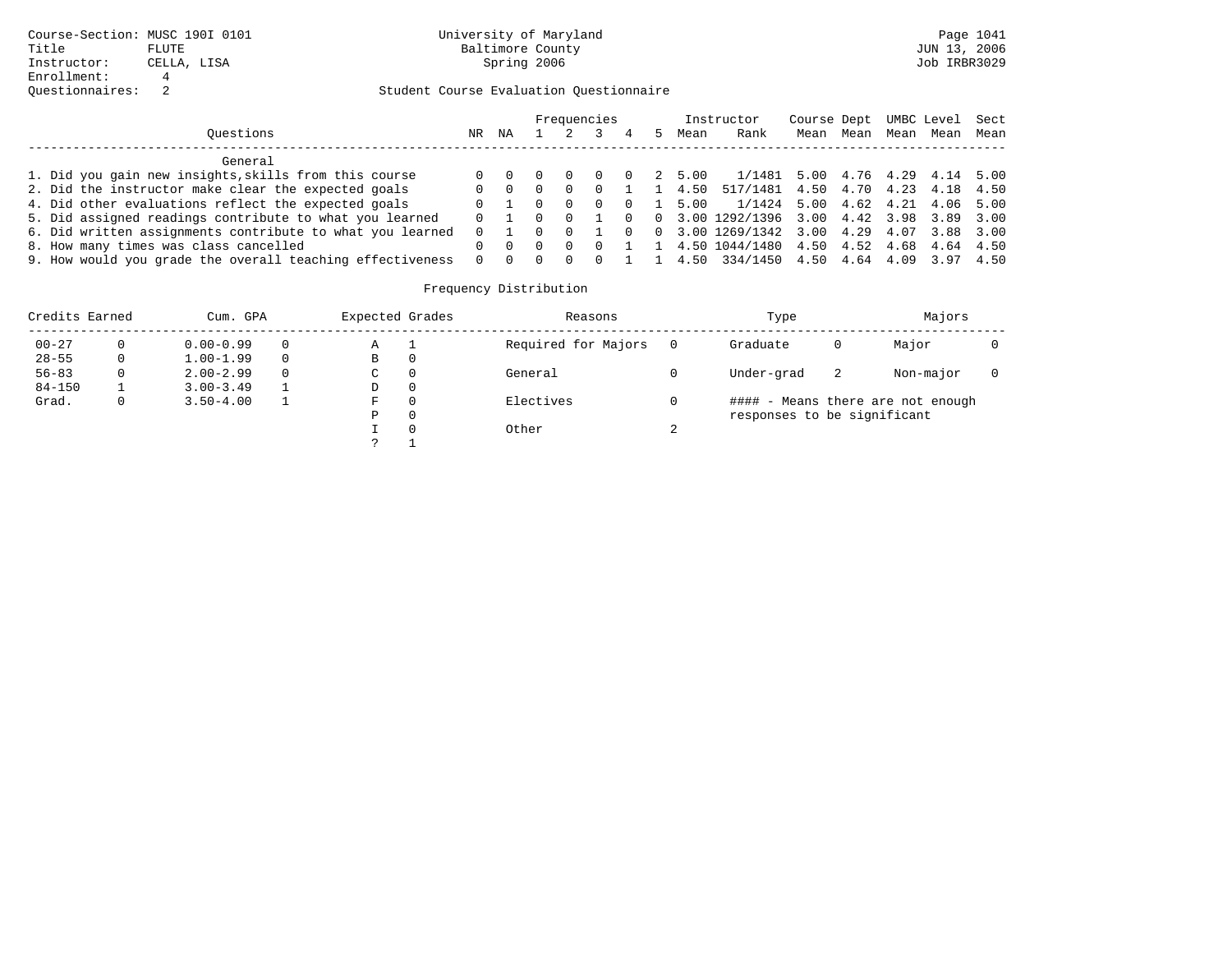|                                                           |          |                     |   |          | Frequencies |          |        | Instructor                                  | Course Dept UMBC Level Sect |      |      |      |      |
|-----------------------------------------------------------|----------|---------------------|---|----------|-------------|----------|--------|---------------------------------------------|-----------------------------|------|------|------|------|
| Ouestions                                                 | NR       | ΝA                  |   |          |             | 4        | Mean   | Rank                                        | Mean                        | Mean | Mean | Mean | Mean |
| General                                                   |          |                     |   |          |             |          |        |                                             |                             |      |      |      |      |
| 1. Did you gain new insights, skills from this course     | $\Omega$ |                     |   |          |             | $\Omega$ | 2 5.00 | $1/1481$ 5.00 4.76 4.29 4.14 5.00           |                             |      |      |      |      |
| 2. Did the instructor make clear the expected goals       | $\Omega$ |                     | 0 |          | $\Omega$    |          | 1 4.50 | 517/1481 4.50 4.70 4.23 4.18 4.50           |                             |      |      |      |      |
| 4. Did other evaluations reflect the expected goals       | $\Omega$ |                     |   | $\Omega$ | $\Omega$    | $\Omega$ | 5.00   | 1/1424 5.00 4.62 4.21 4.06 5.00             |                             |      |      |      |      |
| 5. Did assigned readings contribute to what you learned   | $\Omega$ |                     |   |          |             | $\Omega$ |        | $0$ 3.00 1292/1396 3.00 4.42 3.98 3.89 3.00 |                             |      |      |      |      |
| 6. Did written assignments contribute to what you learned | $\Omega$ |                     |   |          |             | $\Omega$ |        | $0$ 3.00 1269/1342 3.00 4.29 4.07           |                             |      |      | 3.88 | 3.00 |
| 8. How many times was class cancelled                     |          |                     |   |          |             |          |        | 1 4.50 1044/1480 4.50 4.52 4.68 4.64 4.50   |                             |      |      |      |      |
| 9. How would you grade the overall teaching effectiveness |          | $0 \quad 0 \quad 0$ |   | $\Omega$ | $\Omega$    |          | 14.50  | 334/1450 4.50 4.64 4.09 3.97 4.50           |                             |      |      |      |      |

| Credits Earned |   | Cum. GPA      | Expected Grades |   | Reasons             |        | Type                        |    | Majors                            |  |
|----------------|---|---------------|-----------------|---|---------------------|--------|-----------------------------|----|-----------------------------------|--|
| $00 - 27$      | 0 | $0.00 - 0.99$ | Α               |   | Required for Majors |        | Graduate                    | 0  | Major                             |  |
| $28 - 55$      | 0 | $1.00 - 1.99$ | В               | 0 |                     |        |                             |    |                                   |  |
| $56 - 83$      | 0 | $2.00 - 2.99$ | $\sim$<br>◡     | 0 | General             |        | Under-grad                  | -2 | Non-major                         |  |
| $84 - 150$     |   | $3.00 - 3.49$ | D               | 0 |                     |        |                             |    |                                   |  |
| Grad.          | 0 | $3.50 - 4.00$ | F               | 0 | Electives           |        |                             |    | #### - Means there are not enough |  |
|                |   |               | Ρ               | 0 |                     |        | responses to be significant |    |                                   |  |
|                |   |               |                 | 0 | Other               | $\sim$ |                             |    |                                   |  |
|                |   |               | っ               |   |                     |        |                             |    |                                   |  |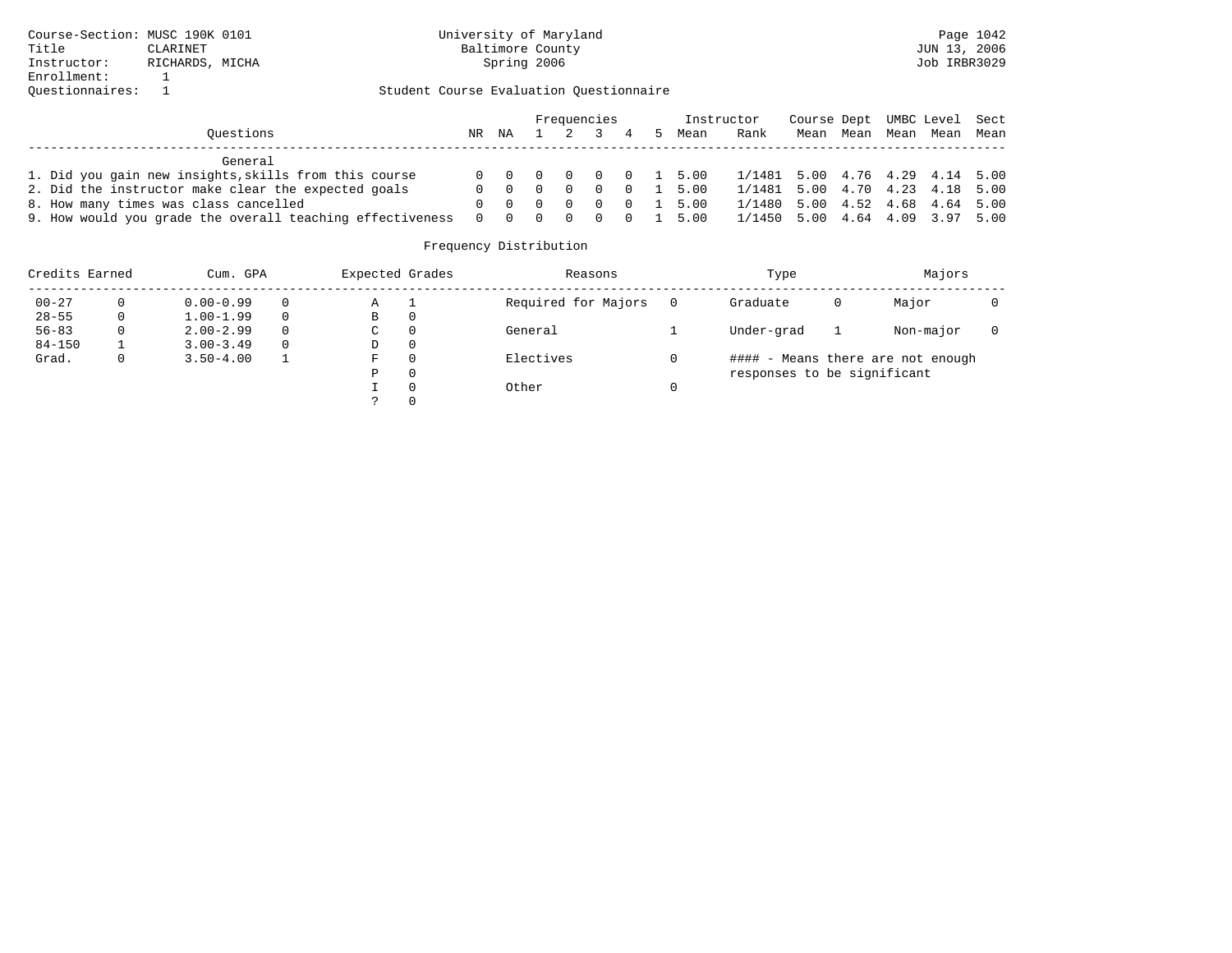|                                                           |    |                             |  | Frequencies |   |                        | Instructor                      | Course Dept UMBC Level Sect |      |      |      |      |
|-----------------------------------------------------------|----|-----------------------------|--|-------------|---|------------------------|---------------------------------|-----------------------------|------|------|------|------|
| Ouestions                                                 | NR | ΝA                          |  |             | 4 | Mean                   | Rank                            | Mean                        | Mean | Mean | Mean | Mean |
| General                                                   |    |                             |  |             |   |                        |                                 |                             |      |      |      |      |
| 1. Did you gain new insights, skills from this course     |    |                             |  |             |   | 0 0 0 0 0 0 1 5.00     | 1/1481 5.00 4.76 4.29 4.14 5.00 |                             |      |      |      |      |
| 2. Did the instructor make clear the expected goals       |    | $0 \quad 0 \quad 0 \quad 0$ |  | $\bigcirc$  |   | $0 \quad 1 \quad 5.00$ | 1/1481 5.00 4.70 4.23 4.18 5.00 |                             |      |      |      |      |
| 8. How many times was class cancelled                     |    |                             |  | - 0         |   | $0 \quad 1 \quad 5.00$ | 1/1480 5.00 4.52 4.68 4.64 5.00 |                             |      |      |      |      |
| 9. How would you grade the overall teaching effectiveness |    |                             |  |             |   | 0 0 0 0 0 0 1 5.00     | 1/1450 5.00 4.64 4.09 3.97 5.00 |                             |      |      |      |      |

| Credits Earned |    | Cum. GPA      |          | Expected Grades |          | Reasons             | Type                        |   | Majors                            |  |
|----------------|----|---------------|----------|-----------------|----------|---------------------|-----------------------------|---|-----------------------------------|--|
| $00 - 27$      | 0  | $0.00 - 0.99$ | 0        | Α               |          | Required for Majors | Graduate                    | 0 | Major                             |  |
| $28 - 55$      | 0  | $1.00 - 1.99$ | $\Omega$ | В               | 0        |                     |                             |   |                                   |  |
| $56 - 83$      | 0  | $2.00 - 2.99$ | $\Omega$ | C               | 0        | General             | Under-grad                  |   | Non-major                         |  |
| $84 - 150$     |    | $3.00 - 3.49$ | $\Omega$ | D               | 0        |                     |                             |   |                                   |  |
| Grad.          | 0. | $3.50 - 4.00$ |          | F               | $\Omega$ | Electives           |                             |   | #### - Means there are not enough |  |
|                |    |               |          | Ρ               | 0        |                     | responses to be significant |   |                                   |  |
|                |    |               |          |                 | $\Omega$ | Other               |                             |   |                                   |  |
|                |    |               |          |                 |          |                     |                             |   |                                   |  |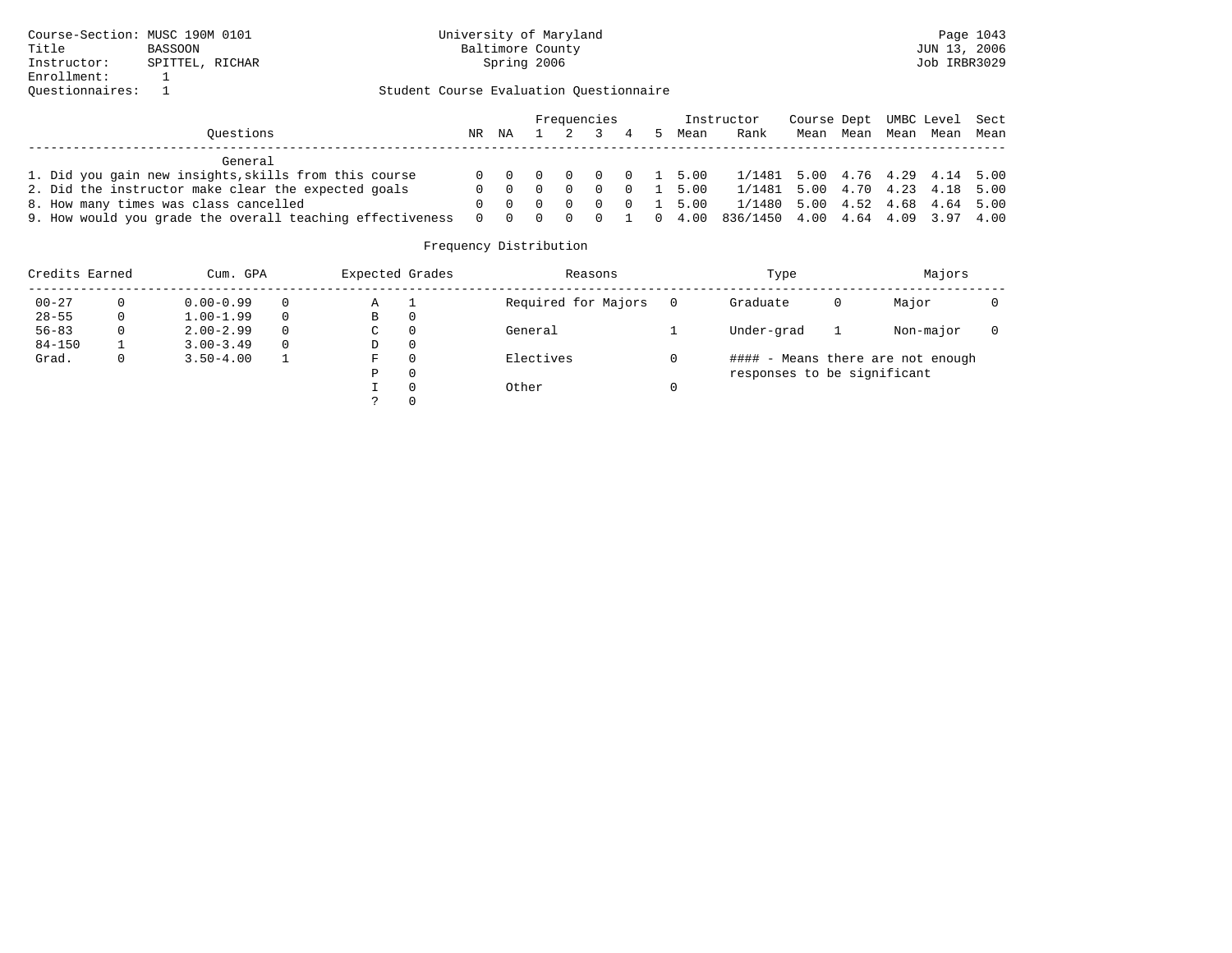|                                                           |    |                             |  | Frequencies |                 |                        | Instructor                                         | Course Dept UMBC Level Sect |      |      |           |  |
|-----------------------------------------------------------|----|-----------------------------|--|-------------|-----------------|------------------------|----------------------------------------------------|-----------------------------|------|------|-----------|--|
| Ouestions                                                 | NR | NA                          |  |             | $1 \t2 \t3 \t4$ | Mean                   | Rank                                               | Mean                        | Mean | Mean | Mean Mean |  |
| General                                                   |    |                             |  |             |                 |                        |                                                    |                             |      |      |           |  |
| 1. Did you gain new insights, skills from this course     |    |                             |  |             |                 |                        | 0 0 0 0 0 0 1 5.00 1/1481 5.00 4.76 4.29 4.14 5.00 |                             |      |      |           |  |
| 2. Did the instructor make clear the expected goals       |    | $0 \quad 0 \quad 0 \quad 0$ |  |             |                 | $0 \quad 1 \quad 5.00$ | 1/1481 5.00 4.70 4.23 4.18 5.00                    |                             |      |      |           |  |
| 8. How many times was class cancelled                     |    |                             |  |             |                 | 0 0 0 0 0 0 1 5.00     | 1/1480 5.00 4.52 4.68 4.64 5.00                    |                             |      |      |           |  |
| 9. How would you grade the overall teaching effectiveness |    |                             |  |             |                 | 0 0 0 0 0 1 0 4.00     | 836/1450 4.00 4.64 4.09 3.97 4.00                  |                             |      |      |           |  |

| Credits Earned |              | Cum. GPA      |          | Expected Grades |          | Reasons             | Type                        |   | Majors                            |  |
|----------------|--------------|---------------|----------|-----------------|----------|---------------------|-----------------------------|---|-----------------------------------|--|
| $00 - 27$      | 0            | $0.00 - 0.99$ | $\Omega$ | Α               |          | Required for Majors | Graduate                    | 0 | Major                             |  |
| $28 - 55$      | $\mathbf{0}$ | $1.00 - 1.99$ | $\Omega$ | В               | 0        |                     |                             |   |                                   |  |
| $56 - 83$      | 0            | $2.00 - 2.99$ | $\Omega$ | C               | $\Omega$ | General             | Under-grad                  |   | Non-major                         |  |
| $84 - 150$     |              | $3.00 - 3.49$ | $\Omega$ | D               | 0        |                     |                             |   |                                   |  |
| Grad.          | 0.           | $3.50 - 4.00$ |          | F               | $\Omega$ | Electives           |                             |   | #### - Means there are not enough |  |
|                |              |               |          | Ρ               | 0        |                     | responses to be significant |   |                                   |  |
|                |              |               |          |                 | $\Omega$ | Other               |                             |   |                                   |  |
|                |              |               |          |                 |          |                     |                             |   |                                   |  |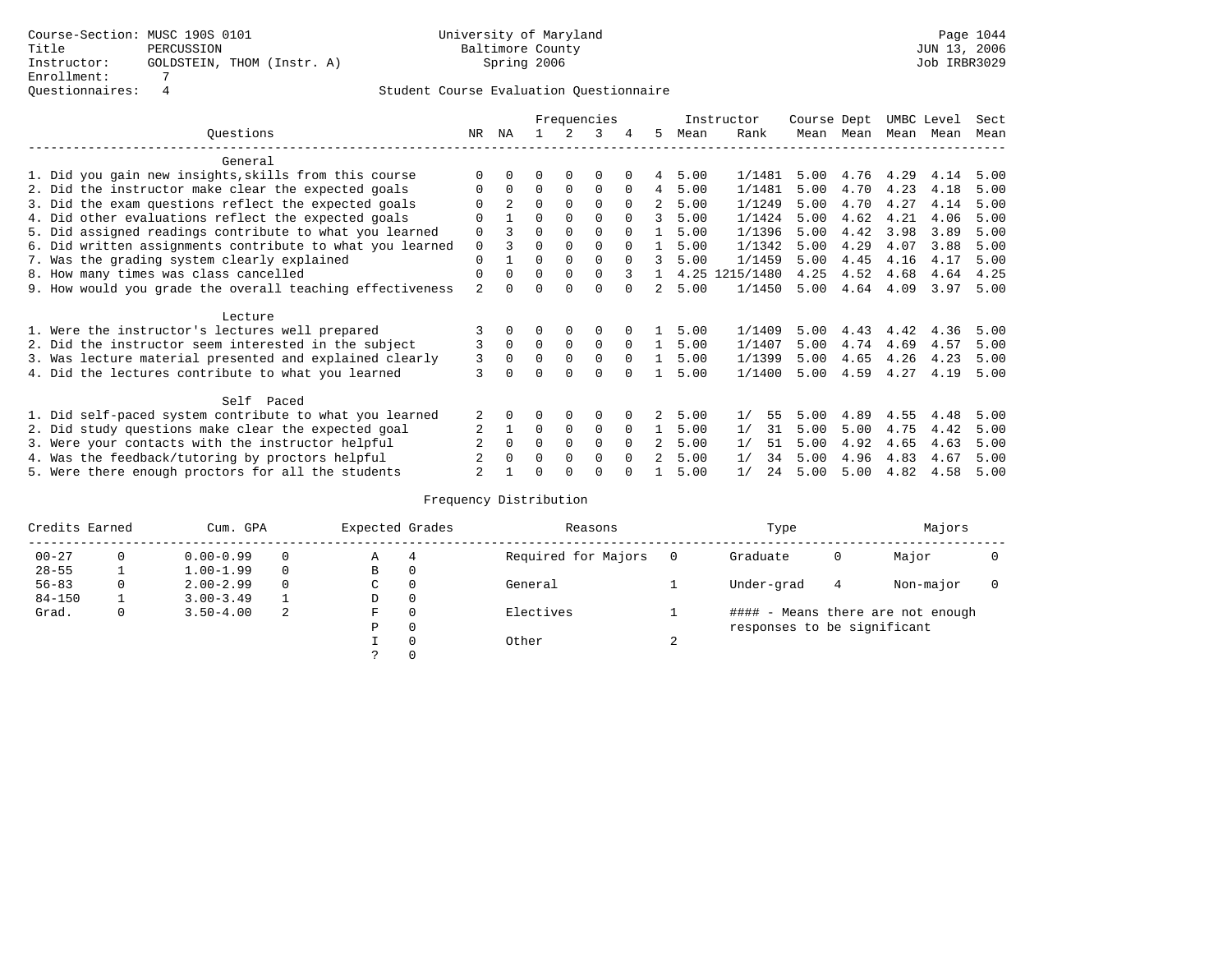|                                                           |                | Frequencies    |          |             |             |          |                |      | Instructor | Course Dept |      | UMBC Level |      | Sect |
|-----------------------------------------------------------|----------------|----------------|----------|-------------|-------------|----------|----------------|------|------------|-------------|------|------------|------|------|
| Ouestions                                                 | NR             | ΝA             |          | 2           | 3           |          | 5.             | Mean | Rank       | Mean        | Mean | Mean       | Mean | Mean |
| General                                                   |                |                |          |             |             |          |                |      |            |             |      |            |      |      |
| 1. Did you gain new insights, skills from this course     |                |                |          |             | $\Omega$    |          | 4              | 5.00 | 1/1481     | 5.00        | 4.76 | 4.29       | 4.14 | 5.00 |
| 2. Did the instructor make clear the expected goals       | $\Omega$       | $\Omega$       | $\Omega$ | $\Omega$    | $\Omega$    | $\Omega$ | $\overline{4}$ | 5.00 | 1/1481     | 5.00        | 4.70 | 4.23       | 4.18 | 5.00 |
| 3. Did the exam questions reflect the expected goals      |                | $\overline{2}$ | $\Omega$ |             | $\Omega$    | $\Omega$ | 2              | 5.00 | 1/1249     | 5.00        | 4.70 | 4.27       | 4.14 | 5.00 |
| 4. Did other evaluations reflect the expected goals       | $\Omega$       |                | $\Omega$ |             | $\Omega$    | $\Omega$ | 3              | 5.00 | 1/1424     | 5.00        | 4.62 | 4.21       | 4.06 | 5.00 |
| 5. Did assigned readings contribute to what you learned   | 0              |                | $\Omega$ |             |             |          |                | 5.00 | 1/1396     | 5.00        | 4.42 | 3.98       | 3.89 | 5.00 |
| 6. Did written assignments contribute to what you learned | $\mathbf 0$    | 3              | $\Omega$ | $\Omega$    | $\Omega$    | $\Omega$ | $\mathbf{1}$   | 5.00 | 1/1342     | 5.00        | 4.29 | 4.07       | 3.88 | 5.00 |
| 7. Was the grading system clearly explained               | $\Omega$       |                | $\Omega$ | $\Omega$    | $\Omega$    | $\Omega$ | 3              | 5.00 | 1/1459     | 5.00        | 4.45 | 4.16       | 4.17 | 5.00 |
| 8. How many times was class cancelled                     | $\Omega$       | <sup>0</sup>   | $\Omega$ | $\Omega$    | $\Omega$    | 3        | $\mathbf{1}$   | 4.25 | 1215/1480  | 4.25        | 4.52 | 4.68       | 4.64 | 4.25 |
| 9. How would you grade the overall teaching effectiveness | $\overline{2}$ |                | $\Omega$ | $\Omega$    | $\Omega$    |          |                | 5.00 | 1/1450     | 5.00        | 4.64 | 4.09       | 3.97 | 5.00 |
| Lecture                                                   |                |                |          |             |             |          |                |      |            |             |      |            |      |      |
| 1. Were the instructor's lectures well prepared           |                |                |          | 0           | 0           |          |                | 5.00 | 1/1409     | 5.00        | 4.43 | 4.42       | 4.36 | 5.00 |
| 2. Did the instructor seem interested in the subject      |                | $\Omega$       | $\Omega$ | $\Omega$    | $\Omega$    | $\Omega$ | $\mathbf{1}$   | 5.00 | 1/1407     | 5.00        |      | 4.74 4.69  | 4.57 | 5.00 |
| 3. Was lecture material presented and explained clearly   | 3              | $\Omega$       | $\Omega$ | $\Omega$    | $\Omega$    | $\Omega$ |                | 5.00 | 1/1399     | 5.00        | 4.65 | 4.26       | 4.23 | 5.00 |
| 4. Did the lectures contribute to what you learned        | 3              |                | $\Omega$ | $\Omega$    | $\Omega$    | $\cap$   |                | 5.00 | 1/1400     | 5.00        | 4.59 | 4.27       | 4.19 | 5.00 |
| Self Paced                                                |                |                |          |             |             |          |                |      |            |             |      |            |      |      |
| 1. Did self-paced system contribute to what you learned   | 2              | 0              | 0        | $\Omega$    | $\Omega$    |          | 2              | 5.00 | 1/<br>55   | 5.00        | 4.89 | 4.55       | 4.48 | 5.00 |
| 2. Did study questions make clear the expected goal       |                |                | $\Omega$ | $\mathbf 0$ | $\Omega$    | $\Omega$ | $\mathbf{1}$   | 5.00 | 1/<br>31   | 5.00        | 5.00 | 4.75       | 4.42 | 5.00 |
| 3. Were your contacts with the instructor helpful         |                | $\Omega$       | $\Omega$ | 0           | $\mathbf 0$ | $\Omega$ | $\overline{a}$ | 5.00 | 1/<br>51   | 5.00        | 4.92 | 4.65       | 4.63 | 5.00 |
| 4. Was the feedback/tutoring by proctors helpful          |                |                | $\Omega$ | $\Omega$    | $\Omega$    | $\Omega$ |                | 5.00 | 1/<br>34   | 5.00        | 4.96 | 4.83       | 4.67 | 5.00 |
| 5. Were there enough proctors for all the students        |                |                | O        |             | ∩           |          |                | 5.00 | 1/<br>24   | 5.00        | 5.00 | 4.82       | 4.58 | 5.00 |

| Credits Earned |              | Cum. GPA      |          | Expected Grades |          | Reasons             |        | Type                        |   | Majors                            |  |
|----------------|--------------|---------------|----------|-----------------|----------|---------------------|--------|-----------------------------|---|-----------------------------------|--|
| $00 - 27$      |              | $0.00 - 0.99$ |          | Α               | 4        | Required for Majors |        | Graduate                    | 0 | Major                             |  |
| $28 - 55$      |              | $1.00 - 1.99$ | $\Omega$ | В               | 0        |                     |        |                             |   |                                   |  |
| $56 - 83$      |              | $2.00 - 2.99$ |          | C.              | $\Omega$ | General             |        | Under-grad                  | 4 | Non-major                         |  |
| $84 - 150$     |              | $3.00 - 3.49$ |          | D               | 0        |                     |        |                             |   |                                   |  |
| Grad.          | $\mathbf{0}$ | $3.50 - 4.00$ | -2       | F               | $\Omega$ | Electives           |        |                             |   | #### - Means there are not enough |  |
|                |              |               |          | Ρ               | 0        |                     |        | responses to be significant |   |                                   |  |
|                |              |               |          |                 | $\Omega$ | Other               | $\sim$ |                             |   |                                   |  |
|                |              |               |          |                 |          |                     |        |                             |   |                                   |  |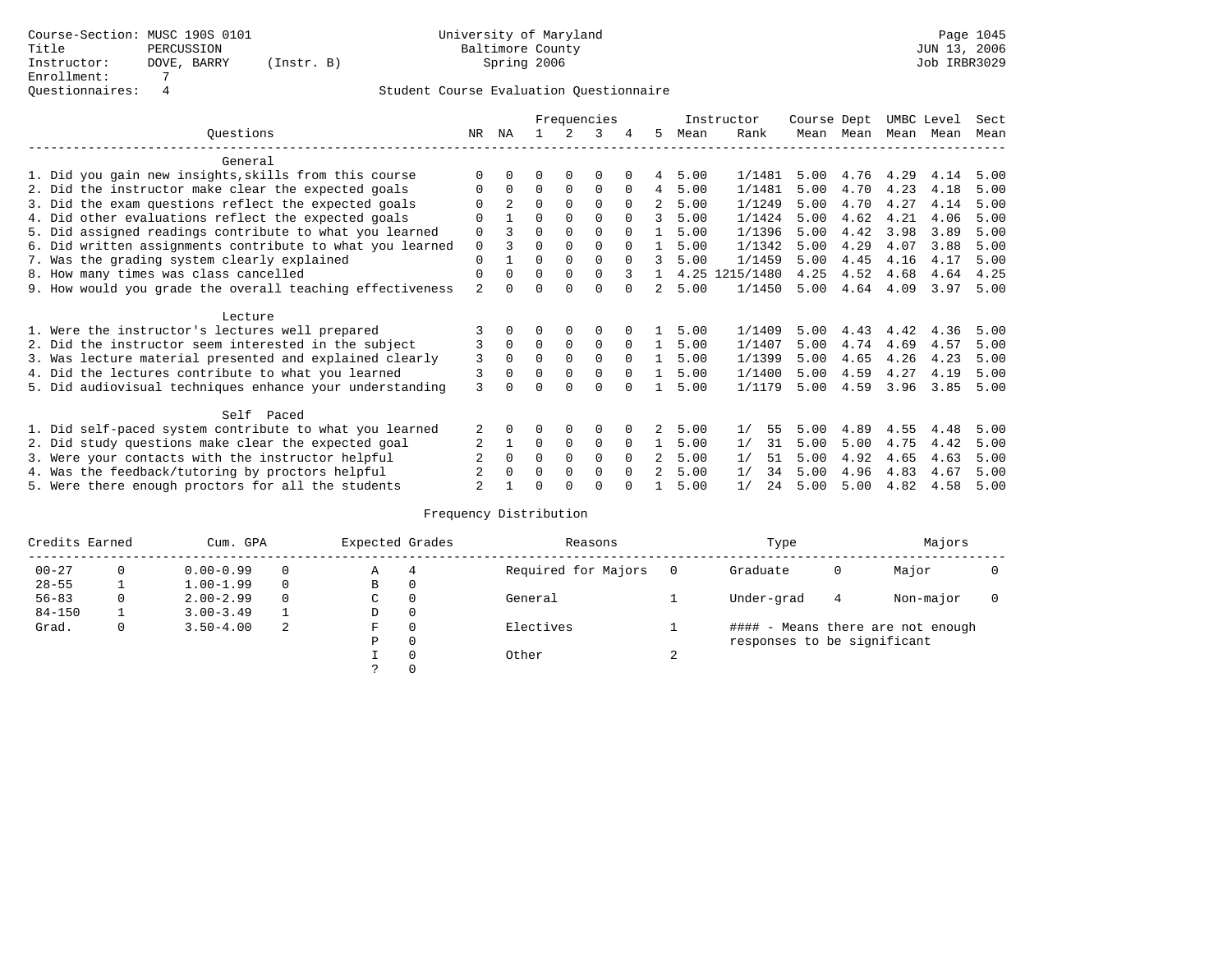|                                                           |                | Frequencies    |          |             |             |          |                |      | Instructor | Course Dept |      |      | UMBC Level | Sect |
|-----------------------------------------------------------|----------------|----------------|----------|-------------|-------------|----------|----------------|------|------------|-------------|------|------|------------|------|
| Questions                                                 | NR             | ΝA             |          |             | 3           |          | 5.             | Mean | Rank       | Mean        | Mean | Mean | Mean       | Mean |
| General                                                   |                |                |          |             |             |          |                |      |            |             |      |      |            |      |
| 1. Did you gain new insights, skills from this course     | $\Omega$       |                |          |             | O           |          | 4              | 5.00 | 1/1481     | 5.00        | 4.76 | 4.29 | 4.14       | 5.00 |
| 2. Did the instructor make clear the expected goals       | $\Omega$       | $\Omega$       | $\Omega$ | $\Omega$    | $\Omega$    | $\Omega$ | 4              | 5.00 | 1/1481     | 5.00        | 4.70 | 4.23 | 4.18       | 5.00 |
| 3. Did the exam questions reflect the expected goals      | U              | $\overline{2}$ | $\Omega$ | $\Omega$    | $\Omega$    | $\Omega$ | 2              | 5.00 | 1/1249     | 5.00        | 4.70 | 4.27 | 4.14       | 5.00 |
| 4. Did other evaluations reflect the expected goals       | 0              |                | 0        | $\Omega$    | $\Omega$    | $\Omega$ | 3              | 5.00 | 1/1424     | 5.00        | 4.62 | 4.21 | 4.06       | 5.00 |
| 5. Did assigned readings contribute to what you learned   | $\mathbf 0$    |                | 0        | $\Omega$    | $\Omega$    | $\Omega$ | $\mathbf{1}$   | 5.00 | 1/1396     | 5.00        | 4.42 | 3.98 | 3.89       | 5.00 |
| 6. Did written assignments contribute to what you learned | $\mathbf 0$    |                | $\Omega$ | $\Omega$    | $\Omega$    | $\Omega$ |                | 5.00 | 1/1342     | 5.00        | 4.29 | 4.07 | 3.88       | 5.00 |
| 7. Was the grading system clearly explained               | $\Omega$       |                | $\Omega$ | $\Omega$    | $\Omega$    | $\cap$   | 3              | 5.00 | 1/1459     | 5.00        | 4.45 | 4.16 | 4.17       | 5.00 |
| 8. How many times was class cancelled                     | $\mathbf 0$    | $\Omega$       | $\Omega$ | $\Omega$    | $\Omega$    |          |                | 4.25 | 1215/1480  | 4.25        | 4.52 | 4.68 | 4.64       | 4.25 |
| 9. How would you grade the overall teaching effectiveness | $\overline{a}$ | ∩              | $\Omega$ | $\cap$      | $\Omega$    | $\cap$   | $\mathfrak{D}$ | 5.00 | 1/1450     | 5.00        | 4.64 | 4.09 | 3.97       | 5.00 |
| Lecture                                                   |                |                |          |             |             |          |                |      |            |             |      |      |            |      |
| 1. Were the instructor's lectures well prepared           |                | 0              | 0        | $\Omega$    | $\Omega$    |          |                | 5.00 | 1/1409     | 5.00        | 4.43 | 4.42 | 4.36       | 5.00 |
| 2. Did the instructor seem interested in the subject      | 3              | $\Omega$       | $\Omega$ | $\mathbf 0$ | $\mathbf 0$ | $\Omega$ | $\mathbf{1}$   | 5.00 | 1/1407     | 5.00        | 4.74 | 4.69 | 4.57       | 5.00 |
| 3. Was lecture material presented and explained clearly   | 3              | $\Omega$       | $\Omega$ | $\Omega$    | $\Omega$    | $\Omega$ |                | 5.00 | 1/1399     | 5.00        | 4.65 | 4.26 | 4.23       | 5.00 |
| 4. Did the lectures contribute to what you learned        | 3              | $\Omega$       | 0        | $\Omega$    | $\Omega$    | $\Omega$ |                | 5.00 | 1/1400     | 5.00        | 4.59 | 4.27 | 4.19       | 5.00 |
| 5. Did audiovisual techniques enhance your understanding  | 3              | n              |          | ∩           | $\cap$      | $\cap$   |                | 5.00 | 1/1179     | 5.00        | 4.59 | 3.96 | 3.85       | 5.00 |
| Self Paced                                                |                |                |          |             |             |          |                |      |            |             |      |      |            |      |
| 1. Did self-paced system contribute to what you learned   |                |                | 0        | $\Omega$    | $\Omega$    |          |                | 5.00 | 1/<br>55   | 5.00        | 4.89 | 4.55 | 4.48       | 5.00 |
| 2. Did study questions make clear the expected goal       |                |                | $\Omega$ | $\Omega$    | $\Omega$    | $\Omega$ | 1              | 5.00 | 1/<br>31   | 5.00        | 5.00 | 4.75 | 4.42       | 5.00 |
| 3. Were your contacts with the instructor helpful         |                | $\Omega$       | 0        | $\mathbf 0$ | $\Omega$    | $\Omega$ | $\mathfrak{D}$ | 5.00 | 1/<br>51   | 5.00        | 4.92 | 4.65 | 4.63       | 5.00 |
| 4. Was the feedback/tutoring by proctors helpful          |                |                | $\Omega$ | $\Omega$    | $\Omega$    | $\Omega$ |                | 5.00 | 1/<br>34   | 5.00        | 4.96 | 4.83 | 4.67       | 5.00 |
| 5. Were there enough proctors for all the students        |                |                | $\Omega$ | $\cap$      | $\cap$      |          |                | 5.00 | 1/<br>24   | 5.00        | 5.00 | 4.82 | 4.58       | 5.00 |

| Credits Earned |   | Cum. GPA      |   | Expected Grades |          | Reasons             | Type                        |   | Majors                            |  |
|----------------|---|---------------|---|-----------------|----------|---------------------|-----------------------------|---|-----------------------------------|--|
| $00 - 27$      |   | $0.00 - 0.99$ |   | Α               |          | Required for Majors | Graduate                    | 0 | Major                             |  |
| $28 - 55$      |   | $1.00 - 1.99$ | 0 | В               | 0        |                     |                             |   |                                   |  |
| $56 - 83$      |   | $2.00 - 2.99$ |   | C               | $\Omega$ | General             | Under-grad                  | 4 | Non-major                         |  |
| $84 - 150$     |   | $3.00 - 3.49$ |   | D               | 0        |                     |                             |   |                                   |  |
| Grad.          | 0 | $3.50 - 4.00$ | 2 | F               | $\Omega$ | Electives           |                             |   | #### - Means there are not enough |  |
|                |   |               |   | Ρ               | 0        |                     | responses to be significant |   |                                   |  |
|                |   |               |   |                 |          | Other               |                             |   |                                   |  |
|                |   |               |   |                 |          |                     |                             |   |                                   |  |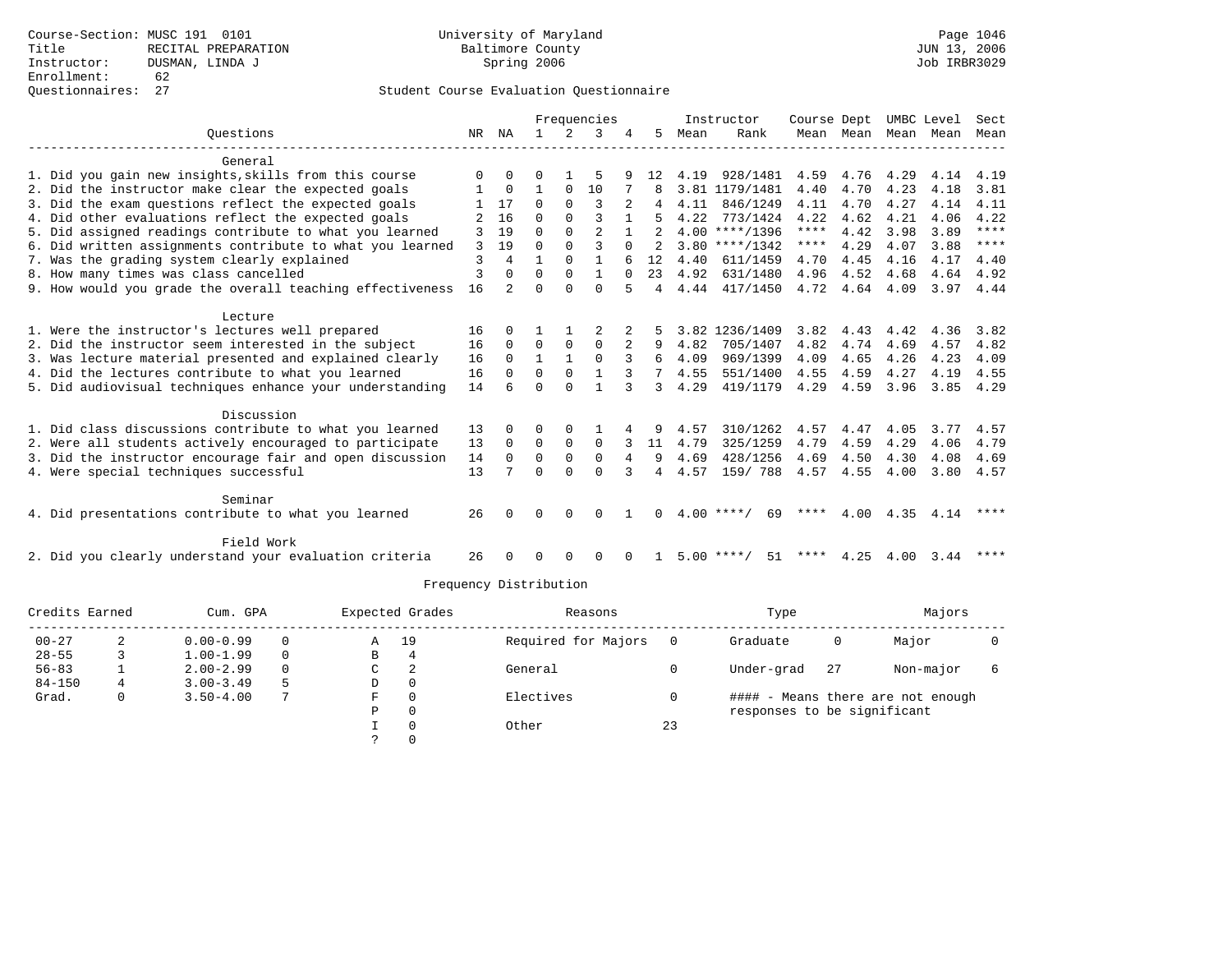|                                                           |    |             |              |              | Frequencies    |                |                |      | Instructor         | Course Dept |                     |                | UMBC Level | Sect        |
|-----------------------------------------------------------|----|-------------|--------------|--------------|----------------|----------------|----------------|------|--------------------|-------------|---------------------|----------------|------------|-------------|
| Ouestions                                                 | NR | NA          | $\mathbf{1}$ | $2^{1}$      | 3              |                | 5              | Mean | Rank               |             | Mean Mean Mean Mean |                |            | Mean        |
|                                                           |    |             |              |              |                |                |                |      |                    |             |                     |                |            |             |
| General                                                   |    |             |              |              |                |                |                |      |                    |             |                     |                |            |             |
| 1. Did you gain new insights, skills from this course     |    | $\Omega$    |              |              |                |                | 12             | 4.19 | 928/1481           | 4.59        | 4.76 4.29           |                | 4.14       | 4.19        |
| 2. Did the instructor make clear the expected goals       |    | $\mathbf 0$ | $\mathbf{1}$ | $\mathbf 0$  | 10             |                |                |      | 3.81 1179/1481     | 4.40        | 4.70                | 4.23           | 4.18       | 3.81        |
| 3. Did the exam questions reflect the expected goals      |    | 17          | $\Omega$     | $\Omega$     | $\mathbf{3}$   | $\overline{a}$ |                | 4.11 | 846/1249           | 4.11        | 4.70                | 4.27           | 4.14       | 4.11        |
| 4. Did other evaluations reflect the expected goals       |    | 16          | $\Omega$     | $\Omega$     |                |                |                | 4.22 | 773/1424           | 4.22        | 4.62                | 4.21           | 4.06       | 4.22        |
| 5. Did assigned readings contribute to what you learned   | 3  | 19          | $\Omega$     | $\Omega$     | $\overline{a}$ |                |                |      | $4.00$ ****/1396   | $***$ * * * | 4.42                | 3.98           | 3.89       | $***$ *     |
| 6. Did written assignments contribute to what you learned | 3  | 19          | $\Omega$     | $\Omega$     | ς              | $\Omega$       |                |      | $3.80$ ****/1342   | $***$ * *   | 4.29                | 4.07           | 3.88       | ****        |
| 7. Was the grading system clearly explained               | 3  | 4           | $\mathbf{1}$ | $\Omega$     | $\mathbf{1}$   |                | 12             | 4.40 | 611/1459           | 4.70        | 4.45                | 4.16           | 4.17       | 4.40        |
| 8. How many times was class cancelled                     | 3  | $\Omega$    | $\Omega$     | $\Omega$     | $\mathbf{1}$   | $\Omega$       | 23             |      | 4.92 631/1480      |             | 4.96 4.52           | 4.68           |            | 4.64 4.92   |
| 9. How would you grade the overall teaching effectiveness | 16 | $2^{\circ}$ | $\cap$       | $\cap$       | $\cap$         |                | $\overline{4}$ |      | 4.44 417/1450      |             | 4.72 4.64 4.09      |                |            | 3.97 4.44   |
| Lecture                                                   |    |             |              |              |                |                |                |      |                    |             |                     |                |            |             |
| 1. Were the instructor's lectures well prepared           | 16 | 0           |              |              |                |                |                |      | 3.82 1236/1409     | 3.82        | 4.43                | 4.42           | 4.36       | 3.82        |
| 2. Did the instructor seem interested in the subject      | 16 | $\Omega$    | $\Omega$     | $\Omega$     | $\Omega$       | 2              | 9              | 4.82 | 705/1407           | 4.82        | 4.74                | 4.69           | 4.57       | 4.82        |
| 3. Was lecture material presented and explained clearly   | 16 | $\Omega$    | $\mathbf{1}$ | $\mathbf{1}$ | $\Omega$       |                | 6              | 4.09 | 969/1399           | 4.09        | 4.65                | 4.26           | 4.23       | 4.09        |
| 4. Did the lectures contribute to what you learned        | 16 | $\Omega$    | $\Omega$     | $\Omega$     | $\mathbf{1}$   | 3              | $7^{\circ}$    | 4.55 | 551/1400           | 4.55        | 4.59                | 4.27           | 4.19       | 4.55        |
| 5. Did audiovisual techniques enhance your understanding  | 14 |             | $\cap$       | $\cap$       |                |                | $\mathcal{L}$  | 4.29 | 419/1179           | 4.29        | 4.59                | 3.96           | 3.85       | 4.29        |
|                                                           |    |             |              |              |                |                |                |      |                    |             |                     |                |            |             |
| Discussion                                                |    |             |              |              |                |                |                |      |                    |             |                     |                |            |             |
| 1. Did class discussions contribute to what you learned   | 13 | $\Omega$    | $\Omega$     | $\Omega$     |                |                | 9              | 4.57 | 310/1262           | 4.57        | 4.47                | 4.05           | 3.77       | 4.57        |
| 2. Were all students actively encouraged to participate   | 13 | $\Omega$    | $\Omega$     | $\Omega$     | $\Omega$       |                | 11             | 4.79 | 325/1259           | 4.79        | 4.59                | 4.29           | 4.06       | 4.79        |
| 3. Did the instructor encourage fair and open discussion  | 14 | $\Omega$    | $\Omega$     | $\Omega$     | $\Omega$       |                | 9              | 4.69 | 428/1256           | 4.69        | 4.50                | 4.30           | 4.08       | 4.69        |
| 4. Were special techniques successful                     | 13 |             | $\Omega$     | $\Omega$     | $\Omega$       |                | $\overline{4}$ | 4.57 | 159/788            |             | 4.57 4.55           | 4.00           | 3.80       | 4.57        |
| Seminar                                                   |    |             |              |              |                |                |                |      |                    |             |                     |                |            |             |
| 4. Did presentations contribute to what you learned       | 26 |             | $\Omega$     | $\Omega$     | $\Omega$       |                | 0              |      | $4.00$ ****/<br>69 | ****        |                     | 4.00 4.35 4.14 |            | ****        |
|                                                           |    |             |              |              |                |                |                |      |                    |             |                     |                |            |             |
| Field Work                                                |    |             |              |              |                |                |                |      |                    |             |                     |                |            |             |
| 2. Did you clearly understand your evaluation criteria    | 26 |             | $\Omega$     | $\Omega$     | $\Omega$       | $\Omega$       |                |      | 51<br>$5.00$ ****/ |             | **** $4.25$         | 4.00 3.44      |            | $***$ * * * |

| Credits Earned |   | Cum. GPA      |          |   | Expected Grades | Reasons             |    | Type                        |    | Majors                            |  |
|----------------|---|---------------|----------|---|-----------------|---------------------|----|-----------------------------|----|-----------------------------------|--|
| $00 - 27$      | 2 | $0.00 - 0.99$ | $\Omega$ | Α | 19              | Required for Majors |    | Graduate                    | 0  | Major                             |  |
| $28 - 55$      |   | $1.00 - 1.99$ | $\Omega$ | В |                 |                     |    |                             |    |                                   |  |
| $56 - 83$      |   | $2.00 - 2.99$ | $\Omega$ | C | 2               | General             |    | Under-grad                  | 27 | Non-major                         |  |
| $84 - 150$     | 4 | $3.00 - 3.49$ | 5        | D | 0               |                     |    |                             |    |                                   |  |
| Grad.          |   | $3.50 - 4.00$ |          | F |                 | Electives           |    |                             |    | #### - Means there are not enough |  |
|                |   |               |          | P | $\Omega$        |                     |    | responses to be significant |    |                                   |  |
|                |   |               |          |   |                 | Other               | 23 |                             |    |                                   |  |
|                |   |               |          |   |                 |                     |    |                             |    |                                   |  |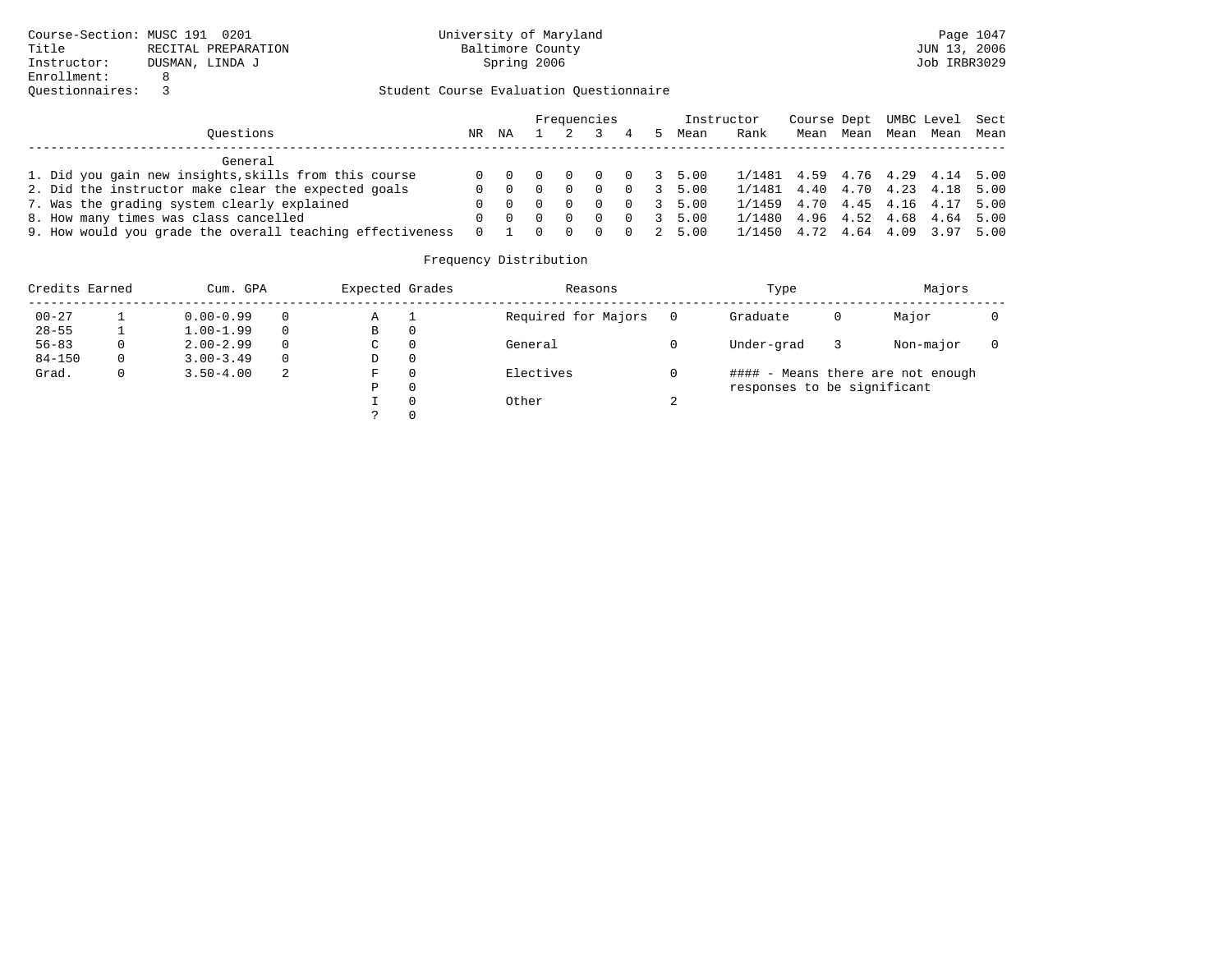|                                                           |          |                                     |                |          | Frequencies    |          |   |                        | Instructor                      | Course Dept UMBC Level Sect |  |                          |  |
|-----------------------------------------------------------|----------|-------------------------------------|----------------|----------|----------------|----------|---|------------------------|---------------------------------|-----------------------------|--|--------------------------|--|
| Ouestions                                                 | NR       | ΝA                                  |                |          |                | 4        | 5 | Mean                   | Rank                            |                             |  | Mean Mean Mean Mean Mean |  |
| General                                                   |          |                                     |                |          |                |          |   |                        |                                 |                             |  |                          |  |
| 1. Did you gain new insights, skills from this course     |          | $0 \quad 0 \quad 0$                 |                | $\sim$ 0 | $\overline{0}$ |          |   | $0 \t3 \t5.00$         | 1/1481 4.59 4.76 4.29 4.14 5.00 |                             |  |                          |  |
| 2. Did the instructor make clear the expected goals       | 0        | $\begin{matrix} 0 & 0 \end{matrix}$ |                | $\Omega$ | $\Omega$       |          |   | $0 \quad 3 \quad 5.00$ | 1/1481 4.40 4.70 4.23 4.18 5.00 |                             |  |                          |  |
| 7. Was the grading system clearly explained               |          | $\begin{matrix} 0 & 0 \end{matrix}$ |                | - 0      | $\Omega$       |          |   | $0 \t3 \t5.00$         | 1/1459 4.70 4.45 4.16 4.17 5.00 |                             |  |                          |  |
| 8. How many times was class cancelled                     | 0        | $\Omega$                            | $\overline{0}$ | $\Omega$ | $\Omega$       |          |   | $0 \t3 \t5.00$         | 1/1480 4.96 4.52 4.68 4.64 5.00 |                             |  |                          |  |
| 9. How would you grade the overall teaching effectiveness | $\Omega$ |                                     |                |          | $\Omega$       | $\Omega$ |   | 2 5.00                 | 1/1450 4.72 4.64 4.09 3.97 5.00 |                             |  |                          |  |

| Credits Earned |   | Cum. GPA      |          | Expected Grades | Reasons             |   | Type                        |   | Majors                            |  |
|----------------|---|---------------|----------|-----------------|---------------------|---|-----------------------------|---|-----------------------------------|--|
| $00 - 27$      |   | $0.00 - 0.99$ | 0        | Α               | Required for Majors |   | Graduate                    | 0 | Major                             |  |
| $28 - 55$      |   | $1.00 - 1.99$ | $\Omega$ | В               |                     |   |                             |   |                                   |  |
| $56 - 83$      | 0 | $2.00 - 2.99$ | $\Omega$ | C               | General             |   | Under-grad                  |   | Non-major                         |  |
| $84 - 150$     | 0 | $3.00 - 3.49$ | $\Omega$ | D               |                     |   |                             |   |                                   |  |
| Grad.          |   | $3.50 - 4.00$ | 2        | F               | Electives           |   |                             |   | #### - Means there are not enough |  |
|                |   |               |          | P               |                     |   | responses to be significant |   |                                   |  |
|                |   |               |          |                 | Other               | ∠ |                             |   |                                   |  |
|                |   |               |          |                 |                     |   |                             |   |                                   |  |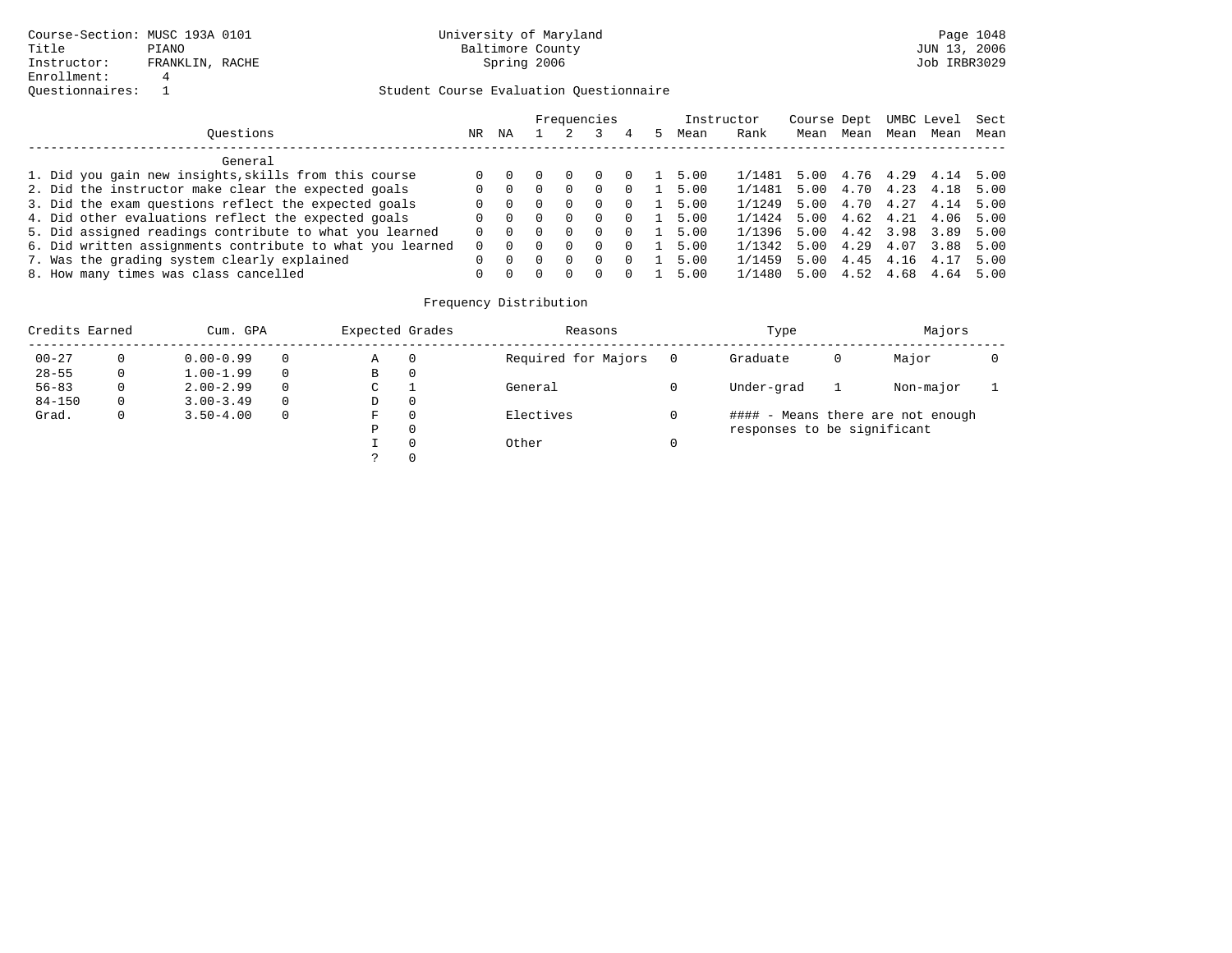|                                                           |     |          |   |                  | Frequencies |          | Instructor |        | Course Dept |           | UMBC Level     |      | Sect |
|-----------------------------------------------------------|-----|----------|---|------------------|-------------|----------|------------|--------|-------------|-----------|----------------|------|------|
| Ouestions                                                 | NR. | ΝA       |   |                  |             | 4        | Mean       | Rank   | Mean        | Mean      | Mean           | Mean | Mean |
| General                                                   |     |          |   |                  |             |          |            |        |             |           |                |      |      |
| 1. Did you gain new insights, skills from this course     |     |          |   |                  |             | <b>U</b> | 5.00       | 1/1481 | 5.00        |           | 4.76 4.29 4.14 |      | 5.00 |
| 2. Did the instructor make clear the expected goals       |     | - 0      |   | $\left( \right)$ | $\Omega$    | $\Omega$ | 5.00       | 1/1481 | 5.00        | 4.70 4.23 |                | 4.18 | 5.00 |
| 3. Did the exam questions reflect the expected goals      |     | $\Omega$ | 0 | $\Omega$         | $\Omega$    | $\Omega$ | 5.00       | 1/1249 | 5.00        | 4.70 4.27 |                | 4.14 | 5.00 |
| 4. Did other evaluations reflect the expected goals       |     | $\Omega$ |   | $\Omega$         | $\Omega$    | $\Omega$ | 5.00       | 1/1424 | 5.00        | 4.62 4.21 |                | 4.06 | 5.00 |
| 5. Did assigned readings contribute to what you learned   |     | 0 0      |   | $\Omega$         | $\Omega$    | $\Omega$ | 5.00       | 1/1396 | 5.00        | 4.42 3.98 |                | 3.89 | 5.00 |
| 6. Did written assignments contribute to what you learned |     | $\Omega$ |   | $\Omega$         | $\Omega$    | $\Omega$ | 5.00       | 1/1342 | 5.00        | 4.29      | 4.07           | 3.88 | 5.00 |
| 7. Was the grading system clearly explained               |     |          |   | $\cap$           | $\Omega$    | $\Omega$ | 5.00       | 1/1459 | 5.00        | 4.45 4.16 |                | 4.17 | 5.00 |
| 8. How many times was class cancelled                     |     | $\cap$   |   | <sup>n</sup>     |             |          | 5.00       | 1/1480 | 5.00        | 4.52      | 4.68           | 4.64 | 5.00 |

| Credits Earned |   | Cum. GPA      |             | Expected Grades |          | Reasons             | Type                        |   | Majors                       |  |
|----------------|---|---------------|-------------|-----------------|----------|---------------------|-----------------------------|---|------------------------------|--|
| $00 - 27$      |   | $0.00 - 0.99$ | $\Omega$    | А               |          | Required for Majors | Graduate                    | 0 | Major                        |  |
| $28 - 55$      | 0 | $1.00 - 1.99$ | $\Omega$    | В               | 0        |                     |                             |   |                              |  |
| $56 - 83$      | 0 | $2.00 - 2.99$ | $\Omega$    | C               |          | General             | Under-grad                  |   | Non-major                    |  |
| $84 - 150$     | 0 | $3.00 - 3.49$ | $\Omega$    | D               | - 0      |                     |                             |   |                              |  |
| Grad.          | 0 | $3.50 - 4.00$ | $\mathbf 0$ | F               | 0        | Electives           | ####                        |   | - Means there are not enough |  |
|                |   |               |             | D               | 0        |                     | responses to be significant |   |                              |  |
|                |   |               |             |                 | $\Omega$ | Other               |                             |   |                              |  |
|                |   |               |             |                 | $\Omega$ |                     |                             |   |                              |  |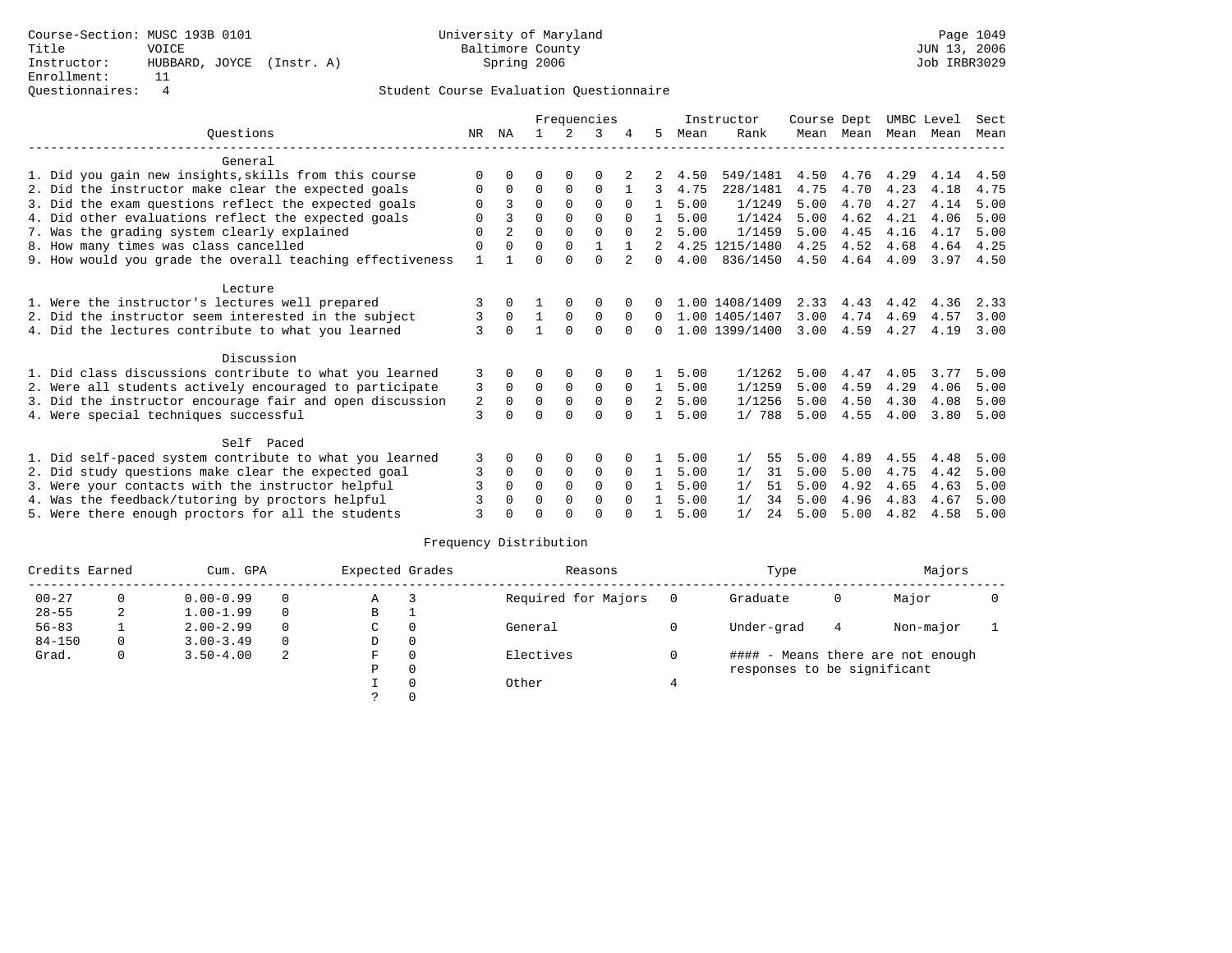|                                                           |     |                |          |             | Frequencies |          |                |      | Instructor         | Course Dept |                |                     | UMBC Level | Sect      |
|-----------------------------------------------------------|-----|----------------|----------|-------------|-------------|----------|----------------|------|--------------------|-------------|----------------|---------------------|------------|-----------|
| Ouestions                                                 | NR. | ΝA             |          | 2           | 3           | 4        | 5.             | Mean | Rank               |             |                | Mean Mean Mean Mean |            | Mean      |
| General                                                   |     |                |          |             |             |          |                |      |                    |             |                |                     |            |           |
| 1. Did you gain new insights, skills from this course     |     |                |          |             |             |          |                | 4.50 | 549/1481           | 4.50        | 4.76           | 4.29                | 4.14       | 4.50      |
| 2. Did the instructor make clear the expected goals       | 0   | 0              | 0        | 0           | $\Omega$    |          | $\mathcal{R}$  | 4.75 | 228/1481           | 4.75        | 4.70           | 4.23                | 4.18       | 4.75      |
| 3. Did the exam questions reflect the expected goals      |     | 3              | 0        | $\Omega$    | $\Omega$    | $\Omega$ | 1              | 5.00 | 1/1249             | 5.00        | 4.70           | 4.27                | 4.14       | 5.00      |
| 4. Did other evaluations reflect the expected goals       | 0   | २              | $\Omega$ | $\Omega$    | $\Omega$    | $\Omega$ | $\overline{1}$ | 5.00 | 1/1424             | 5.00        | 4.62           | 4.21                | 4.06       | 5.00      |
| 7. Was the grading system clearly explained               | 0   | $\overline{a}$ | $\Omega$ | $\Omega$    | $\Omega$    | $\Omega$ | $\overline{2}$ | 5.00 | 1/1459             | 5.00        | 4.45           | 4.16                | 4.17       | 5.00      |
| 8. How many times was class cancelled                     | 0   | $\Omega$       | 0        | $\Omega$    |             |          |                |      | 4.25 1215/1480     | 4.25        | 4.52           | 4.68                | 4.64       | 4.25      |
| 9. How would you grade the overall teaching effectiveness |     |                |          |             | $\Omega$    |          | $\Omega$       | 4.00 | 836/1450           |             | 4.50 4.64 4.09 |                     |            | 3.97 4.50 |
| Lecture                                                   |     |                |          |             |             |          |                |      |                    |             |                |                     |            |           |
| 1. Were the instructor's lectures well prepared           |     |                |          |             | 0           |          |                |      | 1.00 1408/1409     |             | 2.33 4.43      | 4.42                | 4.36       | 2.33      |
| 2. Did the instructor seem interested in the subject      | 3   | $\Omega$       |          | $\Omega$    | $\Omega$    | $\Omega$ |                |      | $0$ 1.00 1405/1407 | 3.00        | 4.74           | 4.69                | 4.57       | 3.00      |
| 4. Did the lectures contribute to what you learned        | 3   | $\Omega$       |          | $\Omega$    | $\Omega$    |          | $\Omega$       |      | 1.00 1399/1400     | 3.00        | 4.59           | 4.27                | 4.19       | 3.00      |
| Discussion                                                |     |                |          |             |             |          |                |      |                    |             |                |                     |            |           |
| 1. Did class discussions contribute to what you learned   | 3   | $\Omega$       | 0        | 0           | 0           |          | $\mathbf{1}$   | 5.00 | 1/1262             | 5.00        | 4.47           | 4.05                | 3.77       | 5.00      |
| 2. Were all students actively encouraged to participate   | 3   | $\Omega$       | $\Omega$ | $\mathbf 0$ | 0           | $\Omega$ | $\mathbf{1}$   | 5.00 | 1/1259             | 5.00        | 4.59           | 4.29                | 4.06       | 5.00      |
| 3. Did the instructor encourage fair and open discussion  | 2   | $\Omega$       | 0        | $\mathbf 0$ | $\Omega$    | $\Omega$ | $\overline{2}$ | 5.00 | 1/1256             | 5.00        | 4.50           | 4.30                | 4.08       | 5.00      |
| 4. Were special techniques successful                     | 3   |                |          | 0           | $\Omega$    | $\Omega$ |                | 5.00 | 1/788              | 5.00        | 4.55           | 4.00                | 3.80       | 5.00      |
| Self Paced                                                |     |                |          |             |             |          |                |      |                    |             |                |                     |            |           |
| 1. Did self-paced system contribute to what you learned   | 3   | 0              | 0        | 0           | 0           | 0        | $\mathbf{1}$   | 5.00 | 55<br>1/           | 5.00        | 4.89           | 4.55                | 4.48       | 5.00      |
| 2. Did study questions make clear the expected goal       | 3   | $\Omega$       | $\Omega$ | $\mathbf 0$ | $\mathbf 0$ | $\Omega$ | 1              | 5.00 | 1/<br>31           | 5.00        | 5.00           | 4.75                | 4.42       | 5.00      |
| 3. Were your contacts with the instructor helpful         |     |                | 0        | $\Omega$    | $\Omega$    | $\Omega$ |                | 5.00 | 51<br>1/           | 5.00        | 4.92           | 4.65                | 4.63       | 5.00      |
| 4. Was the feedback/tutoring by proctors helpful          |     |                | 0        | $\Omega$    | $\Omega$    | $\cap$   |                | 5.00 | 1/<br>34           | 5.00        | 4.96           | 4.83                | 4.67       | 5.00      |
| 5. Were there enough proctors for all the students        |     |                |          |             | 0           | $\cap$   |                | 5.00 | 1/<br>2.4          | 5.00        | 5.00           | 4.82                | 4.58       | 5.00      |

| Credits Earned | Cum. GPA      |          | Expected Grades |   | Reasons             | Type                        |   | Majors                            |  |
|----------------|---------------|----------|-----------------|---|---------------------|-----------------------------|---|-----------------------------------|--|
| $00 - 27$      | $0.00 - 0.99$ |          | Α               |   | Required for Majors | Graduate                    | 0 | Major                             |  |
| $28 - 55$      | $1.00 - 1.99$ | $\Omega$ | В               |   |                     |                             |   |                                   |  |
| $56 - 83$      | $2.00 - 2.99$ | $\Omega$ | C               | 0 | General             | Under-grad                  | 4 | Non-major                         |  |
| $84 - 150$     | $3.00 - 3.49$ | $\Omega$ | D               | 0 |                     |                             |   |                                   |  |
| Grad.          | $3.50 - 4.00$ | -2       | F               | 0 | Electives           |                             |   | #### - Means there are not enough |  |
|                |               |          | Р               | 0 |                     | responses to be significant |   |                                   |  |
|                |               |          |                 | 0 | Other               |                             |   |                                   |  |
|                |               |          |                 |   |                     |                             |   |                                   |  |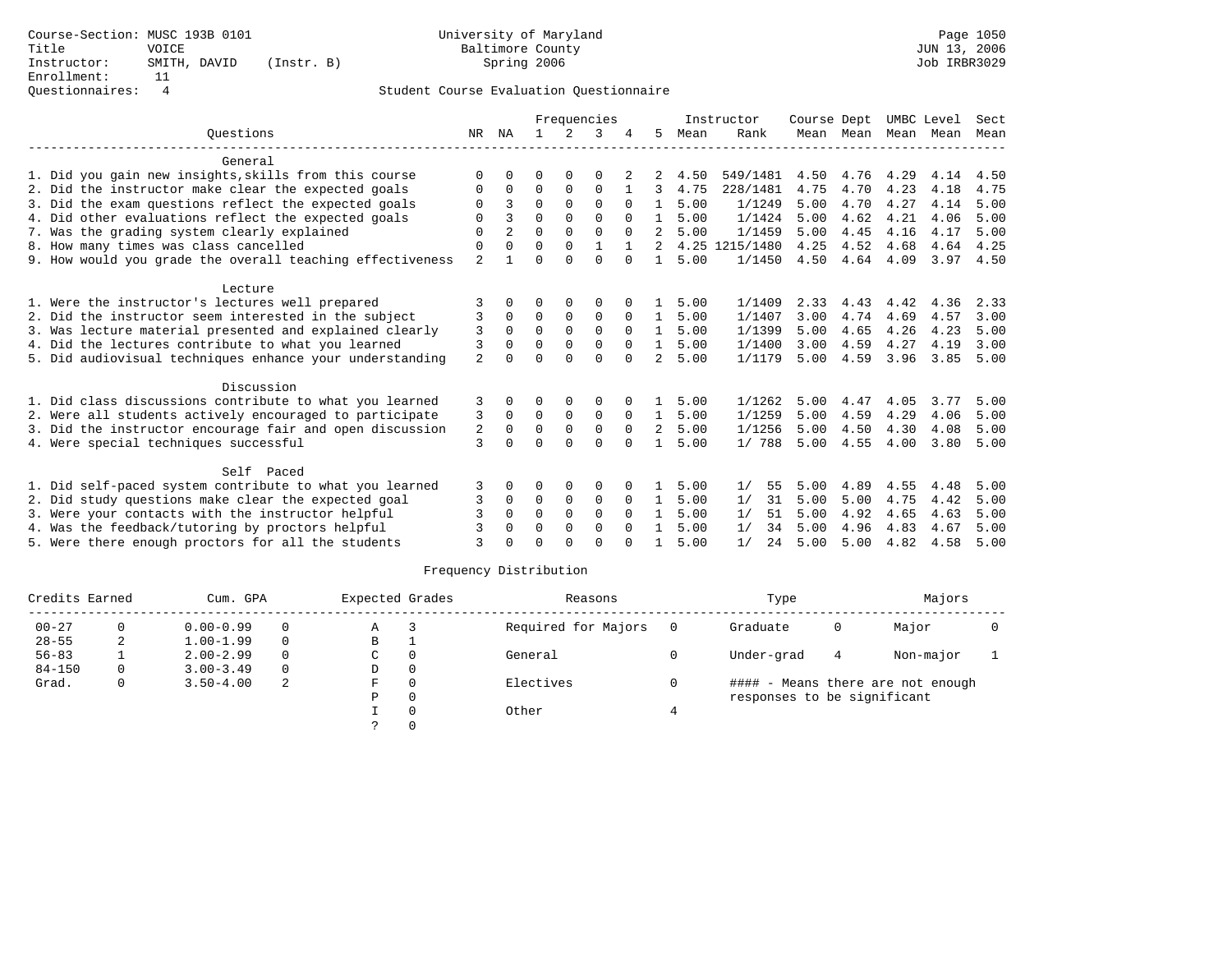|                                                           |                |                |          |             | Frequencies  |              |                |      | Instructor     | Course Dept |                     |      | UMBC Level | Sect        |
|-----------------------------------------------------------|----------------|----------------|----------|-------------|--------------|--------------|----------------|------|----------------|-------------|---------------------|------|------------|-------------|
| Ouestions                                                 | NR             | NA             |          | 2           | 3            |              | 5              | Mean | Rank           |             | Mean Mean Mean Mean |      |            | Mean        |
| General                                                   |                |                |          |             |              |              |                |      |                |             |                     |      |            |             |
| 1. Did you gain new insights, skills from this course     | $\Omega$       | $\Omega$       | U        | $\Omega$    |              |              |                | 4.50 | 549/1481       |             | 4.50 4.76 4.29      |      | 4.14       | 4.50        |
| 2. Did the instructor make clear the expected goals       | 0              | $\Omega$       | $\Omega$ | $\Omega$    | $\Omega$     |              | 3              | 4.75 | 228/1481       | 4.75        | 4.70                | 4.23 | 4.18       | 4.75        |
| 3. Did the exam questions reflect the expected goals      | $\Omega$       | 3              | $\Omega$ | $\Omega$    | $\Omega$     | $\Omega$     | $\mathbf{1}$   | 5.00 | 1/1249         | 5.00        | 4.70                | 4.27 | 4.14       | 5.00        |
| 4. Did other evaluations reflect the expected goals       | 0              | 3              | $\Omega$ | $\Omega$    | $\Omega$     | $\Omega$     | $\mathbf{1}$   | 5.00 | 1/1424         | 5.00        | 4.62                | 4.21 | 4.06       | 5.00        |
| 7. Was the grading system clearly explained               | $\Omega$       | $\overline{a}$ | $\Omega$ | $\Omega$    | $\Omega$     | $\Omega$     | $\mathcal{L}$  | 5.00 | 1/1459         | 5.00        | 4.45                | 4.16 | 4.17       | 5.00        |
| 8. How many times was class cancelled                     | 0              | $\Omega$       | $\Omega$ | $\Omega$    | $\mathbf{1}$ | $\mathbf{1}$ | 2              |      | 4.25 1215/1480 | 4.25        | 4.52                | 4.68 | 4.64       | 4.25        |
| 9. How would you grade the overall teaching effectiveness | $\overline{2}$ |                | U        | U           | $\Omega$     | $\Omega$     | $\mathbf{1}$   | 5.00 | 1/1450         |             | 4.50 4.64 4.09      |      |            | $3.97$ 4.50 |
| Lecture                                                   |                |                |          |             |              |              |                |      |                |             |                     |      |            |             |
| 1. Were the instructor's lectures well prepared           |                | $\Omega$       | 0        | $\Omega$    | 0            |              | $\mathbf{1}$   | 5.00 | 1/1409         | 2.33        | 4.43                | 4.42 | 4.36       | 2.33        |
| 2. Did the instructor seem interested in the subject      | 3              | $\Omega$       | 0        | $\mathbf 0$ | 0            | $\mathbf 0$  | 1              | 5.00 | 1/1407         | 3.00        | 4.74                | 4.69 | 4.57       | 3.00        |
| 3. Was lecture material presented and explained clearly   | 3              | $\Omega$       | $\Omega$ | $\Omega$    | $\Omega$     | $\Omega$     | $\mathbf{1}$   | 5.00 | 1/1399         | 5.00        | 4.65                | 4.26 | 4.23       | 5.00        |
| 4. Did the lectures contribute to what you learned        | 3              | $\Omega$       | 0        | $\Omega$    | $\mathbf 0$  | $\Omega$     | $\mathbf{1}$   | 5.00 | 1/1400         | 3.00        | 4.59                | 4.27 | 4.19       | 3.00        |
| 5. Did audiovisual techniques enhance your understanding  | $\overline{a}$ |                | 0        | $\Omega$    | $\Omega$     | $\Omega$     | $\mathfrak{D}$ | 5.00 | 1/1179         | 5.00        | 4.59                | 3.96 | 3.85       | 5.00        |
| Discussion                                                |                |                |          |             |              |              |                |      |                |             |                     |      |            |             |
| 1. Did class discussions contribute to what you learned   | 3              | 0              | 0        | 0           | 0            |              | $\mathbf{1}$   | 5.00 | 1/1262         | 5.00        | 4.47                | 4.05 | 3.77       | 5.00        |
| 2. Were all students actively encouraged to participate   | 3              | $\Omega$       | $\Omega$ | 0           | 0            | $\Omega$     | 1              | 5.00 | 1/1259         | 5.00        | 4.59                | 4.29 | 4.06       | 5.00        |
| 3. Did the instructor encourage fair and open discussion  | 2              | $\Omega$       | $\Omega$ | $\mathbf 0$ | $\mathbf 0$  | $\Omega$     | $\overline{2}$ | 5.00 | 1/1256         | 5.00        | 4.50                | 4.30 | 4.08       | 5.00        |
| 4. Were special techniques successful                     | $\mathbf{3}$   |                | U        | $\Omega$    | $\Omega$     | $\Omega$     |                | 5.00 | 1/788          | 5.00        | 4.55                | 4.00 | 3.80       | 5.00        |
| Self Paced                                                |                |                |          |             |              |              |                |      |                |             |                     |      |            |             |
| 1. Did self-paced system contribute to what you learned   | 3              | 0              | 0        | 0           | 0            | 0            | 1              | 5.00 | 1/<br>55       | 5.00        | 4.89                | 4.55 | 4.48       | 5.00        |
| 2. Did study questions make clear the expected goal       | 3              | $\Omega$       | $\Omega$ | 0           | 0            | $\Omega$     | 1              | 5.00 | 31<br>1/       | 5.00        | 5.00                | 4.75 | 4.42       | 5.00        |
| 3. Were your contacts with the instructor helpful         |                | $\Omega$       | $\Omega$ | $\Omega$    | $\Omega$     | $\Omega$     | $\mathbf{1}$   | 5.00 | 1/<br>51       | 5.00        | 4.92                | 4.65 | 4.63       | 5.00        |
| 4. Was the feedback/tutoring by proctors helpful          |                | $\Omega$       | $\Omega$ | $\Omega$    | $\Omega$     | $\Omega$     | $\mathbf{1}$   | 5.00 | 1/<br>34       | 5.00        | 4.96                | 4.83 | 4.67       | 5.00        |
| 5. Were there enough proctors for all the students        | 3              |                |          | U           | U            |              |                | 5.00 | 1/<br>24       | 5.00        | 5.00                | 4.82 | 4.58       | 5.00        |

| Credits Earned |          | Cum. GPA      |          | Expected Grades |          | Reasons             |     | Type                        |   | Majors                            |  |
|----------------|----------|---------------|----------|-----------------|----------|---------------------|-----|-----------------------------|---|-----------------------------------|--|
| $00 - 27$      |          | $0.00 - 0.99$ | $\Omega$ | Α               |          | Required for Majors | - 0 | Graduate                    | 0 | Major                             |  |
| $28 - 55$      | 2        | $1.00 - 1.99$ | $\Omega$ | В               |          |                     |     |                             |   |                                   |  |
| $56 - 83$      |          | $2.00 - 2.99$ | $\Omega$ | C               | $\Omega$ | General             |     | Under-grad                  | 4 | Non-major                         |  |
| $84 - 150$     | $\Omega$ | $3.00 - 3.49$ | $\Omega$ | D               | 0        |                     |     |                             |   |                                   |  |
| Grad.          | $\Omega$ | $3.50 - 4.00$ | 2        | F.              | $\Omega$ | Electives           |     |                             |   | #### - Means there are not enough |  |
|                |          |               |          | Ρ               | $\Omega$ |                     |     | responses to be significant |   |                                   |  |
|                |          |               |          |                 |          | Other               |     |                             |   |                                   |  |
|                |          |               |          |                 |          |                     |     |                             |   |                                   |  |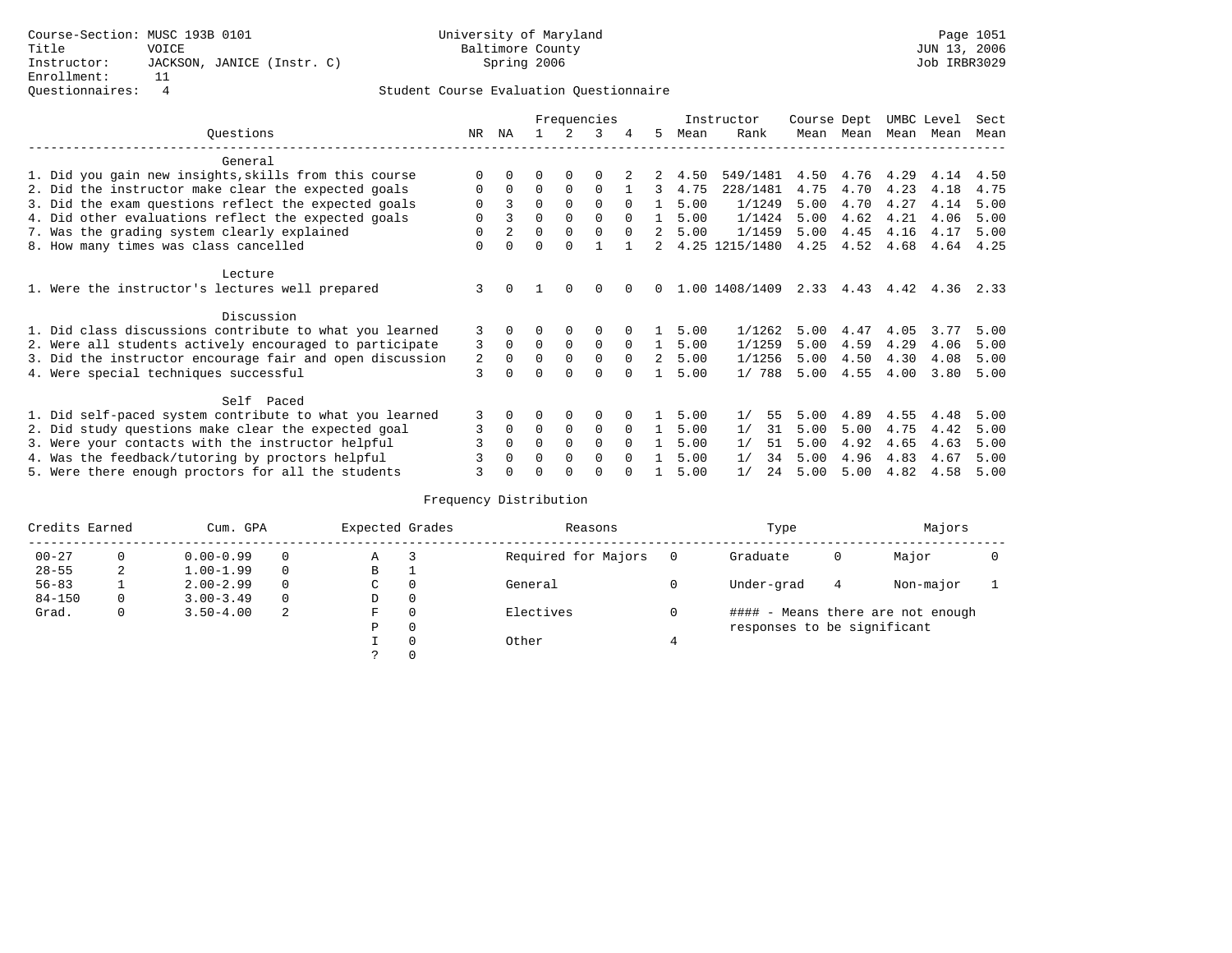|                                                          |          |          |          |               | Frequencies  |          |              |      | Instructor     | Course Dept |           | UMBC Level |      | Sect |
|----------------------------------------------------------|----------|----------|----------|---------------|--------------|----------|--------------|------|----------------|-------------|-----------|------------|------|------|
| Ouestions                                                | NR       | ΝA       |          | $\mathcal{L}$ | 3            | 4        | 5            | Mean | Rank           | Mean        | Mean      | Mean       | Mean | Mean |
| General                                                  |          |          |          |               |              |          |              |      |                |             |           |            |      |      |
| 1. Did you gain new insights, skills from this course    | $\Omega$ |          |          |               |              |          |              | 4.50 | 549/1481       | 4.50        | 4.76      | 4.29       | 4.14 | 4.50 |
| 2. Did the instructor make clear the expected goals      | 0        | 0        | $\Omega$ | $\mathbf 0$   | 0            |          | 3            | 4.75 | 228/1481       | 4.75        | 4.70      | 4.23       | 4.18 | 4.75 |
| 3. Did the exam questions reflect the expected goals     | 0        |          | $\Omega$ | $\Omega$      | $\Omega$     | $\Omega$ |              | 5.00 | 1/1249         | 5.00        | 4.70      | 4.27       | 4.14 | 5.00 |
| 4. Did other evaluations reflect the expected goals      | 0        |          | $\Omega$ | $\Omega$      | $\Omega$     | $\Omega$ | $\mathbf{1}$ | 5.00 | 1/1424         | 5.00        | 4.62      | 4.21       | 4.06 | 5.00 |
| 7. Was the grading system clearly explained              |          |          | 0        | $\Omega$      | $\Omega$     | $\Omega$ |              | 5.00 | 1/1459         | 5.00        | 4.45      | 4.16       | 4.17 | 5.00 |
| 8. How many times was class cancelled                    | $\Omega$ | $\Omega$ | $\Omega$ | $\Omega$      |              |          | 2            |      | 4.25 1215/1480 | 4.25        | 4.52      | 4.68       | 4.64 | 4.25 |
| Lecture                                                  |          |          |          |               |              |          |              |      |                |             |           |            |      |      |
| 1. Were the instructor's lectures well prepared          | 3        | $\Omega$ |          | $\Omega$      | $\Omega$     |          |              |      | 1.00 1408/1409 |             | 2.33 4.43 | 4.42       | 4.36 | 2.33 |
| Discussion                                               |          |          |          |               |              |          |              |      |                |             |           |            |      |      |
| 1. Did class discussions contribute to what you learned  | 3        | $\Omega$ |          | $\Omega$      | 0            |          |              | 5.00 | 1/1262         | 5.00        | 4.47      | 4.05       | 3.77 | 5.00 |
| 2. Were all students actively encouraged to participate  | 3        | 0        | $\Omega$ | $\Omega$      | $\Omega$     | $\Omega$ |              | 5.00 | 1/1259         | 5.00        | 4.59      | 4.29       | 4.06 | 5.00 |
| 3. Did the instructor encourage fair and open discussion | 2        | $\Omega$ | 0        | $\Omega$      | $\Omega$     | $\Omega$ | 2            | 5.00 | 1/1256         | 5.00        | 4.50      | 4.30       | 4.08 | 5.00 |
| 4. Were special techniques successful                    | 3        |          |          | $\Omega$      | 0            | 0        |              | 5.00 | 1/788          | 5.00        | 4.55      | 4.00       | 3.80 | 5.00 |
| Self Paced                                               |          |          |          |               |              |          |              |      |                |             |           |            |      |      |
| 1. Did self-paced system contribute to what you learned  | 3        | $\Omega$ |          | $\mathbf 0$   | 0            |          |              | 5.00 | 1/<br>55       | 5.00        | 4.89      | 4.55       | 4.48 | 5.00 |
| 2. Did study questions make clear the expected goal      | 3        | $\Omega$ | $\Omega$ | $\mathbf 0$   | 0            | $\Omega$ |              | 5.00 | 1/<br>31       | 5.00        | 5.00      | 4.75       | 4.42 | 5.00 |
| 3. Were your contacts with the instructor helpful        | 3        | $\Omega$ | 0        | $\Omega$      | $\Omega$     | $\Omega$ |              | 5.00 | 1/<br>51       | 5.00        | 4.92      | 4.65       | 4.63 | 5.00 |
| 4. Was the feedback/tutoring by proctors helpful         |          |          |          | $\Omega$      | <sup>0</sup> | $\Omega$ |              | 5.00 | 1/<br>34       | 5.00        | 4.96      | 4.83       | 4.67 | 5.00 |
| 5. Were there enough proctors for all the students       |          |          |          | $\Omega$      | O            |          |              | 5.00 | 1/<br>24       | 5.00        | 5.00      | 4.82       | 4.58 | 5.00 |

| Credits Earned |          | Cum. GPA      |          | Expected Grades |              | Reasons             | Type                        |   | Majors                            |  |
|----------------|----------|---------------|----------|-----------------|--------------|---------------------|-----------------------------|---|-----------------------------------|--|
| $00 - 27$      |          | $0.00 - 0.99$ | $\Omega$ | Α               |              | Required for Majors | Graduate                    | Ü | Major                             |  |
| $28 - 55$      | 2        | $1.00 - 1.99$ | $\Omega$ | В               | ᅩ            |                     |                             |   |                                   |  |
| $56 - 83$      |          | $2.00 - 2.99$ | $\Omega$ | С               | 0            | General             | Under-grad                  | 4 | Non-major                         |  |
| $84 - 150$     | $\Omega$ | $3.00 - 3.49$ | $\Omega$ | D               | 0            |                     |                             |   |                                   |  |
| Grad.          | 0        | $3.50 - 4.00$ | 2        | F               | 0            | Electives           |                             |   | #### - Means there are not enough |  |
|                |          |               |          | Ρ               | $\mathbf{0}$ |                     | responses to be significant |   |                                   |  |
|                |          |               |          |                 | $\Omega$     | Other               |                             |   |                                   |  |
|                |          |               |          |                 | 0            |                     |                             |   |                                   |  |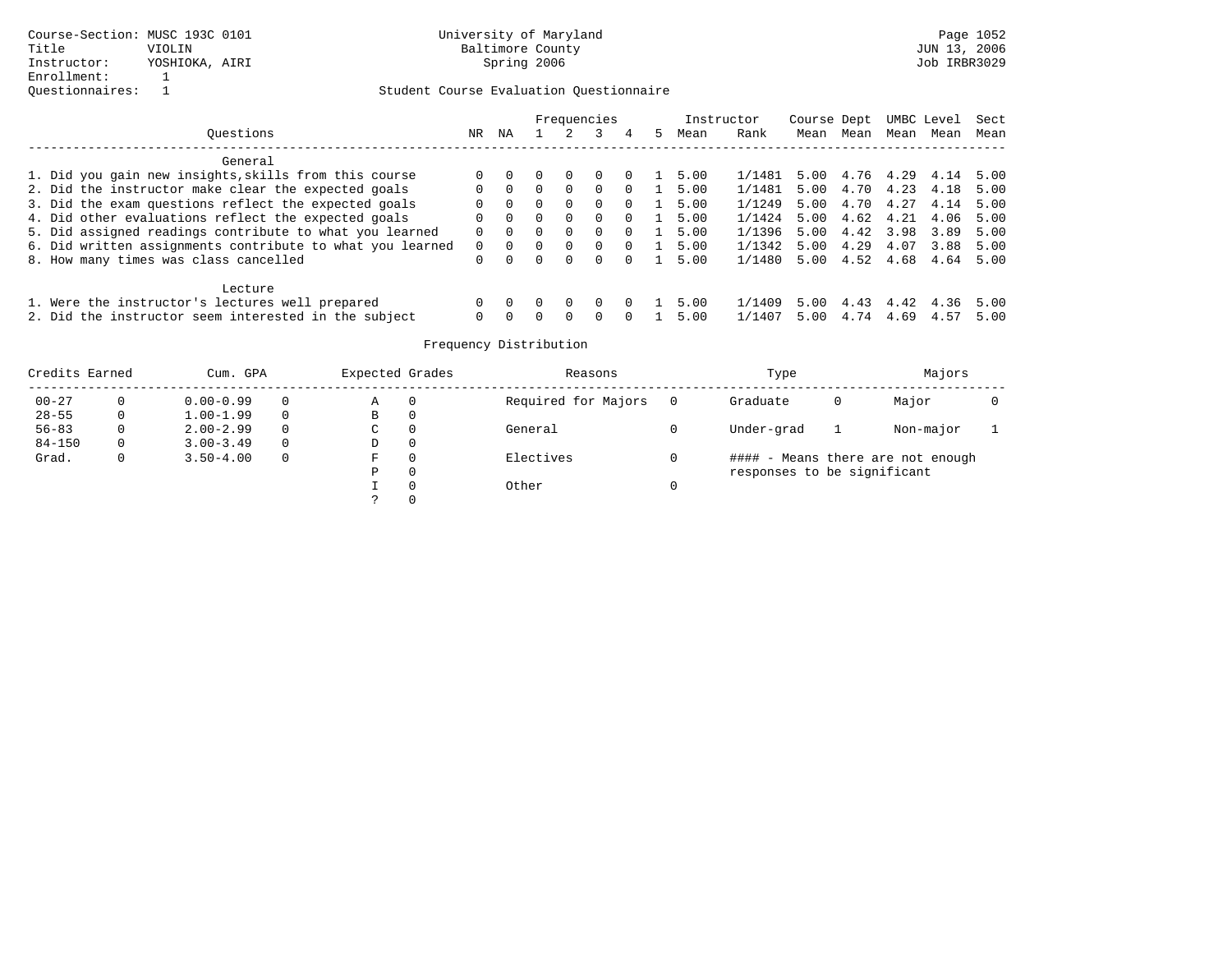|                                                           |          |          |          |                  | Frequencies  |          |               | Instructor |        | Course Dept |           |      | UMBC Level | Sect |
|-----------------------------------------------------------|----------|----------|----------|------------------|--------------|----------|---------------|------------|--------|-------------|-----------|------|------------|------|
| Ouestions                                                 | NR.      | NA       |          |                  |              | 4        | $\mathcal{P}$ | Mean       | Rank   | Mean        | Mean      | Mean | Mean       | Mean |
| General                                                   |          |          |          |                  |              |          |               |            |        |             |           |      |            |      |
| 1. Did you gain new insights, skills from this course     |          |          |          | $\left( \right)$ |              | $\Omega$ |               | 5.00       | 1/1481 | 5.00        | 4.76 4.29 |      | 4.14       | 5.00 |
| 2. Did the instructor make clear the expected goals       |          | $\Omega$ | $\Omega$ | $\Omega$         | $\Omega$     | $\Omega$ |               | 5.00       | 1/1481 | 5.00        | 4.70      | 4.23 | 4.18       | 5.00 |
| 3. Did the exam questions reflect the expected goals      | $\Omega$ | $\Omega$ | $\Omega$ | $\Omega$         | $\Omega$     | $\Omega$ |               | 5.00       | 1/1249 | 5.00        | 4.70 4.27 |      | 4.14       | 5.00 |
| 4. Did other evaluations reflect the expected goals       |          | $\Omega$ |          | $\Omega$         | $\Omega$     | $\Omega$ |               | 5.00       | 1/1424 | 5.00        | 4.62      | 4.21 | 4.06       | 5.00 |
| 5. Did assigned readings contribute to what you learned   | $\Omega$ | . വ      |          | $\Omega$         | 0            | $\Omega$ |               | 5.00       | 1/1396 | 5.00        | 4.42 3.98 |      | 3.89       | 5.00 |
| 6. Did written assignments contribute to what you learned |          |          |          | $\Omega$         | $\Omega$     | $\Omega$ |               | 5.00       | 1/1342 | 5.00        | 4.29      | 4.07 | 3.88       | 5.00 |
| 8. How many times was class cancelled                     | $\Omega$ | $\Omega$ |          | 0                | 0            |          |               | 5.00       | 1/1480 | 5.00        | 4.52      | 4.68 | 4.64       | 5.00 |
| Lecture                                                   |          |          |          |                  |              |          |               |            |        |             |           |      |            |      |
| 1. Were the instructor's lectures well prepared           |          |          |          | $\left( \right)$ |              |          |               | 5.00       | 1/1409 | 5.00        | 4.43      | 4.42 | 4.36       | 5.00 |
| 2. Did the instructor seem interested in the subject      | $\Omega$ |          |          | $\cap$           | <sup>n</sup> |          |               | 5.00       | 1/1407 | 5.00        | 4.74      | 4.69 | 4.57       | 5.00 |

| Credits Earned |          | Cum. GPA      |          | Expected Grades |          | Reasons             | Type                        |   | Majors                            |  |
|----------------|----------|---------------|----------|-----------------|----------|---------------------|-----------------------------|---|-----------------------------------|--|
| $00 - 27$      | $\Omega$ | $0.00 - 0.99$ | $\Omega$ | Α               | 0        | Required for Majors | Graduate                    | 0 | Major                             |  |
| $28 - 55$      | 0        | $1.00 - 1.99$ | $\Omega$ | B               | 0        |                     |                             |   |                                   |  |
| $56 - 83$      | 0        | $2.00 - 2.99$ | $\Omega$ | C               | 0        | General             | Under-grad                  |   | Non-major                         |  |
| $84 - 150$     | 0        | $3.00 - 3.49$ | $\Omega$ | D               | 0        |                     |                             |   |                                   |  |
| Grad.          | 0        | $3.50 - 4.00$ | $\Omega$ | F               | $\Omega$ | Electives           |                             |   | #### - Means there are not enough |  |
|                |          |               |          | Ρ               | 0        |                     | responses to be significant |   |                                   |  |
|                |          |               |          |                 | $\Omega$ | Other               |                             |   |                                   |  |
|                |          |               |          |                 |          |                     |                             |   |                                   |  |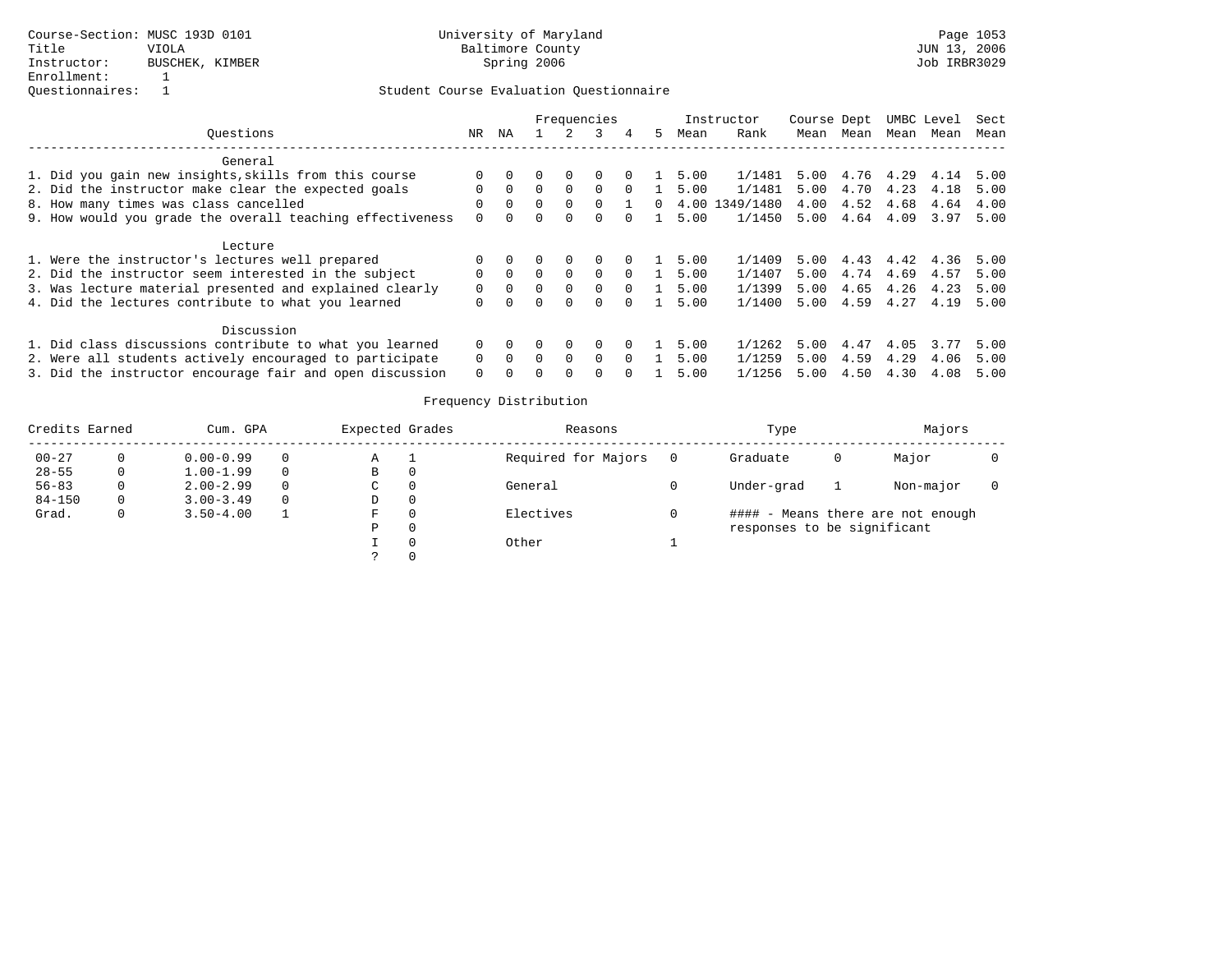|                                                           | Frequencies |          |              |          | Instructor   | Course Dept |    |      | UMBC Level     | Sect |      |      |      |      |
|-----------------------------------------------------------|-------------|----------|--------------|----------|--------------|-------------|----|------|----------------|------|------|------|------|------|
| Ouestions                                                 | NR.         | ΝA       |              |          | २            | 4           | 5. | Mean | Rank           | Mean | Mean | Mean | Mean | Mean |
| General                                                   |             |          |              |          |              |             |    |      |                |      |      |      |      |      |
| 1. Did you gain new insights, skills from this course     |             |          |              | $\Omega$ |              |             |    | 5.00 | 1/1481         | 5.00 | 4.76 | 4.29 | 4.14 | 5.00 |
| 2. Did the instructor make clear the expected goals       |             | $\Omega$ | $\Omega$     | $\Omega$ | $\Omega$     | $\Omega$    |    | 5.00 | 1/1481         | 5.00 | 4.70 | 4.23 | 4.18 | 5.00 |
| 8. How many times was class cancelled                     | $\Omega$    | $\Omega$ | $\Omega$     | $\Omega$ | 0            |             | 0  |      | 4.00 1349/1480 | 4.00 | 4.52 | 4.68 | 4.64 | 4.00 |
| 9. How would you grade the overall teaching effectiveness | $\Omega$    | $\Omega$ | <sup>n</sup> | $\Omega$ | <sup>n</sup> |             |    | 5.00 | 1/1450         | 5.00 | 4.64 | 4.09 | 3.97 | 5.00 |
| Lecture                                                   |             |          |              |          |              |             |    |      |                |      |      |      |      |      |
| 1. Were the instructor's lectures well prepared           |             |          |              | $\Omega$ | 0            |             |    | 5.00 | 1/1409         | 5.00 | 4.43 | 4.42 | 4.36 | 5.00 |
| 2. Did the instructor seem interested in the subject      | $\Omega$    | $\Omega$ | $\Omega$     | $\Omega$ | $\Omega$     | $\Omega$    |    | 5.00 | 1/1407         | 5.00 | 4.74 | 4.69 | 4.57 | 5.00 |
| 3. Was lecture material presented and explained clearly   |             | $\Omega$ |              | $\Omega$ | 0            | $\Omega$    |    | 5.00 | 1/1399         | 5.00 | 4.65 | 4.26 | 4.23 | 5.00 |
| 4. Did the lectures contribute to what you learned        | $\Omega$    | $\Omega$ |              | $\Omega$ | <sup>n</sup> |             |    | 5.00 | 1/1400         | 5.00 | 4.59 | 4.27 | 4.19 | 5.00 |
| Discussion                                                |             |          |              |          |              |             |    |      |                |      |      |      |      |      |
| 1. Did class discussions contribute to what you learned   | $\Omega$    |          |              | $\Omega$ | 0            | $\Omega$    |    | 5.00 | 1/1262         | 5.00 | 4.47 | 4.05 | 3.77 | 5.00 |
| 2. Were all students actively encouraged to participate   | $\Omega$    | $\Omega$ | $\Omega$     | $\Omega$ | $\Omega$     | $\Omega$    |    | 5.00 | 1/1259         | 5.00 | 4.59 | 4.29 | 4.06 | 5.00 |
| 3. Did the instructor encourage fair and open discussion  | $\Omega$    |          |              | $\Omega$ | <sup>0</sup> |             |    | 5.00 | 1/1256         | 5.00 | 4.50 | 4.30 | 4.08 | 5.00 |

| Credits Earned |   | Cum. GPA      |          | Expected Grades |          | Reasons             | Type                        |   | Majors                            |  |
|----------------|---|---------------|----------|-----------------|----------|---------------------|-----------------------------|---|-----------------------------------|--|
| $00 - 27$      |   | $0.00 - 0.99$ | $\Omega$ | Α               |          | Required for Majors | Graduate                    | 0 | Major                             |  |
| $28 - 55$      | 0 | $1.00 - 1.99$ | 0        | В               | $\Omega$ |                     |                             |   |                                   |  |
| $56 - 83$      |   | $2.00 - 2.99$ | $\Omega$ | C               |          | General             | Under-grad                  |   | Non-major                         |  |
| $84 - 150$     | 0 | $3.00 - 3.49$ | $\Omega$ | D               |          |                     |                             |   |                                   |  |
| Grad.          |   | $3.50 - 4.00$ |          | F.              |          | Electives           |                             |   | #### - Means there are not enough |  |
|                |   |               |          | D               |          |                     | responses to be significant |   |                                   |  |
|                |   |               |          |                 |          | Other               |                             |   |                                   |  |
|                |   |               |          |                 |          |                     |                             |   |                                   |  |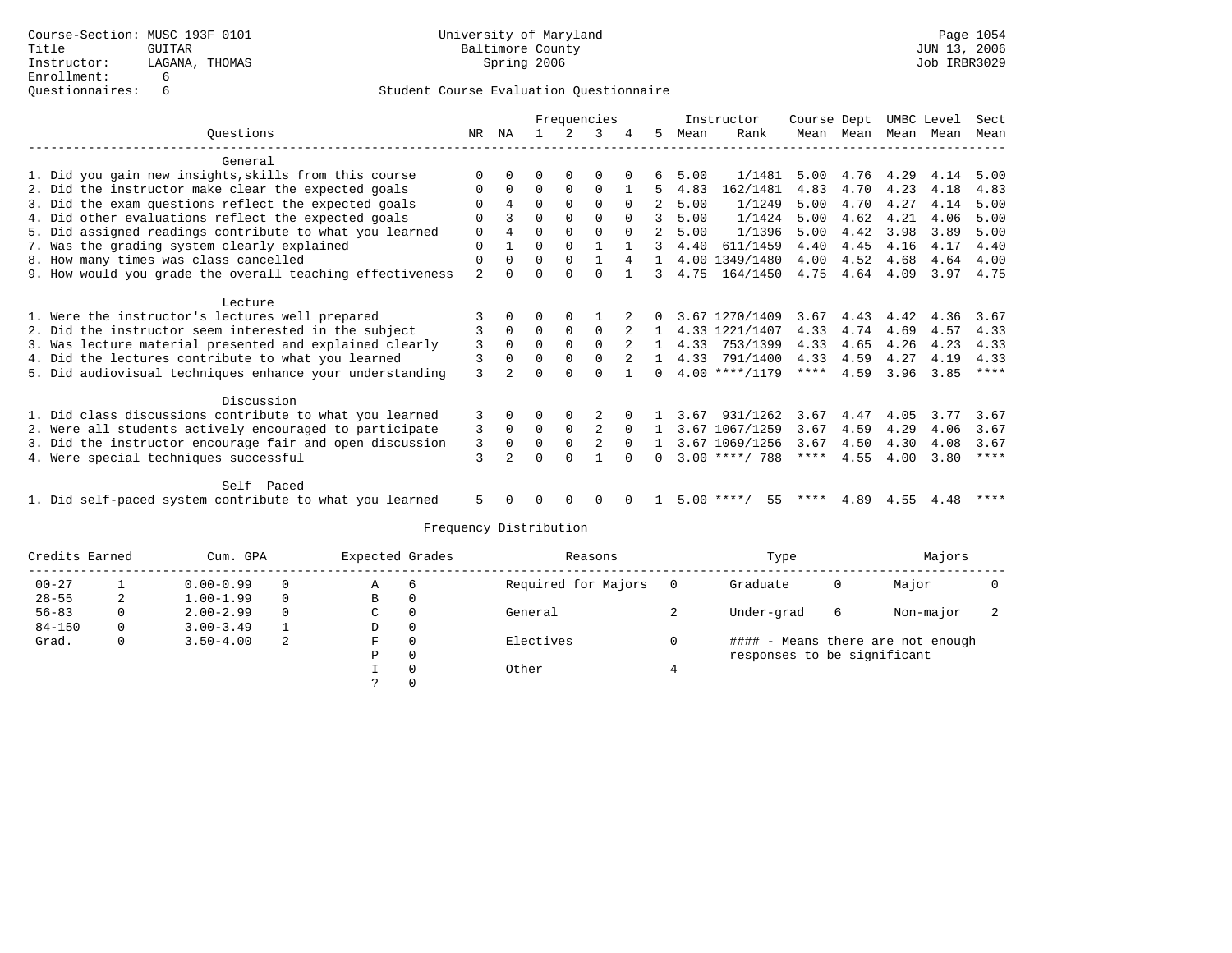|                                                           |                |          | Frequencies |          |                |          |              |      | Instructor       | Course Dept |      |      | UMBC Level | Sect        |
|-----------------------------------------------------------|----------------|----------|-------------|----------|----------------|----------|--------------|------|------------------|-------------|------|------|------------|-------------|
| Ouestions                                                 | NR             | ΝA       |             |          | 3              |          | 5.           | Mean | Rank             | Mean        | Mean | Mean | Mean       | Mean        |
| General                                                   |                |          |             |          |                |          |              |      |                  |             |      |      |            |             |
| 1. Did you gain new insights, skills from this course     | $\Omega$       |          | O           | $\Omega$ | $\Omega$       |          |              | 5.00 | 1/1481           | 5.00        | 4.76 | 4.29 | 4.14       | 5.00        |
| 2. Did the instructor make clear the expected goals       |                | $\Omega$ | $\Omega$    | $\Omega$ | $\Omega$       |          | 5            | 4.83 | 162/1481         | 4.83        | 4.70 | 4.23 | 4.18       | 4.83        |
| 3. Did the exam questions reflect the expected goals      | O              | 4        | $\Omega$    | $\Omega$ | $\Omega$       | $\Omega$ |              | 5.00 | 1/1249           | 5.00        | 4.70 | 4.27 | 4.14       | 5.00        |
| 4. Did other evaluations reflect the expected goals       | $\Omega$       |          | $\Omega$    | 0        | $\Omega$       | $\Omega$ | 3            | 5.00 | 1/1424           | 5.00        | 4.62 | 4.21 | 4.06       | 5.00        |
| 5. Did assigned readings contribute to what you learned   | $\mathbf 0$    |          | $\Omega$    | $\Omega$ | $\Omega$       |          |              | 5.00 | 1/1396           | 5.00        | 4.42 | 3.98 | 3.89       | 5.00        |
| 7. Was the grading system clearly explained               | $\Omega$       |          | $\Omega$    | $\Omega$ |                |          | 3            | 4.40 | 611/1459         | 4.40        | 4.45 | 4.16 | 4.17       | 4.40        |
| 8. How many times was class cancelled                     | 0              | $\Omega$ | $\Omega$    | $\Omega$ | 1              | 4        | $\mathbf{1}$ | 4.00 | 1349/1480        | 4.00        | 4.52 | 4.68 | 4.64       | 4.00        |
| 9. How would you grade the overall teaching effectiveness | $\overline{a}$ | $\cap$   | $\Omega$    | $\Omega$ | $\Omega$       |          | 3            | 4.75 | 164/1450         | 4.75        | 4.64 | 4.09 | 3.97       | 4.75        |
| Lecture                                                   |                |          |             |          |                |          |              |      |                  |             |      |      |            |             |
| 1. Were the instructor's lectures well prepared           |                |          | 0           | $\Omega$ |                |          | 0            |      | 3.67 1270/1409   | 3.67        | 4.43 | 4.42 | 4.36       | 3.67        |
| 2. Did the instructor seem interested in the subject      | 3              | 0        | $\Omega$    | $\Omega$ | $\Omega$       |          |              |      | 4.33 1221/1407   | 4.33        | 4.74 | 4.69 | 4.57       | 4.33        |
| 3. Was lecture material presented and explained clearly   | 3              | $\Omega$ | $\Omega$    | $\Omega$ | $\Omega$       |          | $\mathbf{1}$ | 4.33 | 753/1399         | 4.33        | 4.65 | 4.26 | 4.23       | 4.33        |
| 4. Did the lectures contribute to what you learned        | 3              | $\Omega$ | $\Omega$    | $\Omega$ | $\Omega$       |          |              | 4.33 | 791/1400         | 4.33        | 4.59 | 4.27 | 4.19       | 4.33        |
| 5. Did audiovisual techniques enhance your understanding  | 3              |          | U           |          | ∩              |          | <sup>n</sup> |      | $4.00$ ****/1179 | $***$ * * * | 4.59 | 3.96 | 3.85       | $***$ * *   |
| Discussion                                                |                |          |             |          |                |          |              |      |                  |             |      |      |            |             |
| 1. Did class discussions contribute to what you learned   | 3              |          |             |          |                |          |              | 3.67 | 931/1262         | 3.67        | 4.47 | 4.05 | 3.77       | 3.67        |
| 2. Were all students actively encouraged to participate   | 3              | $\Omega$ | $\Omega$    | $\Omega$ |                | $\Omega$ |              |      | 3.67 1067/1259   | 3.67        | 4.59 | 4.29 | 4.06       | 3.67        |
| 3. Did the instructor encourage fair and open discussion  | 3              | $\Omega$ | $\Omega$    | $\Omega$ | $\overline{2}$ | $\Omega$ |              |      | 3.67 1069/1256   | 3.67        | 4.50 | 4.30 | 4.08       | 3.67        |
| 4. Were special techniques successful                     | 3              |          | $\Omega$    | $\cap$   |                | $\cap$   | 0            |      | $3.00$ ****/ 788 | ****        | 4.55 | 4.00 | 3.80       | $***$ * * * |
|                                                           |                |          |             |          |                |          |              |      |                  |             |      |      |            |             |
| Self Paced                                                |                |          |             |          |                |          |              |      |                  |             |      |      |            |             |
| 1. Did self-paced system contribute to what you learned   | 5              |          |             |          |                |          |              | 5.00 | 55<br>**** .     |             | 4.89 | 4.55 | 4.48       | ****        |

| Credits Earned |   | Cum. GPA      |          | Expected Grades |          | Reasons             |     | Type                        |   | Majors                            |  |
|----------------|---|---------------|----------|-----------------|----------|---------------------|-----|-----------------------------|---|-----------------------------------|--|
| $00 - 27$      |   | $0.00 - 0.99$ | $\Omega$ | A               | b        | Required for Majors | - 0 | Graduate                    | 0 | Major                             |  |
| $28 - 55$      | 2 | $1.00 - 1.99$ | $\Omega$ | В               | 0        |                     |     |                             |   |                                   |  |
| $56 - 83$      | 0 | $2.00 - 2.99$ | $\Omega$ | C               | $\Omega$ | General             |     | Under-grad                  | 6 | Non-major                         |  |
| $84 - 150$     | 0 | $3.00 - 3.49$ |          | D               | 0        |                     |     |                             |   |                                   |  |
| Grad.          | 0 | $3.50 - 4.00$ | 2        | F               | $\Omega$ | Electives           |     |                             |   | #### - Means there are not enough |  |
|                |   |               |          | Ρ               | $\Omega$ |                     |     | responses to be significant |   |                                   |  |
|                |   |               |          |                 |          | Other               |     |                             |   |                                   |  |
|                |   |               |          |                 |          |                     |     |                             |   |                                   |  |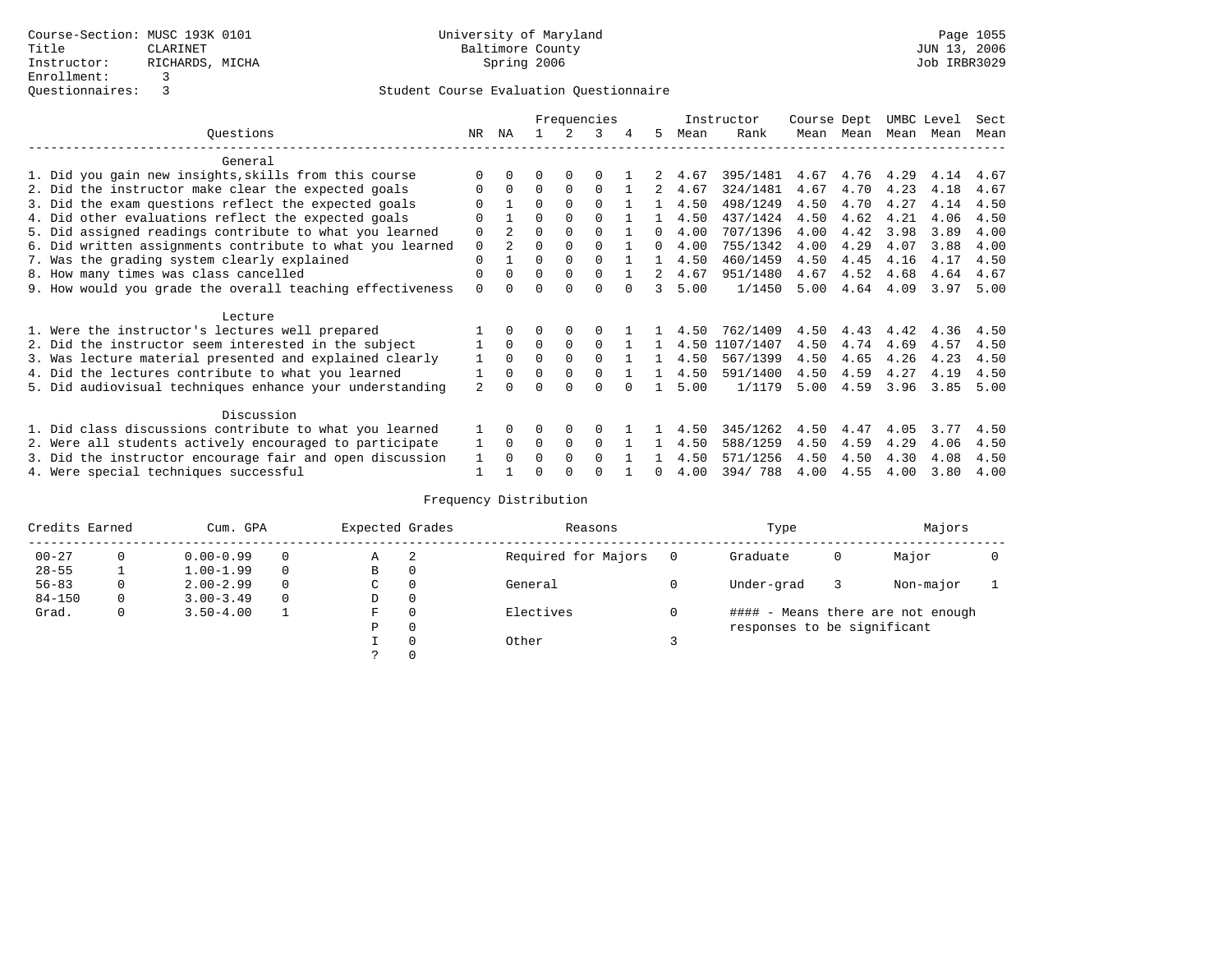|                                                           |                |                |          |          | Frequencies |              |      | Instructor | Course Dept |      | UMBC Level |      | Sect |
|-----------------------------------------------------------|----------------|----------------|----------|----------|-------------|--------------|------|------------|-------------|------|------------|------|------|
| Ouestions                                                 | NR.            | ΝA             |          |          | 3           | 5.           | Mean | Rank       | Mean        | Mean | Mean       | Mean | Mean |
| General                                                   |                |                |          |          |             |              |      |            |             |      |            |      |      |
| 1. Did you gain new insights, skills from this course     |                | $\cap$         | O        | $\Omega$ | O           |              | 4.67 | 395/1481   | 4.67        | 4.76 | 4.29       | 4.14 | 4.67 |
| 2. Did the instructor make clear the expected goals       | O              | $\Omega$       | $\Omega$ | $\Omega$ | $\Omega$    | 2            | 4.67 | 324/1481   | 4.67        | 4.70 | 4.23       | 4.18 | 4.67 |
| 3. Did the exam questions reflect the expected goals      |                |                | $\Omega$ | $\Omega$ | $\Omega$    |              | 4.50 | 498/1249   | 4.50        | 4.70 | 4.27       | 4.14 | 4.50 |
| 4. Did other evaluations reflect the expected goals       | O              |                | $\Omega$ | $\Omega$ | $\Omega$    |              | 4.50 | 437/1424   | 4.50        | 4.62 | 4.21       | 4.06 | 4.50 |
| 5. Did assigned readings contribute to what you learned   | $\mathbf 0$    | $\overline{2}$ | $\Omega$ |          | $\Omega$    | $\Omega$     | 4.00 | 707/1396   | 4.00        | 4.42 | 3.98       | 3.89 | 4.00 |
| 6. Did written assignments contribute to what you learned | $\mathbf 0$    | $\mathfrak{D}$ | $\Omega$ |          |             | $\cap$       | 4.00 | 755/1342   | 4.00        | 4.29 | 4.07       | 3.88 | 4.00 |
| 7. Was the grading system clearly explained               | $\Omega$       |                | $\Omega$ | $\Omega$ | $\Omega$    |              | 4.50 | 460/1459   | 4.50        | 4.45 | 4.16       | 4.17 | 4.50 |
| 8. How many times was class cancelled                     | 0              | $\Omega$       | $\Omega$ | $\Omega$ | $\Omega$    | 2            | 4.67 | 951/1480   | 4.67        | 4.52 | 4.68       | 4.64 | 4.67 |
| 9. How would you grade the overall teaching effectiveness | $\Omega$       | <sup>n</sup>   | ∩        | ∩        | $\cap$      | 3            | 5.00 | 1/1450     | 5.00        | 4.64 | 4.09       | 3.97 | 5.00 |
| Lecture                                                   |                |                |          |          |             |              |      |            |             |      |            |      |      |
| 1. Were the instructor's lectures well prepared           |                |                |          |          |             |              | 4.50 | 762/1409   | 4.50        | 4.43 | 4.42       | 4.36 | 4.50 |
| 2. Did the instructor seem interested in the subject      |                | $\Omega$       | $\Omega$ | $\Omega$ | $\Omega$    |              | 4.50 | 1107/1407  | 4.50        | 4.74 | 4.69       | 4.57 | 4.50 |
| 3. Was lecture material presented and explained clearly   |                | $\Omega$       | $\Omega$ | $\Omega$ | $\Omega$    |              | 4.50 | 567/1399   | 4.50        | 4.65 | 4.26       | 4.23 | 4.50 |
| 4. Did the lectures contribute to what you learned        |                | $\Omega$       | $\Omega$ | $\Omega$ | $\Omega$    |              | 4.50 | 591/1400   | 4.50        | 4.59 | 4.27       | 4.19 | 4.50 |
| 5. Did audiovisual techniques enhance your understanding  | $\mathfrak{D}$ |                |          |          | U           |              | 5.00 | 1/1179     | 5.00        | 4.59 | 3.96       | 3.85 | 5.00 |
| Discussion                                                |                |                |          |          |             |              |      |            |             |      |            |      |      |
| 1. Did class discussions contribute to what you learned   |                | $\Omega$       | U        | $\Omega$ | $\Omega$    |              | 4.50 | 345/1262   | 4.50        | 4.47 | 4.05       | 3.77 | 4.50 |
| 2. Were all students actively encouraged to participate   |                | $\Omega$       | $\Omega$ | 0        | $\Omega$    |              | 4.50 | 588/1259   | 4.50        | 4.59 | 4.29       | 4.06 | 4.50 |
| 3. Did the instructor encourage fair and open discussion  | 1              | $\Omega$       | O        | $\Omega$ | $\Omega$    |              | 4.50 | 571/1256   | 4.50        | 4.50 | 4.30       | 4.08 | 4.50 |
| 4. Were special techniques successful                     |                |                |          |          |             | <sup>n</sup> | 4.00 | 394/788    | 4.00        | 4.55 | 4.00       | 3.80 | 4.00 |

| Credits Earned |   | Cum. GPA      | Expected Grades |          | Reasons             | Type                        |   | Majors                            |  |
|----------------|---|---------------|-----------------|----------|---------------------|-----------------------------|---|-----------------------------------|--|
| $00 - 27$      | 0 | $0.00 - 0.99$ | Α               | -2       | Required for Majors | Graduate                    | 0 | Major                             |  |
| $28 - 55$      |   | $1.00 - 1.99$ | B               | 0        |                     |                             |   |                                   |  |
| $56 - 83$      | 0 | $2.00 - 2.99$ | C               | 0        | General             | Under-grad                  |   | Non-major                         |  |
| $84 - 150$     | 0 | $3.00 - 3.49$ | D               | 0        |                     |                             |   |                                   |  |
| Grad.          | 0 | $3.50 - 4.00$ | F               | 0        | Electives           |                             |   | #### - Means there are not enough |  |
|                |   |               | Ρ               | 0        |                     | responses to be significant |   |                                   |  |
|                |   |               |                 | $\Omega$ | Other               |                             |   |                                   |  |
|                |   |               |                 |          |                     |                             |   |                                   |  |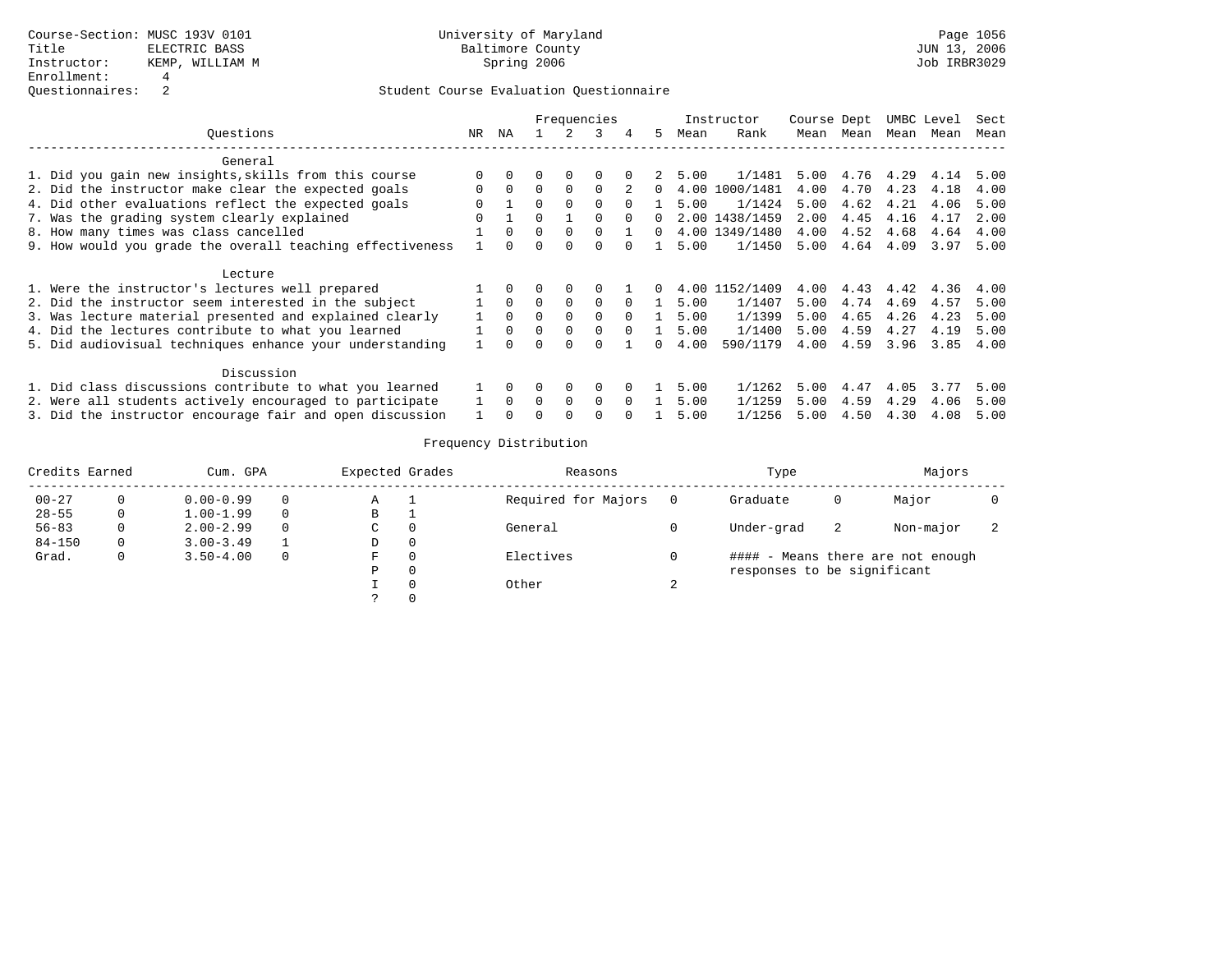|                                                           |              |          |          |          | Frequencies |          |            |      | Instructor     | Course Dept |      |      | UMBC Level | Sect |
|-----------------------------------------------------------|--------------|----------|----------|----------|-------------|----------|------------|------|----------------|-------------|------|------|------------|------|
| Ouestions                                                 | NR           | ΝA       |          |          | 3           | 4        | 5.         | Mean | Rank           | Mean        | Mean | Mean | Mean       | Mean |
| General                                                   |              |          |          |          |             |          |            |      |                |             |      |      |            |      |
| 1. Did you gain new insights, skills from this course     | $\Omega$     | $\Omega$ |          | $\Omega$ | $\Omega$    |          |            | 5.00 | 1/1481         | 5.00        | 4.76 | 4.29 | 4.14       | 5.00 |
| 2. Did the instructor make clear the expected goals       | $\Omega$     | $\Omega$ | $\Omega$ | $\Omega$ | $\Omega$    |          |            | 4.00 | 1000/1481      | 4.00        | 4.70 | 4.23 | 4.18       | 4.00 |
| 4. Did other evaluations reflect the expected goals       |              |          |          | $\Omega$ | $\Omega$    |          |            | 5.00 | 1/1424         | 5.00        | 4.62 | 4.21 | 4.06       | 5.00 |
| 7. Was the grading system clearly explained               | <sup>0</sup> |          | $\cap$   |          | $\cap$      | $\cap$   | $\Omega$   |      | 2.00 1438/1459 | 2.00        | 4.45 | 4.16 | 4.17       | 2.00 |
| 8. How many times was class cancelled                     |              | $\Omega$ | 0        | $\Omega$ | $\Omega$    |          | 0          |      | 4.00 1349/1480 | 4.00        | 4.52 | 4.68 | 4.64       | 4.00 |
| 9. How would you grade the overall teaching effectiveness |              | $\Omega$ |          | $\Omega$ | 0           |          |            | 5.00 | 1/1450         | 5.00        | 4.64 | 4.09 | 3.97       | 5.00 |
| Lecture                                                   |              |          |          |          |             |          |            |      |                |             |      |      |            |      |
| 1. Were the instructor's lectures well prepared           |              | $\Omega$ |          | $\Omega$ | $\Omega$    |          | $^{\circ}$ |      | 4.00 1152/1409 | 4.00        | 4.43 | 4.42 | 4.36       | 4.00 |
| 2. Did the instructor seem interested in the subject      |              | $\Omega$ |          | $\Omega$ | $\Omega$    |          |            | 5.00 | 1/1407         | 5.00        | 4.74 | 4.69 | 4.57       | 5.00 |
| 3. Was lecture material presented and explained clearly   |              | $\Omega$ | $\Omega$ | $\Omega$ | $\Omega$    | $\Omega$ |            | 5.00 | 1/1399         | 5.00        | 4.65 | 4.26 | 4.23       | 5.00 |
| 4. Did the lectures contribute to what you learned        |              | $\Omega$ | $\Omega$ | $\Omega$ | $\Omega$    |          |            | 5.00 | 1/1400         | 5.00        | 4.59 | 4.27 | 4.19       | 5.00 |
| 5. Did audiovisual techniques enhance your understanding  |              |          |          |          |             |          |            | 4.00 | 590/1179       | 4.00        | 4.59 | 3.96 | 3.85       | 4.00 |
| Discussion                                                |              |          |          |          |             |          |            |      |                |             |      |      |            |      |
| 1. Did class discussions contribute to what you learned   |              | $\Omega$ |          | 0        | 0           |          |            | 5.00 | 1/1262         | 5.00        | 4.47 | 4.05 | 3.77       | 5.00 |
| 2. Were all students actively encouraged to participate   |              | $\Omega$ | $\Omega$ | $\Omega$ | $\Omega$    |          |            | 5.00 | 1/1259         | 5.00        | 4.59 | 4.29 | 4.06       | 5.00 |
| 3. Did the instructor encourage fair and open discussion  |              |          |          |          |             |          |            | 5.00 | 1/1256         | 5.00        | 4.50 | 4.30 | 4.08       | 5.00 |

| Credits Earned |              | Cum. GPA      |          | Expected Grades |          | Reasons             |                | Type                        |    | Majors                            |  |
|----------------|--------------|---------------|----------|-----------------|----------|---------------------|----------------|-----------------------------|----|-----------------------------------|--|
| $00 - 27$      | 0            | $0.00 - 0.99$ | 0        | Α               |          | Required for Majors | $\overline{0}$ | Graduate                    | 0  | Major                             |  |
| $28 - 55$      | 0            | $1.00 - 1.99$ | $\Omega$ | в               |          |                     |                |                             |    |                                   |  |
| $56 - 83$      | 0            | $2.00 - 2.99$ | $\Omega$ | C               | $\Omega$ | General             |                | Under-grad                  | -2 | Non-major                         |  |
| $84 - 150$     | $\Omega$     | $3.00 - 3.49$ |          | D               | 0        |                     |                |                             |    |                                   |  |
| Grad.          | $\mathbf{0}$ | $3.50 - 4.00$ | 0        | F               | $\Omega$ | Electives           |                |                             |    | #### - Means there are not enough |  |
|                |              |               |          | Ρ               | $\Omega$ |                     |                | responses to be significant |    |                                   |  |
|                |              |               |          |                 | $\Omega$ | Other               | C.             |                             |    |                                   |  |
|                |              |               |          |                 | $\Omega$ |                     |                |                             |    |                                   |  |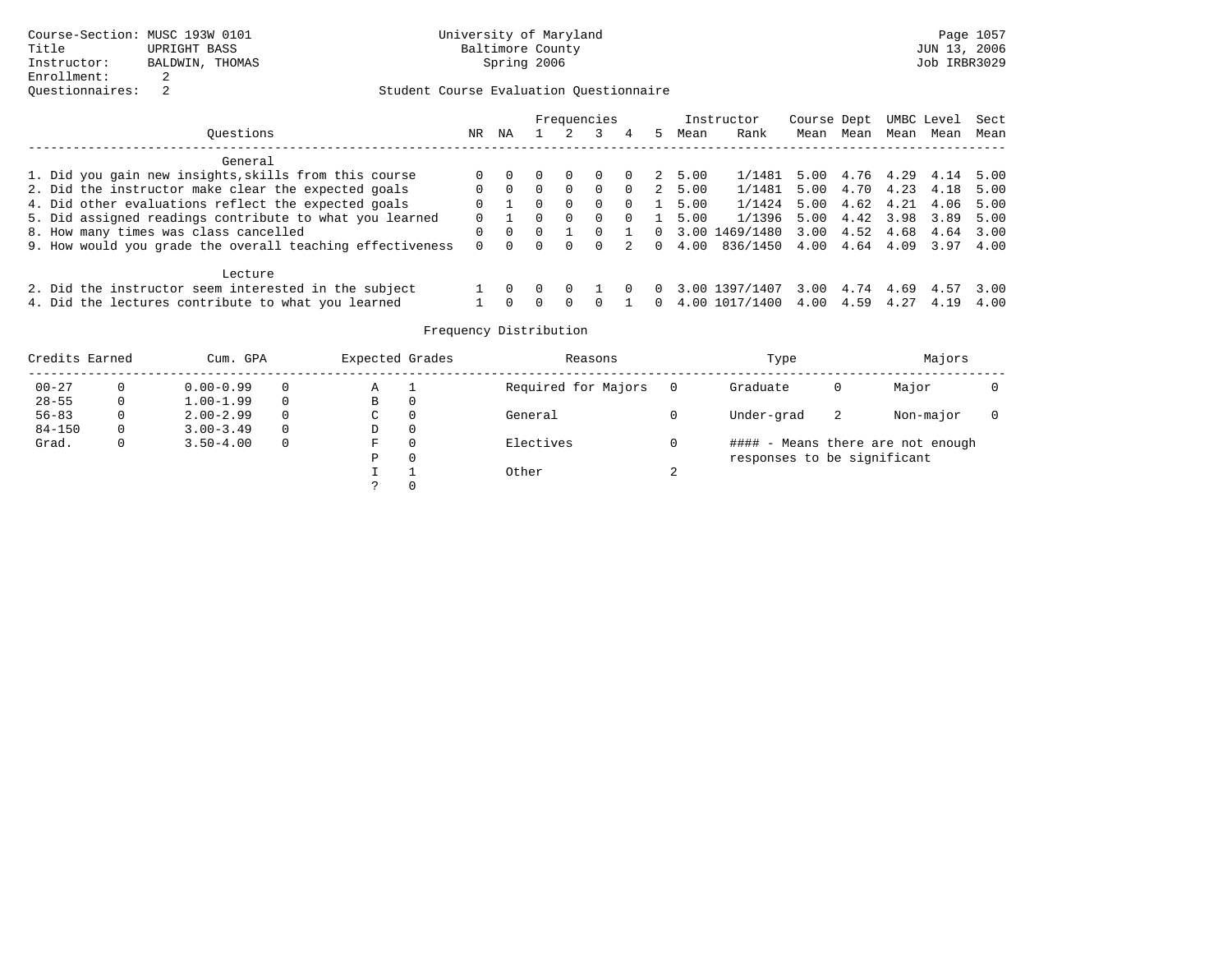|                                                           |          |          |                  |              | Frequencies      |          |          |         | Instructor     | Course Dept |                | UMBC Level |      | Sect |
|-----------------------------------------------------------|----------|----------|------------------|--------------|------------------|----------|----------|---------|----------------|-------------|----------------|------------|------|------|
| Ouestions                                                 | NR.      | ΝA       |                  |              |                  | 4        | 5.       | Mean    | Rank           | Mean        | Mean           | Mean       | Mean | Mean |
| General                                                   |          |          |                  |              |                  |          |          |         |                |             |                |            |      |      |
| 1. Did you gain new insights, skills from this course     | 0        |          | $\left( \right)$ | $\Omega$     | $\left( \right)$ | $\Omega$ |          | 2 5.00  | 1/1481 5.00    |             | 4.76 4.29 4.14 |            |      | 5.00 |
| 2. Did the instructor make clear the expected goals       | 0        | $\Omega$ | $\Omega$         | $\Omega$     | $\Omega$         | $\Omega$ |          | 2, 5.00 | 1/1481 5.00    |             | 4.70 4.23      |            | 4.18 | 5.00 |
| 4. Did other evaluations reflect the expected goals       | $\Omega$ |          | $\Omega$         | $\Omega$     | $\Omega$         | $\Omega$ |          | 5.00    | 1/1424         | 5.00        | 4.62 4.21      |            | 4.06 | 5.00 |
| 5. Did assigned readings contribute to what you learned   | $\Omega$ |          | 0                | $\Omega$     | $\Omega$         | $\Omega$ |          | 5.00    | 1/1396 5.00    |             | 4.42 3.98      |            | 3.89 | 5.00 |
| 8. How many times was class cancelled                     | 0        |          | $\Omega$         |              |                  |          | $\Omega$ | 3.00    | 1469/1480 3.00 |             | 4.52 4.68      |            | 4.64 | 3.00 |
| 9. How would you grade the overall teaching effectiveness | $\Omega$ |          | 0                | <sup>0</sup> | $\Omega$         | 2        | $\Omega$ | 4.00    | 836/1450 4.00  |             | 4.64 4.09      |            | 3.97 | 4.00 |
| Lecture                                                   |          |          |                  |              |                  |          |          |         |                |             |                |            |      |      |
| 2. Did the instructor seem interested in the subject      |          |          | $\left( \right)$ |              |                  |          |          |         | 3.00 1397/1407 | 3.00        | 4.74           | 4.69 4.57  |      | 3.00 |
| 4. Did the lectures contribute to what you learned        |          |          | $\cap$           | $\cap$       |                  |          | 0        |         | 4.00 1017/1400 | 4.00        | 4.59           | 4.27       | 4.19 | 4.00 |

| Credits Earned |          | Cum. GPA      |          | Expected Grades |                | Reasons             | Type                        |    | Majors                       |  |
|----------------|----------|---------------|----------|-----------------|----------------|---------------------|-----------------------------|----|------------------------------|--|
| $00 - 27$      | $\Omega$ | $0.00 - 0.99$ | $\Omega$ | Α               |                | Required for Majors | Graduate                    | 0  | Major                        |  |
| $28 - 55$      | 0        | $1.00 - 1.99$ | $\Omega$ | B               | $\overline{0}$ |                     |                             |    |                              |  |
| $56 - 83$      | 0        | $2.00 - 2.99$ | $\Omega$ | C               | 0              | General             | Under-grad                  | -2 | Non-major                    |  |
| $84 - 150$     | 0        | $3.00 - 3.49$ | $\Omega$ | D               | 0              |                     |                             |    |                              |  |
| Grad.          | 0        | $3.50 - 4.00$ | $\Omega$ | F               | $\Omega$       | Electives           | ####                        |    | - Means there are not enough |  |
|                |          |               |          | Ρ               | 0              |                     | responses to be significant |    |                              |  |
|                |          |               |          |                 | ᅩ              | Other               |                             |    |                              |  |
|                |          |               |          |                 | $\Omega$       |                     |                             |    |                              |  |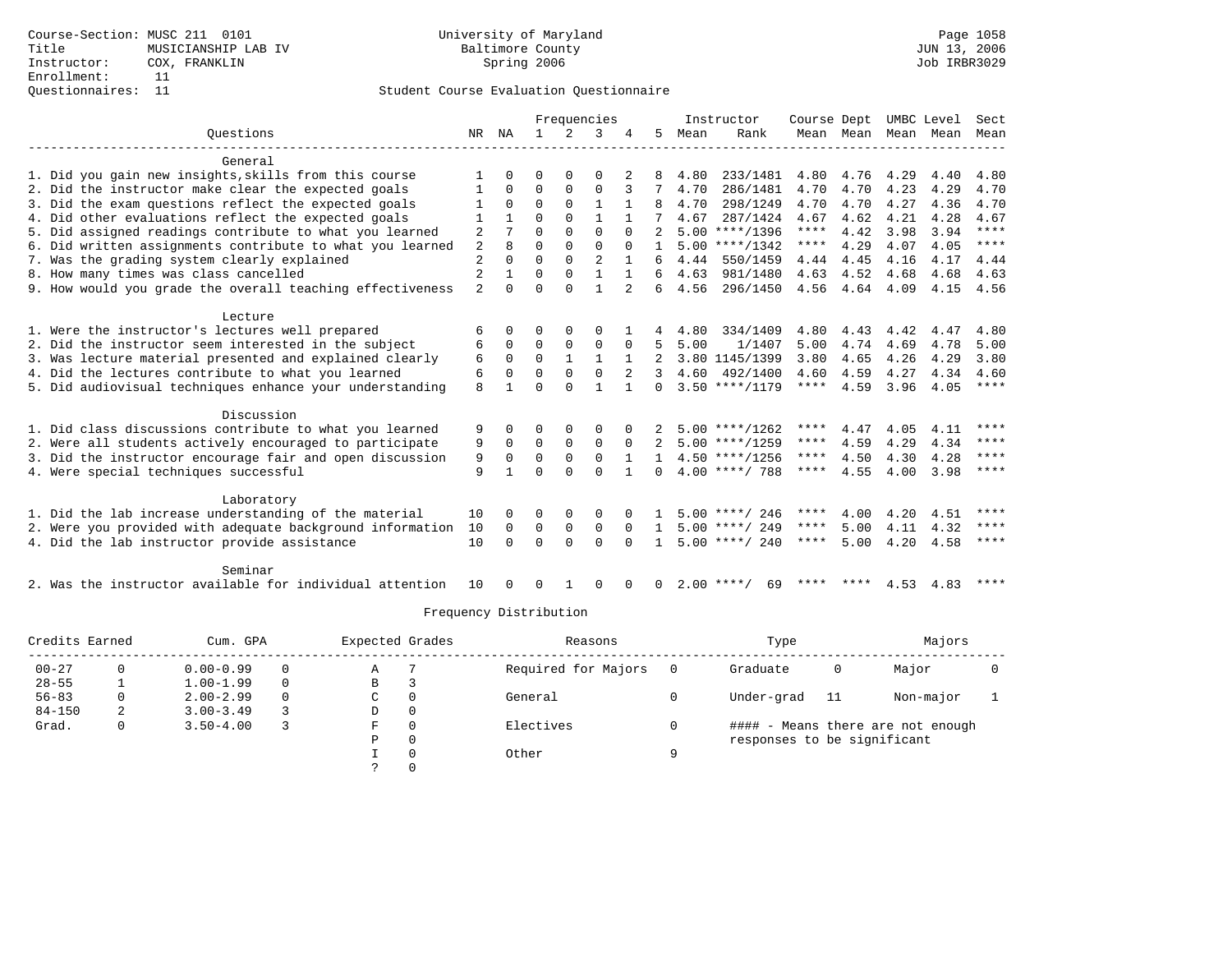### Questionnaires: 11 Student Course Evaluation Questionnaire

|                                                           |                         |              |              |              | Frequencies    |              |              |      | Instructor         | Course Dept |           |      | UMBC Level | Sect                   |
|-----------------------------------------------------------|-------------------------|--------------|--------------|--------------|----------------|--------------|--------------|------|--------------------|-------------|-----------|------|------------|------------------------|
| Ouestions                                                 | NR                      | NA           | $\mathbf{1}$ | 2            | 3              |              | 5.           | Mean | Rank               |             | Mean Mean |      | Mean Mean  | Mean                   |
| General                                                   |                         |              |              |              |                |              |              |      |                    |             |           |      |            |                        |
| 1. Did you gain new insights, skills from this course     | 1                       | $\Omega$     | 0            | $\Omega$     | 0              |              | 8            | 4.80 | 233/1481           | 4.80        | 4.76      | 4.29 | 4.40       | 4.80                   |
| 2. Did the instructor make clear the expected goals       |                         | $\Omega$     | $\Omega$     | $\mathbf 0$  | 0              |              |              | 4.70 | 286/1481           | 4.70        | 4.70      | 4.23 | 4.29       | 4.70                   |
| 3. Did the exam questions reflect the expected goals      |                         | $\Omega$     | $\Omega$     | $\Omega$     | $\mathbf{1}$   | $\mathbf{1}$ |              | 4.70 | 298/1249           | 4.70        | 4.70      | 4.27 | 4.36       | 4.70                   |
| 4. Did other evaluations reflect the expected goals       |                         |              | 0            | $\Omega$     |                |              |              | 4.67 | 287/1424           | 4.67        | 4.62      | 4.21 | 4.28       | 4.67                   |
| 5. Did assigned readings contribute to what you learned   | 2                       |              | 0            | $\Omega$     | $\Omega$       | $\Omega$     | 2            |      | $5.00$ ****/1396   | ****        | 4.42      | 3.98 | 3.94       | $\star\star\star\star$ |
| 6. Did written assignments contribute to what you learned | $\overline{\mathbf{c}}$ | 8            | $\Omega$     | $\Omega$     | $\Omega$       | $\Omega$     | $\mathbf{1}$ |      | $5.00$ ****/1342   | $***$ * * * | 4.29      | 4.07 | 4.05       | ****                   |
| 7. Was the grading system clearly explained               | $\overline{2}$          | $\Omega$     | $\Omega$     | $\Omega$     | $\overline{2}$ | $\mathbf{1}$ | 6            | 4.44 | 550/1459           | 4.44        | 4.45      | 4.16 | 4.17       | 4.44                   |
| 8. How many times was class cancelled                     | $\overline{2}$          | $\mathbf{1}$ | U            | $\Omega$     | $\mathbf{1}$   | $\mathbf{1}$ | 6            | 4.63 | 981/1480           | 4.63        | 4.52      | 4.68 | 4.68       | 4.63                   |
| 9. How would you grade the overall teaching effectiveness | $\overline{a}$          | $\Omega$     | $\Omega$     | $\Omega$     | $\mathbf{1}$   |              | 6            | 4.56 | 296/1450           |             | 4.56 4.64 | 4.09 | 4.15       | 4.56                   |
| Lecture                                                   |                         |              |              |              |                |              |              |      |                    |             |           |      |            |                        |
| 1. Were the instructor's lectures well prepared           | 6                       | $\Omega$     | U            | 0            | 0              |              |              | 4.80 | 334/1409           | 4.80        | 4.43      | 4.42 | 4.47       | 4.80                   |
| 2. Did the instructor seem interested in the subject      | 6                       | $\Omega$     | $\mathbf 0$  | $\mathbf 0$  | 0              | 0            | 5            | 5.00 | 1/1407             | 5.00        | 4.74      | 4.69 | 4.78       | 5.00                   |
| 3. Was lecture material presented and explained clearly   | 6                       | $\Omega$     | $\Omega$     | $\mathbf{1}$ | $\mathbf{1}$   | $\mathbf{1}$ |              |      | 3.80 1145/1399     | 3.80        | 4.65      | 4.26 | 4.29       | 3.80                   |
| 4. Did the lectures contribute to what you learned        | 6                       | $\Omega$     | $\Omega$     | $\Omega$     | $\Omega$       | 2            | 3            | 4.60 | 492/1400           | 4.60        | 4.59      | 4.27 | 4.34       | 4.60                   |
| 5. Did audiovisual techniques enhance your understanding  | 8                       | $\mathbf{1}$ | U            | $\Omega$     |                |              | $\Omega$     |      | $3.50$ ****/1179   | $***$ * *   | 4.59      | 3.96 | 4.05       | ****                   |
| Discussion                                                |                         |              |              |              |                |              |              |      |                    |             |           |      |            |                        |
| 1. Did class discussions contribute to what you learned   | 9                       | 0            | 0            | $\Omega$     | O              |              |              |      | $5.00$ ****/1262   | ****        | 4.47      | 4.05 | 4.11       | ****                   |
| 2. Were all students actively encouraged to participate   | 9                       | $\mathbf 0$  | $\mathbf 0$  | $\mathbf 0$  | 0              | 0            | 2            |      | $5.00$ ****/1259   | ****        | 4.59      | 4.29 | 4.34       | $***$ * * *            |
| 3. Did the instructor encourage fair and open discussion  | 9                       | $\Omega$     | $\Omega$     | $\mathbf 0$  | $\Omega$       | 1            | $\mathbf{1}$ |      | $4.50$ ****/1256   | ****        | 4.50      | 4.30 | 4.28       | $***$ *                |
| 4. Were special techniques successful                     | 9                       | $\mathbf{1}$ | U            | $\Omega$     | $\Omega$       | $\mathbf{1}$ | $\cap$       |      | $4.00$ ****/ 788   | $***$ * *   | 4.55      | 4.00 | 3.98       | ****                   |
| Laboratory                                                |                         |              |              |              |                |              |              |      |                    |             |           |      |            |                        |
| 1. Did the lab increase understanding of the material     | 10                      | $\Omega$     | U            | 0            | $\Omega$       |              |              |      | $5.00$ ****/ 246   | ****        | 4.00      | 4.20 | 4.51       | ****                   |
| 2. Were you provided with adequate background information | 10                      | 0            | $\mathbf 0$  | $\mathbf 0$  | 0              | $\Omega$     |              |      | $5.00$ ****/ 249   | $***$ * *   | 5.00      | 4.11 | 4.32       | ****                   |
| 4. Did the lab instructor provide assistance              | 10                      | $\cap$       | $\Omega$     | $\Omega$     | $\Omega$       | $\cap$       | $\mathbf{1}$ |      | $5.00$ ****/ 240   | $***$ * *   | 5.00      | 4.20 | 4.58       | ****                   |
| Seminar                                                   |                         |              |              |              |                |              |              |      |                    |             |           |      |            |                        |
| 2. Was the instructor available for individual attention  | 10                      | $\Omega$     | $\Omega$     | $\mathbf{1}$ | 0              | $\Omega$     | $\Omega$     |      | $2.00$ ****/<br>69 |             | **** **** |      | 4.53 4.83  | ****                   |

| Credits Earned |   | Cum. GPA                            |          | Expected Grades |          | Reasons             |            | Type                        |           | Majors                            |  |
|----------------|---|-------------------------------------|----------|-----------------|----------|---------------------|------------|-----------------------------|-----------|-----------------------------------|--|
| $00 - 27$      |   | $0.00 - 0.99$                       | $\Omega$ | Α               |          | Required for Majors |            | Graduate                    | 0         | Major                             |  |
| $28 - 55$      |   | $1.00 - 1.99$                       | $\Omega$ | B               |          |                     |            |                             |           |                                   |  |
| $56 - 83$      | 0 | $2.00 - 2.99$<br>0<br>$\Omega$<br>C |          |                 | General  |                     | Under-grad | 11                          | Non-major |                                   |  |
| $84 - 150$     |   | $3.00 - 3.49$                       |          | D               | 0        |                     |            |                             |           |                                   |  |
| Grad.          | 0 | $3.50 - 4.00$                       |          | F               | $\Omega$ | Electives           |            |                             |           | #### - Means there are not enough |  |
|                |   |                                     |          | P               | 0        |                     |            | responses to be significant |           |                                   |  |
|                |   |                                     |          |                 | $\Omega$ | Other               | Q          |                             |           |                                   |  |
|                |   |                                     |          |                 | $\Omega$ |                     |            |                             |           |                                   |  |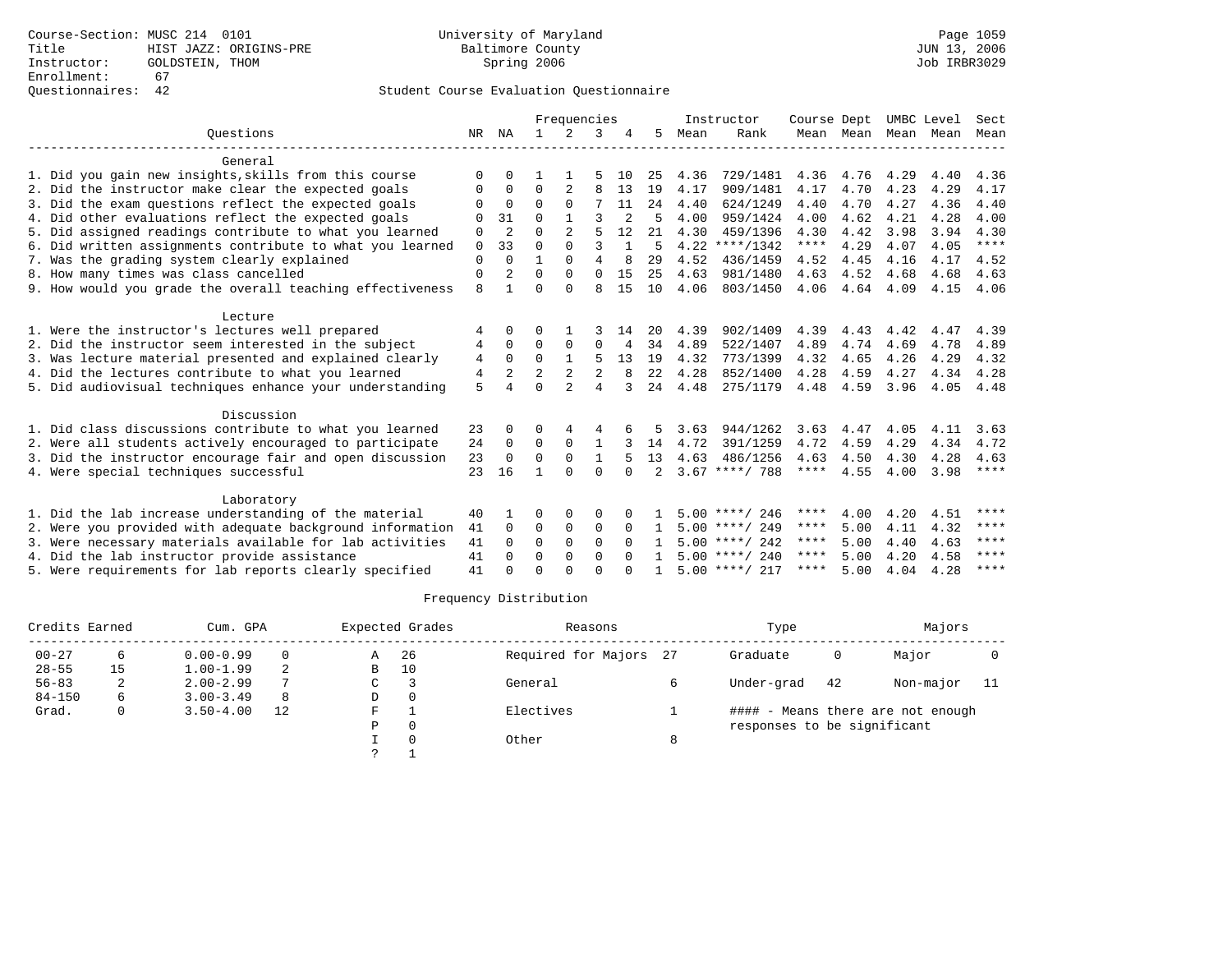|                                                           |             |                |              | Frequencies    |                |              |                |      | Instructor       | Course Dept |           | UMBC Level |      | Sect        |
|-----------------------------------------------------------|-------------|----------------|--------------|----------------|----------------|--------------|----------------|------|------------------|-------------|-----------|------------|------|-------------|
| Ouestions                                                 | NR          | ΝA             | $\mathbf{1}$ | $\mathcal{L}$  | 3              |              | 5.             | Mean | Rank             |             | Mean Mean | Mean       | Mean | Mean        |
| General                                                   |             |                |              |                |                |              |                |      |                  |             |           |            |      |             |
| 1. Did you gain new insights, skills from this course     | $\Omega$    | <sup>0</sup>   |              |                |                | 10           | 25             | 4.36 | 729/1481         | 4.36        | 4.76      | 4.29       | 4.40 | 4.36        |
| 2. Did the instructor make clear the expected goals       | $\Omega$    | 0              | $\Omega$     | 2              | 8              | 13           | 19             | 4.17 | 909/1481         | 4.17        | 4.70      | 4.23       | 4.29 | 4.17        |
| 3. Did the exam questions reflect the expected goals      | $\Omega$    | $\Omega$       | $\Omega$     | $\Omega$       |                | 11           | 24             | 4.40 | 624/1249         | 4.40        | 4.70      | 4.27       | 4.36 | 4.40        |
| 4. Did other evaluations reflect the expected goals       | $\Omega$    | 31             | $\Omega$     |                | ς              |              | 5              | 4.00 | 959/1424         | 4.00        | 4.62      | 4.21       | 4.28 | 4.00        |
| 5. Did assigned readings contribute to what you learned   | 0           | 2              | $\Omega$     | 2              | 5              | 12           | 21             | 4.30 | 459/1396         | 4.30        | 4.42      | 3.98       | 3.94 | 4.30        |
| 6. Did written assignments contribute to what you learned | $\mathbf 0$ | 33             | $\Omega$     | $\Omega$       | $\mathbf{3}$   | $\mathbf{1}$ | 5              | 4.22 | $***/1342$       | ****        | 4.29      | 4.07       | 4.05 | $***$ * * * |
| 7. Was the grading system clearly explained               | $\Omega$    | $\Omega$       | 1            | $\Omega$       | 4              | 8            | 29             | 4.52 | 436/1459         | 4.52        | 4.45      | 4.16       | 4.17 | 4.52        |
| 8. How many times was class cancelled                     | 0           | 2              | $\Omega$     | $\Omega$       | $\Omega$       | 15           | 25             | 4.63 | 981/1480         | 4.63        | 4.52      | 4.68       | 4.68 | 4.63        |
| 9. How would you grade the overall teaching effectiveness | 8           |                | $\Omega$     | $\cap$         | $\mathsf{R}$   | 15           | 10             | 4.06 | 803/1450         | 4.06        | 4.64      | 4.09       | 4.15 | 4.06        |
| Lecture                                                   |             |                |              |                |                |              |                |      |                  |             |           |            |      |             |
| 1. Were the instructor's lectures well prepared           | 4           | 0              | U            |                |                | 14           | 20             | 4.39 | 902/1409         | 4.39        | 4.43      | 4.42       | 4.47 | 4.39        |
| 2. Did the instructor seem interested in the subject      | 4           | $\Omega$       | 0            | 0              | $\Omega$       | 4            | 34             | 4.89 | 522/1407         | 4.89        | 4.74      | 4.69       | 4.78 | 4.89        |
| 3. Was lecture material presented and explained clearly   | 4           | $\Omega$       | $\Omega$     | $\mathbf{1}$   | 5              | 13           | 19             | 4.32 | 773/1399         | 4.32        | 4.65      | 4.26       | 4.29 | 4.32        |
| 4. Did the lectures contribute to what you learned        | 4           | $\overline{2}$ | 2            | 2              | $\overline{2}$ | 8            | 22             | 4.28 | 852/1400         | 4.28        | 4.59      | 4.27       | 4.34 | 4.28        |
| 5. Did audiovisual techniques enhance your understanding  | 5           |                | $\Omega$     | $\mathfrak{D}$ | $\overline{4}$ |              | 24             | 4.48 | 275/1179         | 4.48        | 4.59      | 3.96       | 4.05 | 4.48        |
| Discussion                                                |             |                |              |                |                |              |                |      |                  |             |           |            |      |             |
| 1. Did class discussions contribute to what you learned   | 23          | 0              | 0            |                | 4              |              |                | 3.63 | 944/1262         | 3.63        | 4.47      | 4.05       | 4.11 | 3.63        |
| 2. Were all students actively encouraged to participate   | 24          | 0              | $\Omega$     | $\Omega$       | $\mathbf{1}$   |              | 14             | 4.72 | 391/1259         | 4.72        | 4.59      | 4.29       | 4.34 | 4.72        |
| 3. Did the instructor encourage fair and open discussion  | 23          | $\Omega$       | $\Omega$     | $\Omega$       | $\mathbf{1}$   |              | 13             | 4.63 | 486/1256         | 4.63        | 4.50      | 4.30       | 4.28 | 4.63        |
| 4. Were special techniques successful                     | 23          | 16             | 1            | $\Omega$       | $\Omega$       | $\cap$       | $\overline{2}$ |      | $3.67$ ****/ 788 | $***$ * *   | 4.55      | 4.00       | 3.98 | $***$ * * * |
| Laboratory                                                |             |                |              |                |                |              |                |      |                  |             |           |            |      |             |
| 1. Did the lab increase understanding of the material     | 40          |                | O            | 0              | 0              |              |                |      | $5.00$ ****/ 246 | ****        | 4.00      | 4.20       | 4.51 | ****        |
| 2. Were you provided with adequate background information | 41          | $\Omega$       | $\Omega$     | $\mathbf 0$    | $\Omega$       | $\Omega$     |                |      | $5.00$ ****/ 249 | ****        | 5.00      | 4.11       | 4.32 | ****        |
| 3. Were necessary materials available for lab activities  | 41          | $\Omega$       | $\Omega$     | $\Omega$       | $\Omega$       | $\Omega$     |                |      | $5.00$ ****/ 242 | ****        | 5.00      | 4.40       | 4.63 | ****        |
| 4. Did the lab instructor provide assistance              | 41          | $\Omega$       | $\Omega$     | $\Omega$       | $\Omega$       | $\cap$       |                |      | $5.00$ ****/ 240 | ****        | 5.00      | 4.20       | 4.58 | ****        |
| 5. Were requirements for lab reports clearly specified    | 41          |                | U            | ∩              | $\cap$         |              |                |      | $5.00$ ****/ 217 | ****        | 5.00      | 4.04       | 4.28 | ****        |

| Credits Earned |    | Cum. GPA      |    |   | Expected Grades | Reasons             |              | Type                        |    | Majors                            |     |
|----------------|----|---------------|----|---|-----------------|---------------------|--------------|-----------------------------|----|-----------------------------------|-----|
| $00 - 27$      | 6  | $0.00 - 0.99$ | 0  | Α | -26             | Required for Majors | 27           | Graduate                    |    | Major                             |     |
| $28 - 55$      | 15 | $1.00 - 1.99$ | 2  | В | 10              |                     |              |                             |    |                                   |     |
| $56 - 83$      | 2  | $2.00 - 2.99$ |    | C |                 | General             |              | Under-grad                  | 42 | Non-major                         | -11 |
| $84 - 150$     | 6  | $3.00 - 3.49$ | 8  | D |                 |                     |              |                             |    |                                   |     |
| Grad.          | 0  | $3.50 - 4.00$ | 12 | F |                 | Electives           |              |                             |    | #### - Means there are not enough |     |
|                |    |               |    | P |                 |                     |              | responses to be significant |    |                                   |     |
|                |    |               |    |   |                 | Other               | $\circ$<br>õ |                             |    |                                   |     |
|                |    |               |    |   |                 |                     |              |                             |    |                                   |     |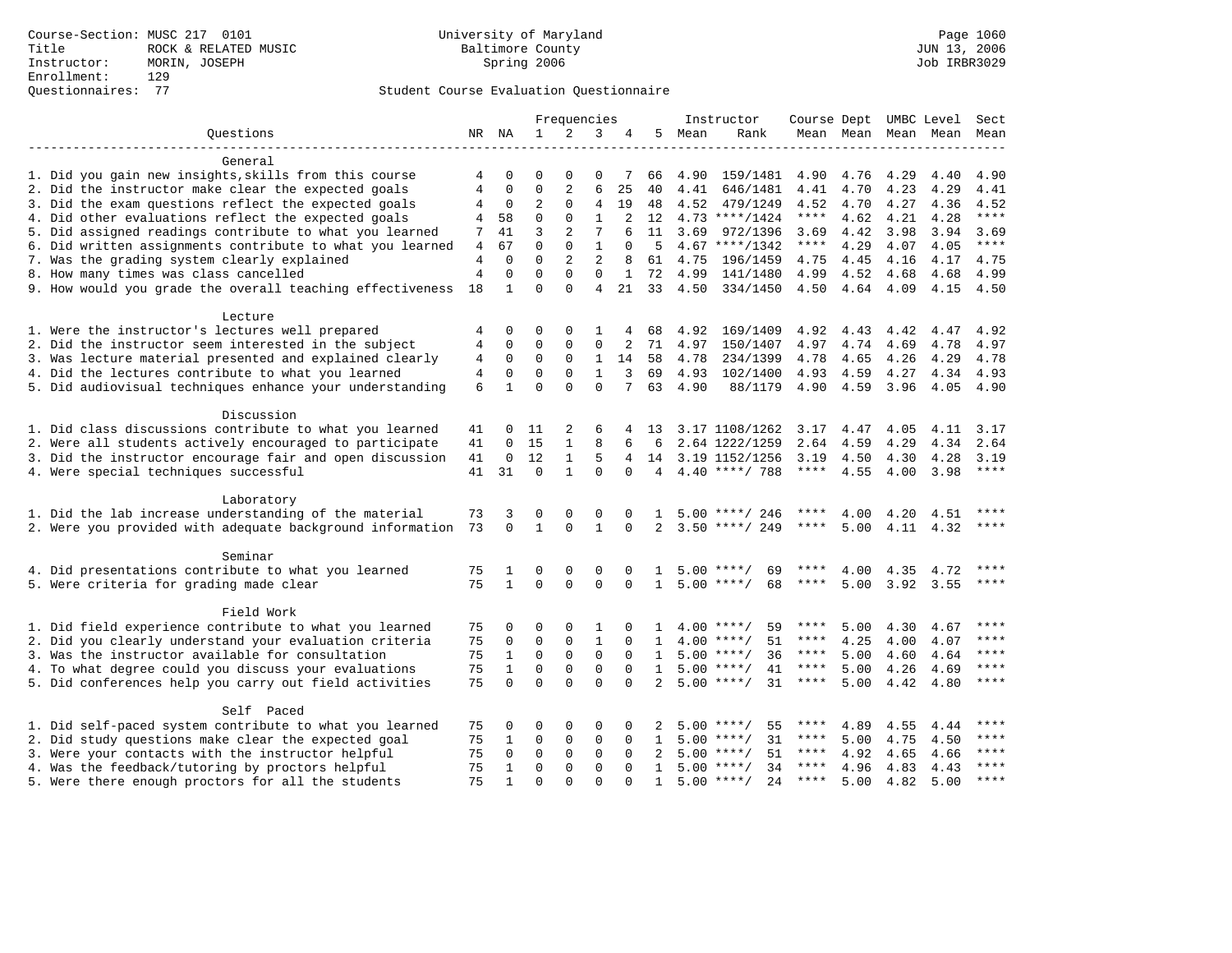# Questionnaires: 77 Student Course Evaluation Questionnaire

|                                                                                                             |                |                      |                | Frequencies                |                |                |                 |              | Instructor           |              |                |              | Course Dept UMBC Level Sect |               |
|-------------------------------------------------------------------------------------------------------------|----------------|----------------------|----------------|----------------------------|----------------|----------------|-----------------|--------------|----------------------|--------------|----------------|--------------|-----------------------------|---------------|
| Ouestions                                                                                                   |                | NR NA                | $\mathbf{1}$   | 2                          | 3              | 4              | 5               | Mean         | Rank                 |              |                |              | Mean Mean Mean Mean         | Mean          |
|                                                                                                             |                |                      |                |                            |                |                |                 |              |                      |              |                |              |                             |               |
| General                                                                                                     |                |                      | $\Omega$       |                            | $\Omega$       |                |                 |              |                      |              |                |              |                             |               |
| 1. Did you gain new insights, skills from this course                                                       | 4<br>4         | $\Omega$<br>$\Omega$ | $\Omega$       | $\Omega$<br>$\overline{2}$ | 6              | 7<br>25        | 66<br>40        | 4.90         | 159/1481             | 4.90         | 4.76           | 4.29         | 4.40                        | 4.90          |
| 2. Did the instructor make clear the expected goals<br>3. Did the exam questions reflect the expected goals | 4              | $\mathbf 0$          | $\overline{2}$ | $\Omega$                   | $\overline{4}$ | 19             | 48              | 4.41<br>4.52 | 646/1481<br>479/1249 | 4.41<br>4.52 | 4.70<br>4.70   | 4.23<br>4.27 | 4.29<br>4.36                | 4.41<br>4.52  |
| 4. Did other evaluations reflect the expected goals                                                         | 4              | 58                   | $\mathbf 0$    | $\mathbf 0$                | $\mathbf{1}$   | 2              | 12              |              | $4.73$ ****/1424     | $***$ * * *  | 4.62           | 4.21         | 4.28                        | $***$         |
| 5. Did assigned readings contribute to what you learned                                                     | 7              | 41                   | $\overline{3}$ | 2                          | 7              | 6              | 11              | 3.69         | 972/1396             | 3.69         | 4.42           | 3.98         | 3.94                        | 3.69          |
| 6. Did written assignments contribute to what you learned                                                   | 4              | 67                   | $\Omega$       | $\Omega$                   | $\mathbf{1}$   | $\Omega$       | 5               |              | $4.67$ ****/1342     | $***$ * * *  | 4.29           | 4.07         | 4.05                        | $***$         |
| 7. Was the grading system clearly explained                                                                 | 4              | $\Omega$             | $\Omega$       | 2                          | $\overline{2}$ | 8              | 61              | 4.75         | 196/1459             | 4.75         | 4.45           | 4.16         | 4.17                        | 4.75          |
| 8. How many times was class cancelled                                                                       | $\overline{4}$ | $\Omega$             | $\Omega$       | $\Omega$                   | $\Omega$       | $\mathbf{1}$   | 72              | 4.99         | 141/1480             | 4.99         | 4.52           | 4.68         | 4.68                        | 4.99          |
| 9. How would you grade the overall teaching effectiveness                                                   | 18             | $\mathbf{1}$         | $\Omega$       | $\Omega$                   | $\overline{4}$ | 21             |                 |              | 33 4.50 334/1450     |              | 4.50 4.64 4.09 |              | 4.15                        | 4.50          |
|                                                                                                             |                |                      |                |                            |                |                |                 |              |                      |              |                |              |                             |               |
| Lecture                                                                                                     |                |                      |                |                            |                |                |                 |              |                      |              |                |              |                             |               |
| 1. Were the instructor's lectures well prepared                                                             | 4              | $\mathbf 0$          | 0              | 0                          | 1              | 4              | 68              | 4.92         | 169/1409             | 4.92         | 4.43           | 4.42         | 4.47                        | 4.92          |
| 2. Did the instructor seem interested in the subject                                                        | $\,4$          | $\mathbf 0$          | $\mathbf 0$    | $\mathbf{0}$               | $\mathbf{0}$   | 2              | 71              | 4.97         | 150/1407             | 4.97         | 4.74           | 4.69         | 4.78                        | 4.97          |
| 3. Was lecture material presented and explained clearly                                                     | 4              | $\mathbf 0$          | $\mathbf 0$    | 0                          | $\mathbf{1}$   | 14             | 58              | 4.78         | 234/1399             | 4.78         | 4.65           | 4.26         | 4.29                        | 4.78          |
| 4. Did the lectures contribute to what you learned                                                          | 4              | $\mathbf 0$          | $\mathbf 0$    | $\Omega$                   | $\mathbf{1}$   | 3              | 69              | 4.93         | 102/1400             | 4.93         | 4.59           | 4.27         | 4.34                        | 4.93          |
| 5. Did audiovisual techniques enhance your understanding                                                    | 6              | $\mathbf{1}$         | $\Omega$       | $\Omega$                   | $\Omega$       | 7              | 63              | 4.90         | 88/1179              | 4.90         | 4.59           | 3.96         |                             | 4.05 4.90     |
|                                                                                                             |                |                      |                |                            |                |                |                 |              |                      |              |                |              |                             |               |
| Discussion                                                                                                  |                |                      |                |                            |                |                |                 |              |                      |              |                |              |                             |               |
| 1. Did class discussions contribute to what you learned                                                     | 41             | 0                    | 11             | 2                          | 6              |                | 4 13            |              | 3.17 1108/1262 3.17  |              | 4.47           | 4.05         | 4.11                        | 3.17          |
| 2. Were all students actively encouraged to participate                                                     | 41             | $\mathbf 0$          | 15             | $\mathbf{1}$               | 8              | 6              | 6               |              | 2.64 1222/1259       | 2.64         | 4.59           | 4.29         | 4.34                        | 2.64          |
| 3. Did the instructor encourage fair and open discussion                                                    | 41             | $\mathbf 0$          | 12             | $\mathbf{1}$               | 5              | $\overline{4}$ |                 |              | 14 3.19 1152/1256    | 3.19         | 4.50           | 4.30         | 4.28                        | 3.19          |
| 4. Were special techniques successful                                                                       | 41             | 31                   | $\Omega$       | $\mathbf{1}$               | $\Omega$       | $\Omega$       | $4\overline{ }$ |              | 4.40 ****/ 788       | ****         | 4.55           | 4.00         | 3.98                        | $***$         |
| Laboratory                                                                                                  |                |                      |                |                            |                |                |                 |              |                      |              |                |              |                             |               |
| 1. Did the lab increase understanding of the material                                                       | 73             | 3                    | $\Omega$       | $\Omega$                   | $\Omega$       |                |                 | 5.00         | ****/ 246            |              | 4.00           | 4.20         | 4.51                        | $***$         |
| 2. Were you provided with adequate background information                                                   | 73             | $\Omega$             | $\mathbf{1}$   | $\Omega$                   | $\mathbf{1}$   | $\Omega$       | $\overline{2}$  |              | $3.50$ ****/ 249     | ****         | 5.00           |              | 4.11 4.32                   | ****          |
|                                                                                                             |                |                      |                |                            |                |                |                 |              |                      |              |                |              |                             |               |
| Seminar                                                                                                     |                |                      |                |                            |                |                |                 |              |                      |              |                |              |                             |               |
| 4. Did presentations contribute to what you learned                                                         | 75             | 1                    | 0              | 0                          | $\Omega$       | $\Omega$       | $\mathbf{1}$    |              | $5.00$ ****/<br>69   |              | 4.00           | 4.35         | 4.72                        | ****          |
| 5. Were criteria for grading made clear                                                                     | 75             | $\mathbf{1}$         | $\Omega$       | $\Omega$                   | $\Omega$       | $\Omega$       | $\mathbf{1}$    |              | $5.00$ ****/<br>68   | ****         | 5.00           | 3.92         | 3.55                        | ****          |
|                                                                                                             |                |                      |                |                            |                |                |                 |              |                      |              |                |              |                             |               |
| Field Work                                                                                                  |                |                      |                |                            |                |                |                 |              |                      |              |                |              |                             |               |
| 1. Did field experience contribute to what you learned                                                      | 75             | $\Omega$             | $\Omega$       | $\Omega$                   | 1              | $\Omega$       | 1.              |              | $4.00$ ****/<br>59   | ****         | 5.00           | 4.30         | 4.67                        | $***$         |
| 2. Did you clearly understand your evaluation criteria                                                      | 75             | 0                    | $\mathbf 0$    | $\mathbf{0}$               | $\mathbf{1}$   | $\Omega$       | $\mathbf{1}$    |              | $4.00$ ****/<br>51   | $***$ * *    | 4.25           | 4.00         | 4.07                        | $***$ * * *   |
| 3. Was the instructor available for consultation                                                            | 75             | $\mathbf{1}$         | $\mathbf 0$    | $\mathbf 0$                | $\mathbf 0$    | $\Omega$       | $\mathbf{1}$    |              | $5.00$ ****/<br>36   | $***$ * * *  | 5.00           | 4.60         | 4.64                        | ****          |
| 4. To what degree could you discuss your evaluations                                                        | 75             | $\mathbf{1}$         | $\mathbf 0$    | $\mathbf{0}$               | $\mathbf 0$    | $\Omega$       | $\mathbf{1}$    |              | $5.00$ ****/<br>41   | $***$ * * *  | 5.00           | 4.26         | 4.69                        | ****          |
| 5. Did conferences help you carry out field activities                                                      | 75             | $\Omega$             | $\Omega$       | $\Omega$                   | $\Omega$       | $\Omega$       | $\overline{2}$  |              | $5.00$ ****/<br>31   | $***$ * * *  | 5.00           | 4.42         | 4.80                        | $***$         |
|                                                                                                             |                |                      |                |                            |                |                |                 |              |                      |              |                |              |                             |               |
| Self Paced                                                                                                  |                |                      |                |                            |                |                |                 |              |                      |              |                |              |                             | $***$         |
| 1. Did self-paced system contribute to what you learned                                                     | 75             | $\Omega$             | $\Omega$       | $\Omega$                   | $\Omega$       | $\Omega$       |                 | 5.00         | $***$ /<br>55        | ****         | 4.89           | 4.55         | 4.44                        |               |
| 2. Did study questions make clear the expected goal                                                         | 75             | 1                    | $\Omega$       | 0                          | $\mathbf 0$    | $\Omega$       | $\mathbf{1}$    | 5.00         | $***/$<br>31         | ****         | 5.00           | 4.75         | 4.50                        | ****<br>$***$ |
| 3. Were your contacts with the instructor helpful                                                           | 75             | $\Omega$             | $\Omega$       | $\Omega$                   | $\Omega$       | $\Omega$       |                 |              | 51<br>$5.00$ ****/   | ****         | 4.92           | 4.65         | 4.66                        | $***$         |
| 4. Was the feedback/tutoring by proctors helpful                                                            | 75             | 1                    | $\mathbf 0$    | $\mathbf{0}$               | 0              | $\Omega$       | $\mathbf{1}$    |              | $5.00$ ****/<br>34   | $***$ * * *  | 4.96           | 4.83         | 4.43                        | $***$         |
| 5. Were there enough proctors for all the students                                                          | 75             | $\mathbf{1}$         | $\Omega$       | $\Omega$                   | $\Omega$       | $\Omega$       | $\mathbf{1}$    |              | $5.00$ ****/<br>2.4  | $***$ * * *  | 5.00           | 4.82         | 5.00                        |               |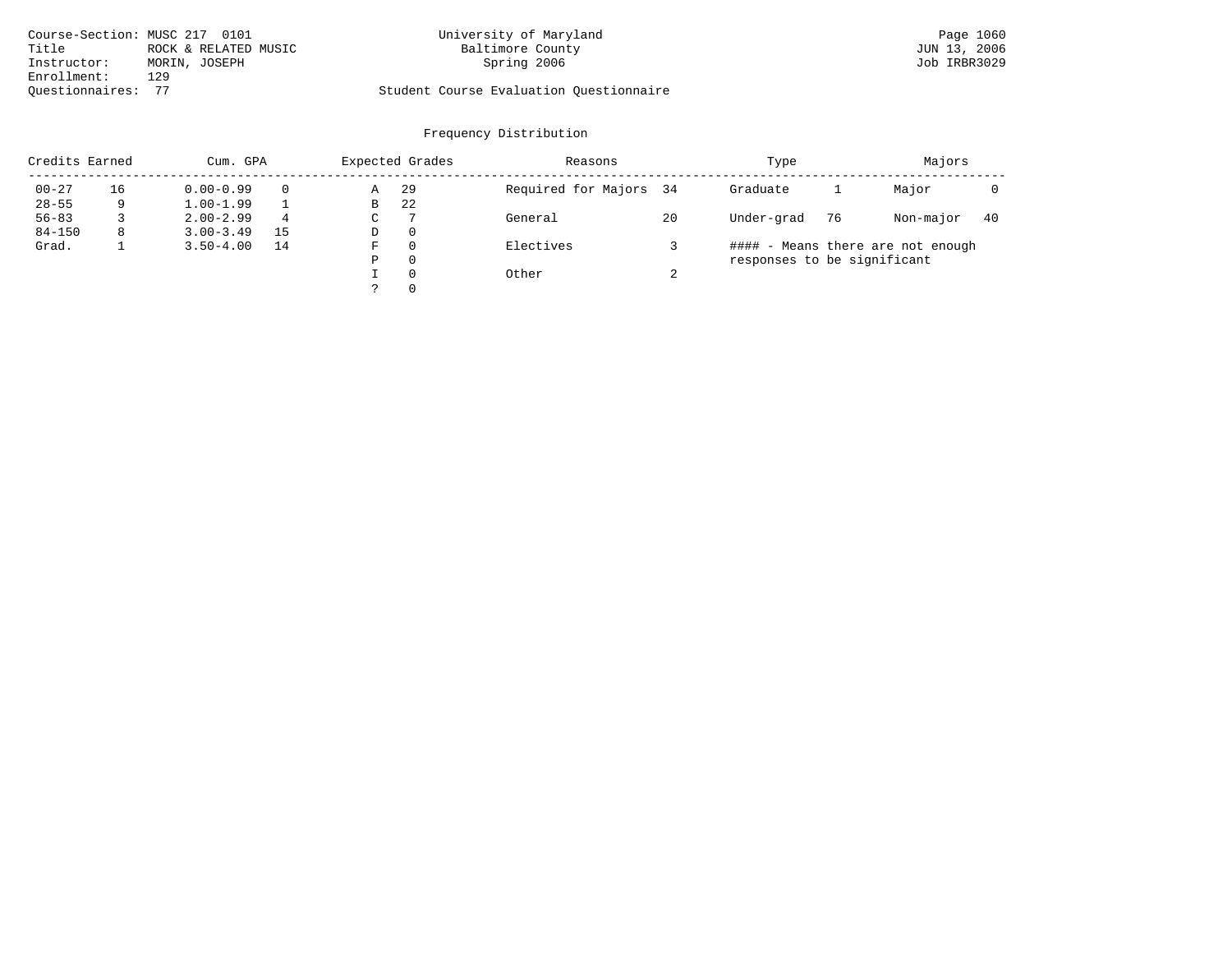| Course-Section: MUSC 217 0101 |                      | University of Maryland                  | Page 1060    |
|-------------------------------|----------------------|-----------------------------------------|--------------|
| Title                         | ROCK & RELATED MUSIC | Baltimore County                        | JUN 13, 2006 |
| Instructor:                   | MORIN, JOSEPH        | Spring 2006                             | Job IRBR3029 |
| Enrollment:                   | 129                  |                                         |              |
| Ouestionnaires:               |                      | Student Course Evaluation Questionnaire |              |

# University of Maryland Baltimore County (Base 2006) 2006 2011 2012 2014 2014 2015 2016 2017 2018 2016 2017 201

| Credits Earned |    | Cum. GPA      |               |   | Expected Grades | Reasons                |        | Type                        |    | Majors                            |     |
|----------------|----|---------------|---------------|---|-----------------|------------------------|--------|-----------------------------|----|-----------------------------------|-----|
| $00 - 27$      | 16 | $0.00 - 0.99$ |               | Α | -29             | Required for Majors 34 |        | Graduate                    |    | Major                             |     |
| $28 - 55$      | 9  | $1.00 - 1.99$ |               | B | 22              |                        |        |                             |    |                                   |     |
| $56 - 83$      |    | $2.00 - 2.99$ | -7<br>4<br>C. |   |                 | General                | 20     | Under-grad                  | 76 | Non-major                         | -40 |
| $84 - 150$     | 8  | $3.00 - 3.49$ | 15            | D | -0              |                        |        |                             |    |                                   |     |
| Grad.          |    | $3.50 - 4.00$ | 14            | F | $\Omega$        | Electives              |        |                             |    | #### - Means there are not enough |     |
|                |    |               |               | Ρ | 0               |                        |        | responses to be significant |    |                                   |     |
|                |    |               |               |   | $\Omega$        | Other                  | $\sim$ |                             |    |                                   |     |
|                |    |               |               |   | $\Omega$        |                        |        |                             |    |                                   |     |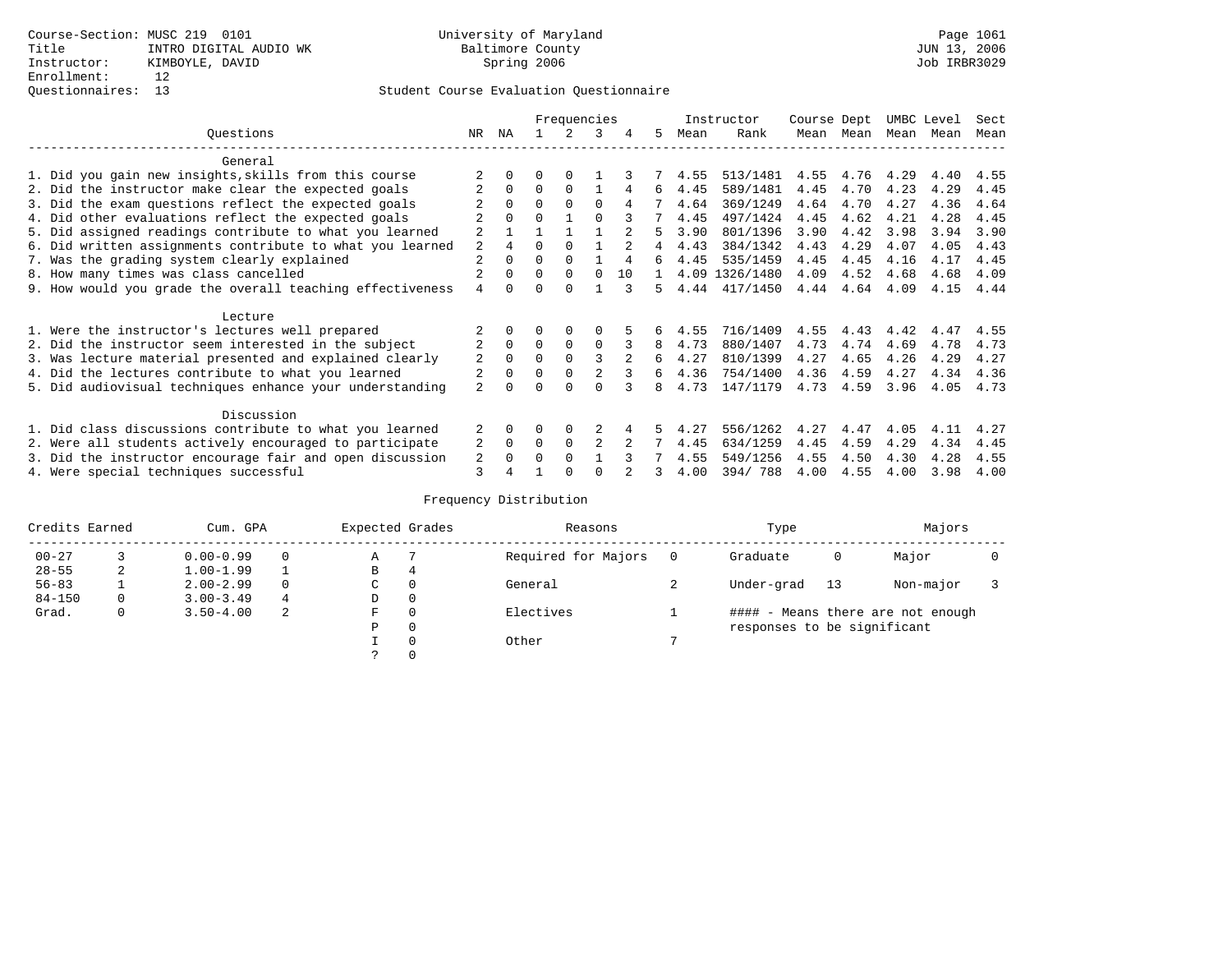|                                                           |                |              |          | Frequencies  |          |    |    |      | Instructor     | Course Dept |      | UMBC Level |      | Sect |
|-----------------------------------------------------------|----------------|--------------|----------|--------------|----------|----|----|------|----------------|-------------|------|------------|------|------|
| Ouestions                                                 | NR.            | ΝA           |          |              | 3        | 4  | 5  | Mean | Rank           | Mean        | Mean | Mean       | Mean | Mean |
| General                                                   |                |              |          |              |          |    |    |      |                |             |      |            |      |      |
| 1. Did you gain new insights, skills from this course     |                |              |          | $\Omega$     |          |    |    | 4.55 | 513/1481       | 4.55        | 4.76 | 4.29       | 4.40 | 4.55 |
| 2. Did the instructor make clear the expected goals       |                | $\Omega$     | $\Omega$ | $\Omega$     |          | 4  | 6  | 4.45 | 589/1481       | 4.45        | 4.70 | 4.23       | 4.29 | 4.45 |
| 3. Did the exam questions reflect the expected goals      |                | $\Omega$     | $\Omega$ | $\Omega$     | 0        |    |    | 4.64 | 369/1249       | 4.64        | 4.70 | 4.27       | 4.36 | 4.64 |
| 4. Did other evaluations reflect the expected goals       |                | $\Omega$     |          |              |          |    |    | 4.45 | 497/1424       | 4.45        | 4.62 | 4.21       | 4.28 | 4.45 |
| 5. Did assigned readings contribute to what you learned   | 2              |              |          |              |          |    |    | 3.90 | 801/1396       | 3.90        | 4.42 | 3.98       | 3.94 | 3.90 |
| 6. Did written assignments contribute to what you learned | 2              | 4            | 0        |              |          |    | 4  | 4.43 | 384/1342       | 4.43        | 4.29 | 4.07       | 4.05 | 4.43 |
| 7. Was the grading system clearly explained               | 2              |              |          | $\Omega$     |          | 4  | б. | 4.45 | 535/1459       | 4.45        | 4.45 | 4.16       | 4.17 | 4.45 |
| 8. How many times was class cancelled                     | 2              | <sup>0</sup> | $\Omega$ | $\Omega$     | $\Omega$ | 10 |    |      | 4.09 1326/1480 | 4.09        | 4.52 | 4.68       | 4.68 | 4.09 |
| 9. How would you grade the overall teaching effectiveness | 4              |              |          | <sup>n</sup> |          |    | 5  | 4.44 | 417/1450       | 4.44        | 4.64 | 4.09       | 4.15 | 4.44 |
| Lecture                                                   |                |              |          |              |          |    |    |      |                |             |      |            |      |      |
| 1. Were the instructor's lectures well prepared           |                |              |          |              |          |    |    | 4.55 | 716/1409       | 4.55        | 4.43 | 4.42       | 4.47 | 4.55 |
| 2. Did the instructor seem interested in the subject      | 2              | $\Omega$     | $\Omega$ | 0            | $\Omega$ |    | 8  | 4.73 | 880/1407       | 4.73        | 4.74 | 4.69       | 4.78 | 4.73 |
| 3. Was lecture material presented and explained clearly   | 2              | $\Omega$     | 0        |              | 3        |    | 6  | 4.27 | 810/1399       | 4.27        | 4.65 | 4.26       | 4.29 | 4.27 |
| 4. Did the lectures contribute to what you learned        |                | $\Omega$     | $\Omega$ | $\Omega$     | 2        |    | 6  | 4.36 | 754/1400       | 4.36        | 4.59 | 4.27       | 4.34 | 4.36 |
| 5. Did audiovisual techniques enhance your understanding  | $\overline{a}$ |              |          |              |          |    | 8  | 4.73 | 147/1179       | 4.73        | 4.59 | 3.96       | 4.05 | 4.73 |
| Discussion                                                |                |              |          |              |          |    |    |      |                |             |      |            |      |      |
| 1. Did class discussions contribute to what you learned   |                | $\Omega$     | U        | 0            |          |    |    | 4.27 | 556/1262       | 4.27        | 4.47 | 4.05       | 4.11 | 4.27 |
| 2. Were all students actively encouraged to participate   | 2              | $\mathbf 0$  | 0        | 0            | 2        |    |    | 4.45 | 634/1259       | 4.45        | 4.59 | 4.29       | 4.34 | 4.45 |
| 3. Did the instructor encourage fair and open discussion  | 2              |              |          | $\Omega$     |          |    |    | 4.55 | 549/1256       | 4.55        | 4.50 | 4.30       | 4.28 | 4.55 |
| 4. Were special techniques successful                     | 3              |              |          |              |          |    |    | 4.00 | 394/788        | 4.00        | 4.55 | 4.00       | 3.98 | 4.00 |

| Credits Earned |   | Cum. GPA      |        | Expected Grades |          | Reasons             |          | Type                        |     | Majors                            |  |
|----------------|---|---------------|--------|-----------------|----------|---------------------|----------|-----------------------------|-----|-----------------------------------|--|
| $00 - 27$      |   | $0.00 - 0.99$ |        | Α               |          | Required for Majors | $\Omega$ | Graduate                    | 0   | Major                             |  |
| $28 - 55$      | 2 | $1.00 - 1.99$ | В<br>4 |                 |          |                     |          |                             |     |                                   |  |
| $56 - 83$      |   | $2.00 - 2.99$ |        | $\sim$<br>◡     | 0        | General             |          | Under-grad                  | -13 | Non-major                         |  |
| $84 - 150$     | 0 | $3.00 - 3.49$ | 4      | D               | 0        |                     |          |                             |     |                                   |  |
| Grad.          | 0 | $3.50 - 4.00$ | 2      | F               | 0        | Electives           |          |                             |     | #### - Means there are not enough |  |
|                |   |               |        | Ρ               | 0        |                     |          | responses to be significant |     |                                   |  |
|                |   |               |        |                 | $\Omega$ | Other               |          |                             |     |                                   |  |
|                |   |               |        |                 |          |                     |          |                             |     |                                   |  |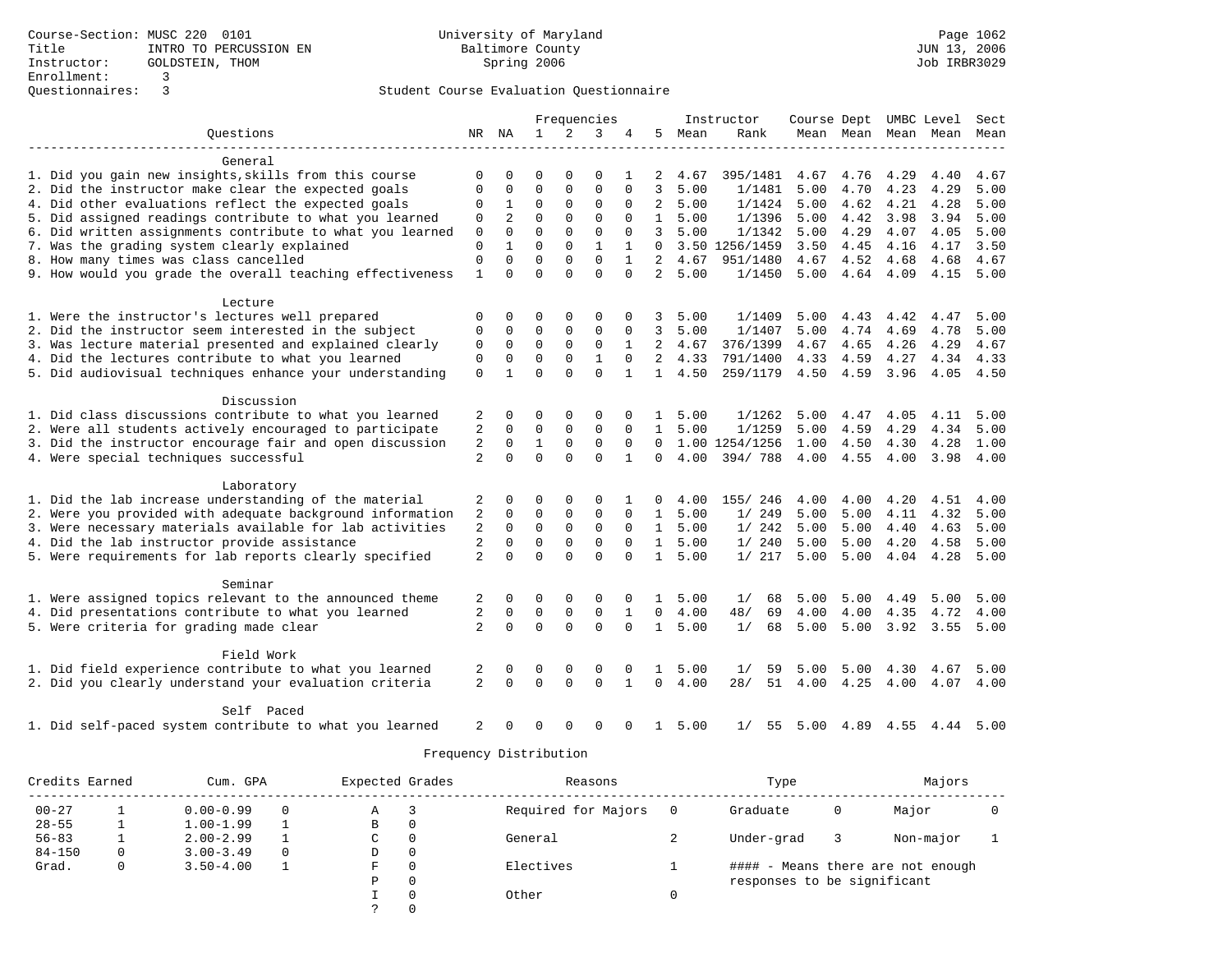|                                                           |                |                | Frequencies  |             |              |              | Instructor     | Course Dept |                | UMBC Level |           | Sect |           |      |
|-----------------------------------------------------------|----------------|----------------|--------------|-------------|--------------|--------------|----------------|-------------|----------------|------------|-----------|------|-----------|------|
| Questions                                                 |                | NR NA          | $\mathbf{1}$ | 2           | 3            |              | 5              | Mean        | Rank           |            | Mean Mean |      | Mean Mean | Mean |
| General                                                   |                |                |              |             |              |              |                |             |                |            |           |      |           |      |
| 1. Did you gain new insights, skills from this course     | $\Omega$       | $\Omega$       | $\Omega$     | $\Omega$    | $\Omega$     |              | 2              | 4.67        | 395/1481       | 4.67       | 4.76      | 4.29 | 4.40      | 4.67 |
| 2. Did the instructor make clear the expected goals       | $\Omega$       | 0              | $\Omega$     | 0           | $\Omega$     | $\Omega$     | 3              | 5.00        | 1/1481         | 5.00       | 4.70      | 4.23 | 4.29      | 5.00 |
| 4. Did other evaluations reflect the expected goals       | 0              | $\mathbf{1}$   | $\Omega$     | 0           | $\mathbf 0$  | $\Omega$     | 2              | 5.00        | 1/1424         | 5.00       | 4.62      | 4.21 | 4.28      | 5.00 |
| 5. Did assigned readings contribute to what you learned   | 0              | $\overline{2}$ | $\Omega$     | $\Omega$    | $\Omega$     | $\Omega$     | $\mathbf{1}$   | 5.00        | 1/1396         | 5.00       | 4.42      | 3.98 | 3.94      | 5.00 |
| 6. Did written assignments contribute to what you learned | $\Omega$       | $\Omega$       | $\Omega$     | $\Omega$    | $\Omega$     | $\Omega$     | 3              | 5.00        | 1/1342         | 5.00       | 4.29      | 4.07 | 4.05      | 5.00 |
| 7. Was the grading system clearly explained               | $\Omega$       | 1              | $\Omega$     | $\Omega$    | $\mathbf{1}$ | 1            | $\Omega$       |             | 3.50 1256/1459 | 3.50       | 4.45      | 4.16 | 4.17      | 3.50 |
| 8. How many times was class cancelled                     | $\Omega$       | $\Omega$       | $\Omega$     | $\Omega$    | $\Omega$     | $\mathbf{1}$ | $\overline{2}$ | 4.67        | 951/1480       | 4.67       | 4.52      | 4.68 | 4.68      | 4.67 |
| 9. How would you grade the overall teaching effectiveness | $\mathbf{1}$   | $\Omega$       | $\Omega$     | $\Omega$    | $\Omega$     | $\Omega$     | $\overline{2}$ | 5.00        | 1/1450         | 5.00       | 4.64      | 4.09 | 4.15      | 5.00 |
| Lecture                                                   |                |                |              |             |              |              |                |             |                |            |           |      |           |      |
| 1. Were the instructor's lectures well prepared           | $\Omega$       | 0              | $\Omega$     | $\Omega$    | 0            | $\Omega$     |                | 5.00        | 1/1409         | 5.00       | 4.43      | 4.42 | 4.47      | 5.00 |
| 2. Did the instructor seem interested in the subject      | $\Omega$       | 0              | $\Omega$     | 0           | $\Omega$     | 0            | 3              | 5.00        | 1/1407         | 5.00       | 4.74      | 4.69 | 4.78      | 5.00 |
| 3. Was lecture material presented and explained clearly   | $\Omega$       | $\Omega$       | $\Omega$     | $\Omega$    | $\mathbf 0$  | $\mathbf{1}$ | $\overline{a}$ | 4.67        | 376/1399       | 4.67       | 4.65      | 4.26 | 4.29      | 4.67 |
| 4. Did the lectures contribute to what you learned        | $\mathbf 0$    | $\mathbf 0$    | $\mathbf 0$  | $\Omega$    | $\mathbf{1}$ | $\Omega$     | $\overline{2}$ | 4.33        | 791/1400       | 4.33       | 4.59      | 4.27 | 4.34      | 4.33 |
| 5. Did audiovisual techniques enhance your understanding  | $\Omega$       | $\mathbf{1}$   | $\Omega$     | $\Omega$    | $\Omega$     | $\mathbf{1}$ | $\mathbf{1}$   | 4.50        | 259/1179       | 4.50       | 4.59      | 3.96 | 4.05      | 4.50 |
|                                                           |                |                |              |             |              |              |                |             |                |            |           |      |           |      |
| Discussion                                                |                |                |              |             |              |              |                |             |                |            |           |      |           |      |
| 1. Did class discussions contribute to what you learned   | 2              | 0              | 0            | $\Omega$    | 0            | 0            | $\mathbf{1}$   | 5.00        | 1/1262         | 5.00       | 4.47      | 4.05 | 4.11      | 5.00 |
| 2. Were all students actively encouraged to participate   | 2              | 0              | 0            | 0           | $\mathbf 0$  | 0            | $\mathbf{1}$   | 5.00        | 1/1259         | 5.00       | 4.59      | 4.29 | 4.34      | 5.00 |
| 3. Did the instructor encourage fair and open discussion  | 2              | 0              | $\mathbf{1}$ | 0           | $\mathbf 0$  | $\mathbf 0$  | $\Omega$       |             | 1.00 1254/1256 | 1.00       | 4.50      | 4.30 | 4.28      | 1.00 |
| 4. Were special techniques successful                     | $\overline{2}$ | $\Omega$       | 0            | $\Omega$    | $\Omega$     | $\mathbf{1}$ | 0              | 4.00        | 394/788        | 4.00       | 4.55      | 4.00 | 3.98      | 4.00 |
| Laboratory                                                |                |                |              |             |              |              |                |             |                |            |           |      |           |      |
| 1. Did the lab increase understanding of the material     | 2              | 0              | O            | $\Omega$    | $\Omega$     |              | 0              | 4.00        | 155/ 246       | 4.00       | 4.00      | 4.20 | 4.51      | 4.00 |
| 2. Were you provided with adequate background information | 2              | $\Omega$       | $\Omega$     | 0           | $\mathbf 0$  | $\Omega$     | $\mathbf{1}$   | 5.00        | 1/249          | 5.00       | 5.00      | 4.11 | 4.32      | 5.00 |
| 3. Were necessary materials available for lab activities  | 2              | 0              | $\mathbf 0$  | $\mathbf 0$ | $\mathbf 0$  | $\mathbf 0$  | $\mathbf{1}$   | 5.00        | 1/242          | 5.00       | 5.00      | 4.40 | 4.63      | 5.00 |
| 4. Did the lab instructor provide assistance              | $\sqrt{2}$     | 0              | $\mathbf 0$  | $\mathbf 0$ | $\mathbf 0$  | $\Omega$     | $\mathbf{1}$   | 5.00        | 1/240          | 5.00       | 5.00      | 4.20 | 4.58      | 5.00 |
| 5. Were requirements for lab reports clearly specified    | $\overline{2}$ | $\Omega$       | 0            | $\Omega$    | $\Omega$     | $\Omega$     | 1              | 5.00        | 1/217          | 5.00       | 5.00      | 4.04 | 4.28      | 5.00 |
| Seminar                                                   |                |                |              |             |              |              |                |             |                |            |           |      |           |      |
| 1. Were assigned topics relevant to the announced theme   | 2              | $\Omega$       | 0            | 0           | $\Omega$     | $\Omega$     |                | 5.00        | 1/<br>68       | 5.00       | 5.00      | 4.49 | 5.00      | 5.00 |
| 4. Did presentations contribute to what you learned       | 2              | 0              | 0            | $\mathsf 0$ | $\mathbf 0$  | $\mathbf{1}$ | $\Omega$       | 4.00        | 48/<br>69      | 4.00       | 4.00      | 4.35 | 4.72      | 4.00 |
| 5. Were criteria for grading made clear                   | $\overline{2}$ | $\Omega$       | $\mathbf 0$  | $\Omega$    | $\Omega$     | $\Omega$     | $\mathbf{1}$   | 5.00        | 1/<br>68       | 5.00       | 5.00      | 3.92 | 3.55      | 5.00 |
| Field Work                                                |                |                |              |             |              |              |                |             |                |            |           |      |           |      |
| 1. Did field experience contribute to what you learned    | 2              | 0              | 0            | $\Omega$    | 0            | $\Omega$     | 1              | 5.00        | 1/<br>59       | 5.00       | 5.00      | 4.30 | 4.67      | 5.00 |
| 2. Did you clearly understand your evaluation criteria    | $\overline{2}$ | $\Omega$       | $\Omega$     | $\Omega$    | $\Omega$     | $\mathbf{1}$ | $\Omega$       | 4.00        | 28/<br>51      | 4.00       | 4.25      | 4.00 | 4.07      | 4.00 |
| Self Paced                                                |                |                |              |             |              |              |                |             |                |            |           |      |           |      |
| 1. Did self-paced system contribute to what you learned   | 2              | <sup>0</sup>   | O            | 0           | $\Omega$     | $\Omega$     | $\mathbf{1}$   | 5.00        | 55<br>1/       | 5.00       | 4.89      | 4.55 | 4.44      | 5.00 |

| Credits Earned |   | Cum. GPA      |          | Expected Grades |          | Reasons             | Type                        |   | Majors                       |  |
|----------------|---|---------------|----------|-----------------|----------|---------------------|-----------------------------|---|------------------------------|--|
| $00 - 27$      |   | $0.00 - 0.99$ | $\Omega$ | А               | 3        | Required for Majors | Graduate                    | 0 | Major                        |  |
| $28 - 55$      |   | $1.00 - 1.99$ |          | B               | 0        |                     |                             |   |                              |  |
| $56 - 83$      |   | $2.00 - 2.99$ |          | C               | 0        | General             | Under-grad                  |   | Non-major                    |  |
| $84 - 150$     | 0 | $3.00 - 3.49$ | $\Omega$ | D               | 0        |                     |                             |   |                              |  |
| Grad.          | 0 | $3.50 - 4.00$ |          | F.              | $\Omega$ | Electives           | ####                        |   | - Means there are not enough |  |
|                |   |               |          | Ρ               | 0        |                     | responses to be significant |   |                              |  |
|                |   |               |          |                 | 0        | Other               |                             |   |                              |  |
|                |   |               |          |                 | $\Omega$ |                     |                             |   |                              |  |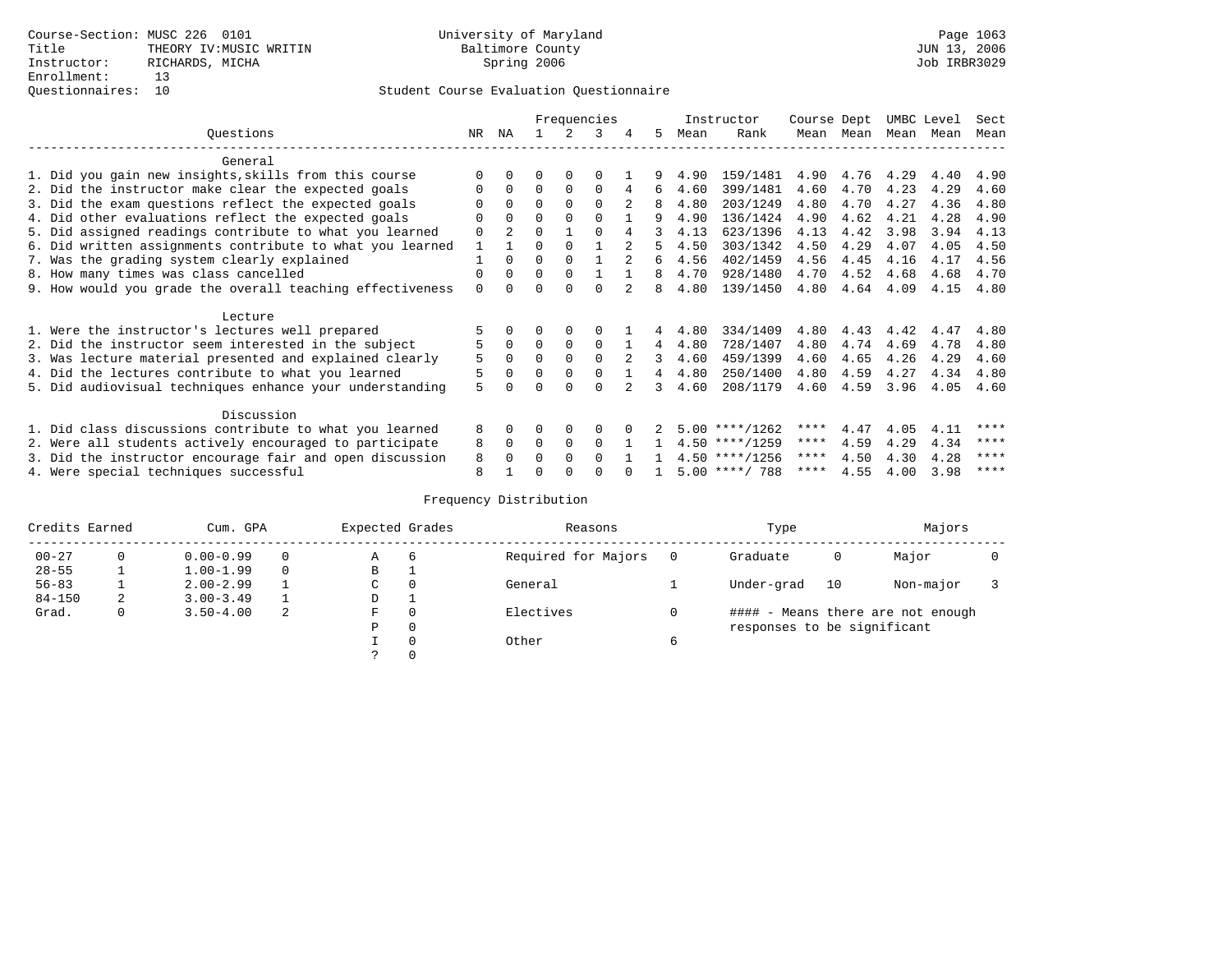|                                                         |                                                           |          |                |          |          | Frequencies |               |   |      | Instructor       | Course Dept |      | UMBC Level |      | Sect |
|---------------------------------------------------------|-----------------------------------------------------------|----------|----------------|----------|----------|-------------|---------------|---|------|------------------|-------------|------|------------|------|------|
|                                                         | Ouestions                                                 | NR       | ΝA             |          |          | 3           | 4             | 5 | Mean | Rank             | Mean        | Mean | Mean       | Mean | Mean |
|                                                         | General                                                   |          |                |          |          |             |               |   |      |                  |             |      |            |      |      |
|                                                         | 1. Did you gain new insights, skills from this course     |          | <sup>0</sup>   | U        | $\Omega$ |             |               |   | 4.90 | 159/1481         | 4.90        | 4.76 | 4.29       | 4.40 | 4.90 |
|                                                         | 2. Did the instructor make clear the expected goals       |          | $\Omega$       | $\Omega$ | $\Omega$ | $\Omega$    | 4             | 6 | 4.60 | 399/1481         | 4.60        | 4.70 | 4.23       | 4.29 | 4.60 |
|                                                         | 3. Did the exam questions reflect the expected goals      |          | $\Omega$       | $\Omega$ | $\Omega$ | $\Omega$    |               | 8 | 4.80 | 203/1249         | 4.80        | 4.70 | 4.27       | 4.36 | 4.80 |
|                                                         | 4. Did other evaluations reflect the expected goals       |          | $\Omega$       | O        | $\Omega$ | $\Omega$    |               | q | 4.90 | 136/1424         | 4.90        | 4.62 | 4.21       | 4.28 | 4.90 |
|                                                         | 5. Did assigned readings contribute to what you learned   | 0        | $\overline{a}$ | O        |          | $\Omega$    | 4             |   | 4.13 | 623/1396         | 4.13        | 4.42 | 3.98       | 3.94 | 4.13 |
|                                                         | 6. Did written assignments contribute to what you learned |          |                | O        | $\Omega$ |             |               | 5 | 4.50 | 303/1342         | 4.50        | 4.29 | 4.07       | 4.05 | 4.50 |
|                                                         | 7. Was the grading system clearly explained               |          | 0              | U        | $\Omega$ |             |               | 6 | 4.56 | 402/1459         | 4.56        | 4.45 | 4.16       | 4.17 | 4.56 |
|                                                         | 8. How many times was class cancelled                     | 0        | 0              | $\Omega$ | $\Omega$ |             |               | 8 | 4.70 | 928/1480         | 4.70        | 4.52 | 4.68       | 4.68 | 4.70 |
|                                                         | 9. How would you grade the overall teaching effectiveness | $\Omega$ |                |          | U        | U           |               | 8 | 4.80 | 139/1450         | 4.80        | 4.64 | 4.09       | 4.15 | 4.80 |
|                                                         |                                                           |          |                |          |          |             |               |   |      |                  |             |      |            |      |      |
|                                                         | Lecture                                                   |          |                |          |          |             |               |   |      |                  |             |      |            |      |      |
|                                                         | 1. Were the instructor's lectures well prepared           |          |                |          |          |             |               |   | 4.80 | 334/1409         | 4.80        | 4.43 | 4.42       | 4.47 | 4.80 |
|                                                         | 2. Did the instructor seem interested in the subject      | 5        | $\mathbf 0$    | $\Omega$ | 0        | 0           |               | 4 | 4.80 | 728/1407         | 4.80        | 4.74 | 4.69       | 4.78 | 4.80 |
|                                                         | 3. Was lecture material presented and explained clearly   | 5        | $\Omega$       | $\Omega$ | $\Omega$ | $\Omega$    | $\mathcal{L}$ | 3 | 4.60 | 459/1399         | 4.60        | 4.65 | 4.26       | 4.29 | 4.60 |
|                                                         | 4. Did the lectures contribute to what you learned        | 5        | $\Omega$       | $\Omega$ | $\Omega$ | $\Omega$    |               | 4 | 4.80 | 250/1400         | 4.80        | 4.59 | 4.27       | 4.34 | 4.80 |
|                                                         | 5. Did audiovisual techniques enhance your understanding  | 5        |                |          |          |             |               | 3 | 4.60 | 208/1179         | 4.60        | 4.59 | 3.96       | 4.05 | 4.60 |
|                                                         |                                                           |          |                |          |          |             |               |   |      |                  |             |      |            |      |      |
|                                                         | Discussion                                                |          |                |          |          |             |               |   |      |                  |             |      |            |      |      |
|                                                         | 1. Did class discussions contribute to what you learned   | 8        | 0              | U        | $\Omega$ |             |               |   |      | $5.00$ ****/1262 | ****        | 4.47 | 4.05       | 4.11 | **** |
| 2. Were all students actively encouraged to participate |                                                           |          |                | 0        | 0        | $\Omega$    |               |   |      | $4.50$ ****/1259 | $***$ * *   | 4.59 | 4.29       | 4.34 | **** |
|                                                         | 3. Did the instructor encourage fair and open discussion  | 8        |                |          | $\Omega$ | 0           |               |   |      | $4.50$ ****/1256 | ****        | 4.50 | 4.30       | 4.28 | **** |
|                                                         | 4. Were special techniques successful                     | 8        |                |          |          |             |               |   |      | $5.00$ ****/ 788 | ****        | 4.55 | 4.00       | 3.98 | **** |

| Credits Earned |   | Cum. GPA      |          | Expected Grades |              | Reasons             | Type                        |    | Majors                            |  |
|----------------|---|---------------|----------|-----------------|--------------|---------------------|-----------------------------|----|-----------------------------------|--|
| $00 - 27$      |   | $0.00 - 0.99$ | $\Omega$ | Α               | 6            | Required for Majors | Graduate                    | Ü  | Major                             |  |
| $28 - 55$      |   | $1.00 - 1.99$ | $\Omega$ | В               | ᅩ            |                     |                             |    |                                   |  |
| $56 - 83$      |   | $2.00 - 2.99$ |          | C               | 0            | General             | Under-grad                  | 10 | Non-major                         |  |
| $84 - 150$     | 2 | $3.00 - 3.49$ |          | D               | ᅩ            |                     |                             |    |                                   |  |
| Grad.          | 0 | $3.50 - 4.00$ | 2        | F               | 0            | Electives           |                             |    | #### - Means there are not enough |  |
|                |   |               |          | Ρ               | $\mathbf{0}$ |                     | responses to be significant |    |                                   |  |
|                |   |               |          |                 | $\Omega$     | Other               |                             |    |                                   |  |
|                |   |               |          |                 | 0            |                     |                             |    |                                   |  |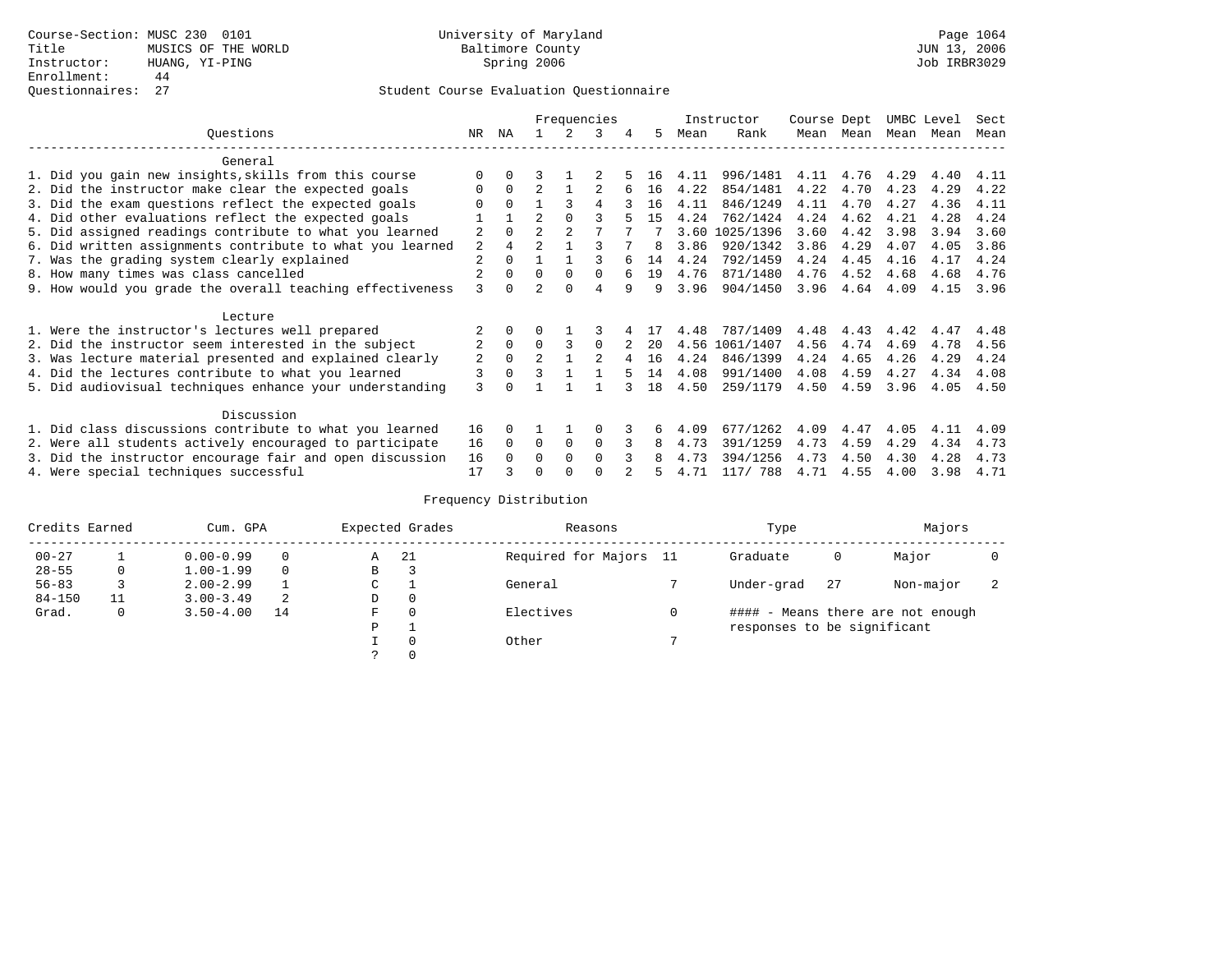# Questionnaires: 27 Student Course Evaluation Questionnaire

|                                                           |                |          |                |                | Frequencies  |   |    |      | Instructor     | Course Dept |           | UMBC Level |      | Sect |
|-----------------------------------------------------------|----------------|----------|----------------|----------------|--------------|---|----|------|----------------|-------------|-----------|------------|------|------|
| Ouestions                                                 | NR             | ΝA       |                |                | 3            | 4 | 5. | Mean | Rank           |             | Mean Mean | Mean       | Mean | Mean |
| General                                                   |                |          |                |                |              |   |    |      |                |             |           |            |      |      |
| 1. Did you gain new insights, skills from this course     |                | $\Omega$ |                |                |              |   | 16 | 4.11 | 996/1481       | 4.11        | 4.76      | 4.29       | 4.40 | 4.11 |
| 2. Did the instructor make clear the expected goals       | O              | $\Omega$ | $\mathfrak{D}$ |                |              |   | 16 | 4.22 | 854/1481       | 4.22        | 4.70      | 4.23       | 4.29 | 4.22 |
| 3. Did the exam questions reflect the expected goals      |                | $\Omega$ |                | ς              | 4            |   | 16 | 4.11 | 846/1249       | 4.11        | 4.70      | 4.27       | 4.36 | 4.11 |
| 4. Did other evaluations reflect the expected goals       |                |          | $\mathfrak{D}$ | $\Omega$       |              |   | 15 | 4.24 | 762/1424       | 4.24        | 4.62      | 4.21       | 4.28 | 4.24 |
| 5. Did assigned readings contribute to what you learned   | $\overline{2}$ | $\Omega$ | $\mathfrak{D}$ | $\overline{2}$ |              |   |    | 3.60 | 1025/1396      | 3.60        | 4.42      | 3.98       | 3.94 | 3.60 |
| 6. Did written assignments contribute to what you learned | 2              | 4        | $\mathfrak{D}$ |                |              |   | 8  | 3.86 | 920/1342       | 3.86        | 4.29      | 4.07       | 4.05 | 3.86 |
| 7. Was the grading system clearly explained               | $\overline{2}$ | $\Omega$ |                |                |              |   | 14 | 4.24 | 792/1459       | 4.24        | 4.45      | 4.16       | 4.17 | 4.24 |
| 8. How many times was class cancelled                     |                | $\Omega$ | $\Omega$       | $\Omega$       | <sup>0</sup> |   | 19 | 4.76 | 871/1480       | 4.76        | 4.52      | 4.68       | 4.68 | 4.76 |
| 9. How would you grade the overall teaching effectiveness | 3              | $\cap$   | っ              | $\cap$         | 4            | q | 9  | 3.96 | 904/1450       | 3.96        | 4.64      | 4.09       | 4.15 | 3.96 |
| Lecture                                                   |                |          |                |                |              |   |    |      |                |             |           |            |      |      |
| 1. Were the instructor's lectures well prepared           |                |          |                |                |              |   |    | 4.48 | 787/1409       | 4.48        | 4.43      | 4.42       | 4.47 | 4.48 |
| 2. Did the instructor seem interested in the subject      | 2              | $\Omega$ | $\Omega$       | ζ              | $\Omega$     |   | 20 |      | 4.56 1061/1407 | 4.56        | 4.74      | 4.69       | 4.78 | 4.56 |
| 3. Was lecture material presented and explained clearly   | 2              | 0        | $\overline{a}$ |                |              |   | 16 | 4.24 | 846/1399       | 4.24        | 4.65      | 4.26       | 4.29 | 4.24 |
| 4. Did the lectures contribute to what you learned        | 3              | $\Omega$ | ς              |                |              |   | 14 | 4.08 | 991/1400       | 4.08        | 4.59      | 4.27       | 4.34 | 4.08 |
| 5. Did audiovisual techniques enhance your understanding  | ζ              |          |                |                |              |   | 18 | 4.50 | 259/1179       | 4.50        | 4.59      | 3.96       | 4.05 | 4.50 |
| Discussion                                                |                |          |                |                |              |   |    |      |                |             |           |            |      |      |
| 1. Did class discussions contribute to what you learned   | 16             | 0        |                |                | O            |   | 6  | 4.09 | 677/1262       | 4.09        | 4.47      | 4.05       | 4.11 | 4.09 |
| 2. Were all students actively encouraged to participate   | 16             | $\Omega$ | 0              | $\mathbf 0$    | $\Omega$     |   | 8  | 4.73 | 391/1259       | 4.73        | 4.59      | 4.29       | 4.34 | 4.73 |
| 3. Did the instructor encourage fair and open discussion  | 16             |          | U              | $\Omega$       | $\Omega$     |   |    | 4.73 | 394/1256       | 4.73        | 4.50      | 4.30       | 4.28 | 4.73 |
| 4. Were special techniques successful                     | 17             |          | U              |                |              |   |    | 4.71 | 117/ 788       | 4.71        | 4.55      | 4.00       | 3.98 | 4.71 |

| Credits Earned |              | Cum. GPA      |          |               | Expected Grades | Reasons                | Type                        |    | Majors                            |                          |
|----------------|--------------|---------------|----------|---------------|-----------------|------------------------|-----------------------------|----|-----------------------------------|--------------------------|
| $00 - 27$      |              | $0.00 - 0.99$ |          | A             | -21             | Required for Majors 11 | Graduate                    | 0  | Major                             |                          |
| $28 - 55$      | 0            | $1.00 - 1.99$ | $\Omega$ | В             |                 |                        |                             |    |                                   |                          |
| $56 - 83$      |              | $2.00 - 2.99$ |          | C             |                 | General                | Under-grad                  | 27 | Non-major                         | $\overline{\phantom{a}}$ |
| $84 - 150$     |              | $3.00 - 3.49$ | -2       | D             | $\Omega$        |                        |                             |    |                                   |                          |
| Grad.          | $\mathbf{0}$ | $3.50 - 4.00$ | 14       | F             | $\Omega$        | Electives              |                             |    | #### - Means there are not enough |                          |
|                |              |               |          | P             |                 |                        | responses to be significant |    |                                   |                          |
|                |              |               |          |               | $\Omega$        | Other                  |                             |    |                                   |                          |
|                |              |               |          | $\mathcal{L}$ | $\Omega$        |                        |                             |    |                                   |                          |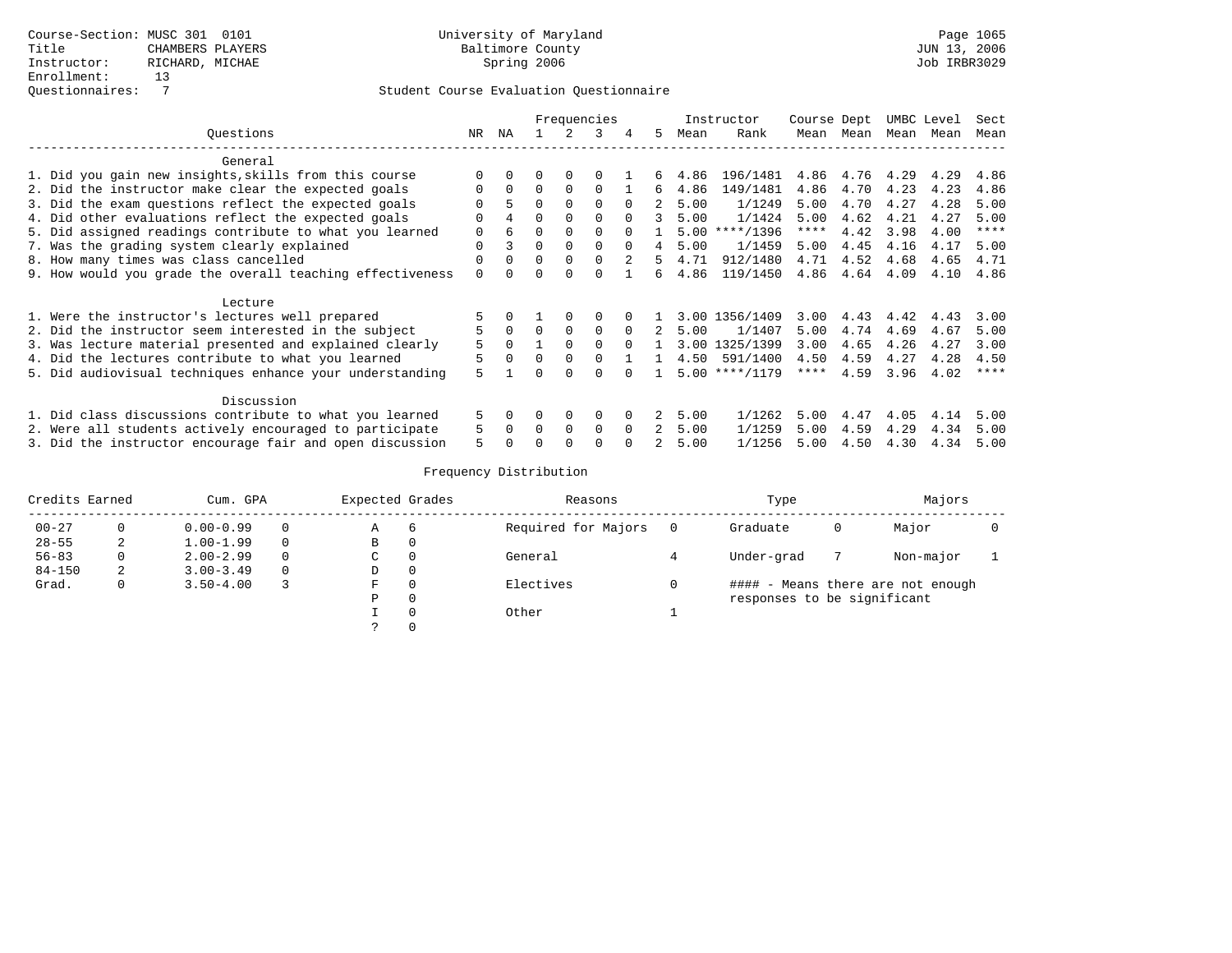|                                                           |          |          |          |          | Frequencies |          |    |      | Instructor       | Course Dept |      | UMBC Level |      | Sect |
|-----------------------------------------------------------|----------|----------|----------|----------|-------------|----------|----|------|------------------|-------------|------|------------|------|------|
| Ouestions                                                 | NR       | ΝA       |          |          | 3           | 4        | 5. | Mean | Rank             | Mean        | Mean | Mean       | Mean | Mean |
| General                                                   |          |          |          |          |             |          |    |      |                  |             |      |            |      |      |
| 1. Did you gain new insights, skills from this course     | $\Omega$ |          |          |          |             |          | 6. | 4.86 | 196/1481         | 4.86        | 4.76 | 4.29       | 4.29 | 4.86 |
| 2. Did the instructor make clear the expected goals       | $\Omega$ | $\Omega$ | $\Omega$ | $\Omega$ | $\Omega$    |          | б. | 4.86 | 149/1481         | 4.86        | 4.70 | 4.23       | 4.23 | 4.86 |
| 3. Did the exam questions reflect the expected goals      |          | 5        | $\Omega$ | $\Omega$ | $\Omega$    | $\cap$   |    | 5.00 | 1/1249           | 5.00        | 4.70 | 4.27       | 4.28 | 5.00 |
| 4. Did other evaluations reflect the expected goals       | $\Omega$ | 4        | $\Omega$ | $\Omega$ | $\cap$      | $\cap$   | २  | 5.00 | 1/1424           | 5.00        | 4.62 | 4.21       | 4.27 | 5.00 |
| 5. Did assigned readings contribute to what you learned   | $\Omega$ | 6        | $\Omega$ | 0        | $\Omega$    |          |    |      | $5.00$ ****/1396 | ****        | 4.42 | 3.98       | 4.00 | **** |
| 7. Was the grading system clearly explained               | $\Omega$ | 3        | $\Omega$ | $\Omega$ | $\Omega$    | $\cap$   | 4  | 5.00 | 1/1459           | 5.00        | 4.45 | 4.16       | 4.17 | 5.00 |
| 8. How many times was class cancelled                     | $\Omega$ |          | $\Omega$ | $\Omega$ | $\cap$      |          | 5. | 4.71 | 912/1480         | 4.71        | 4.52 | 4.68       | 4.65 | 4.71 |
| 9. How would you grade the overall teaching effectiveness | $\Omega$ |          | $\Omega$ |          |             |          | б. | 4.86 | 119/1450         | 4.86        | 4.64 | 4.09       | 4.10 | 4.86 |
| Lecture                                                   |          |          |          |          |             |          |    |      |                  |             |      |            |      |      |
| 1. Were the instructor's lectures well prepared           |          |          |          |          | $\Omega$    |          |    |      | 3.00 1356/1409   | 3.00        | 4.43 | 4.42       | 4.43 | 3.00 |
| 2. Did the instructor seem interested in the subject      | 5        | $\Omega$ | $\Omega$ | $\Omega$ | $\Omega$    | $\Omega$ |    | 5.00 | 1/1407           | 5.00        | 4.74 | 4.69       | 4.67 | 5.00 |
| 3. Was lecture material presented and explained clearly   | 5        | $\Omega$ |          | $\Omega$ | $\Omega$    | $\Omega$ |    | 3.00 | 1325/1399        | 3.00        | 4.65 | 4.26       | 4.27 | 3.00 |
| 4. Did the lectures contribute to what you learned        | 5        |          | $\Omega$ | $\Omega$ | $\Omega$    |          |    | 4.50 | 591/1400         | 4.50        | 4.59 | 4.27       | 4.28 | 4.50 |
| 5. Did audiovisual techniques enhance your understanding  | 5        |          | U        | $\cap$   | ∩           |          |    |      | $5.00$ ****/1179 | $***$ * * * | 4.59 | 3.96       | 4.02 | **** |
| Discussion                                                |          |          |          |          |             |          |    |      |                  |             |      |            |      |      |
| 1. Did class discussions contribute to what you learned   | 5        | $\Omega$ | 0        | $\Omega$ | $\Omega$    |          | 2  | 5.00 | 1/1262           | 5.00        | 4.47 | 4.05       | 4.14 | 5.00 |
| 2. Were all students actively encouraged to participate   | 5        | $\Omega$ | $\Omega$ | $\Omega$ | $\Omega$    | $\Omega$ | 2  | 5.00 | 1/1259           | 5.00        | 4.59 | 4.29       | 4.34 | 5.00 |
| 3. Did the instructor encourage fair and open discussion  | 5        |          |          |          | ∩           |          |    | 5.00 | 1/1256           | 5.00        | 4.50 | 4.30       | 4.34 | 5.00 |

| Credits Earned |   | Cum. GPA      | Expected Grades |                | Reasons             | Type                        |   | Majors                            |  |
|----------------|---|---------------|-----------------|----------------|---------------------|-----------------------------|---|-----------------------------------|--|
| $00 - 27$      |   | $0.00 - 0.99$ | Α               | $\overline{6}$ | Required for Majors | Graduate                    | 0 | Major                             |  |
| $28 - 55$      | ∠ | $1.00 - 1.99$ | В               | 0              |                     |                             |   |                                   |  |
| $56 - 83$      | 0 | $2.00 - 2.99$ | C               | 0              | General             | Under-grad                  |   | Non-major                         |  |
| $84 - 150$     | 2 | $3.00 - 3.49$ | D               | $\Omega$       |                     |                             |   |                                   |  |
| Grad.          | 0 | $3.50 - 4.00$ | F               |                | Electives           |                             |   | #### - Means there are not enough |  |
|                |   |               | Ρ               | $\Omega$       |                     | responses to be significant |   |                                   |  |
|                |   |               |                 | $\Omega$       | Other               |                             |   |                                   |  |
|                |   |               | $\mathcal{P}$   | $\Omega$       |                     |                             |   |                                   |  |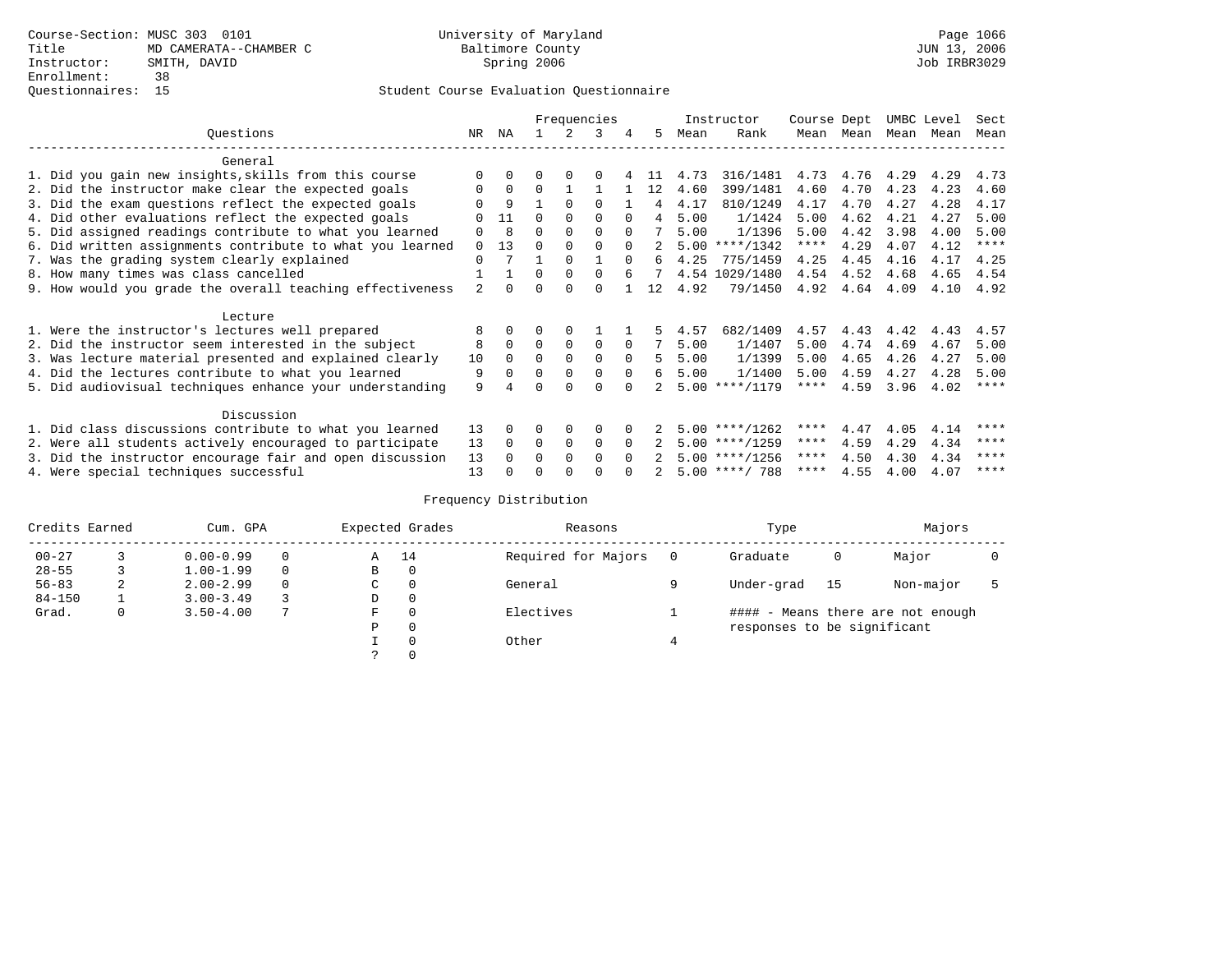|                                                           |          |          |          |             | Frequencies  |          |     |      | Instructor       | Course Dept |      | UMBC Level |      | Sect        |
|-----------------------------------------------------------|----------|----------|----------|-------------|--------------|----------|-----|------|------------------|-------------|------|------------|------|-------------|
| Questions                                                 | NR       | ΝA       |          |             | 3            | 4        | 5   | Mean | Rank             | Mean        | Mean | Mean       | Mean | Mean        |
| General                                                   |          |          |          |             |              |          |     |      |                  |             |      |            |      |             |
| 1. Did you gain new insights, skills from this course     |          | $\Omega$ | 0        | $\Omega$    | O            |          |     | 4.73 | 316/1481         | 4.73        | 4.76 | 4.29       | 4.29 | 4.73        |
| 2. Did the instructor make clear the expected goals       | 0        | $\Omega$ | $\Omega$ |             |              |          | 12  | 4.60 | 399/1481         | 4.60        | 4.70 | 4.23       | 4.23 | 4.60        |
| 3. Did the exam questions reflect the expected goals      |          | 9        |          | $\Omega$    | 0            |          | 4   | 4.17 | 810/1249         | 4.17        | 4.70 | 4.27       | 4.28 | 4.17        |
| 4. Did other evaluations reflect the expected goals       |          | 11       | $\Omega$ | $\Omega$    | $\Omega$     |          | 4   | 5.00 | 1/1424           | 5.00        | 4.62 | 4.21       | 4.27 | 5.00        |
| 5. Did assigned readings contribute to what you learned   | 0        | 8        | 0        | $\Omega$    | $\Omega$     | $\Omega$ |     | 5.00 | 1/1396           | 5.00        | 4.42 | 3.98       | 4.00 | 5.00        |
| 6. Did written assignments contribute to what you learned | 0        | 13       | U        | $\Omega$    | <sup>0</sup> | $\Omega$ |     |      | $5.00$ ****/1342 | $***$ * *   | 4.29 | 4.07       | 4.12 | $***$ * * * |
| 7. Was the grading system clearly explained               | $\Omega$ |          |          | $\Omega$    |              | $\Omega$ | 6   | 4.25 | 775/1459         | 4.25        | 4.45 | 4.16       | 4.17 | 4.25        |
| 8. How many times was class cancelled                     |          |          | $\Omega$ | $\Omega$    | 0            |          | 7   |      | 4.54 1029/1480   | 4.54        | 4.52 | 4.68       | 4.65 | 4.54        |
| 9. How would you grade the overall teaching effectiveness | 2        | $\cap$   |          | $\cap$      | U            |          | 12. | 4.92 | 79/1450          | 4.92        | 4.64 | 4.09       | 4.10 | 4.92        |
| Lecture                                                   |          |          |          |             |              |          |     |      |                  |             |      |            |      |             |
| 1. Were the instructor's lectures well prepared           | 8        |          |          | $\Omega$    |              |          |     | 4.57 | 682/1409         | 4.57        | 4.43 | 4.42       | 4.43 | 4.57        |
| 2. Did the instructor seem interested in the subject      | 8        | $\Omega$ | $\Omega$ | $\mathbf 0$ | 0            | $\Omega$ |     | 5.00 | 1/1407           | 5.00        | 4.74 | 4.69       | 4.67 | 5.00        |
| 3. Was lecture material presented and explained clearly   | 10       | $\Omega$ | $\Omega$ | $\Omega$    | $\Omega$     | $\Omega$ | 5   | 5.00 | 1/1399           | 5.00        | 4.65 | 4.26       | 4.27 | 5.00        |
| 4. Did the lectures contribute to what you learned        | 9        |          | $\Omega$ | $\mathbf 0$ | 0            | $\Omega$ | 6   | 5.00 | 1/1400           | 5.00        | 4.59 | 4.27       | 4.28 | 5.00        |
| 5. Did audiovisual techniques enhance your understanding  | 9        |          |          |             |              |          |     |      | $5.00$ ****/1179 | ****        | 4.59 | 3.96       | 4.02 | $***$ *     |
|                                                           |          |          |          |             |              |          |     |      |                  |             |      |            |      |             |
| Discussion                                                |          |          |          |             |              |          |     |      |                  |             |      |            |      |             |
| 1. Did class discussions contribute to what you learned   | 13       | $\Omega$ | U        | $\Omega$    | 0            |          |     |      | $5.00$ ****/1262 | ****        | 4.47 | 4.05       | 4.14 | ****        |
| 2. Were all students actively encouraged to participate   | 13       | $\Omega$ | $\Omega$ | $\mathbf 0$ | 0            | $\Omega$ |     |      | $5.00$ ****/1259 | $***$ * *   | 4.59 | 4.29       | 4.34 | ****        |
| 3. Did the instructor encourage fair and open discussion  | 13       |          | 0        | $\Omega$    | <sup>0</sup> |          |     |      | $5.00$ ****/1256 | ****        | 4.50 | 4.30       | 4.34 | ****        |
| 4. Were special techniques successful                     | 13       |          |          |             |              |          |     |      | $5.00$ ****/ 788 | ****        | 4.55 | 4.00       | 4.07 | ****        |

| Credits Earned |   | Cum. GPA      |   |               | Expected Grades | Reasons             | Type                        |    | Majors                            |  |
|----------------|---|---------------|---|---------------|-----------------|---------------------|-----------------------------|----|-----------------------------------|--|
| $00 - 27$      |   | $0.00 - 0.99$ |   | A             | 14              | Required for Majors | Graduate                    | 0  | Major                             |  |
| $28 - 55$      |   | $1.00 - 1.99$ |   | B             | 0               |                     |                             |    |                                   |  |
| $56 - 83$      | 2 | $2.00 - 2.99$ | 0 | $\sim$<br>◡   | 0               | General             | Under-grad                  | 15 | Non-major                         |  |
| $84 - 150$     |   | $3.00 - 3.49$ |   | D             | 0               |                     |                             |    |                                   |  |
| Grad.          | 0 | $3.50 - 4.00$ |   | F             | 0               | Electives           |                             |    | #### - Means there are not enough |  |
|                |   |               |   | Ρ             | 0               |                     | responses to be significant |    |                                   |  |
|                |   |               |   |               | 0               | Other               |                             |    |                                   |  |
|                |   |               |   | $\mathcal{L}$ |                 |                     |                             |    |                                   |  |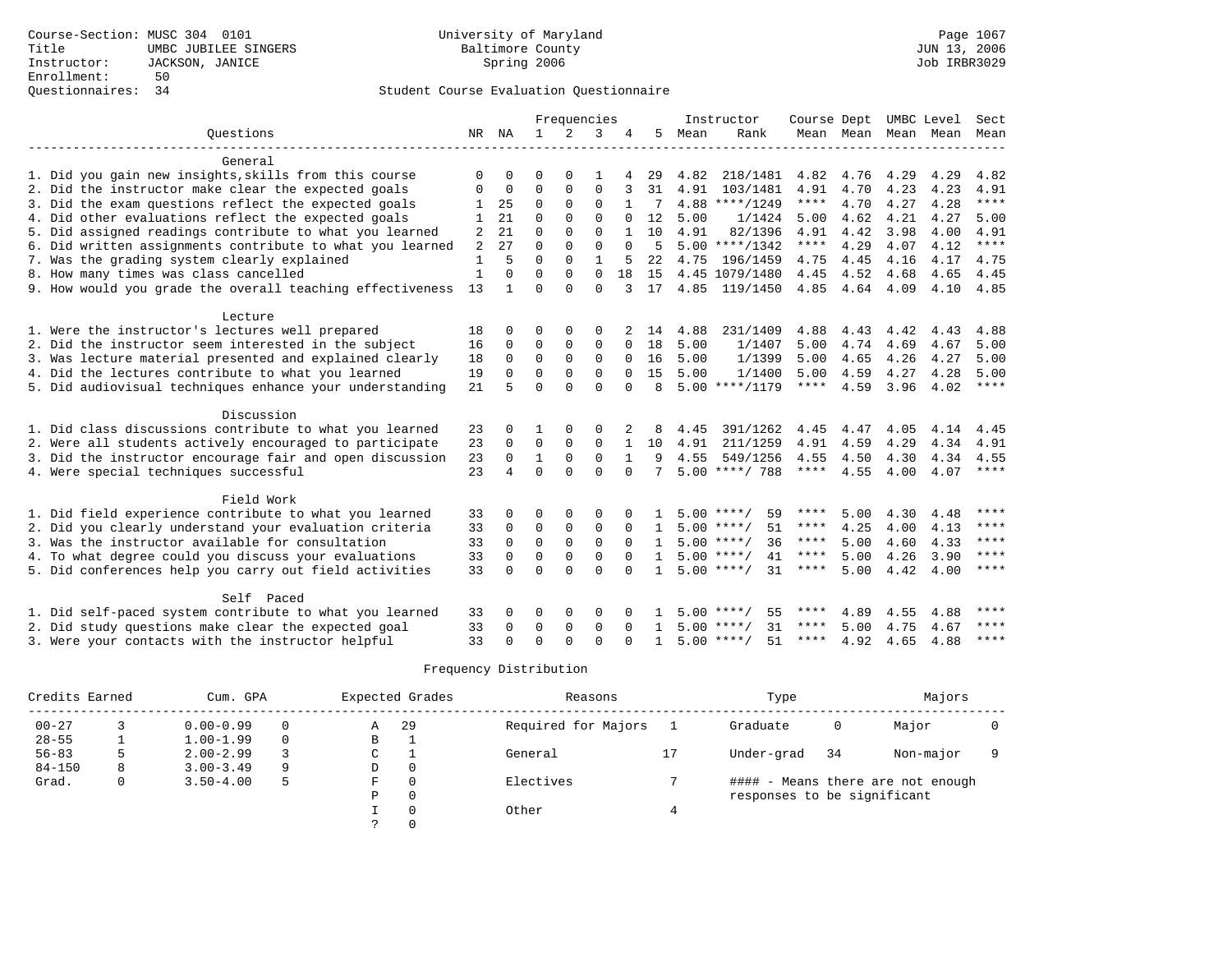|                                                           |          |          |             |             | Frequencies  |              |              |      | Instructor         | Course Dept |      | UMBC Level |                          | Sect        |
|-----------------------------------------------------------|----------|----------|-------------|-------------|--------------|--------------|--------------|------|--------------------|-------------|------|------------|--------------------------|-------------|
| Ouestions                                                 | NR NA    |          | 1           |             | 3            |              | 5            | Mean | Rank               |             |      |            | Mean Mean Mean Mean Mean |             |
|                                                           |          |          |             |             |              |              |              |      |                    |             |      |            |                          |             |
| General                                                   |          |          |             |             |              |              |              |      |                    |             |      |            |                          |             |
| 1. Did you gain new insights, skills from this course     | O        | 0        | $\Omega$    | $\Omega$    |              |              | 29           | 4.82 | 218/1481           | 4.82        | 4.76 | 4.29       | 4.29                     | 4.82        |
| 2. Did the instructor make clear the expected goals       | $\Omega$ | 0        | $\Omega$    | $\Omega$    | 0            | 3            | 31           | 4.91 | 103/1481           | 4.91        | 4.70 | 4.23       | 4.23                     | 4.91        |
| 3. Did the exam questions reflect the expected goals      |          | 25       | 0           | $\Omega$    | $\mathbf 0$  |              | 7            |      | $4.88$ ****/1249   | ****        | 4.70 | 4.27       | 4.28                     | ****        |
| 4. Did other evaluations reflect the expected goals       |          | 21       | $\Omega$    | $\Omega$    | $\Omega$     | $\Omega$     | 12           | 5.00 | 1/1424             | 5.00        | 4.62 | 4.21       | 4.27                     | 5.00        |
| 5. Did assigned readings contribute to what you learned   | 2        | 21       | $\Omega$    | $\Omega$    | $\Omega$     |              | 10           | 4.91 | 82/1396            | 4.91        | 4.42 | 3.98       | 4.00                     | 4.91        |
| 6. Did written assignments contribute to what you learned | 2        | 27       | $\Omega$    | $\Omega$    | $\Omega$     | $\Omega$     | .5           |      | $5.00$ ****/1342   | ****        | 4.29 | 4.07       | 4.12                     | $***$ *     |
| 7. Was the grading system clearly explained               | 1        | 5        | $\Omega$    | $\Omega$    | $\mathbf{1}$ |              | 22           | 4.75 | 196/1459           | 4.75        | 4.45 | 4.16       | 4.17                     | 4.75        |
| 8. How many times was class cancelled                     | 1        | $\Omega$ | $\Omega$    | $\Omega$    | $\Omega$     | 18           | 1.5          |      | 4.45 1079/1480     | 4.45        | 4.52 | 4.68       | 4.65                     | 4.45        |
| 9. How would you grade the overall teaching effectiveness | 13       | 1        | $\Omega$    | $\Omega$    | $\Omega$     | २            | 17           |      | 4.85 119/1450      | 4.85        | 4.64 | 4.09       | 4.10                     | 4.85        |
|                                                           |          |          |             |             |              |              |              |      |                    |             |      |            |                          |             |
| Lecture                                                   |          |          |             |             |              |              |              |      |                    |             |      |            |                          |             |
| 1. Were the instructor's lectures well prepared           | 18       | 0        | 0           | $\Omega$    | 0            |              | 14           | 4.88 | 231/1409           | 4.88        | 4.43 | 4.42       | 4.43                     | 4.88        |
| 2. Did the instructor seem interested in the subject      | 16       | 0        | 0           | 0           | $\mathbf 0$  | $\Omega$     | 18           | 5.00 | 1/1407             | 5.00        | 4.74 | 4.69       | 4.67                     | 5.00        |
| 3. Was lecture material presented and explained clearly   | 18       | 0        | 0           | $\Omega$    | $\Omega$     | $\Omega$     | 16           | 5.00 | 1/1399             | 5.00        | 4.65 | 4.26       | 4.27                     | 5.00        |
| 4. Did the lectures contribute to what you learned        | 19       | $\Omega$ | $\Omega$    | $\Omega$    | $\Omega$     | $\Omega$     | 15           | 5.00 | 1/1400             | 5.00        | 4.59 | 4.27       | 4.28                     | 5.00        |
| 5. Did audiovisual techniques enhance your understanding  | 21       | 5        | $\Omega$    | $\Omega$    | $\Omega$     | $\Omega$     | R            |      | $5.00$ ****/1179   | ****        | 4.59 | 3.96       | 4.02                     | $***$ * * * |
|                                                           |          |          |             |             |              |              |              |      |                    |             |      |            |                          |             |
| Discussion                                                |          |          |             |             |              |              |              |      |                    |             |      |            |                          |             |
| 1. Did class discussions contribute to what you learned   | 23       | 0        | 1           | $\Omega$    | $\Omega$     |              | 8            | 4.45 | 391/1262           | 4.45        | 4.47 | 4.05       | 4.14                     | 4.45        |
| 2. Were all students actively encouraged to participate   | 23       | 0        | 0           | 0           | $\mathbf 0$  |              | 10           | 4.91 | 211/1259           | 4.91        | 4.59 | 4.29       | 4.34                     | 4.91        |
| 3. Did the instructor encourage fair and open discussion  | 23       | $\Omega$ | 1           | $\mathbf 0$ | $\Omega$     | $\mathbf{1}$ | 9            | 4.55 | 549/1256           | 4.55        | 4.50 | 4.30       | 4.34                     | 4.55        |
| 4. Were special techniques successful                     | 23       | 4        | $\Omega$    | $\Omega$    | $\Omega$     | $\Omega$     | 7            |      | $5.00$ ****/ 788   | ****        | 4.55 | 4.00       | 4.07                     | ****        |
|                                                           |          |          |             |             |              |              |              |      |                    |             |      |            |                          |             |
| Field Work                                                |          |          |             |             |              |              |              |      |                    |             |      |            |                          |             |
| 1. Did field experience contribute to what you learned    | 33       | 0        | O           | $\Omega$    | $\Omega$     |              |              |      | $5.00$ ****/<br>59 | ****        | 5.00 | 4.30       | 4.48                     | ****        |
| 2. Did you clearly understand your evaluation criteria    | 33       | $\Omega$ | $\Omega$    | $\mathbf 0$ | $\mathbf 0$  | $\Omega$     | -1.          |      | 51<br>$5.00$ ****/ | ****        | 4.25 | 4.00       | 4.13                     | ****        |
| 3. Was the instructor available for consultation          | 33       | 0        | $\mathbf 0$ | $\mathbf 0$ | $\mathbf 0$  | $\Omega$     | $\mathbf{1}$ |      | $5.00$ ****/<br>36 | ****        | 5.00 | 4.60       | 4.33                     | $***$ *     |
| 4. To what degree could you discuss your evaluations      | 33       | $\Omega$ | $\Omega$    | 0           | $\mathbf 0$  | $\Omega$     | $\mathbf{1}$ |      | $5.00$ ****/<br>41 | $***$ * *   | 5.00 | 4.26       | 3.90                     | ****        |
| 5. Did conferences help you carry out field activities    | 33       | $\Omega$ | $\Omega$    | $\Omega$    | $\Omega$     | $\Omega$     | $\mathbf{1}$ |      | $5.00$ ****/<br>31 | ****        | 5.00 | 4.42       | 4.00                     | $***$ * * * |
|                                                           |          |          |             |             |              |              |              |      |                    |             |      |            |                          |             |
| Self Paced                                                |          |          |             |             |              |              |              |      |                    |             |      |            |                          |             |
| 1. Did self-paced system contribute to what you learned   | 33       | 0        | 0           | 0           | 0            |              |              |      | 55<br>$5.00$ ****/ | ****        | 4.89 | 4.55       | 4.88                     | ****        |
| 2. Did study questions make clear the expected goal       | 33       | 0        | $\Omega$    | $\mathbf 0$ | $\mathbf 0$  | $\Omega$     | 1            |      | 31<br>$5.00$ ****/ | ****        | 5.00 | 4.75       | 4.67                     | $***$ * * * |
| 3. Were your contacts with the instructor helpful         | 33       | ∩        | U           | ∩           | $\cap$       | ∩            |              |      | 51<br>$5.00$ ****/ | ****        | 4.92 | 4.65       | 4.88                     | $* * * * *$ |

| Credits Earned |   | Cum. GPA      |   |   | Expected Grades | Reasons             |    | Type                        |    | Majors                            |  |
|----------------|---|---------------|---|---|-----------------|---------------------|----|-----------------------------|----|-----------------------------------|--|
| $00 - 27$      |   | $0.00 - 0.99$ |   | Α | -29             | Required for Majors |    | Graduate                    | 0  | Major                             |  |
| $28 - 55$      |   | $1.00 - 1.99$ |   | В |                 |                     |    |                             |    |                                   |  |
| $56 - 83$      |   | $2.00 - 2.99$ |   | C |                 | General             | 17 | Under-grad                  | 34 | Non-major                         |  |
| $84 - 150$     | 8 | $3.00 - 3.49$ | 9 | D | 0               |                     |    |                             |    |                                   |  |
| Grad.          | 0 | $3.50 - 4.00$ | 5 | F | $\Omega$        | Electives           |    |                             |    | #### - Means there are not enough |  |
|                |   |               |   | Ρ | $\Omega$        |                     |    | responses to be significant |    |                                   |  |
|                |   |               |   |   | $\Omega$        | Other               |    |                             |    |                                   |  |
|                |   |               |   |   |                 |                     |    |                             |    |                                   |  |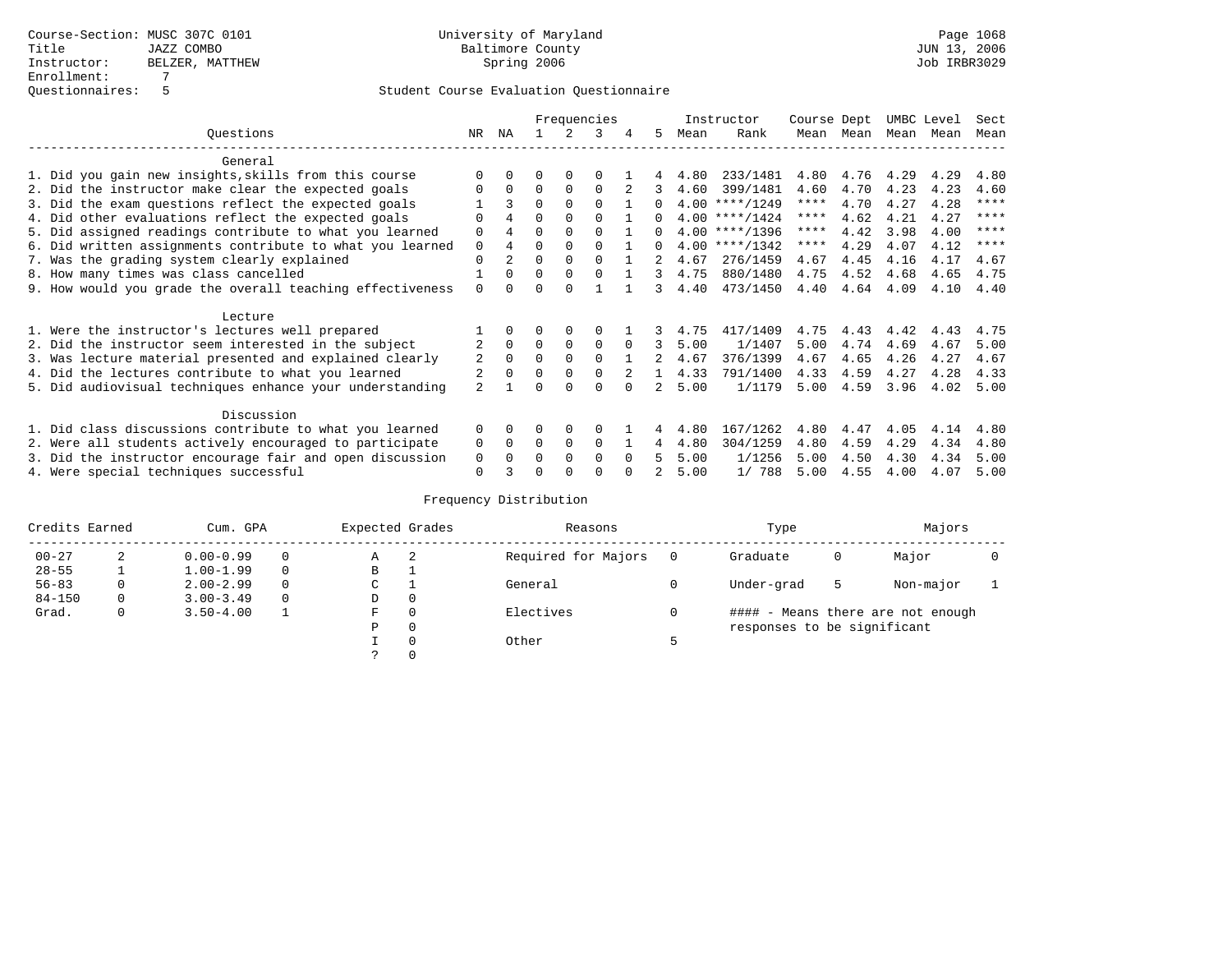|                                                           |                |                |          |          | Frequencies |          |              |      | Instructor       | Course Dept |      | UMBC Level |      | Sect        |
|-----------------------------------------------------------|----------------|----------------|----------|----------|-------------|----------|--------------|------|------------------|-------------|------|------------|------|-------------|
| Ouestions                                                 | NR             | ΝA             |          |          | 3           |          | 5.           | Mean | Rank             | Mean        | Mean | Mean       | Mean | Mean        |
| General                                                   |                |                |          |          |             |          |              |      |                  |             |      |            |      |             |
| 1. Did you gain new insights, skills from this course     | ∩              |                | O        | $\Omega$ | $\Omega$    |          |              | 4.80 | 233/1481         | 4.80        | 4.76 | 4.29       | 4.29 | 4.80        |
| 2. Did the instructor make clear the expected goals       | ∩              | $\Omega$       | $\Omega$ | $\Omega$ | $\Omega$    |          | 3            | 4.60 | 399/1481         | 4.60        | 4.70 | 4.23       | 4.23 | 4.60        |
| 3. Did the exam questions reflect the expected goals      |                | 3              | $\Omega$ | $\Omega$ | $\Omega$    |          | 0            |      | $4.00$ ****/1249 | ****        | 4.70 | 4.27       | 4.28 | $* * * * *$ |
| 4. Did other evaluations reflect the expected goals       | $\Omega$       | 4              | $\Omega$ | $\Omega$ | $\Omega$    |          | <sup>n</sup> |      | $4.00$ ****/1424 | ****        | 4.62 | 4.21       | 4.27 | $* * * * *$ |
| 5. Did assigned readings contribute to what you learned   | $\Omega$       |                | $\Omega$ |          | $\Omega$    |          | <sup>n</sup> |      | $4.00$ ****/1396 | ****        | 4.42 | 3.98       | 4.00 | $* * * * *$ |
| 6. Did written assignments contribute to what you learned | $\mathbf 0$    | 4              | $\Omega$ |          | $\Omega$    |          | 0            |      | $4.00$ ****/1342 | ****        | 4.29 | 4.07       | 4.12 | $* * * *$   |
| 7. Was the grading system clearly explained               | $\Omega$       | $\overline{a}$ | $\Omega$ | $\Omega$ | $\Omega$    |          |              | 4.67 | 276/1459         | 4.67        | 4.45 | 4.16       | 4.17 | 4.67        |
| 8. How many times was class cancelled                     |                | $\Omega$       | $\Omega$ | $\Omega$ | $\Omega$    |          | 3            | 4.75 | 880/1480         | 4.75        | 4.52 | 4.68       | 4.65 | 4.75        |
| 9. How would you grade the overall teaching effectiveness | $\Omega$       | <sup>n</sup>   | U        | $\cap$   |             |          | २            | 4.40 | 473/1450         | 4.40        | 4.64 | 4.09       | 4.10 | 4.40        |
| Lecture                                                   |                |                |          |          |             |          |              |      |                  |             |      |            |      |             |
| 1. Were the instructor's lectures well prepared           |                |                |          |          | $\Omega$    |          |              | 4.75 | 417/1409         | 4.75        | 4.43 | 4.42       | 4.43 | 4.75        |
| 2. Did the instructor seem interested in the subject      |                | $\Omega$       | $\Omega$ | 0        | $\mathbf 0$ | $\Omega$ | 3            | 5.00 | 1/1407           | 5.00        | 4.74 | 4.69       | 4.67 | 5.00        |
| 3. Was lecture material presented and explained clearly   | 2              | $\Omega$       | $\Omega$ | $\Omega$ | $\Omega$    |          |              | 4.67 | 376/1399         | 4.67        | 4.65 | 4.26       | 4.27 | 4.67        |
| 4. Did the lectures contribute to what you learned        |                |                | $\Omega$ | $\Omega$ | $\Omega$    |          |              | 4.33 | 791/1400         | 4.33        | 4.59 | 4.27       | 4.28 | 4.33        |
| 5. Did audiovisual techniques enhance your understanding  | $\overline{a}$ |                |          |          | $\cap$      |          |              | 5.00 | 1/1179           | 5.00        | 4.59 | 3.96       | 4.02 | 5.00        |
|                                                           |                |                |          |          |             |          |              |      |                  |             |      |            |      |             |
| Discussion                                                |                |                |          |          |             |          |              |      |                  |             |      |            |      |             |
| 1. Did class discussions contribute to what you learned   | $\Omega$       | 0              | O        | $\Omega$ | ∩           |          |              | 4.80 | 167/1262         | 4.80        | 4.47 | 4.05       | 4.14 | 4.80        |
| 2. Were all students actively encouraged to participate   | 0              | $\Omega$       | $\Omega$ | 0        | $\Omega$    |          | 4            | 4.80 | 304/1259         | 4.80        | 4.59 | 4.29       | 4.34 | 4.80        |
| 3. Did the instructor encourage fair and open discussion  | 0              |                | O        | $\Omega$ | $\Omega$    | $\Omega$ |              | 5.00 | 1/1256           | 5.00        | 4.50 | 4.30       | 4.34 | 5.00        |
| 4. Were special techniques successful                     | $\Omega$       |                |          |          | ∩           |          |              | 5.00 | 1/ 788           | 5.00        | 4.55 | 4.00       | 4.07 | 5.00        |

| Credits Earned |   | Cum. GPA      |          | Expected Grades |          | Reasons             |   | Type                        |   | Majors                            |  |
|----------------|---|---------------|----------|-----------------|----------|---------------------|---|-----------------------------|---|-----------------------------------|--|
| $00 - 27$      | 2 | $0.00 - 0.99$ |          | А               | -2       | Required for Majors | 0 | Graduate                    | 0 | Major                             |  |
| $28 - 55$      | ᅩ | $1.00 - 1.99$ |          | В               |          |                     |   |                             |   |                                   |  |
| $56 - 83$      | 0 | $2.00 - 2.99$ |          | $\sim$<br>◡     |          | General             |   | Under-grad                  | 5 | Non-major                         |  |
| $84 - 150$     | 0 | $3.00 - 3.49$ | $\Omega$ | D               | 0        |                     |   |                             |   |                                   |  |
| Grad.          | 0 | $3.50 - 4.00$ |          | F               | 0        | Electives           | 0 |                             |   | #### - Means there are not enough |  |
|                |   |               |          | Ρ               | 0        |                     |   | responses to be significant |   |                                   |  |
|                |   |               |          |                 | $\Omega$ | Other               |   |                             |   |                                   |  |
|                |   |               |          |                 |          |                     |   |                             |   |                                   |  |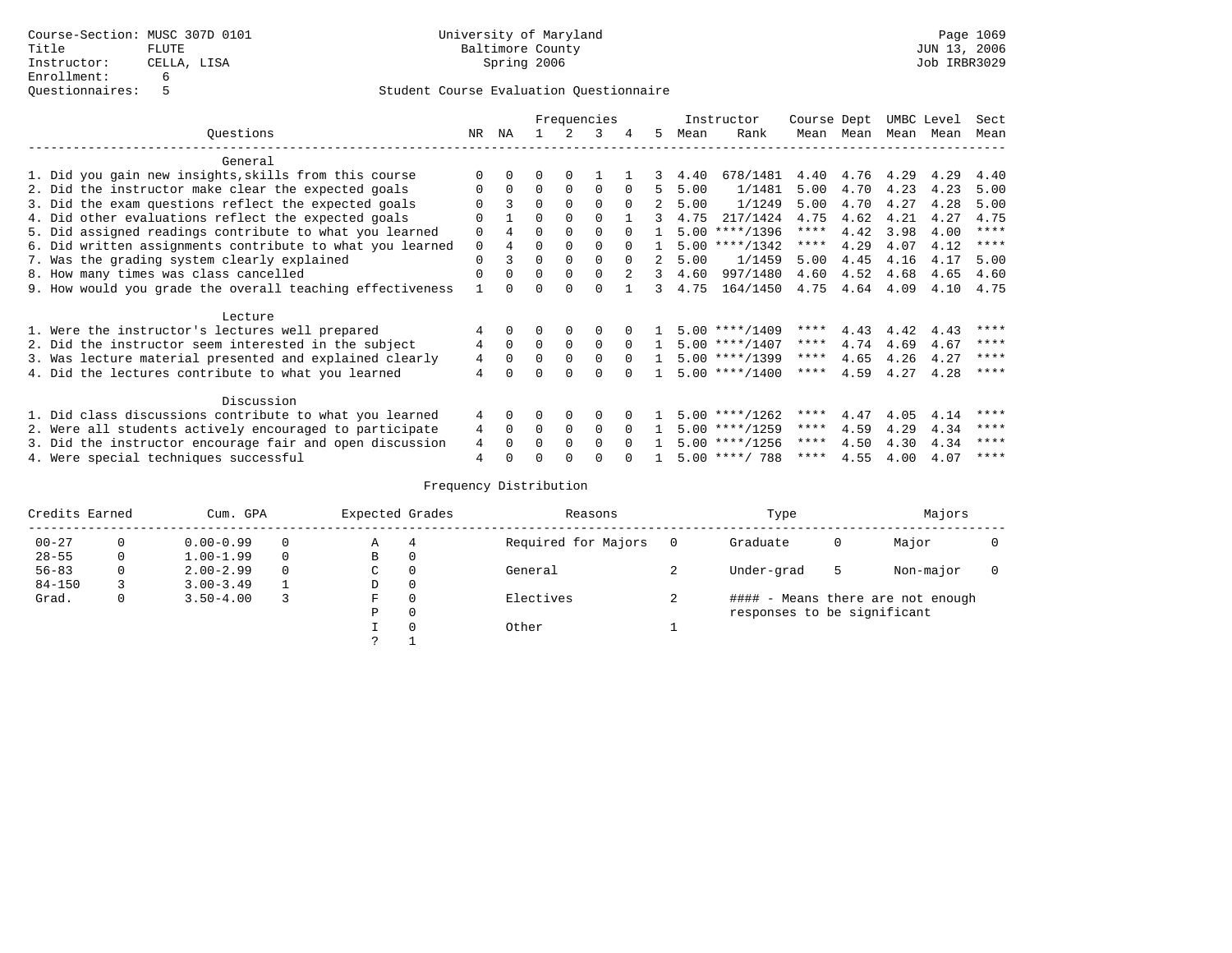|                                                           |             |          |          |          | Frequencies |              |               |      | Instructor       | Course Dept |             |      | UMBC Level | Sect        |
|-----------------------------------------------------------|-------------|----------|----------|----------|-------------|--------------|---------------|------|------------------|-------------|-------------|------|------------|-------------|
| Ouestions                                                 | NR          | ΝA       |          | 2        | 3           |              | 5.            | Mean | Rank             | Mean        | Mean        |      | Mean Mean  | Mean        |
| General                                                   |             |          |          |          |             |              |               |      |                  |             |             |      |            |             |
| 1. Did you gain new insights, skills from this course     |             |          |          |          |             |              | 3             | 4.40 | 678/1481         | 4.40        | 4.76 4.29   |      | 4.29       | 4.40        |
| 2. Did the instructor make clear the expected goals       |             |          | $\Omega$ | $\Omega$ | $\Omega$    | <sup>0</sup> | 5.            | 5.00 | 1/1481           | 5.00        | 4.70        | 4.23 | 4.23       | 5.00        |
| 3. Did the exam questions reflect the expected goals      |             | 3        | $\Omega$ |          |             | $\Omega$     | 2             | 5.00 | 1/1249           | 5.00        | 4.70        | 4.27 | 4.28       | 5.00        |
| 4. Did other evaluations reflect the expected goals       |             |          | $\Omega$ |          |             |              | 3             | 4.75 | 217/1424         | 4.75        | 4.62        | 4.21 | 4.27       | 4.75        |
| 5. Did assigned readings contribute to what you learned   | $\Omega$    |          |          |          |             |              |               |      | $5.00$ ****/1396 | $***$ * * * | 4.42        | 3.98 | 4.00       | ****        |
| 6. Did written assignments contribute to what you learned | $\mathbf 0$ |          |          |          |             |              |               |      | $5.00$ ****/1342 | $***$ * *   | 4.29        | 4.07 | 4.12       | $***$ * * * |
| 7. Was the grading system clearly explained               | $\Omega$    | २        | $\Omega$ |          |             | $\cap$       | $2^{\circ}$   | 5.00 | 1/1459           | 5.00        | 4.45        | 4.16 | 4.17       | 5.00        |
| 8. How many times was class cancelled                     |             |          | $\Omega$ |          |             |              | 3             | 4.60 | 997/1480         | 4.60        | 4.52        | 4.68 | 4.65       | 4.60        |
| 9. How would you grade the overall teaching effectiveness |             |          |          |          |             |              | $\mathcal{L}$ | 4.75 | 164/1450         |             | 4.75 4.64   | 4.09 | 4.10       | 4.75        |
| Lecture                                                   |             |          |          |          |             |              |               |      |                  |             |             |      |            |             |
| 1. Were the instructor's lectures well prepared           |             | $\Omega$ |          |          |             |              |               |      | $5.00$ ****/1409 | ****        | 4.43        | 4.42 | 4.43       | ****        |
| 2. Did the instructor seem interested in the subject      | 4           | $\Omega$ | $\Omega$ | $\Omega$ | $\Omega$    | $\Omega$     | $\mathbf{1}$  |      | $5.00$ ****/1407 | ****        | 4.74        | 4.69 | 4.67       | ****        |
| 3. Was lecture material presented and explained clearly   | 4           | $\Omega$ |          |          |             | $\cap$       |               |      | $5.00$ ****/1399 | ****        | 4.65        | 4.26 | 4.27       | ****        |
| 4. Did the lectures contribute to what you learned        | 4           |          |          |          |             |              |               |      | $5.00$ ****/1400 | ****        | 4.59        | 4.27 | 4.28       | ****        |
| Discussion                                                |             |          |          |          |             |              |               |      |                  |             |             |      |            |             |
| 1. Did class discussions contribute to what you learned   | 4           | $\Omega$ |          |          |             |              |               |      | $5.00$ ****/1262 | ****        | 4.47        | 4.05 | 4.14       | ****        |
| 2. Were all students actively encouraged to participate   | 4           | $\Omega$ | $\Omega$ | $\Omega$ | $\Omega$    |              |               |      | $5.00$ ****/1259 | ****        | 4.59        | 4.29 | 4.34       | ****        |
| 3. Did the instructor encourage fair and open discussion  | 4           |          |          |          |             |              |               |      | $5.00$ ****/1256 | ****        | 4.50        | 4.30 | 4.34       | ****        |
| 4. Were special techniques successful                     |             |          |          |          |             |              |               |      | $5.00$ ****/ 788 |             | **** $4.55$ | 4.00 | 4.07       | ****        |

| Credits Earned |   | Cum. GPA      | Expected Grades |          | Reasons             | Type                        |    | Majors                            |  |
|----------------|---|---------------|-----------------|----------|---------------------|-----------------------------|----|-----------------------------------|--|
| $00 - 27$      | 0 | $0.00 - 0.99$ | Α               |          | Required for Majors | Graduate                    | U  | Major                             |  |
| $28 - 55$      | 0 | $1.00 - 1.99$ | B               | 0        |                     |                             |    |                                   |  |
| $56 - 83$      | 0 | $2.00 - 2.99$ | C               | 0        | General             | Under-grad                  | -5 | Non-major                         |  |
| $84 - 150$     |   | $3.00 - 3.49$ | D               | 0        |                     |                             |    |                                   |  |
| Grad.          | 0 | $3.50 - 4.00$ | F               | $\Omega$ | Electives           |                             |    | #### - Means there are not enough |  |
|                |   |               | Ρ               | 0        |                     | responses to be significant |    |                                   |  |
|                |   |               |                 | $\Omega$ | Other               |                             |    |                                   |  |
|                |   |               |                 |          |                     |                             |    |                                   |  |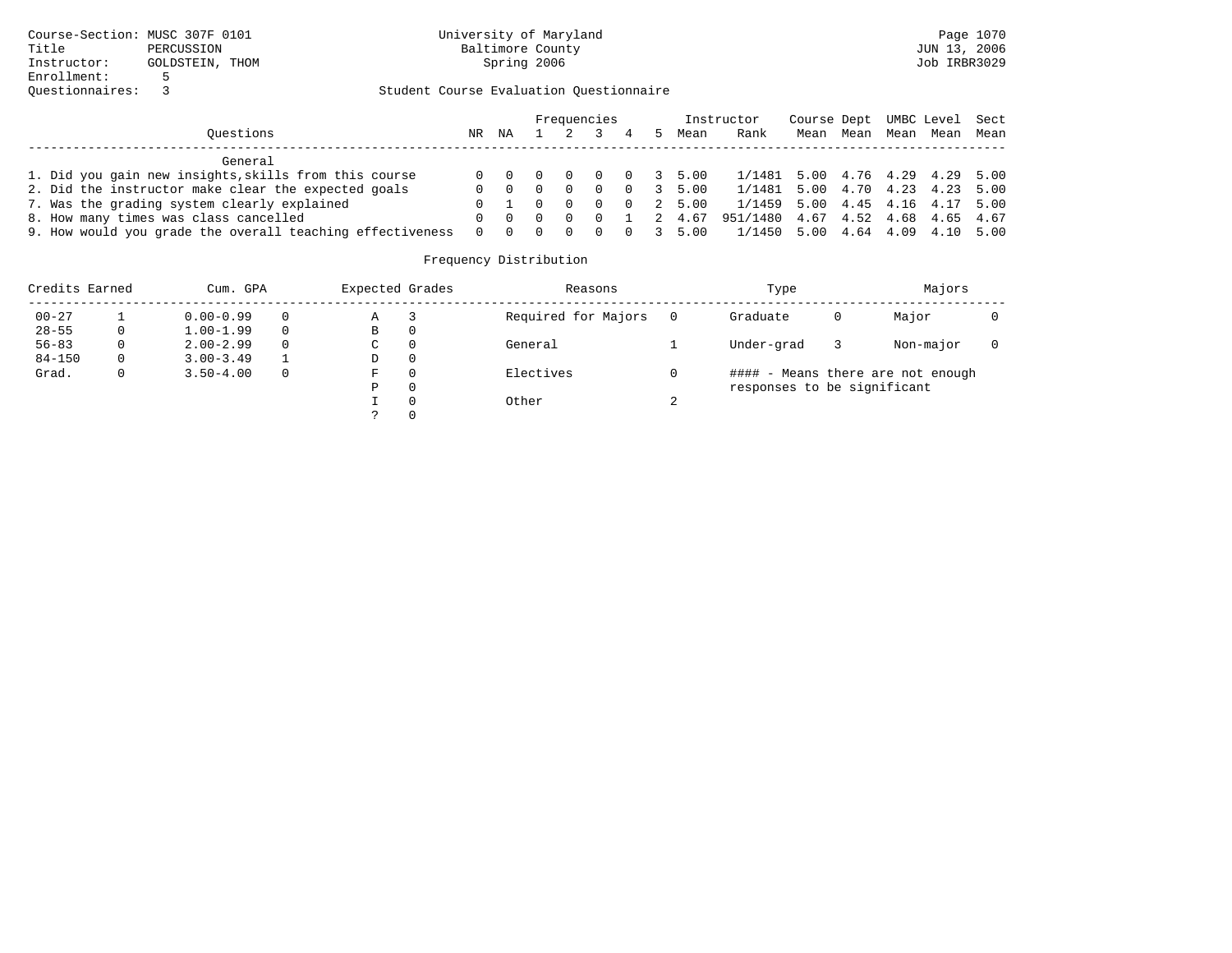|                                                           |          |                                             |          |          | Frequencies    |                                    |   |                        | Instructor                        | Course Dept UMBC Level Sect |  |                          |  |
|-----------------------------------------------------------|----------|---------------------------------------------|----------|----------|----------------|------------------------------------|---|------------------------|-----------------------------------|-----------------------------|--|--------------------------|--|
| Ouestions                                                 | NR       | ΝA                                          |          |          |                | $4\phantom{.00000000000000000000}$ | 5 | Mean                   | Rank                              |                             |  | Mean Mean Mean Mean Mean |  |
| General                                                   |          |                                             |          |          |                |                                    |   |                        |                                   |                             |  |                          |  |
| 1. Did you gain new insights, skills from this course     |          | $0 \quad 0 \quad 0$                         |          | $\Omega$ | $\overline{0}$ |                                    |   | $0 \t3 \t5.00$         | 1/1481 5.00 4.76 4.29 4.29 5.00   |                             |  |                          |  |
| 2. Did the instructor make clear the expected goals       | 0        | $\begin{matrix} 0 & 0 \end{matrix}$         |          | $\Omega$ | $\Omega$       |                                    |   | $0 \t3 \t5.00$         | 1/1481 5.00 4.70 4.23 4.23 5.00   |                             |  |                          |  |
| 7. Was the grading system clearly explained               |          | $0\quad 1$                                  | $\Omega$ | - 0      | $\Omega$       |                                    |   | 0 2 5.00               | 1/1459 5.00 4.45 4.16 4.17 5.00   |                             |  |                          |  |
| 8. How many times was class cancelled                     | $\Omega$ | $\begin{matrix} 0 & 0 & 0 & 0 \end{matrix}$ |          |          |                |                                    |   | 1 2 4.67               | 951/1480 4.67 4.52 4.68 4.65 4.67 |                             |  |                          |  |
| 9. How would you grade the overall teaching effectiveness | $\Omega$ | $\overline{0}$                              | $\Omega$ | $\Box$   | - 0            |                                    |   | $0 \quad 3 \quad 5.00$ | 1/1450 5.00 4.64 4.09 4.10 5.00   |                             |  |                          |  |

| Credits Earned |   | Cum. GPA      |          | Expected Grades | Reasons             |   | Type                        |   | Majors                            |  |
|----------------|---|---------------|----------|-----------------|---------------------|---|-----------------------------|---|-----------------------------------|--|
| $00 - 27$      |   | $0.00 - 0.99$ | 0        | Α               | Required for Majors |   | Graduate                    | 0 | Major                             |  |
| $28 - 55$      | 0 | $1.00 - 1.99$ | $\Omega$ | В               |                     |   |                             |   |                                   |  |
| $56 - 83$      |   | $2.00 - 2.99$ | $\Omega$ | C               | General             |   | Under-grad                  |   | Non-major                         |  |
| $84 - 150$     | 0 | $3.00 - 3.49$ |          | D               |                     |   |                             |   |                                   |  |
| Grad.          |   | $3.50 - 4.00$ | $\Omega$ | F               | Electives           |   |                             |   | #### - Means there are not enough |  |
|                |   |               |          | P               |                     |   | responses to be significant |   |                                   |  |
|                |   |               |          |                 | Other               | ▵ |                             |   |                                   |  |
|                |   |               |          |                 |                     |   |                             |   |                                   |  |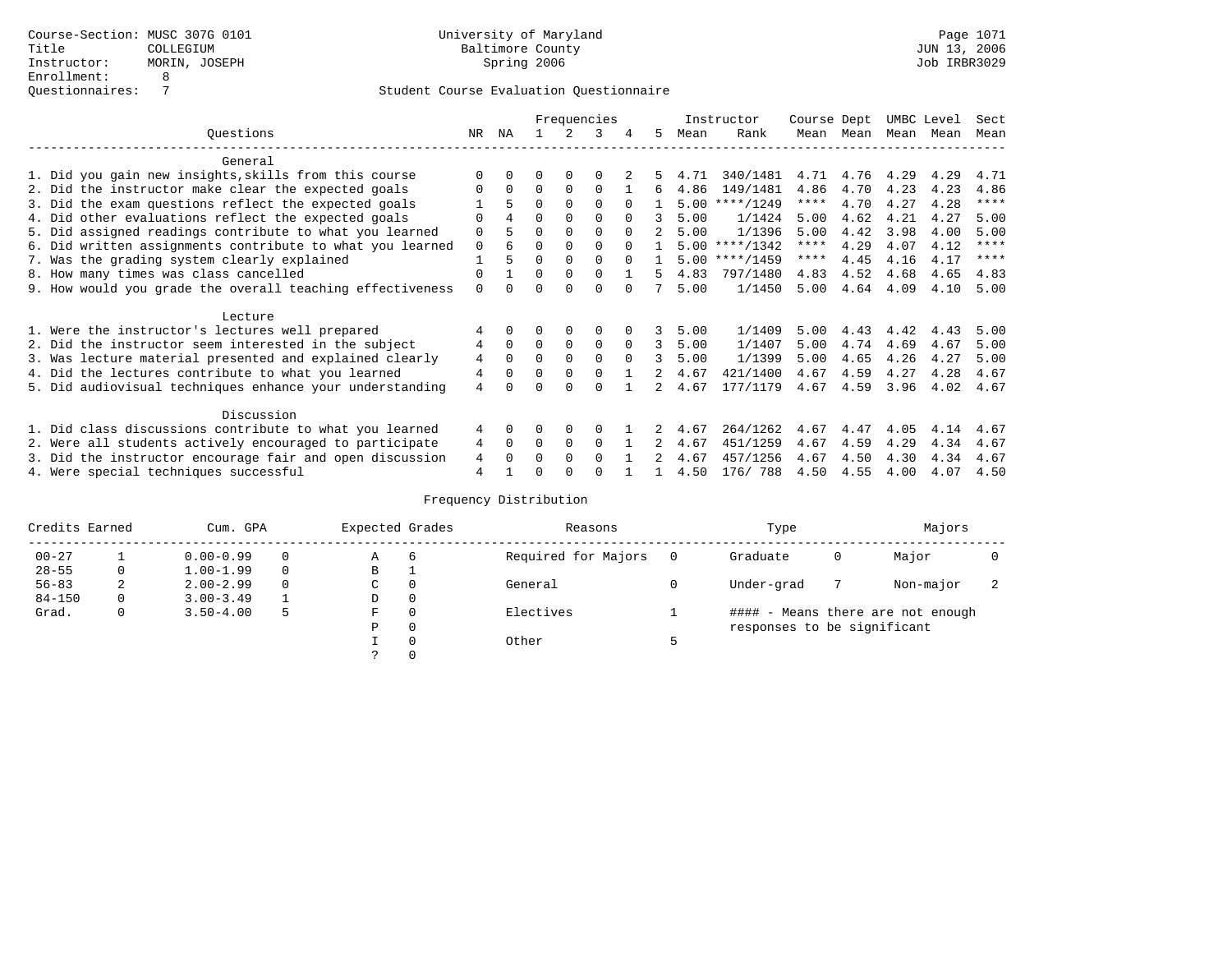|                                                           |                |          |          |             | Frequencies |          |    |      | Instructor       | Course Dept |      |      | UMBC Level | Sect        |
|-----------------------------------------------------------|----------------|----------|----------|-------------|-------------|----------|----|------|------------------|-------------|------|------|------------|-------------|
| Ouestions                                                 | NR.            | ΝA       |          |             | 3           |          | 5. | Mean | Rank             | Mean        | Mean | Mean | Mean       | Mean        |
| General                                                   |                |          |          |             |             |          |    |      |                  |             |      |      |            |             |
| 1. Did you gain new insights, skills from this course     | ∩              |          | O        | 0           | $\Omega$    |          |    | 4.71 | 340/1481         | 4.71        | 4.76 | 4.29 | 4.29       | 4.71        |
| 2. Did the instructor make clear the expected goals       | ∩              | $\Omega$ | $\Omega$ | $\Omega$    | $\Omega$    |          | б. | 4.86 | 149/1481         | 4.86        | 4.70 | 4.23 | 4.23       | 4.86        |
| 3. Did the exam questions reflect the expected goals      |                | 5.       | $\Omega$ | $\Omega$    | $\Omega$    | $\Omega$ |    | 5.00 | $***/1249$       | ****        | 4.70 | 4.27 | 4.28       | $***$ * * * |
| 4. Did other evaluations reflect the expected goals       |                | 4        | $\Omega$ | $\Omega$    | $\Omega$    |          |    | 5.00 | 1/1424           | 5.00        | 4.62 | 4.21 | 4.27       | 5.00        |
| 5. Did assigned readings contribute to what you learned   | $\Omega$       |          | $\Omega$ |             | $\Omega$    |          |    | 5.00 | 1/1396           | 5.00        | 4.42 | 3.98 | 4.00       | 5.00        |
| 6. Did written assignments contribute to what you learned | $\mathbf 0$    | 6        | $\Omega$ |             | $\Omega$    | $\cap$   |    |      | $5.00$ ****/1342 | ****        | 4.29 | 4.07 | 4.12       | ****        |
| 7. Was the grading system clearly explained               |                | 5        | $\Omega$ |             | $\Omega$    |          |    | 5.00 | $***/1459$       | ****        | 4.45 | 4.16 | 4.17       | $* * * *$   |
| 8. How many times was class cancelled                     | $\Omega$       |          | $\Omega$ | $\Omega$    | $\Omega$    |          | 5  | 4.83 | 797/1480         | 4.83        | 4.52 | 4.68 | 4.65       | 4.83        |
| 9. How would you grade the overall teaching effectiveness | $\Omega$       |          | U        | $\cap$      | $\cap$      |          |    | 5.00 | 1/1450           | 5.00        | 4.64 | 4.09 | 4.10       | 5.00        |
| Lecture                                                   |                |          |          |             |             |          |    |      |                  |             |      |      |            |             |
| 1. Were the instructor's lectures well prepared           |                |          |          | $\Omega$    | 0           |          |    | 5.00 | 1/1409           | 5.00        | 4.43 | 4.42 | 4.43       | 5.00        |
| 2. Did the instructor seem interested in the subject      | 4              | $\Omega$ | $\Omega$ | $\mathbf 0$ | $\mathbf 0$ | $\Omega$ | 3  | 5.00 | 1/1407           | 5.00        | 4.74 | 4.69 | 4.67       | 5.00        |
| 3. Was lecture material presented and explained clearly   | 4              | $\Omega$ | $\Omega$ | $\Omega$    | $\Omega$    | $\Omega$ | 3  | 5.00 | 1/1399           | 5.00        | 4.65 | 4.26 | 4.27       | 5.00        |
| 4. Did the lectures contribute to what you learned        | $\overline{4}$ |          | $\Omega$ | $\Omega$    | $\Omega$    |          |    | 4.67 | 421/1400         | 4.67        | 4.59 | 4.27 | 4.28       | 4.67        |
| 5. Did audiovisual techniques enhance your understanding  | 4              |          |          |             | $\cap$      |          |    | 4.67 | 177/1179         | 4.67        | 4.59 | 3.96 | 4.02       | 4.67        |
|                                                           |                |          |          |             |             |          |    |      |                  |             |      |      |            |             |
| Discussion                                                |                |          |          |             |             |          |    |      |                  |             |      |      |            |             |
| 1. Did class discussions contribute to what you learned   | 4              | 0        | O        | 0           | $\Omega$    |          |    | 4.67 | 264/1262         | 4.67        | 4.47 | 4.05 | 4.14       | 4.67        |
| 2. Were all students actively encouraged to participate   | 4              | $\Omega$ | $\Omega$ | 0           | $\Omega$    |          |    | 4.67 | 451/1259         | 4.67        | 4.59 | 4.29 | 4.34       | 4.67        |
| 3. Did the instructor encourage fair and open discussion  | 4              |          | 0        | $\Omega$    | $\Omega$    |          |    | 4.67 | 457/1256         | 4.67        | 4.50 | 4.30 | 4.34       | 4.67        |
| 4. Were special techniques successful                     | $\overline{4}$ |          | U        |             | ∩           |          |    | 4.50 | 176/788          | 4.50        | 4.55 | 4.00 | 4.07       | 4.50        |

| Credits Earned |          | Cum. GPA      |          | Expected Grades |          | Reasons             | Type                        |   | Majors                            |  |
|----------------|----------|---------------|----------|-----------------|----------|---------------------|-----------------------------|---|-----------------------------------|--|
| $00 - 27$      |          | $0.00 - 0.99$ |          | Α               | 6        | Required for Majors | Graduate                    | 0 | Major                             |  |
| $28 - 55$      | 0        | $1.00 - 1.99$ | $\Omega$ | В               |          |                     |                             |   |                                   |  |
| $56 - 83$      | 2        | $2.00 - 2.99$ |          | C.              | 0        | General             | Under-grad                  |   | Non-major                         |  |
| $84 - 150$     | $\Omega$ | $3.00 - 3.49$ |          | D               | 0        |                     |                             |   |                                   |  |
| Grad.          | 0        | $3.50 - 4.00$ |          | F               | $\Omega$ | Electives           |                             |   | #### - Means there are not enough |  |
|                |          |               |          | P               | 0        |                     | responses to be significant |   |                                   |  |
|                |          |               |          |                 | $\Omega$ | Other               |                             |   |                                   |  |
|                |          |               |          |                 |          |                     |                             |   |                                   |  |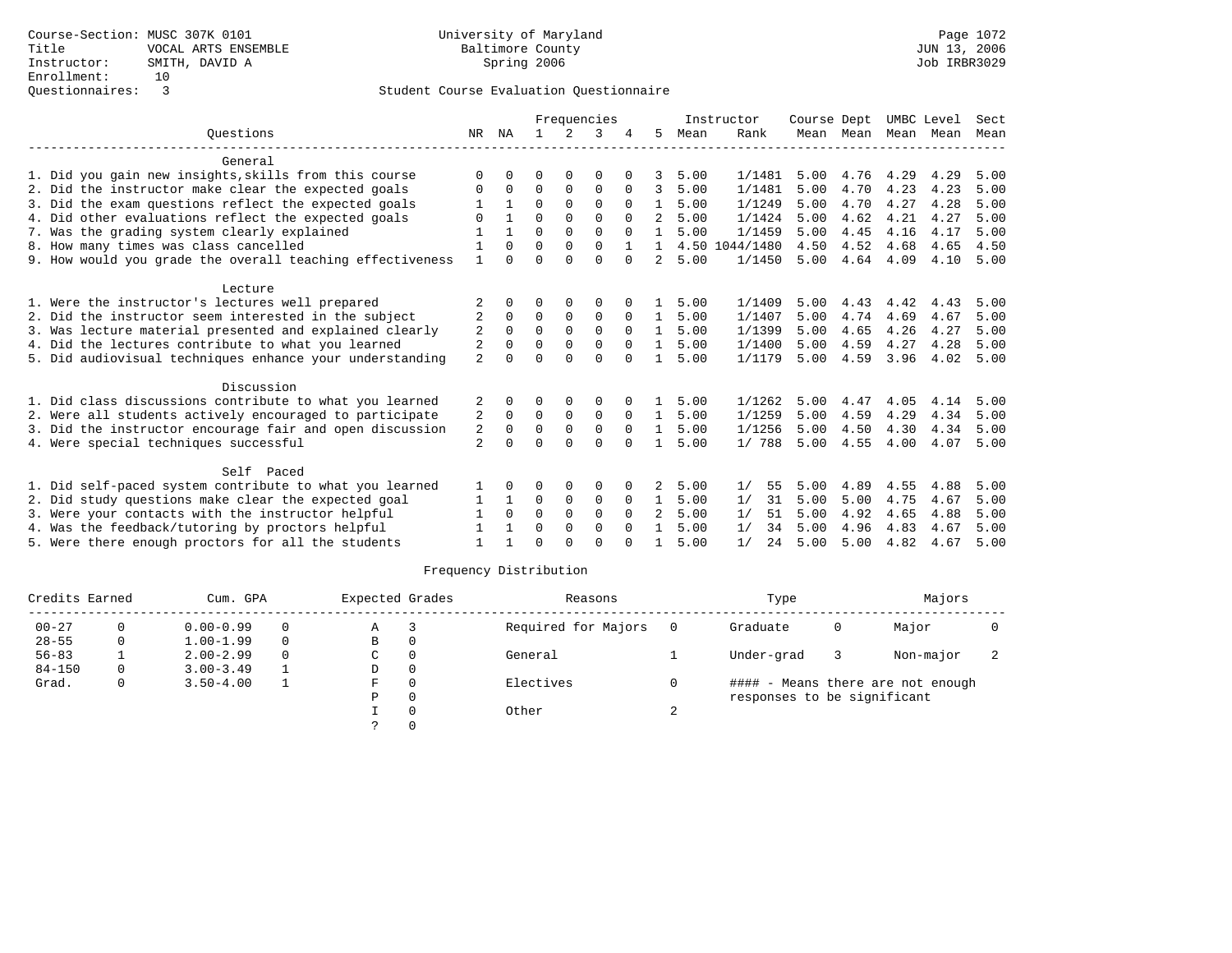|                                                           |                |              |          |             | Frequencies |              |              |      | Instructor | Course Dept |           | UMBC Level |      | Sect |
|-----------------------------------------------------------|----------------|--------------|----------|-------------|-------------|--------------|--------------|------|------------|-------------|-----------|------------|------|------|
| Ouestions                                                 | NR             | NA           |          |             | 3           |              | 5.           | Mean | Rank       |             | Mean Mean | Mean Mean  |      | Mean |
| General                                                   |                |              |          |             |             |              |              |      |            |             |           |            |      |      |
| 1. Did you gain new insights, skills from this course     | U              |              |          |             |             |              |              | 5.00 | 1/1481     | 5.00        | 4.76      | 4.29       | 4.29 | 5.00 |
| 2. Did the instructor make clear the expected goals       | 0              | $\Omega$     | $\Omega$ | $\Omega$    | $\Omega$    | $\Omega$     | 3            | 5.00 | 1/1481     | 5.00        | 4.70      | 4.23       | 4.23 | 5.00 |
| 3. Did the exam questions reflect the expected goals      |                | $\mathbf{1}$ | $\Omega$ | $\Omega$    | $\Omega$    | $\Omega$     | $\mathbf{1}$ | 5.00 | 1/1249     | 5.00        | 4.70      | 4.27       | 4.28 | 5.00 |
| 4. Did other evaluations reflect the expected goals       |                |              | $\Omega$ | $\mathbf 0$ | 0           | $\Omega$     |              | 5.00 | 1/1424     | 5.00        | 4.62      | 4.21       | 4.27 | 5.00 |
| 7. Was the grading system clearly explained               |                | -1           | 0        | $\Omega$    | $\Omega$    | $\Omega$     | $\mathbf{1}$ | 5.00 | 1/1459     | 5.00        | 4.45      | 4.16       | 4.17 | 5.00 |
| 8. How many times was class cancelled                     |                | $\Omega$     | $\Omega$ | $\Omega$    | $\Omega$    | $\mathbf{1}$ | 1.           | 4.50 | 1044/1480  | 4.50        | 4.52      | 4.68       | 4.65 | 4.50 |
| 9. How would you grade the overall teaching effectiveness |                | $\Omega$     | U        | $\cap$      | $\cap$      | $\cap$       | 2            | 5.00 | 1/1450     | 5.00        | 4.64      | 4.09       | 4.10 | 5.00 |
| Lecture                                                   |                |              |          |             |             |              |              |      |            |             |           |            |      |      |
| 1. Were the instructor's lectures well prepared           |                | $\Omega$     | O        | 0           | 0           |              |              | 5.00 | 1/1409     | 5.00        | 4.43      | 4.42       | 4.43 | 5.00 |
| 2. Did the instructor seem interested in the subject      | 2              | $\Omega$     | $\Omega$ | $\Omega$    | $\Omega$    | $\Omega$     | $\mathbf{1}$ | 5.00 | 1/1407     | 5.00        | 4.74      | 4.69       | 4.67 | 5.00 |
| 3. Was lecture material presented and explained clearly   | $\overline{2}$ | $\Omega$     | $\Omega$ | $\Omega$    | $\Omega$    | $\Omega$     | $\mathbf{1}$ | 5.00 | 1/1399     | 5.00        | 4.65      | 4.26       | 4.27 | 5.00 |
| 4. Did the lectures contribute to what you learned        | 2              | $\Omega$     | U        | $\Omega$    | 0           | $\Omega$     | $\mathbf{1}$ | 5.00 | 1/1400     | 5.00        | 4.59      | 4.27       | 4.28 | 5.00 |
| 5. Did audiovisual techniques enhance your understanding  | $\overline{a}$ |              | 0        | $\Omega$    | $\Omega$    | $\Omega$     |              | 5.00 | 1/1179     | 5.00        | 4.59      | 3.96       | 4.02 | 5.00 |
| Discussion                                                |                |              |          |             |             |              |              |      |            |             |           |            |      |      |
| 1. Did class discussions contribute to what you learned   | 2              | $\Omega$     | 0        | $\Omega$    | $\Omega$    |              |              | 5.00 | 1/1262     | 5.00        | 4.47      | 4.05       | 4.14 | 5.00 |
| 2. Were all students actively encouraged to participate   | 2              | $\mathbf 0$  | 0        | $\mathbf 0$ | 0           | 0            | $\mathbf{1}$ | 5.00 | 1/1259     | 5.00        | 4.59      | 4.29       | 4.34 | 5.00 |
| 3. Did the instructor encourage fair and open discussion  | 2              | $\Omega$     | $\Omega$ | $\mathbf 0$ | 0           | $\Omega$     |              | 5.00 | 1/1256     | 5.00        | 4.50      | 4.30       | 4.34 | 5.00 |
| 4. Were special techniques successful                     | $\overline{a}$ |              | ∩        | $\cap$      | $\Omega$    | $\Omega$     |              | 5.00 | 1/788      | 5.00        | 4.55      | 4.00       | 4.07 | 5.00 |
| Self Paced                                                |                |              |          |             |             |              |              |      |            |             |           |            |      |      |
| 1. Did self-paced system contribute to what you learned   |                | <sup>0</sup> | O        | 0           | 0           |              | 2            | 5.00 | 1/<br>55   | 5.00        | 4.89      | 4.55       | 4.88 | 5.00 |
| 2. Did study questions make clear the expected goal       | 1              | -1           | $\Omega$ | 0           | 0           | $\Omega$     | $\mathbf{1}$ | 5.00 | 31<br>1/   | 5.00        | 5.00      | 4.75       | 4.67 | 5.00 |
| 3. Were your contacts with the instructor helpful         |                | $\Omega$     | $\Omega$ | $\Omega$    | $\Omega$    | $\Omega$     | 2            | 5.00 | 1/<br>51   | 5.00        | 4.92      | 4.65       | 4.88 | 5.00 |
| 4. Was the feedback/tutoring by proctors helpful          |                | $\mathbf{1}$ | $\Omega$ | $\mathbf 0$ | $\Omega$    | $\Omega$     | $\mathbf{1}$ | 5.00 | 1/<br>34   | 5.00        | 4.96      | 4.83       | 4.67 | 5.00 |
| 5. Were there enough proctors for all the students        |                | -1           | U        | $\cap$      | U           |              |              | 5.00 | 1/<br>2.4  | 5.00        | 5.00      | 4.82       | 4.67 | 5.00 |

| Credits Earned |          | Cum. GPA      |          | Expected Grades |          | Reasons             |     | Type                        |   | Majors                            |  |
|----------------|----------|---------------|----------|-----------------|----------|---------------------|-----|-----------------------------|---|-----------------------------------|--|
| $00 - 27$      |          | $0.00 - 0.99$ | $\Omega$ | Α               |          | Required for Majors | - 0 | Graduate                    | 0 | Major                             |  |
| $28 - 55$      | 0        | $1.00 - 1.99$ | $\Omega$ | В               | 0        |                     |     |                             |   |                                   |  |
| $56 - 83$      |          | $2.00 - 2.99$ | $\Omega$ | C               | $\Omega$ | General             |     | Under-grad                  |   | Non-major                         |  |
| $84 - 150$     | $\Omega$ | $3.00 - 3.49$ |          | D               | 0        |                     |     |                             |   |                                   |  |
| Grad.          | $\Omega$ | $3.50 - 4.00$ |          | F.              | $\Omega$ | Electives           |     |                             |   | #### - Means there are not enough |  |
|                |          |               |          | Ρ               | $\Omega$ |                     |     | responses to be significant |   |                                   |  |
|                |          |               |          |                 |          | Other               |     |                             |   |                                   |  |
|                |          |               |          |                 |          |                     |     |                             |   |                                   |  |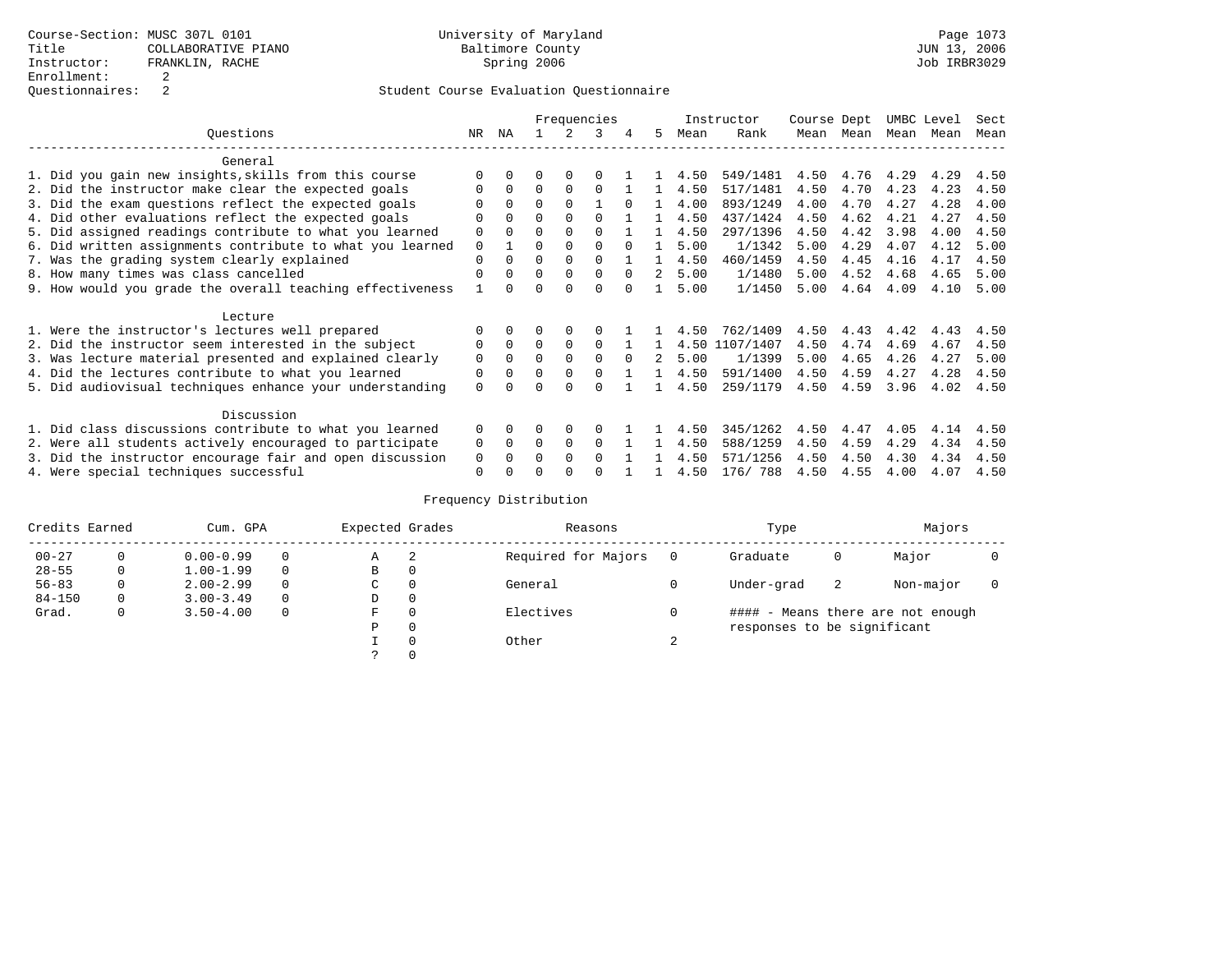|                                                           |             |              |          |          | Frequencies |          |               |      | Instructor | Course Dept |      | UMBC Level |      | Sect |
|-----------------------------------------------------------|-------------|--------------|----------|----------|-------------|----------|---------------|------|------------|-------------|------|------------|------|------|
| Ouestions                                                 | NR.         | ΝA           |          |          | 3           |          | 5.            | Mean | Rank       | Mean        | Mean | Mean       | Mean | Mean |
| General                                                   |             |              |          |          |             |          |               |      |            |             |      |            |      |      |
| 1. Did you gain new insights, skills from this course     | $\Omega$    | $\Omega$     | O        | $\Omega$ |             |          |               | 4.50 | 549/1481   | 4.50        | 4.76 | 4.29       | 4.29 | 4.50 |
| 2. Did the instructor make clear the expected goals       | O           | $\Omega$     | $\Omega$ | $\Omega$ | $\Omega$    |          |               | 4.50 | 517/1481   | 4.50        | 4.70 | 4.23       | 4.23 | 4.50 |
| 3. Did the exam questions reflect the expected goals      |             | $\Omega$     | $\Omega$ | $\Omega$ |             | $\Omega$ |               | 4.00 | 893/1249   | 4.00        | 4.70 | 4.27       | 4.28 | 4.00 |
| 4. Did other evaluations reflect the expected goals       | O           | $\Omega$     | $\Omega$ | $\Omega$ | $\Omega$    |          |               | 4.50 | 437/1424   | 4.50        | 4.62 | 4.21       | 4.27 | 4.50 |
| 5. Did assigned readings contribute to what you learned   | $\mathbf 0$ |              |          | $\Omega$ | $\Omega$    |          |               | 4.50 | 297/1396   | 4.50        | 4.42 | 3.98       | 4.00 | 4.50 |
| 6. Did written assignments contribute to what you learned | $\mathbf 0$ |              | $\Omega$ |          |             | $\cap$   |               | 5.00 | 1/1342     | 5.00        | 4.29 | 4.07       | 4.12 | 5.00 |
| 7. Was the grading system clearly explained               | $\Omega$    | $\Omega$     | $\Omega$ | $\Omega$ | $\Omega$    |          |               | 4.50 | 460/1459   | 4.50        | 4.45 | 4.16       | 4.17 | 4.50 |
| 8. How many times was class cancelled                     | $\Omega$    | $\Omega$     | $\Omega$ | $\Omega$ | $\Omega$    | $\Omega$ | 2             | 5.00 | 1/1480     | 5.00        | 4.52 | 4.68       | 4.65 | 5.00 |
| 9. How would you grade the overall teaching effectiveness |             | <sup>n</sup> | ∩        | ∩        | $\Omega$    | $\cap$   |               | 5.00 | 1/1450     | 5.00        | 4.64 | 4.09       | 4.10 | 5.00 |
| Lecture                                                   |             |              |          |          |             |          |               |      |            |             |      |            |      |      |
| 1. Were the instructor's lectures well prepared           | 0           |              |          |          |             |          |               | 4.50 | 762/1409   | 4.50        | 4.43 | 4.42       | 4.43 | 4.50 |
| 2. Did the instructor seem interested in the subject      | 0           | $\Omega$     | $\Omega$ | $\Omega$ | $\Omega$    |          |               | 4.50 | 1107/1407  | 4.50        | 4.74 | 4.69       | 4.67 | 4.50 |
| 3. Was lecture material presented and explained clearly   | $\mathbf 0$ | $\Omega$     | $\Omega$ | $\Omega$ | $\Omega$    | $\cap$   | $\mathcal{L}$ | 5.00 | 1/1399     | 5.00        | 4.65 | 4.26       | 4.27 | 5.00 |
| 4. Did the lectures contribute to what you learned        | 0           | $\Omega$     | $\Omega$ | $\Omega$ |             |          |               | 4.50 | 591/1400   | 4.50        | 4.59 | 4.27       | 4.28 | 4.50 |
| 5. Did audiovisual techniques enhance your understanding  | $\Omega$    |              |          |          |             |          |               | 4.50 | 259/1179   | 4.50        | 4.59 | 3.96       | 4.02 | 4.50 |
| Discussion                                                |             |              |          |          |             |          |               |      |            |             |      |            |      |      |
| 1. Did class discussions contribute to what you learned   | $\Omega$    | $\Omega$     | U        | $\Omega$ | $\Omega$    |          |               | 4.50 | 345/1262   | 4.50        | 4.47 | 4.05       | 4.14 | 4.50 |
| 2. Were all students actively encouraged to participate   | 0           | $\Omega$     | $\Omega$ | $\Omega$ | $\Omega$    |          |               | 4.50 | 588/1259   | 4.50        | 4.59 | 4.29       | 4.34 | 4.50 |
| 3. Did the instructor encourage fair and open discussion  | 0           |              | O        | $\Omega$ | $\Omega$    |          |               | 4.50 | 571/1256   | 4.50        | 4.50 | 4.30       | 4.34 | 4.50 |
| 4. Were special techniques successful                     | $\Omega$    |              |          |          |             |          |               | 4.50 | 176/788    | 4.50        | 4.55 | 4.00       | 4.07 | 4.50 |

| Credits Earned |          | Cum. GPA      |          | Expected Grades |          | Reasons             |          | Type                        |    | Majors                            |  |
|----------------|----------|---------------|----------|-----------------|----------|---------------------|----------|-----------------------------|----|-----------------------------------|--|
| $00 - 27$      | $\Omega$ | $0.00 - 0.99$ |          | А               | -2       | Required for Majors | $\Omega$ | Graduate                    | 0  | Major                             |  |
| $28 - 55$      | 0        | $1.00 - 1.99$ |          | В               | 0        |                     |          |                             |    |                                   |  |
| $56 - 83$      | 0        | $2.00 - 2.99$ |          | $\sim$<br>◡     | 0        | General             |          | Under-grad                  | -2 | Non-major                         |  |
| $84 - 150$     | 0        | $3.00 - 3.49$ | $\Omega$ | D               | 0        |                     |          |                             |    |                                   |  |
| Grad.          | 0        | $3.50 - 4.00$ |          | F               | 0        | Electives           | 0        |                             |    | #### - Means there are not enough |  |
|                |          |               |          | Ρ               | 0        |                     |          | responses to be significant |    |                                   |  |
|                |          |               |          |                 | $\Omega$ | Other               | $\sim$   |                             |    |                                   |  |
|                |          |               |          |                 |          |                     |          |                             |    |                                   |  |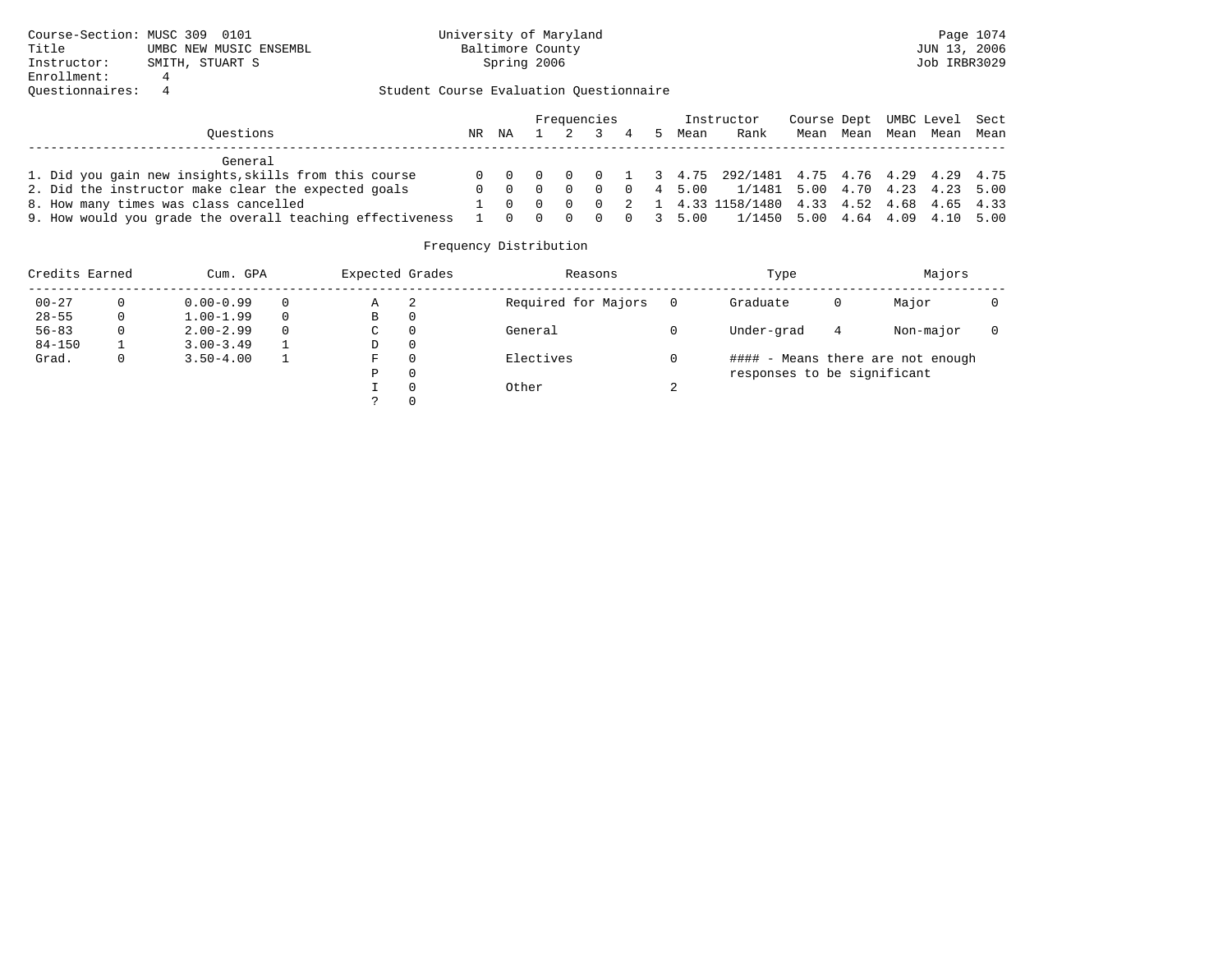|                                                           |    |           |         | Frequencies |  |      | Instructor                                            | Course Dept UMBC Level Sect |      |                |  |
|-----------------------------------------------------------|----|-----------|---------|-------------|--|------|-------------------------------------------------------|-----------------------------|------|----------------|--|
| Ouestions                                                 | NR | ΝA        | 1 2 3 4 |             |  | Mean | Rank                                                  | Mean                        | Mean | Mean Mean Mean |  |
| General                                                   |    |           |         |             |  |      |                                                       |                             |      |                |  |
| 1. Did you gain new insights, skills from this course     |    |           |         |             |  |      | 0 0 0 0 0 1 3 4.75 292/1481 4.75 4.76 4.29 4.29 4.75  |                             |      |                |  |
| 2. Did the instructor make clear the expected goals       |    |           |         |             |  |      | 0 0 0 0 0 0 4 5.00 $1/1481$ 5.00 4.70 4.23 4.23 5.00  |                             |      |                |  |
| 8. How many times was class cancelled                     |    |           |         |             |  |      | 1 0 0 0 0 2 1 4.33 1158/1480 4.33 4.52 4.68 4.65 4.33 |                             |      |                |  |
| 9. How would you grade the overall teaching effectiveness |    | 1 0 0 0 0 |         |             |  |      | $0$ 3 5.00 1/1450 5.00 4.64 4.09 4.10 5.00            |                             |      |                |  |

| Credits Earned |              | Cum. GPA      |          | Expected Grades |          | Reasons             |   | Type                        |   | Majors                            |  |
|----------------|--------------|---------------|----------|-----------------|----------|---------------------|---|-----------------------------|---|-----------------------------------|--|
| $00 - 27$      | 0            | $0.00 - 0.99$ | $\Omega$ | Α               |          | Required for Majors |   | Graduate                    | 0 | Major                             |  |
| $28 - 55$      | $\mathbf{0}$ | $1.00 - 1.99$ | $\Omega$ | В               | 0        |                     |   |                             |   |                                   |  |
| $56 - 83$      | 0            | $2.00 - 2.99$ | $\Omega$ | C               | $\Omega$ | General             |   | Under-grad                  | 4 | Non-major                         |  |
| $84 - 150$     |              | $3.00 - 3.49$ |          | D               | 0        |                     |   |                             |   |                                   |  |
| Grad.          | 0.           | $3.50 - 4.00$ |          | F               | $\Omega$ | Electives           |   |                             |   | #### - Means there are not enough |  |
|                |              |               |          | Ρ               | 0        |                     |   | responses to be significant |   |                                   |  |
|                |              |               |          |                 | $\Omega$ | Other               | ⌒ |                             |   |                                   |  |
|                |              |               |          |                 |          |                     |   |                             |   |                                   |  |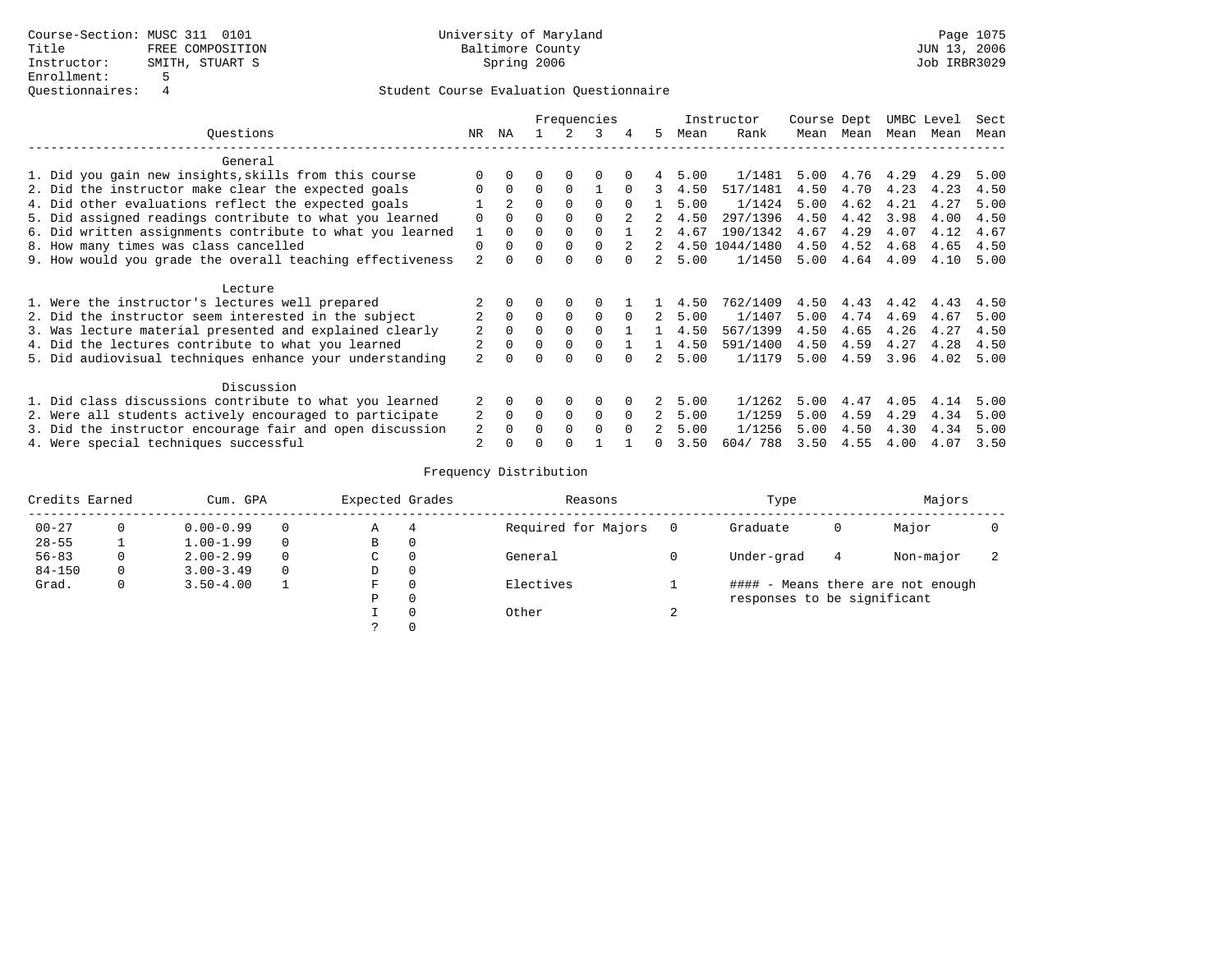|                                                           |                |                |          |          | Frequencies  |          |                |      | Instructor     | Course Dept |      | UMBC Level |      | Sect |
|-----------------------------------------------------------|----------------|----------------|----------|----------|--------------|----------|----------------|------|----------------|-------------|------|------------|------|------|
| Ouestions                                                 | NR.            | ΝA             |          |          | 3            | 4        | 5.             | Mean | Rank           | Mean        | Mean | Mean       | Mean | Mean |
| General                                                   |                |                |          |          |              |          |                |      |                |             |      |            |      |      |
| 1. Did you gain new insights, skills from this course     | $\Omega$       |                |          |          |              |          |                | 5.00 | 1/1481         | 5.00        | 4.76 | 4.29       | 4.29 | 5.00 |
| 2. Did the instructor make clear the expected goals       | $\Omega$       | $\Omega$       | $\Omega$ | $\Omega$ |              | $\Omega$ | ર              | 4.50 | 517/1481       | 4.50        | 4.70 | 4.23       | 4.23 | 4.50 |
| 4. Did other evaluations reflect the expected goals       |                | $\overline{a}$ | $\Omega$ | $\Omega$ | $\Omega$     |          |                | 5.00 | 1/1424         | 5.00        | 4.62 | 4.21       | 4.27 | 5.00 |
| 5. Did assigned readings contribute to what you learned   | $\Omega$       | $\Omega$       | $\Omega$ | $\Omega$ | $\cap$       |          |                | 4.50 | 297/1396       | 4.50        | 4.42 | 3.98       | 4.00 | 4.50 |
| 6. Did written assignments contribute to what you learned |                | $\Omega$       | 0        | $\Omega$ | $\Omega$     |          |                | 4.67 | 190/1342       | 4.67        | 4.29 | 4.07       | 4.12 | 4.67 |
| 8. How many times was class cancelled                     | $\mathbf 0$    | $\Omega$       | $\Omega$ | $\Omega$ | $\Omega$     | 2        | 2              |      | 4.50 1044/1480 | 4.50        | 4.52 | 4.68       | 4.65 | 4.50 |
| 9. How would you grade the overall teaching effectiveness | 2              |                |          |          | <sup>n</sup> |          |                | 5.00 | 1/1450         | 5.00        | 4.64 | 4.09       | 4.10 | 5.00 |
| Lecture                                                   |                |                |          |          |              |          |                |      |                |             |      |            |      |      |
| 1. Were the instructor's lectures well prepared           |                |                |          |          |              |          |                | 4.50 | 762/1409       | 4.50        | 4.43 | 4.42       | 4.43 | 4.50 |
| 2. Did the instructor seem interested in the subject      | 2              | $\Omega$       | $\Omega$ | $\Omega$ | $\Omega$     | $\Omega$ | 2              | 5.00 | 1/1407         | 5.00        | 4.74 | 4.69       | 4.67 | 5.00 |
| 3. Was lecture material presented and explained clearly   | 2              | $\Omega$       | 0        | $\Omega$ | $\Omega$     |          |                | 4.50 | 567/1399       | 4.50        | 4.65 | 4.26       | 4.27 | 4.50 |
| 4. Did the lectures contribute to what you learned        | 2              | $\Omega$       | $\Omega$ | $\Omega$ | $\Omega$     |          |                | 4.50 | 591/1400       | 4.50        | 4.59 | 4.27       | 4.28 | 4.50 |
| 5. Did audiovisual techniques enhance your understanding  | $\overline{a}$ |                |          |          | $\Omega$     |          |                | 5.00 | 1/1179         | 5.00        | 4.59 | 3.96       | 4.02 | 5.00 |
| Discussion                                                |                |                |          |          |              |          |                |      |                |             |      |            |      |      |
| 1. Did class discussions contribute to what you learned   | 2              | $\Omega$       | $\Omega$ | $\Omega$ | $\Omega$     | $\Omega$ | 2              | 5.00 | 1/1262         | 5.00        | 4.47 | 4.05       | 4.14 | 5.00 |
| 2. Were all students actively encouraged to participate   | 2              | $\Omega$       | $\Omega$ | $\Omega$ | $\Omega$     | $\Omega$ | $\overline{a}$ | 5.00 | 1/1259         | 5.00        | 4.59 | 4.29       | 4.34 | 5.00 |
| 3. Did the instructor encourage fair and open discussion  | 2              | $\Omega$       | $\Omega$ | $\Omega$ | $\Omega$     |          | 2              | 5.00 | 1/1256         | 5.00        | 4.50 | 4.30       | 4.34 | 5.00 |
| 4. Were special techniques successful                     | 2              |                |          |          |              |          |                | 3.50 | 604/788        | 3.50        | 4.55 | 4.00       | 4.07 | 3.50 |

| Credits Earned | Cum. GPA      |          | Expected Grades |          | Reasons             |        | Type                        |   | Majors                            |  |
|----------------|---------------|----------|-----------------|----------|---------------------|--------|-----------------------------|---|-----------------------------------|--|
| $00 - 27$      | $0.00 - 0.99$ | $\Omega$ | Α               | 4        | Required for Majors |        | Graduate                    | 0 | Major                             |  |
| $28 - 55$      | $1.00 - 1.99$ | $\Omega$ | В               | 0        |                     |        |                             |   |                                   |  |
| $56 - 83$      | $2.00 - 2.99$ | $\Omega$ | C               | 0        | General             |        | Under-grad                  | 4 | Non-major                         |  |
| $84 - 150$     | $3.00 - 3.49$ | $\Omega$ | D               | $\Omega$ |                     |        |                             |   |                                   |  |
| Grad.          | $3.50 - 4.00$ |          | F               | C        | Electives           |        |                             |   | #### - Means there are not enough |  |
|                |               |          | Ρ               | 0        |                     |        | responses to be significant |   |                                   |  |
|                |               |          |                 | $\Omega$ | Other               | $\sim$ |                             |   |                                   |  |
|                |               |          |                 | $\Omega$ |                     |        |                             |   |                                   |  |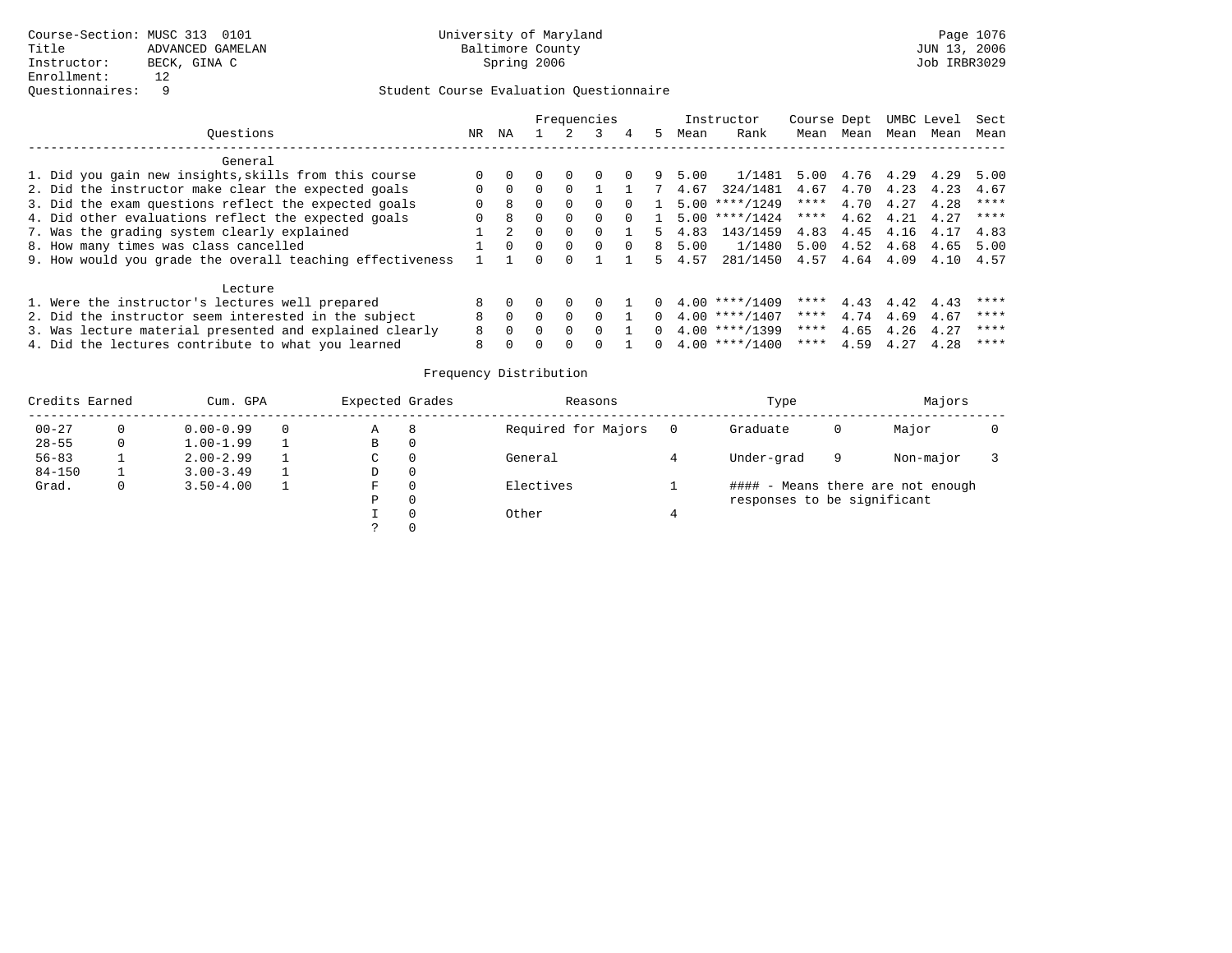|                                                           |          |          |          | Frequencies |              |          |          |      | Instructor              | Course Dept |           |      | UMBC Level | Sect |
|-----------------------------------------------------------|----------|----------|----------|-------------|--------------|----------|----------|------|-------------------------|-------------|-----------|------|------------|------|
| Ouestions                                                 | NR       | NA       |          |             |              | 4        | 5.       | Mean | Rank                    | Mean        | Mean      | Mean | Mean       | Mean |
| General                                                   |          |          |          |             |              |          |          |      |                         |             |           |      |            |      |
| 1. Did you gain new insights, skills from this course     |          |          |          | $\Omega$    | $\Omega$     | $\Omega$ | 9        | 5.00 | 1/1481                  | 5.00        | 4.76 4.29 |      | 4.29       | 5.00 |
| 2. Did the instructor make clear the expected goals       | $\Omega$ | $\Omega$ |          | $\Omega$    |              |          |          | 4.67 | 324/1481                | 4.67        | 4.70      | 4.23 | 4.23       | 4.67 |
| 3. Did the exam questions reflect the expected goals      | $\Omega$ | 8        |          | $\Omega$    | 0            | $\Omega$ |          |      | $5.00$ ****/1249        | ****        | 4.70      | 4.27 | 4.28       | **** |
| 4. Did other evaluations reflect the expected goals       | $\Omega$ | 8        |          |             | <sup>n</sup> |          |          | 5.00 | $***/1424$              | ****        | 4.62      | 4.21 | 4.27       | **** |
| 7. Was the grading system clearly explained               |          |          |          | $\Omega$    |              |          | 5.       | 4.83 | 143/1459                | 4.83        | 4.45      | 4.16 | 4.17       | 4.83 |
| 8. How many times was class cancelled                     |          | $\Omega$ | $\Omega$ | $\Omega$    | $\Omega$     | $\Omega$ | 8        | 5.00 | 1/1480 5.00             |             | 4.52 4.68 |      | 4.65       | 5.00 |
| 9. How would you grade the overall teaching effectiveness |          |          |          |             |              |          | 5.       | 4.57 | 281/1450 4.57 4.64 4.09 |             |           |      | 4.10       | 4.57 |
| Lecture                                                   |          |          |          |             |              |          |          |      |                         |             |           |      |            |      |
| 1. Were the instructor's lectures well prepared           |          |          |          |             |              |          |          |      | $4.00$ ****/1409        | ****        | 4.43      | 4.42 | 4.43       | **** |
| 2. Did the instructor seem interested in the subject      | 8        |          |          | $\Omega$    | <sup>n</sup> |          | $\Omega$ |      | $4.00$ ****/1407        | ****        | 4.74      | 4.69 | 4.67       | **** |
| 3. Was lecture material presented and explained clearly   | 8        | $\Omega$ |          | $\Omega$    | <sup>n</sup> |          | $\Omega$ |      | $4.00$ ****/1399        | ****        | 4.65      | 4.26 | 4.27       | **** |
| 4. Did the lectures contribute to what you learned        | 8        |          |          |             |              |          |          |      | $4.00$ ****/1400        | ****        | 4.59      | 4.27 | 4.28       | **** |

| Credits Earned |   | Cum. GPA      |   | Expected Grades | Reasons             | Type                        |   | Majors                            |  |
|----------------|---|---------------|---|-----------------|---------------------|-----------------------------|---|-----------------------------------|--|
| $00 - 27$      |   | $0.00 - 0.99$ | 0 | Α               | Required for Majors | Graduate                    | 0 | Major                             |  |
| $28 - 55$      | 0 | $1.00 - 1.99$ |   | В               |                     |                             |   |                                   |  |
| $56 - 83$      |   | $2.00 - 2.99$ |   | C               | General             | Under-grad                  | 9 | Non-major                         |  |
| $84 - 150$     |   | $3.00 - 3.49$ |   | D               |                     |                             |   |                                   |  |
| Grad.          | 0 | $3.50 - 4.00$ |   | F               | Electives           |                             |   | #### - Means there are not enough |  |
|                |   |               |   | Ρ               |                     | responses to be significant |   |                                   |  |
|                |   |               |   |                 | Other               |                             |   |                                   |  |
|                |   |               |   |                 |                     |                             |   |                                   |  |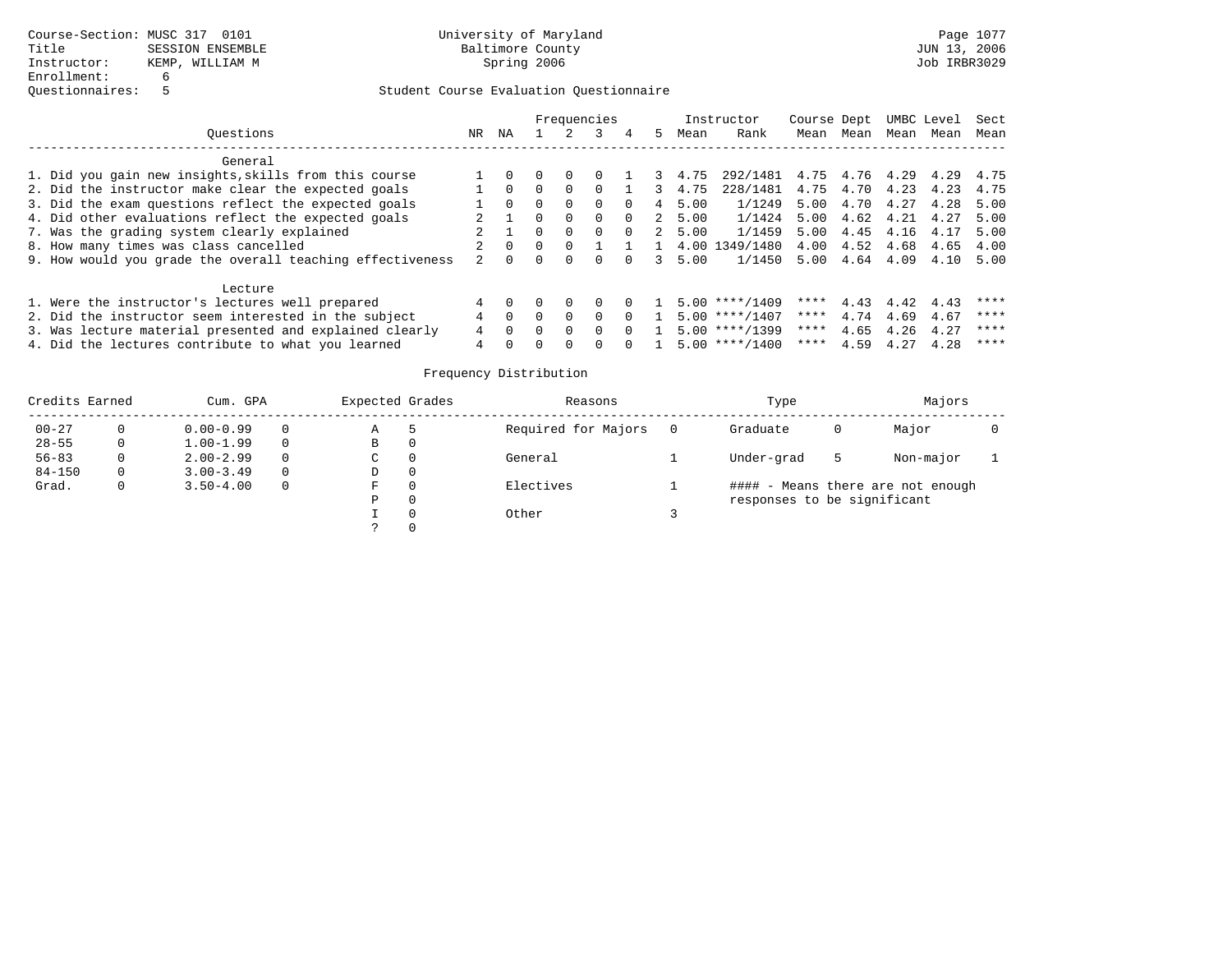|                                                           |     |          |          | Frequencies |          |             |      | Instructor                   | Course Dept |           |      | UMBC Level | Sect |
|-----------------------------------------------------------|-----|----------|----------|-------------|----------|-------------|------|------------------------------|-------------|-----------|------|------------|------|
| Ouestions                                                 | NR. | ΝA       |          |             | 4        | 5.          | Mean | Rank                         | Mean        | Mean      | Mean | Mean       | Mean |
| General                                                   |     |          |          |             |          |             |      |                              |             |           |      |            |      |
| 1. Did you gain new insights, skills from this course     |     |          |          |             |          | 3           | 4.75 | 292/1481 4.75 4.76 4.29 4.29 |             |           |      |            | 4.75 |
| 2. Did the instructor make clear the expected goals       |     | $\Omega$ | $\Omega$ |             |          |             | 4.75 | 228/1481                     | 4.75        | 4.70      | 4.23 | 4.23       | 4.75 |
| 3. Did the exam questions reflect the expected goals      |     | $\Omega$ | $\Omega$ | 0           | $\Omega$ | 4           | 5.00 | 1/1249                       | 5.00        | 4.70      | 4.27 | 4.28       | 5.00 |
| 4. Did other evaluations reflect the expected goals       |     |          | $\Omega$ | 0           | $\Omega$ | $2^{\circ}$ | 5.00 | 1/1424                       | 5.00        | 4.62      | 4.21 | 4.27       | 5.00 |
| 7. Was the grading system clearly explained               |     |          | $\Omega$ | 0           | $\Omega$ | $2^{\circ}$ | 5.00 | 1/1459                       | 5.00        | 4.45      | 4.16 | 4.17       | 5.00 |
| 8. How many times was class cancelled                     |     |          |          |             |          |             |      | 4.00 1349/1480               | 4.00        | 4.52      | 4.68 | 4.65       | 4.00 |
| 9. How would you grade the overall teaching effectiveness |     |          |          |             |          |             | 5.00 | 1/1450                       | 5.00        | 4.64 4.09 |      | 4.10       | 5.00 |
| Lecture                                                   |     |          |          |             |          |             |      |                              |             |           |      |            |      |
| 1. Were the instructor's lectures well prepared           |     |          |          |             |          |             |      | $5.00$ ****/1409             | ****        | 4.43      | 4.42 | 4.43       | **** |
| 2. Did the instructor seem interested in the subject      |     |          | $\Omega$ | $\Omega$    | $\Omega$ |             |      | $5.00$ ****/1407             | ****        | 4.74      | 4.69 | 4.67       | **** |
| 3. Was lecture material presented and explained clearly   |     | $\Omega$ | $\Omega$ | $\Omega$    |          |             |      | $5.00$ ****/1399             | ****        | 4.65      | 4.26 | 4.27       | **** |
| 4. Did the lectures contribute to what you learned        | 4   |          |          |             |          |             |      | $5.00$ ****/1400             | ****        | 4.59      | 4.27 | 4.28       | **** |

| Credits Earned |    | Cum. GPA      |          | Expected Grades | Reasons             | Type                        |   | Majors                            |  |
|----------------|----|---------------|----------|-----------------|---------------------|-----------------------------|---|-----------------------------------|--|
| $00 - 27$      |    | $0.00 - 0.99$ | 0        | Α               | Required for Majors | Graduate                    | 0 | Major                             |  |
| $28 - 55$      | 0  | $1.00 - 1.99$ | $\Omega$ | В               |                     |                             |   |                                   |  |
| $56 - 83$      |    | $2.00 - 2.99$ | $\Omega$ | C               | General             | Under-grad                  | 5 | Non-major                         |  |
| $84 - 150$     | 0. | $3.00 - 3.49$ | $\Omega$ | D               |                     |                             |   |                                   |  |
| Grad.          | 0  | $3.50 - 4.00$ | $\Omega$ | F               | Electives           |                             |   | #### - Means there are not enough |  |
|                |    |               |          | Ρ               |                     | responses to be significant |   |                                   |  |
|                |    |               |          |                 | Other               |                             |   |                                   |  |
|                |    |               |          |                 |                     |                             |   |                                   |  |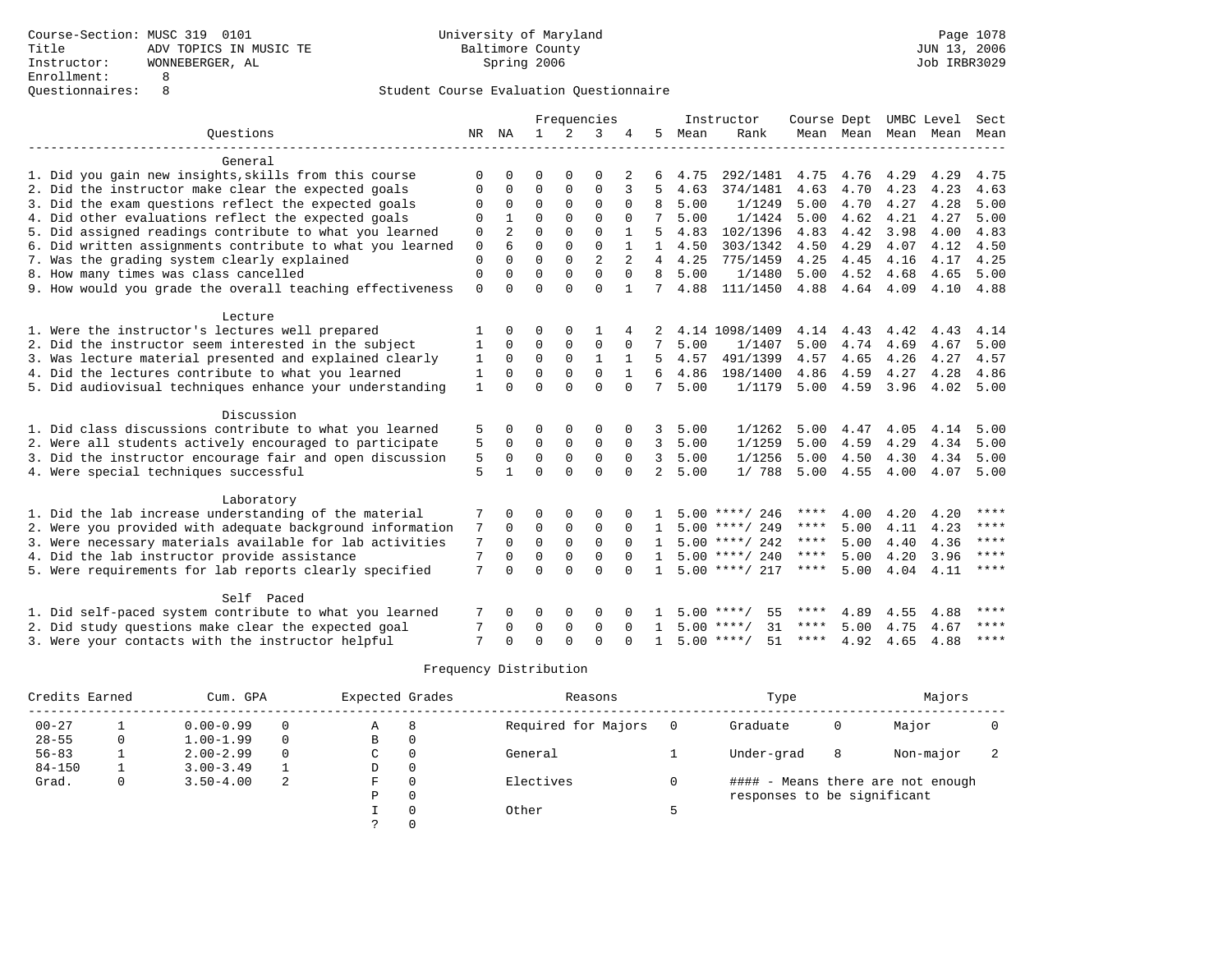|                                                           |              |          |             |             | Frequencies    |              |                |      | Instructor         | Course Dept UMBC Level |      |                     |      | Sect        |
|-----------------------------------------------------------|--------------|----------|-------------|-------------|----------------|--------------|----------------|------|--------------------|------------------------|------|---------------------|------|-------------|
| Ouestions                                                 |              | NR NA    | 1           |             | 3              |              | 5              | Mean | Rank               |                        |      | Mean Mean Mean Mean |      | Mean        |
|                                                           |              |          |             |             |                |              |                |      |                    |                        |      |                     |      |             |
| General                                                   |              |          |             |             |                |              |                |      |                    |                        |      |                     |      |             |
| 1. Did you gain new insights, skills from this course     | $\Omega$     | 0        | $\Omega$    | $\Omega$    | $\Omega$       |              |                | 4.75 | 292/1481           | 4.75                   | 4.76 | 4.29                | 4.29 | 4.75        |
| 2. Did the instructor make clear the expected goals       | $\Omega$     | 0        | $\Omega$    | $\Omega$    | 0              | 3            | 5              | 4.63 | 374/1481           | 4.63                   | 4.70 | 4.23                | 4.23 | 4.63        |
| 3. Did the exam questions reflect the expected goals      | $\Omega$     | $\Omega$ | $\Omega$    | $\Omega$    | $\Omega$       | $\Omega$     | 8              | 5.00 | 1/1249             | 5.00                   | 4.70 | 4.27                | 4.28 | 5.00        |
| 4. Did other evaluations reflect the expected goals       | $\Omega$     |          | $\Omega$    | $\Omega$    | $\Omega$       | $\Omega$     | 7              | 5.00 | 1/1424             | 5.00                   | 4.62 | 4.21                | 4.27 | 5.00        |
| 5. Did assigned readings contribute to what you learned   | 0            | 2        | $\Omega$    | $\Omega$    | $\Omega$       |              | 5              | 4.83 | 102/1396           | 4.83                   | 4.42 | 3.98                | 4.00 | 4.83        |
| 6. Did written assignments contribute to what you learned | $\mathbf 0$  | 6        | $\Omega$    | $\Omega$    | $\Omega$       |              | 1              | 4.50 | 303/1342           | 4.50                   | 4.29 | 4.07                | 4.12 | 4.50        |
| 7. Was the grading system clearly explained               | 0            | $\Omega$ | $\Omega$    | $\Omega$    | $\overline{a}$ |              | 4              | 4.25 | 775/1459           | 4.25                   | 4.45 | 4.16                | 4.17 | 4.25        |
| 8. How many times was class cancelled                     | $\mathbf 0$  | $\Omega$ | $\Omega$    | $\Omega$    | $\Omega$       | $\Omega$     | 8              | 5.00 | 1/1480             | 5.00                   | 4.52 | 4.68                | 4.65 | 5.00        |
| 9. How would you grade the overall teaching effectiveness | $\mathbf 0$  | $\Omega$ | $\Omega$    | $\Omega$    | $\Omega$       | $\mathbf{1}$ |                | 4.88 | 111/1450           | 4.88                   | 4.64 | 4.09                | 4.10 | 4.88        |
|                                                           |              |          |             |             |                |              |                |      |                    |                        |      |                     |      |             |
| Lecture                                                   |              |          |             |             |                |              |                |      |                    |                        |      |                     |      |             |
| 1. Were the instructor's lectures well prepared           |              | 0        | O           | $\Omega$    |                |              |                |      | 4.14 1098/1409     | 4.14                   | 4.43 | 4.42                | 4.43 | 4.14        |
| 2. Did the instructor seem interested in the subject      | 1            | $\Omega$ | 0           | 0           | $\mathbf 0$    | 0            | 7              | 5.00 | 1/1407             | 5.00                   | 4.74 | 4.69                | 4.67 | 5.00        |
| 3. Was lecture material presented and explained clearly   | 1            | $\Omega$ | $\Omega$    | $\Omega$    | 1              | 1            | 5.             | 4.57 | 491/1399           | 4.57                   | 4.65 | 4.26                | 4.27 | 4.57        |
| 4. Did the lectures contribute to what you learned        | $\mathbf{1}$ | $\Omega$ | $\Omega$    | $\Omega$    | $\Omega$       | $\mathbf{1}$ | 6              | 4.86 | 198/1400           | 4.86                   | 4.59 | 4.27                | 4.28 | 4.86        |
| 5. Did audiovisual techniques enhance your understanding  | 1            | $\Omega$ | $\Omega$    | $\Omega$    | $\Omega$       | $\Omega$     | 7              | 5.00 | 1/1179             | 5.00                   | 4.59 | 3.96                | 4.02 | 5.00        |
|                                                           |              |          |             |             |                |              |                |      |                    |                        |      |                     |      |             |
| Discussion                                                |              |          |             |             |                |              |                |      |                    |                        |      |                     |      |             |
| 1. Did class discussions contribute to what you learned   | 5            | 0        | 0           | O           | $\Omega$       | 0            | 3              | 5.00 | 1/1262             | 5.00                   | 4.47 | 4.05                | 4.14 | 5.00        |
| 2. Were all students actively encouraged to participate   | 5            | $\Omega$ | $\Omega$    | $\mathbf 0$ | $\Omega$       | $\Omega$     | 3              | 5.00 | 1/1259             | 5.00                   | 4.59 | 4.29                | 4.34 | 5.00        |
| 3. Did the instructor encourage fair and open discussion  | 5            | $\Omega$ | $\Omega$    | $\mathbf 0$ | $\mathbf 0$    | $\Omega$     | 3              | 5.00 | 1/1256             | 5.00                   | 4.50 | 4.30                | 4.34 | 5.00        |
| 4. Were special techniques successful                     | 5            |          | $\Omega$    | $\Omega$    | $\Omega$       | $\Omega$     | $\overline{2}$ | 5.00 | 1/788              | 5.00                   | 4.55 | 4.00                | 4.07 | 5.00        |
|                                                           |              |          |             |             |                |              |                |      |                    |                        |      |                     |      |             |
| Laboratory                                                |              |          |             |             |                |              |                |      |                    |                        |      |                     |      |             |
| 1. Did the lab increase understanding of the material     | 7            | 0        | O           | $\Omega$    | $\Omega$       | 0            |                |      | $5.00$ ****/ 246   | ****                   | 4.00 | 4.20                | 4.20 | $***$       |
| 2. Were you provided with adequate background information | 7            | 0        | $\Omega$    | $\mathbf 0$ | $\mathbf 0$    | $\Omega$     | $\mathbf{1}$   |      | $5.00$ ****/ 249   | ****                   | 5.00 | 4.11                | 4.23 | $***$ *     |
| 3. Were necessary materials available for lab activities  | 7            | 0        | $\mathbf 0$ | $\mathbf 0$ | $\mathbf 0$    | $\Omega$     | $\mathbf{1}$   |      | $5.00$ ****/ 242   | $***$ * *              | 5.00 | 4.40                | 4.36 | $* * * *$   |
| 4. Did the lab instructor provide assistance              | 7            | 0        | $\Omega$    | 0           | $\Omega$       | $\Omega$     | $\mathbf{1}$   |      | $5.00$ ****/ 240   | ****                   | 5.00 | 4.20                | 3.96 | ****        |
| 5. Were requirements for lab reports clearly specified    | 7            | $\Omega$ | $\Omega$    | $\Omega$    | $\Omega$       | $\Omega$     | 1              |      | $5.00$ ****/ 217   | ****                   | 5.00 | 4.04                | 4.11 | ****        |
|                                                           |              |          |             |             |                |              |                |      |                    |                        |      |                     |      |             |
| Self Paced                                                |              |          |             |             |                |              |                |      |                    |                        |      |                     |      |             |
| 1. Did self-paced system contribute to what you learned   |              | 0        | 0           | $\Omega$    | 0              |              |                | 5.00 | ****/<br>55        | ****                   | 4.89 | 4.55                | 4.88 | ****        |
| 2. Did study questions make clear the expected goal       | 7            | 0        | $\mathbf 0$ | $\mathbf 0$ | $\mathbf 0$    | $\Omega$     |                | 5.00 | 31<br>****/        | $***$ * * *            | 5.00 | 4.75                | 4.67 | $***$ * * * |
| 3. Were your contacts with the instructor helpful         | 7            | U        | $\Omega$    | ∩           | $\cap$         |              |                |      | $5.00$ ****/<br>51 | $***$ * * *            | 4.92 | 4.65                | 4.88 | $***$ *     |

| Credits Earned | Cum. GPA      |          | Expected Grades |          | Reasons             | Type                        |   | Majors                            |  |
|----------------|---------------|----------|-----------------|----------|---------------------|-----------------------------|---|-----------------------------------|--|
| $00 - 27$      | $0.00 - 0.99$ | 0        | Α               | 8        | Required for Majors | Graduate                    | 0 | Major                             |  |
| $28 - 55$      | $1.00 - 1.99$ | 0        | B               |          |                     |                             |   |                                   |  |
| $56 - 83$      | $2.00 - 2.99$ | $\Omega$ | C.              |          | General             | Under-grad                  | 8 | Non-major                         |  |
| $84 - 150$     | $3.00 - 3.49$ |          | D               | 0        |                     |                             |   |                                   |  |
| Grad.          | $3.50 - 4.00$ | 2        | F.              |          | Electives           |                             |   | #### - Means there are not enough |  |
|                |               |          | Ρ               | $\Omega$ |                     | responses to be significant |   |                                   |  |
|                |               |          |                 |          | Other               |                             |   |                                   |  |
|                |               |          |                 |          |                     |                             |   |                                   |  |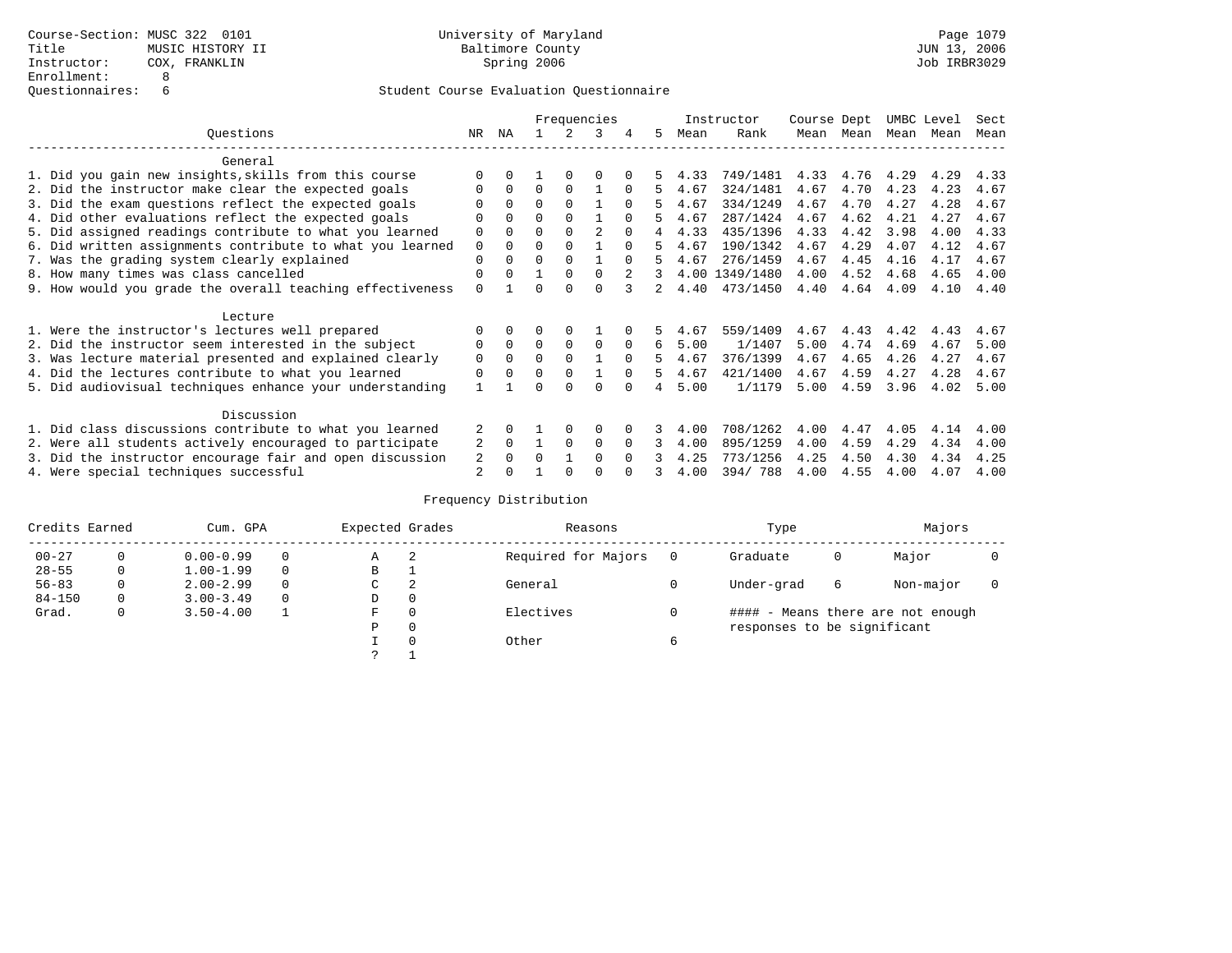|                                                           |                |              |          |          | Frequencies |              |    |      | Instructor     | Course Dept |      | UMBC Level |      | Sect |
|-----------------------------------------------------------|----------------|--------------|----------|----------|-------------|--------------|----|------|----------------|-------------|------|------------|------|------|
| Ouestions                                                 | NR             | ΝA           |          |          | ર           | 4            | 5. | Mean | Rank           | Mean        | Mean | Mean       | Mean | Mean |
| General                                                   |                |              |          |          |             |              |    |      |                |             |      |            |      |      |
| 1. Did you gain new insights, skills from this course     |                |              |          |          | $\Omega$    |              |    | 4.33 | 749/1481       | 4.33        | 4.76 | 4.29       | 4.29 | 4.33 |
| 2. Did the instructor make clear the expected goals       |                | $\Omega$     | $\Omega$ | $\Omega$ |             |              | 5  | 4.67 | 324/1481       | 4.67        | 4.70 | 4.23       | 4.23 | 4.67 |
| 3. Did the exam questions reflect the expected goals      |                |              | $\Omega$ |          |             | <sup>0</sup> |    | 4.67 | 334/1249       | 4.67        | 4.70 | 4.27       | 4.28 | 4.67 |
| 4. Did other evaluations reflect the expected goals       | $\Omega$       | 0            | $\Omega$ | $\Omega$ |             | $\Omega$     |    | 4.67 | 287/1424       | 4.67        | 4.62 | 4.21       | 4.27 | 4.67 |
| 5. Did assigned readings contribute to what you learned   | $\Omega$       |              | $\Omega$ |          |             | <sup>0</sup> |    | 4.33 | 435/1396       | 4.33        | 4.42 | 3.98       | 4.00 | 4.33 |
| 6. Did written assignments contribute to what you learned | $\Omega$       |              | $\Omega$ |          |             | $\cap$       | 5  | 4.67 | 190/1342       | 4.67        | 4.29 | 4.07       | 4.12 | 4.67 |
| 7. Was the grading system clearly explained               | $\Omega$       |              | $\Omega$ | $\Omega$ |             | $\cap$       |    | 4.67 | 276/1459       | 4.67        | 4.45 | 4.16       | 4.17 | 4.67 |
| 8. How many times was class cancelled                     | $\Omega$       | <sup>n</sup> |          | $\Omega$ | $\Omega$    |              | 3. |      | 4.00 1349/1480 | 4.00        | 4.52 | 4.68       | 4.65 | 4.00 |
| 9. How would you grade the overall teaching effectiveness | $\Omega$       |              | U        | ∩        | $\cap$      |              | 2  | 4.40 | 473/1450       | 4.40        | 4.64 | 4.09       | 4.10 | 4.40 |
| Lecture                                                   |                |              |          |          |             |              |    |      |                |             |      |            |      |      |
| 1. Were the instructor's lectures well prepared           |                |              |          |          |             |              |    | 4.67 | 559/1409       | 4.67        | 4.43 | 4.42       | 4.43 | 4.67 |
| 2. Did the instructor seem interested in the subject      | $\Omega$       | $\Omega$     | $\Omega$ | $\Omega$ | $\Omega$    | $\Omega$     | 6  | 5.00 | 1/1407         | 5.00        | 4.74 | 4.69       | 4.67 | 5.00 |
| 3. Was lecture material presented and explained clearly   | $\mathbf 0$    |              | $\Omega$ |          |             | $\Omega$     |    | 4.67 | 376/1399       | 4.67        | 4.65 | 4.26       | 4.27 | 4.67 |
| 4. Did the lectures contribute to what you learned        | $\Omega$       |              | $\Omega$ | $\Omega$ |             | $\Omega$     | 5. | 4.67 | 421/1400       | 4.67        | 4.59 | 4.27       | 4.28 | 4.67 |
| 5. Did audiovisual techniques enhance your understanding  |                |              | ∩        |          | ∩           |              |    | 5.00 | 1/1179         | 5.00        | 4.59 | 3.96       | 4.02 | 5.00 |
| Discussion                                                |                |              |          |          |             |              |    |      |                |             |      |            |      |      |
| 1. Did class discussions contribute to what you learned   | 2              |              |          |          | $\Omega$    |              |    | 4.00 | 708/1262       | 4.00        | 4.47 | 4.05       | 4.14 | 4.00 |
| 2. Were all students actively encouraged to participate   | 2              | 0            |          | $\Omega$ | $\Omega$    |              | 3  | 4.00 | 895/1259       | 4.00        | 4.59 | 4.29       | 4.34 | 4.00 |
| 3. Did the instructor encourage fair and open discussion  | 2              |              | O        |          | $\Omega$    |              |    | 4.25 | 773/1256       | 4.25        | 4.50 | 4.30       | 4.34 | 4.25 |
| 4. Were special techniques successful                     | $\overline{2}$ |              |          |          |             |              |    | 4.00 | 394/788        | 4.00        | 4.55 | 4.00       | 4.07 | 4.00 |

| Credits Earned |          | Cum. GPA      | Expected Grades |          | Reasons             | Type                        |   | Majors                            |  |
|----------------|----------|---------------|-----------------|----------|---------------------|-----------------------------|---|-----------------------------------|--|
| $00 - 27$      | 0        | $0.00 - 0.99$ | Α               | -2       | Required for Majors | Graduate                    | 0 | Major                             |  |
| $28 - 55$      | 0        | $1.00 - 1.99$ | B               | <b>.</b> |                     |                             |   |                                   |  |
| $56 - 83$      | $\Omega$ | $2.00 - 2.99$ | C               | 2        | General             | Under-grad                  | 6 | Non-major                         |  |
| $84 - 150$     | 0        | $3.00 - 3.49$ | D               | 0        |                     |                             |   |                                   |  |
| Grad.          | 0        | $3.50 - 4.00$ | F               | 0        | Electives           |                             |   | #### - Means there are not enough |  |
|                |          |               | Ρ               | 0        |                     | responses to be significant |   |                                   |  |
|                |          |               |                 | $\Omega$ | Other               |                             |   |                                   |  |
|                |          |               |                 |          |                     |                             |   |                                   |  |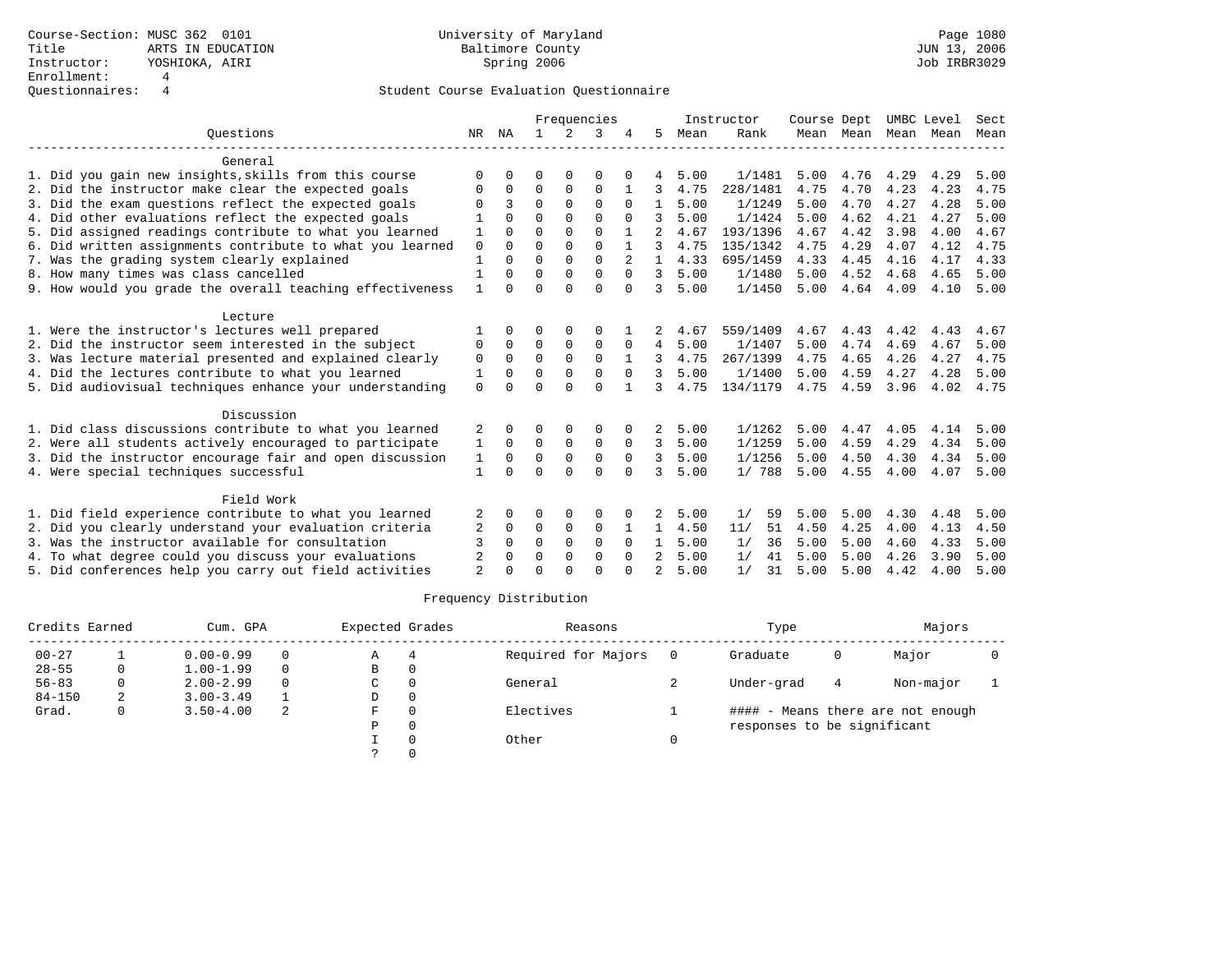|                                                           |                |          |             |             | Frequencies |               |               |      | Instructor | Course Dept |                     | UMBC Level |      | Sect |
|-----------------------------------------------------------|----------------|----------|-------------|-------------|-------------|---------------|---------------|------|------------|-------------|---------------------|------------|------|------|
| Ouestions                                                 | NR             | NA       |             | 2           | 3           |               | 5             | Mean | Rank       |             | Mean Mean Mean Mean |            |      | Mean |
| General                                                   |                |          |             |             |             |               |               |      |            |             |                     |            |      |      |
| 1. Did you gain new insights, skills from this course     | ∩              |          | ∩           |             | $\Omega$    |               | 4             | 5.00 | 1/1481     | 5.00        | 4.76                | 4.29       | 4.29 | 5.00 |
| 2. Did the instructor make clear the expected goals       | 0              | $\Omega$ | 0           | 0           | 0           |               | 3             | 4.75 | 228/1481   | 4.75        | 4.70                | 4.23       | 4.23 | 4.75 |
| 3. Did the exam questions reflect the expected goals      | ∩              | 3        | $\Omega$    | $\Omega$    | $\Omega$    | $\Omega$      | $\mathbf{1}$  | 5.00 | 1/1249     | 5.00        | 4.70                | 4.27       | 4.28 | 5.00 |
| 4. Did other evaluations reflect the expected goals       |                |          | $\Omega$    | $\Omega$    | $\Omega$    |               | 3             | 5.00 | 1/1424     | 5.00        | 4.62                | 4.21       | 4.27 | 5.00 |
| 5. Did assigned readings contribute to what you learned   |                | $\cap$   | $\Omega$    | $\Omega$    | $\Omega$    |               |               | 4.67 | 193/1396   | 4.67        | 4.42                | 3.98       | 4.00 | 4.67 |
| 6. Did written assignments contribute to what you learned | $\mathbf 0$    | $\Omega$ | $\Omega$    | $\Omega$    | $\Omega$    |               |               | 4.75 | 135/1342   | 4.75        | 4.29                | 4.07       | 4.12 | 4.75 |
| 7. Was the grading system clearly explained               | 1              | $\cap$   | $\Omega$    | $\Omega$    | $\Omega$    | $\mathcal{L}$ | $\mathbf{1}$  | 4.33 | 695/1459   | 4.33        | 4.45                | 4.16       | 4.17 | 4.33 |
| 8. How many times was class cancelled                     |                |          | $\Omega$    | $\Omega$    | $\Omega$    |               | 3             | 5.00 | 1/1480     | 5.00        | 4.52                | 4.68       | 4.65 | 5.00 |
| 9. How would you grade the overall teaching effectiveness | $\mathbf{1}$   | $\cap$   | $\Omega$    | $\cap$      | $\Omega$    | $\cap$        | 3             | 5.00 | 1/1450     | 5.00        | 4.64                | 4.09       | 4.10 | 5.00 |
| Lecture                                                   |                |          |             |             |             |               |               |      |            |             |                     |            |      |      |
| 1. Were the instructor's lectures well prepared           |                |          |             |             |             |               |               | 4.67 | 559/1409   | 4.67        | 4.43                | 4.42       | 4.43 | 4.67 |
| 2. Did the instructor seem interested in the subject      | 0              | $\Omega$ | $\Omega$    | $\Omega$    | $\Omega$    | $\Omega$      | 4             | 5.00 | 1/1407     | 5.00        | 4.74                | 4.69       | 4.67 | 5.00 |
| 3. Was lecture material presented and explained clearly   | $\mathbf 0$    | $\Omega$ | $\mathbf 0$ | $\mathbf 0$ | $\mathbf 0$ |               | 3             | 4.75 | 267/1399   | 4.75        | 4.65                | 4.26       | 4.27 | 4.75 |
| 4. Did the lectures contribute to what you learned        | 1              | $\Omega$ | $\Omega$    | $\Omega$    | $\Omega$    | $\Omega$      | २             | 5.00 | 1/1400     | 5.00        | 4.59                | 4.27       | 4.28 | 5.00 |
| 5. Did audiovisual techniques enhance your understanding  | 0              |          | $\Omega$    | $\Omega$    | $\Omega$    |               | 3             | 4.75 | 134/1179   | 4.75        | 4.59                | 3.96       | 4.02 | 4.75 |
| Discussion                                                |                |          |             |             |             |               |               |      |            |             |                     |            |      |      |
| 1. Did class discussions contribute to what you learned   | 2              |          | ∩           | $\Omega$    | $\Omega$    |               | 2             | 5.00 | 1/1262     | 5.00        | 4.47                | 4.05       | 4.14 | 5.00 |
| 2. Were all students actively encouraged to participate   | 1              | $\Omega$ | $\Omega$    | $\mathbf 0$ | 0           | $\Omega$      | 3             | 5.00 | 1/1259     | 5.00        | 4.59                | 4.29       | 4.34 | 5.00 |
| 3. Did the instructor encourage fair and open discussion  | 1              | $\Omega$ | $\Omega$    | $\Omega$    | $\Omega$    | $\Omega$      | 3             | 5.00 | 1/1256     | 5.00        | 4.50                | 4.30       | 4.34 | 5.00 |
| 4. Were special techniques successful                     | 1              | $\Omega$ | $\Omega$    | $\Omega$    | $\Omega$    | $\Omega$      | २             | 5.00 | 1/788      | 5.00        | 4.55                | 4.00       | 4.07 | 5.00 |
| Field Work                                                |                |          |             |             |             |               |               |      |            |             |                     |            |      |      |
| 1. Did field experience contribute to what you learned    | 2              | $\Omega$ | ∩           | $\Omega$    | $\Omega$    |               | 2             | 5.00 | 1/<br>59   | 5.00        | 5.00                | 4.30       | 4.48 | 5.00 |
| 2. Did you clearly understand your evaluation criteria    | 2              | $\Omega$ | $\Omega$    | 0           | 0           |               | $\mathbf{1}$  | 4.50 | 51<br>11/  | 4.50        | 4.25                | 4.00       | 4.13 | 4.50 |
| 3. Was the instructor available for consultation          | 3              | $\Omega$ | $\Omega$    | $\Omega$    | $\Omega$    | $\Omega$      | 1             | 5.00 | 1/<br>36   | 5.00        | 5.00                | 4.60       | 4.33 | 5.00 |
| 4. To what degree could you discuss your evaluations      | 2              |          | $\Omega$    | $\Omega$    | $\Omega$    |               | 2             | 5.00 | 1/<br>41   | 5.00        | 5.00                | 4.26       | 3.90 | 5.00 |
| 5. Did conferences help you carry out field activities    | $\mathfrak{D}$ |          | ∩           | $\cap$      | $\cap$      | <sup>n</sup>  | $\mathcal{L}$ | 5.00 | 1/<br>31   | 5.00        | 5.00                | 4.42       | 4.00 | 5.00 |

| Credits Earned |   | Cum. GPA      |          | Expected Grades | Reasons             | Type                        |   | Majors                            |  |
|----------------|---|---------------|----------|-----------------|---------------------|-----------------------------|---|-----------------------------------|--|
| $00 - 27$      |   | $0.00 - 0.99$ | $\Omega$ | Α               | Required for Majors | Graduate                    | 0 | Major                             |  |
| $28 - 55$      | 0 | $1.00 - 1.99$ | $\Omega$ | В               |                     |                             |   |                                   |  |
| $56 - 83$      |   | $2.00 - 2.99$ | $\Omega$ | C               | General             | Under-grad                  | 4 | Non-major                         |  |
| $84 - 150$     | 2 | $3.00 - 3.49$ |          | D               |                     |                             |   |                                   |  |
| Grad.          | 0 | $3.50 - 4.00$ | 2        | F               | Electives           |                             |   | #### - Means there are not enough |  |
|                |   |               |          | P               |                     | responses to be significant |   |                                   |  |
|                |   |               |          |                 | Other               |                             |   |                                   |  |
|                |   |               |          |                 |                     |                             |   |                                   |  |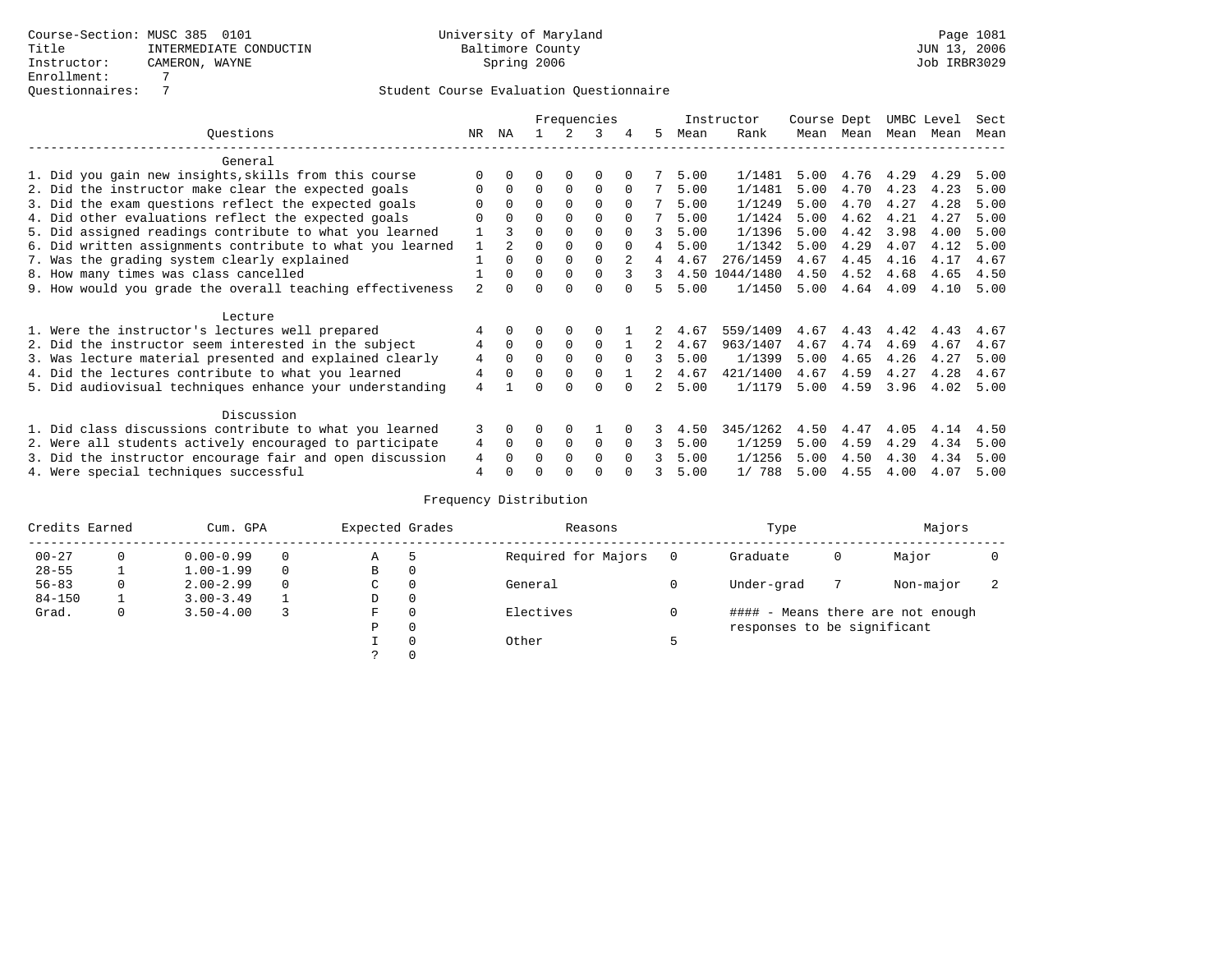|                                                           |                |              |          |             | Frequencies |          |   |      | Instructor     | Course Dept |      | UMBC Level |      | Sect |
|-----------------------------------------------------------|----------------|--------------|----------|-------------|-------------|----------|---|------|----------------|-------------|------|------------|------|------|
| Questions                                                 | NR             | ΝA           |          |             |             | 4        | 5 | Mean | Rank           | Mean        | Mean | Mean       | Mean | Mean |
| General                                                   |                |              |          |             |             |          |   |      |                |             |      |            |      |      |
| 1. Did you gain new insights, skills from this course     |                |              |          | $\Omega$    | O           |          |   | 5.00 | 1/1481         | 5.00        | 4.76 | 4.29       | 4.29 | 5.00 |
| 2. Did the instructor make clear the expected goals       |                | $\Omega$     | $\Omega$ | $\Omega$    | $\Omega$    |          |   | 5.00 | 1/1481         | 5.00        | 4.70 | 4.23       | 4.23 | 5.00 |
| 3. Did the exam questions reflect the expected goals      |                | $\Omega$     | $\Omega$ | $\Omega$    | $\Omega$    | $\Omega$ |   | 5.00 | 1/1249         | 5.00        | 4.70 | 4.27       | 4.28 | 5.00 |
| 4. Did other evaluations reflect the expected goals       | O              | $\Omega$     | 0        | $\Omega$    | $\Omega$    | $\Omega$ |   | 5.00 | 1/1424         | 5.00        | 4.62 | 4.21       | 4.27 | 5.00 |
| 5. Did assigned readings contribute to what you learned   |                |              | $\Omega$ |             | $\Omega$    | $\cap$   | 3 | 5.00 | 1/1396         | 5.00        | 4.42 | 3.98       | 4.00 | 5.00 |
| 6. Did written assignments contribute to what you learned |                |              | O        |             | $\Omega$    | $\Omega$ | 4 | 5.00 | 1/1342         | 5.00        | 4.29 | 4.07       | 4.12 | 5.00 |
| 7. Was the grading system clearly explained               |                | $\Omega$     | $\Omega$ | $\Omega$    | $\Omega$    |          |   | 4.67 | 276/1459       | 4.67        | 4.45 | 4.16       | 4.17 | 4.67 |
| 8. How many times was class cancelled                     |                | $\Omega$     | $\Omega$ | $\Omega$    | $\Omega$    | 3        | 3 |      | 4.50 1044/1480 | 4.50        | 4.52 | 4.68       | 4.65 | 4.50 |
| 9. How would you grade the overall teaching effectiveness | $\mathfrak{D}$ | <sup>n</sup> |          |             | U           |          | 5 | 5.00 | 1/1450         | 5.00        | 4.64 | 4.09       | 4.10 | 5.00 |
| Lecture                                                   |                |              |          |             |             |          |   |      |                |             |      |            |      |      |
| 1. Were the instructor's lectures well prepared           |                |              |          |             |             |          |   | 4.67 | 559/1409       | 4.67        | 4.43 | 4.42       | 4.43 | 4.67 |
| 2. Did the instructor seem interested in the subject      | 4              | $\Omega$     | $\Omega$ | $\mathbf 0$ | 0           |          | 2 | 4.67 | 963/1407       | 4.67        | 4.74 | 4.69       | 4.67 | 4.67 |
| 3. Was lecture material presented and explained clearly   | 4              | $\Omega$     | 0        | $\Omega$    | $\Omega$    | $\Omega$ | 3 | 5.00 | 1/1399         | 5.00        | 4.65 | 4.26       | 4.27 | 5.00 |
| 4. Did the lectures contribute to what you learned        | $\overline{4}$ | $\Omega$     | $\Omega$ | $\Omega$    | $\Omega$    |          |   | 4.67 | 421/1400       | 4.67        | 4.59 | 4.27       | 4.28 | 4.67 |
| 5. Did audiovisual techniques enhance your understanding  | 4              |              |          |             | $\cap$      |          |   | 5.00 | 1/1179         | 5.00        | 4.59 | 3.96       | 4.02 | 5.00 |
| Discussion                                                |                |              |          |             |             |          |   |      |                |             |      |            |      |      |
| 1. Did class discussions contribute to what you learned   | 3              | 0            | 0        | $\Omega$    |             |          |   | 4.50 | 345/1262       | 4.50        | 4.47 | 4.05       | 4.14 | 4.50 |
| 2. Were all students actively encouraged to participate   | 4              | $\Omega$     | $\Omega$ | $\Omega$    | $\Omega$    |          | 3 | 5.00 | 1/1259         | 5.00        | 4.59 | 4.29       | 4.34 | 5.00 |
| 3. Did the instructor encourage fair and open discussion  | 4              |              | O        | $\Omega$    | $\Omega$    |          |   | 5.00 | 1/1256         | 5.00        | 4.50 | 4.30       | 4.34 | 5.00 |
| 4. Were special techniques successful                     | 4              |              |          |             |             |          |   | 5.00 | 1/ 788         | 5.00        | 4.55 | 4.00       | 4.07 | 5.00 |

| Credits Earned |          | Cum. GPA      | Expected Grades |          | Reasons             |          | Type                        |   | Majors                            |  |
|----------------|----------|---------------|-----------------|----------|---------------------|----------|-----------------------------|---|-----------------------------------|--|
| $00 - 27$      | $\Omega$ | $0.00 - 0.99$ | Α               | 5        | Required for Majors | $\Omega$ | Graduate                    | 0 | Major                             |  |
| $28 - 55$      | ᅩ        | $1.00 - 1.99$ | В               | 0        |                     |          |                             |   |                                   |  |
| $56 - 83$      | 0        | $2.00 - 2.99$ | $\sim$<br>◡     | 0        | General             |          | Under-grad                  |   | Non-major                         |  |
| $84 - 150$     |          | $3.00 - 3.49$ | D               | 0        |                     |          |                             |   |                                   |  |
| Grad.          | 0        | $3.50 - 4.00$ | F               | 0        | Electives           | 0        |                             |   | #### - Means there are not enough |  |
|                |          |               | Ρ               | 0        |                     |          | responses to be significant |   |                                   |  |
|                |          |               |                 | $\Omega$ | Other               |          |                             |   |                                   |  |
|                |          |               |                 |          |                     |          |                             |   |                                   |  |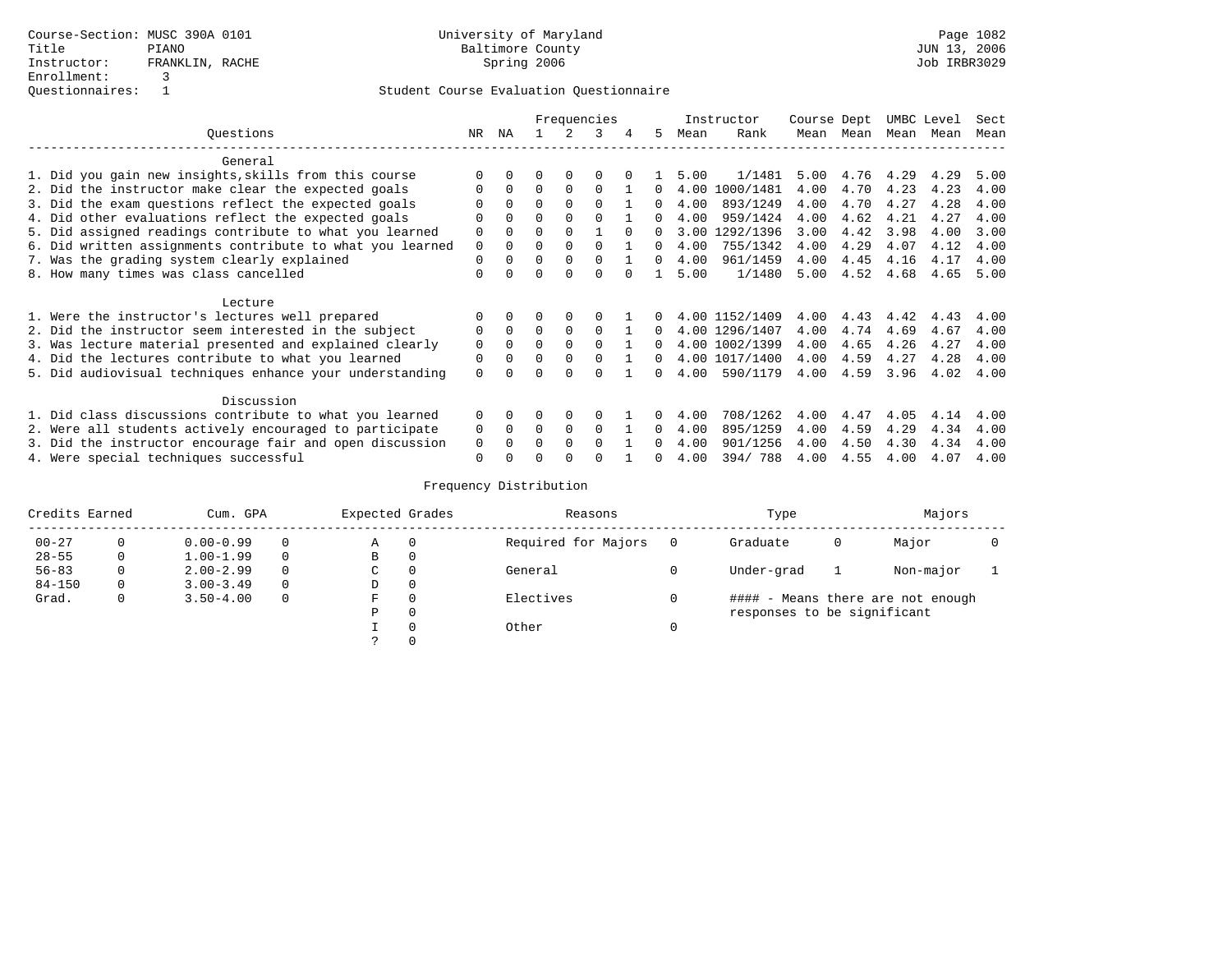|                                                           |             | Frequencies |          |          |          |        |              |      | Instructor     | Course Dept |      | UMBC Level |      | Sect |
|-----------------------------------------------------------|-------------|-------------|----------|----------|----------|--------|--------------|------|----------------|-------------|------|------------|------|------|
| Ouestions                                                 | NR.         | ΝA          |          |          | 3        |        | 5.           | Mean | Rank           | Mean        | Mean | Mean       | Mean | Mean |
| General                                                   |             |             |          |          |          |        |              |      |                |             |      |            |      |      |
| 1. Did you gain new insights, skills from this course     |             |             |          |          |          |        |              | 5.00 | 1/1481         | 5.00        | 4.76 | 4.29       | 4.29 | 5.00 |
| 2. Did the instructor make clear the expected goals       | O           | 0           | O        | $\Omega$ | $\Omega$ |        |              | 4.00 | 1000/1481      | 4.00        | 4.70 | 4.23       | 4.23 | 4.00 |
| 3. Did the exam questions reflect the expected goals      |             |             | $\Omega$ |          | $\Omega$ |        | 0            | 4.00 | 893/1249       | 4.00        | 4.70 | 4.27       | 4.28 | 4.00 |
| 4. Did other evaluations reflect the expected goals       | $\Omega$    |             | $\Omega$ |          |          |        | <sup>n</sup> | 4.00 | 959/1424       | 4.00        | 4.62 | 4.21       | 4.27 | 4.00 |
| 5. Did assigned readings contribute to what you learned   | $\Omega$    |             | $\Omega$ |          |          | $\cap$ | 0            | 3.00 | 1292/1396      | 3.00        | 4.42 | 3.98       | 4.00 | 3.00 |
| 6. Did written assignments contribute to what you learned | $\mathbf 0$ |             |          |          | $\cap$   |        | <sup>n</sup> | 4.00 | 755/1342       | 4.00        | 4.29 | 4.07       | 4.12 | 4.00 |
| 7. Was the grading system clearly explained               | $\Omega$    |             | $\Omega$ |          | $\Omega$ |        | 0            | 4.00 | 961/1459       | 4.00        | 4.45 | 4.16       | 4.17 | 4.00 |
| 8. How many times was class cancelled                     | $\Omega$    |             | U        |          | $\Omega$ |        |              | 5.00 | 1/1480         | 5.00        | 4.52 | 4.68       | 4.65 | 5.00 |
| Lecture                                                   |             |             |          |          |          |        |              |      |                |             |      |            |      |      |
| 1. Were the instructor's lectures well prepared           |             |             | O        |          |          |        |              |      | 4.00 1152/1409 | 4.00        | 4.43 | 4.42       | 4.43 | 4.00 |
| 2. Did the instructor seem interested in the subject      | 0           |             | O        | $\Omega$ | $\Omega$ |        |              |      | 4.00 1296/1407 | 4.00        | 4.74 | 4.69       | 4.67 | 4.00 |
| 3. Was lecture material presented and explained clearly   | $\mathbf 0$ |             | $\Omega$ |          | $\Omega$ |        | 0            |      | 4.00 1002/1399 | 4.00        | 4.65 | 4.26       | 4.27 | 4.00 |
| 4. Did the lectures contribute to what you learned        | $\Omega$    |             | O        |          |          |        | <sup>n</sup> |      | 4.00 1017/1400 | 4.00        | 4.59 | 4.27       | 4.28 | 4.00 |
| 5. Did audiovisual techniques enhance your understanding  | 0           |             | U        | $\cap$   | $\cap$   |        | <sup>n</sup> | 4.00 | 590/1179       | 4.00        | 4.59 | 3.96       | 4.02 | 4.00 |
| Discussion                                                |             |             |          |          |          |        |              |      |                |             |      |            |      |      |
| 1. Did class discussions contribute to what you learned   | 0           |             |          |          |          |        |              | 4.00 | 708/1262       | 4.00        | 4.47 | 4.05       | 4.14 | 4.00 |
| 2. Were all students actively encouraged to participate   | 0           | $\Omega$    | $\Omega$ | $\Omega$ | $\Omega$ |        | 0            | 4.00 | 895/1259       | 4.00        | 4.59 | 4.29       | 4.34 | 4.00 |
| 3. Did the instructor encourage fair and open discussion  | 0           |             | U        | $\cap$   | $\cap$   |        | <sup>n</sup> | 4.00 | 901/1256       | 4.00        | 4.50 | 4.30       | 4.34 | 4.00 |
| 4. Were special techniques successful                     | $\Omega$    |             | U        | ∩        |          |        | 0            | 4.00 | 394/788        | 4.00        | 4.55 | 4.00       | 4.07 | 4.00 |

| Credits Earned |   | Cum. GPA      | Expected Grades |          | Reasons             |          | Type                        |   | Majors                            |  |
|----------------|---|---------------|-----------------|----------|---------------------|----------|-----------------------------|---|-----------------------------------|--|
| $00 - 27$      |   | $0.00 - 0.99$ | Α               | 0        | Required for Majors | $\Omega$ | Graduate                    | 0 | Major                             |  |
| $28 - 55$      | 0 | $1.00 - 1.99$ | В               | 0        |                     |          |                             |   |                                   |  |
| $56 - 83$      | 0 | $2.00 - 2.99$ | C               | 0        | General             |          | Under-grad                  |   | Non-major                         |  |
| $84 - 150$     | 0 | $3.00 - 3.49$ | D               | 0        |                     |          |                             |   |                                   |  |
| Grad.          | 0 | $3.50 - 4.00$ | F               | $\Omega$ | Electives           |          |                             |   | #### - Means there are not enough |  |
|                |   |               | Ρ               | 0        |                     |          | responses to be significant |   |                                   |  |
|                |   |               |                 | $\Omega$ | Other               | 0        |                             |   |                                   |  |
|                |   |               |                 |          |                     |          |                             |   |                                   |  |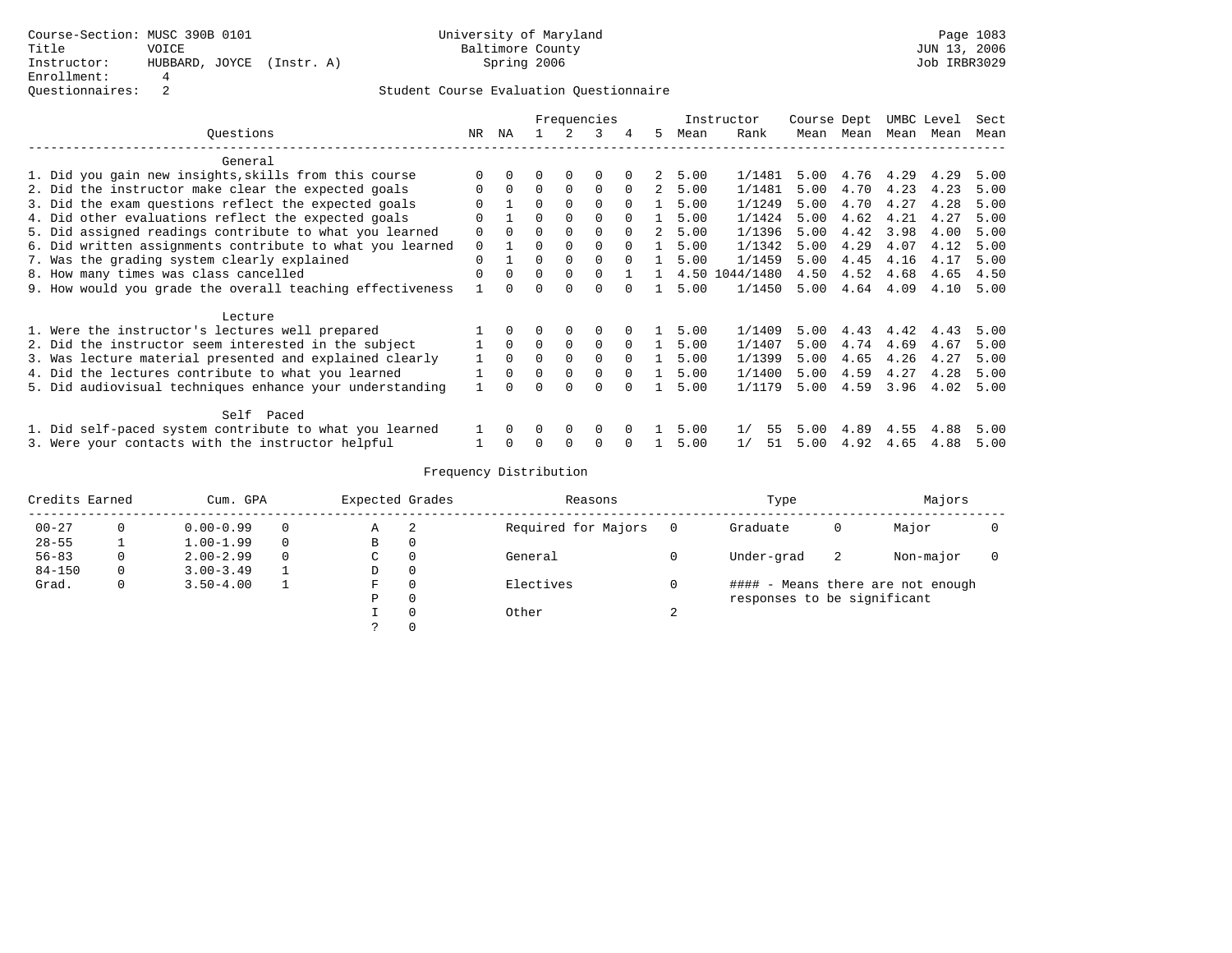|                                                           |          | Frequencies |              |             |             |          |               |      | Instructor | Course Dept |           |      | UMBC Level | Sect |
|-----------------------------------------------------------|----------|-------------|--------------|-------------|-------------|----------|---------------|------|------------|-------------|-----------|------|------------|------|
| Ouestions                                                 | NR.      | ΝA          |              |             | 3           | 4        | 5.            | Mean | Rank       |             | Mean Mean | Mean | Mean       | Mean |
| General                                                   |          |             |              |             |             |          |               |      |            |             |           |      |            |      |
| 1. Did you gain new insights, skills from this course     |          |             |              | $\Omega$    |             |          | 2.            | 5.00 | 1/1481     | 5.00        | 4.76      | 4.29 | 4.29       | 5.00 |
| 2. Did the instructor make clear the expected goals       | $\Omega$ | $\Omega$    | $\Omega$     | $\Omega$    | $\Omega$    | $\Omega$ | 2             | 5.00 | 1/1481     | 5.00        | 4.70      | 4.23 | 4.23       | 5.00 |
| 3. Did the exam questions reflect the expected goals      |          |             | 0            | $\Omega$    | $\Omega$    |          |               | 5.00 | 1/1249     | 5.00        | 4.70      | 4.27 | 4.28       | 5.00 |
| 4. Did other evaluations reflect the expected goals       | $\Omega$ |             | $\Omega$     | $\Omega$    | $\Omega$    | $\Omega$ |               | 5.00 | 1/1424     | 5.00        | 4.62      | 4.21 | 4.27       | 5.00 |
| 5. Did assigned readings contribute to what you learned   | 0        |             |              |             | $\Omega$    | $\Omega$ | $\mathcal{L}$ | 5.00 | 1/1396     | 5.00        | 4.42      | 3.98 | 4.00       | 5.00 |
| 6. Did written assignments contribute to what you learned | $\Omega$ |             | 0            | $\Omega$    | $\Omega$    | $\Omega$ |               | 5.00 | 1/1342     | 5.00        | 4.29      | 4.07 | 4.12       | 5.00 |
| 7. Was the grading system clearly explained               | $\Omega$ |             | 0            | $\Omega$    | $\Omega$    | $\Omega$ |               | 5.00 | 1/1459     | 5.00        | 4.45      | 4.16 | 4.17       | 5.00 |
| 8. How many times was class cancelled                     | O        | $\Omega$    | $\Omega$     | $\Omega$    | $\Omega$    |          |               | 4.50 | 1044/1480  | 4.50        | 4.52      | 4.68 | 4.65       | 4.50 |
| 9. How would you grade the overall teaching effectiveness |          | $\cap$      | <sup>n</sup> | $\cap$      | $\cap$      | $\cap$   | 1.            | 5.00 | 1/1450     | 5.00        | 4.64      | 4.09 | 4.10       | 5.00 |
| Lecture                                                   |          |             |              |             |             |          |               |      |            |             |           |      |            |      |
| 1. Were the instructor's lectures well prepared           |          |             |              | $\Omega$    | 0           |          |               | 5.00 | 1/1409     | 5.00        | 4.43      | 4.42 | 4.43       | 5.00 |
| 2. Did the instructor seem interested in the subject      |          | $\Omega$    | $\Omega$     | $\mathbf 0$ | $\mathbf 0$ | $\Omega$ |               | 5.00 | 1/1407     | 5.00        | 4.74      | 4.69 | 4.67       | 5.00 |
| 3. Was lecture material presented and explained clearly   |          | $\Omega$    | $\Omega$     | $\mathbf 0$ | $\Omega$    | $\Omega$ |               | 5.00 | 1/1399     | 5.00        | 4.65      | 4.26 | 4.27       | 5.00 |
| 4. Did the lectures contribute to what you learned        |          | $\Omega$    | $\Omega$     | $\Omega$    | $\Omega$    | $\Omega$ |               | 5.00 | 1/1400     | 5.00        | 4.59      | 4.27 | 4.28       | 5.00 |
| 5. Did audiovisual techniques enhance your understanding  |          | $\cap$      | 0            | $\Omega$    | $\Omega$    | $\cap$   |               | 5.00 | 1/1179     | 5.00        | 4.59      | 3.96 | 4.02       | 5.00 |
| Self Paced                                                |          |             |              |             |             |          |               |      |            |             |           |      |            |      |
| 1. Did self-paced system contribute to what you learned   |          | $\Omega$    |              | $\Omega$    | $\Omega$    |          |               | 5.00 | 1/<br>55   | 5.00        | 4.89      | 4.55 | 4.88       | 5.00 |
| 3. Were your contacts with the instructor helpful         |          |             |              |             |             |          |               | 5.00 | 51         | 5.00        | 4.92      | 4.65 | 4.88       | 5.00 |

| Credits Earned |          | Cum. GPA      |          | Expected Grades |              | Reasons             |  | Type                        |   | Majors                            |  |
|----------------|----------|---------------|----------|-----------------|--------------|---------------------|--|-----------------------------|---|-----------------------------------|--|
| $00 - 27$      |          | $0.00 - 0.99$ | $\Omega$ | Α               | 2            | Required for Majors |  | Graduate                    | 0 | Major                             |  |
| $28 - 55$      |          | $1.00 - 1.99$ | $\Omega$ | B               | $\mathbf 0$  |                     |  |                             |   |                                   |  |
| $56 - 83$      | $\Omega$ | $2.00 - 2.99$ | $\Omega$ | C               | 0            | General             |  | Under-grad                  | 2 | Non-major                         |  |
| $84 - 150$     | 0        | $3.00 - 3.49$ |          | D               | 0            |                     |  |                             |   |                                   |  |
| Grad.          | 0        | $3.50 - 4.00$ |          | F               | $\Omega$     | Electives           |  |                             |   | #### - Means there are not enough |  |
|                |          |               |          | Ρ               | $\Omega$     |                     |  | responses to be significant |   |                                   |  |
|                |          |               |          | $\Omega$        | Other        | ◠                   |  |                             |   |                                   |  |
|                |          |               |          |                 | $\mathbf{0}$ |                     |  |                             |   |                                   |  |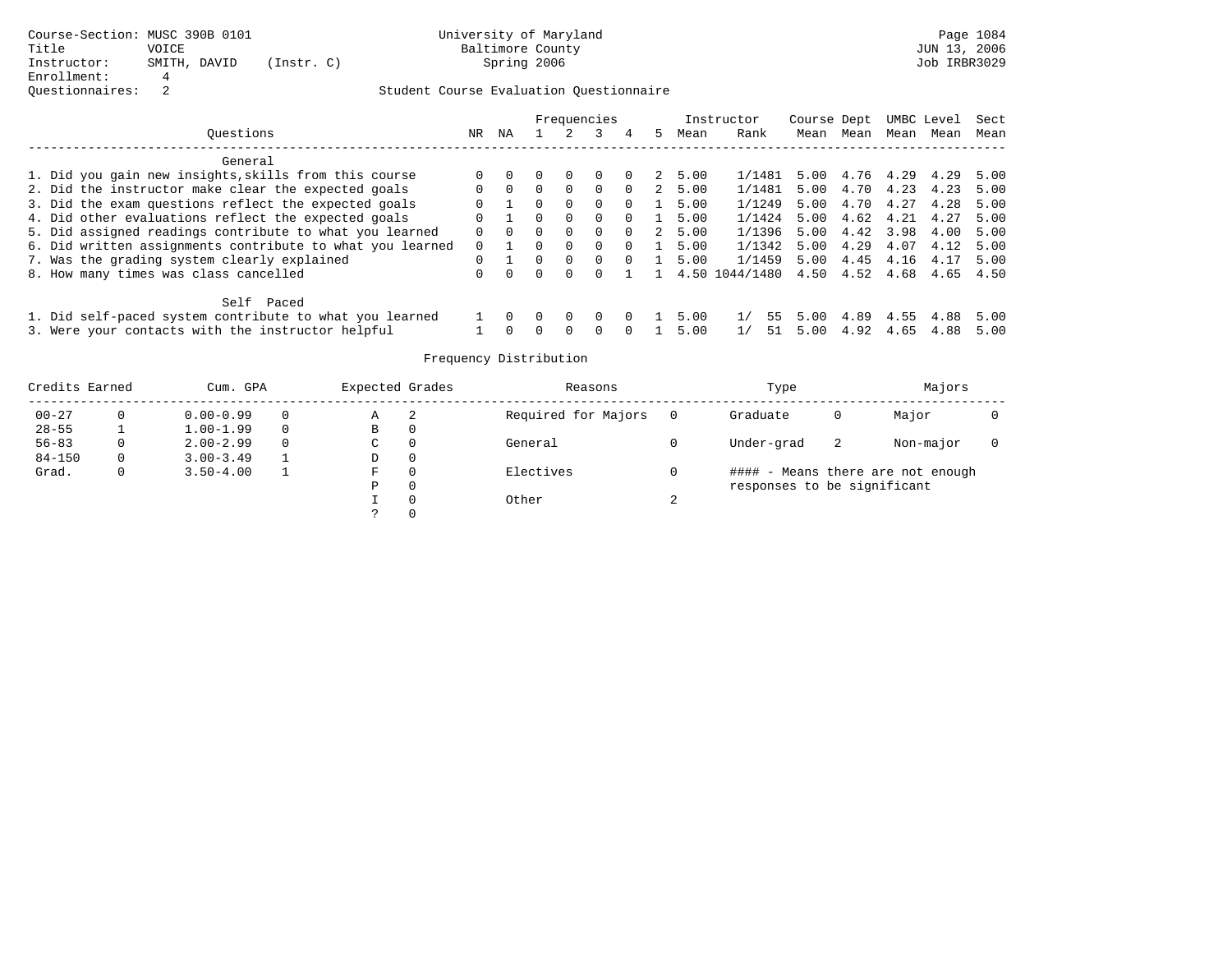|                                                           |          |          |          |                  | Frequencies  |          |    |      | Instructor                    | Course Dept |           |      | UMBC Level | Sect |
|-----------------------------------------------------------|----------|----------|----------|------------------|--------------|----------|----|------|-------------------------------|-------------|-----------|------|------------|------|
| Ouestions                                                 | NR.      | ΝA       |          |                  |              |          | 5. | Mean | Rank                          | Mean        | Mean      | Mean | Mean       | Mean |
| General                                                   |          |          |          |                  |              |          |    |      |                               |             |           |      |            |      |
| 1. Did you gain new insights, skills from this course     |          |          |          |                  |              |          | 2  | 5.00 | 1/1481                        | 5.00        | 4.76 4.29 |      | 4.29       | 5.00 |
| 2. Did the instructor make clear the expected goals       |          | $\Omega$ | 0        | $\Omega$         | $\Omega$     | $\Omega$ | 2  | 5.00 | 1/1481                        | 5.00        | 4.70      | 4.23 | 4.23       | 5.00 |
| 3. Did the exam questions reflect the expected goals      |          |          | 0.       | $\Omega$         | $\Omega$     | $\Omega$ |    | 5.00 | 1/1249                        | 5.00        | 4.70      | 4.27 | 4.28       | 5.00 |
| 4. Did other evaluations reflect the expected goals       |          |          |          | $\Omega$         | $\Omega$     | $\Omega$ |    | 5.00 | 1/1424                        | 5.00        | 4.62      | 4.21 | 4.27       | 5.00 |
| 5. Did assigned readings contribute to what you learned   |          | $\Omega$ | 0        | $\Omega$         | $\Omega$     | $\Omega$ | 2  | 5.00 | 1/1396                        | 5.00        | 4.42 3.98 |      | 4.00       | 5.00 |
| 6. Did written assignments contribute to what you learned | $\Omega$ |          | n.       | $\Omega$         | $\Omega$     | $\Omega$ |    | 5.00 | 1/1342                        | 5.00        | 4.29      | 4.07 | 4.12       | 5.00 |
| 7. Was the grading system clearly explained               | 0        |          | $\cap$   | $\Omega$         | $\Omega$     | $\Omega$ |    | 5.00 | 1/1459                        | 5.00        | 4.45      | 4.16 | 4.17       | 5.00 |
| 8. How many times was class cancelled                     |          |          | $\Omega$ |                  |              |          |    |      | 4.50 1044/1480 4.50 4.52 4.68 |             |           |      | 4.65       | 4.50 |
| Self Paced                                                |          |          |          |                  |              |          |    |      |                               |             |           |      |            |      |
| 1. Did self-paced system contribute to what you learned   |          |          |          | $\left( \right)$ | $\Omega$     |          |    | 5.00 | 1/<br>55                      | 5.00        | 4.89      | 4.55 | 4.88       | 5.00 |
| 3. Were your contacts with the instructor helpful         |          |          |          | <sup>n</sup>     | <sup>n</sup> |          |    | 5.00 | 51<br>1/                      | 5.00        | 4.92      | 4.65 | 4.88       | 5.00 |

| Credits Earned |          | Cum. GPA      | Expected Grades |   | Reasons             |        | Type                        |    | Majors                            |  |
|----------------|----------|---------------|-----------------|---|---------------------|--------|-----------------------------|----|-----------------------------------|--|
| $00 - 27$      | 0        | $0.00 - 0.99$ | Α               | 2 | Required for Majors |        | Graduate                    | 0  | Major                             |  |
| $28 - 55$      |          | $1.00 - 1.99$ | В               | 0 |                     |        |                             |    |                                   |  |
| $56 - 83$      | 0        | $2.00 - 2.99$ | $\sim$<br>◡     | 0 | General             |        | Under-grad                  | -2 | Non-major                         |  |
| $84 - 150$     | $\Omega$ | $3.00 - 3.49$ | D               | 0 |                     |        |                             |    |                                   |  |
| Grad.          | 0        | $3.50 - 4.00$ | F               |   | Electives           |        |                             |    | #### - Means there are not enough |  |
|                |          |               | Ρ               | 0 |                     |        | responses to be significant |    |                                   |  |
|                |          |               |                 | 0 | Other               | $\sim$ |                             |    |                                   |  |
|                |          |               | C.              |   |                     |        |                             |    |                                   |  |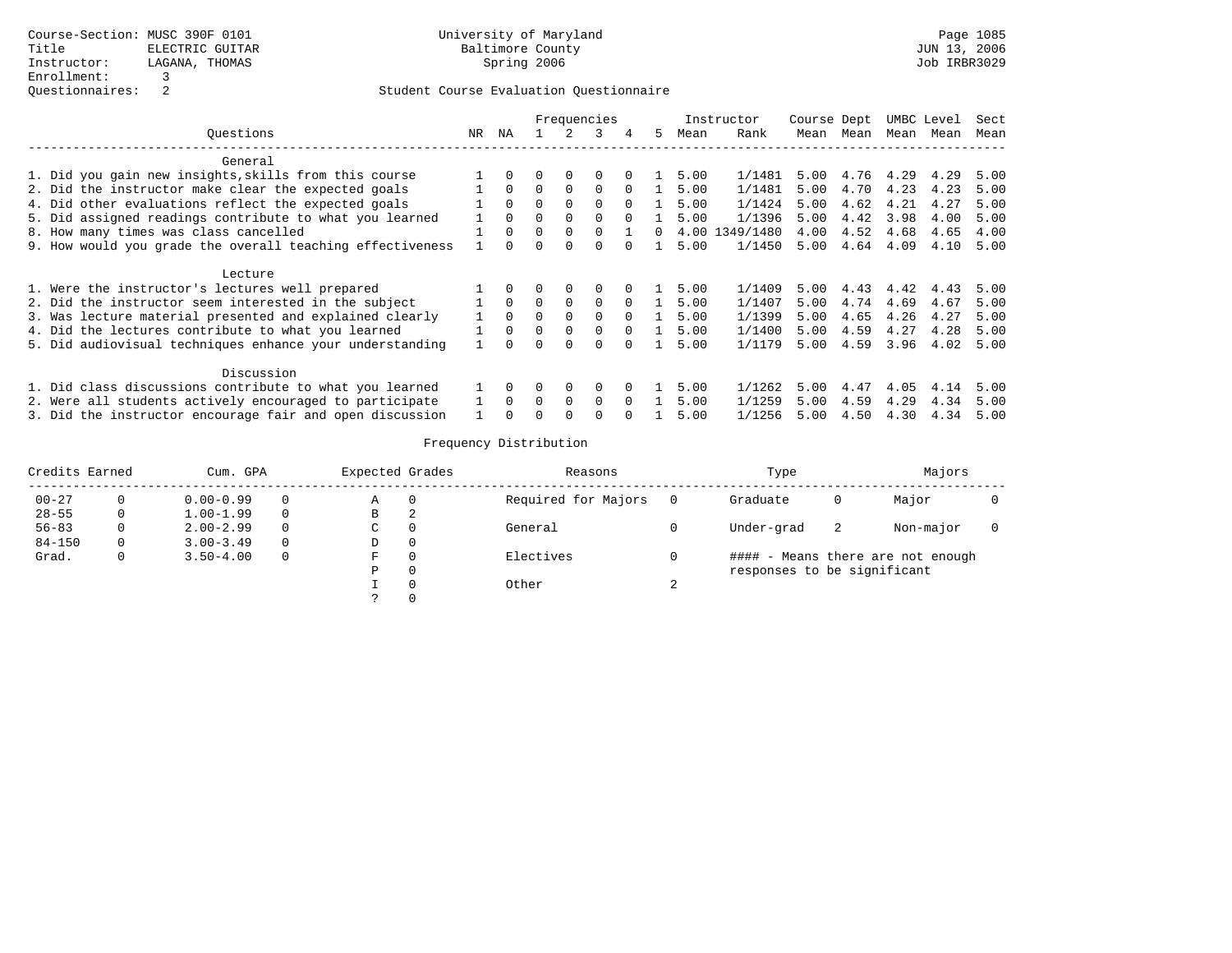|                                                           |    | Frequencies |          |          |          |          |    |      | Instructor | Course Dept |      |           | UMBC Level | Sect |
|-----------------------------------------------------------|----|-------------|----------|----------|----------|----------|----|------|------------|-------------|------|-----------|------------|------|
| Ouestions                                                 | NR | ΝA          |          |          | 3        | 4        | 5. | Mean | Rank       | Mean        | Mean | Mean      | Mean       | Mean |
| General                                                   |    |             |          |          |          |          |    |      |            |             |      |           |            |      |
| 1. Did you gain new insights, skills from this course     |    | $\Omega$    | 0        | $\Omega$ | $\Omega$ | $\Omega$ |    | 5.00 | 1/1481     | 5.00        |      | 4.76 4.29 | 4.29       | 5.00 |
| 2. Did the instructor make clear the expected goals       |    | $\Omega$    | $\Omega$ | $\Omega$ | $\Omega$ | $\Omega$ |    | 5.00 | 1/1481     | 5.00        | 4.70 | 4.23      | 4.23       | 5.00 |
| 4. Did other evaluations reflect the expected goals       |    | $\Omega$    | $\Omega$ | $\Omega$ | $\Omega$ | $\Omega$ |    | 5.00 | 1/1424     | 5.00        | 4.62 | 4.21      | 4.27       | 5.00 |
| 5. Did assigned readings contribute to what you learned   |    | $\Omega$    | 0        | $\Omega$ | $\Omega$ | $\Omega$ |    | 5.00 | 1/1396     | 5.00        | 4.42 | 3.98      | 4.00       | 5.00 |
| 8. How many times was class cancelled                     |    | $\Omega$    | $\Omega$ | $\Omega$ | $\Omega$ |          |    | 4.00 | 1349/1480  | 4.00        | 4.52 | 4.68      | 4.65       | 4.00 |
| 9. How would you grade the overall teaching effectiveness |    | $\Omega$    | 0        | $\Omega$ | $\Omega$ |          |    | 5.00 | 1/1450     | 5.00        | 4.64 | 4.09      | 4.10       | 5.00 |
| Lecture                                                   |    |             |          |          |          |          |    |      |            |             |      |           |            |      |
| 1. Were the instructor's lectures well prepared           |    | $\Omega$    | 0        | $\Omega$ | $\Omega$ | $\Omega$ |    | 5.00 | 1/1409     | 5.00        | 4.43 | 4.42      | 4.43       | 5.00 |
| 2. Did the instructor seem interested in the subject      |    | $\Omega$    | $\Omega$ | $\Omega$ | $\Omega$ | $\Omega$ |    | 5.00 | 1/1407     | 5.00        | 4.74 | 4.69      | 4.67       | 5.00 |
| 3. Was lecture material presented and explained clearly   |    | $\Omega$    | $\Omega$ | $\Omega$ | $\Omega$ | $\Omega$ |    | 5.00 | 1/1399     | 5.00        | 4.65 | 4.26      | 4.27       | 5.00 |
| 4. Did the lectures contribute to what you learned        |    | $\Omega$    | $\Omega$ | $\Omega$ | $\Omega$ | $\Omega$ |    | 5.00 | 1/1400     | 5.00        | 4.59 | 4.27      | 4.28       | 5.00 |
| 5. Did audiovisual techniques enhance your understanding  |    |             |          | 0        |          |          |    | 5.00 | 1/1179     | 5.00        | 4.59 | 3.96      | 4.02       | 5.00 |
| Discussion                                                |    |             |          |          |          |          |    |      |            |             |      |           |            |      |
| 1. Did class discussions contribute to what you learned   |    | $\Omega$    | 0        | 0        | 0        | $\Omega$ |    | 5.00 | 1/1262     | 5.00        | 4.47 | 4.05      | 4.14       | 5.00 |
| 2. Were all students actively encouraged to participate   |    | $\Omega$    | $\Omega$ | $\Omega$ | $\Omega$ | $\Omega$ |    | 5.00 | 1/1259     | 5.00        | 4.59 | 4.29      | 4.34       | 5.00 |
| 3. Did the instructor encourage fair and open discussion  |    |             |          |          |          |          |    | 5.00 | 1/1256     | 5.00        | 4.50 | 4.30      | 4.34       | 5.00 |

| Credits Earned |   | Cum. GPA      |          | Expected Grades |   | Reasons             |   | Type                        |    | Majors                            |  |
|----------------|---|---------------|----------|-----------------|---|---------------------|---|-----------------------------|----|-----------------------------------|--|
| $00 - 27$      |   | $0.00 - 0.99$ | 0        | Α               |   | Required for Majors |   | Graduate                    | 0  | Major                             |  |
| $28 - 55$      |   | $1.00 - 1.99$ | $\Omega$ | B               | 2 |                     |   |                             |    |                                   |  |
| $56 - 83$      |   | $2.00 - 2.99$ | 0        | C               |   | General             |   | Under-grad                  | -2 | Non-major                         |  |
| $84 - 150$     | 0 | $3.00 - 3.49$ | 0        | D               | 0 |                     |   |                             |    |                                   |  |
| Grad.          | 0 | $3.50 - 4.00$ | 0        | F               |   | Electives           |   |                             |    | #### - Means there are not enough |  |
|                |   |               |          | Ρ               |   |                     |   | responses to be significant |    |                                   |  |
|                |   |               |          |                 |   | Other               | ∠ |                             |    |                                   |  |
|                |   |               |          |                 |   |                     |   |                             |    |                                   |  |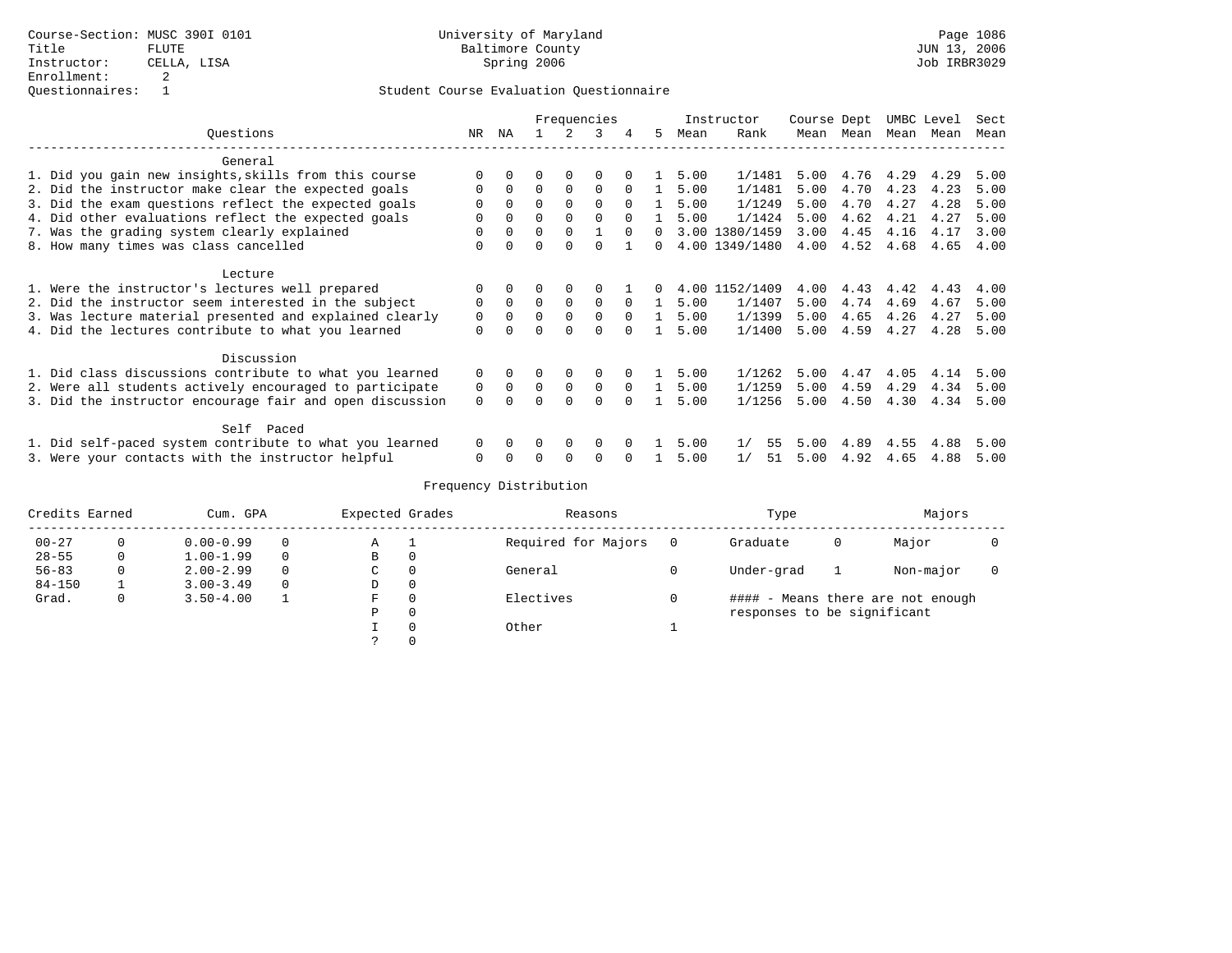|                                                          |             | Frequencies |          |             |             |          |          |      | Instructor     | Course Dept |      |      | UMBC Level | Sect |
|----------------------------------------------------------|-------------|-------------|----------|-------------|-------------|----------|----------|------|----------------|-------------|------|------|------------|------|
| Ouestions                                                | NR.         | ΝA          |          |             | 3           | 4        | 5.       | Mean | Rank           | Mean        | Mean |      | Mean Mean  | Mean |
| General                                                  |             |             |          |             |             |          |          |      |                |             |      |      |            |      |
| 1. Did you gain new insights, skills from this course    |             |             |          |             |             |          |          | 5.00 | 1/1481         | 5.00        | 4.76 | 4.29 | 4.29       | 5.00 |
| 2. Did the instructor make clear the expected goals      | 0           | $\Omega$    | $\Omega$ | $\Omega$    | $\Omega$    | $\Omega$ |          | 5.00 | 1/1481         | 5.00        | 4.70 | 4.23 | 4.23       | 5.00 |
| 3. Did the exam questions reflect the expected goals     | 0           | $\Omega$    | $\Omega$ | $\Omega$    | $\Omega$    | $\Omega$ | -1.      | 5.00 | 1/1249         | 5.00        | 4.70 | 4.27 | 4.28       | 5.00 |
| 4. Did other evaluations reflect the expected goals      |             | $\Omega$    | $\Omega$ | $\Omega$    | $\Omega$    | $\cap$   |          | 5.00 | 1/1424         | 5.00        | 4.62 | 4.21 | 4.27       | 5.00 |
| 7. Was the grading system clearly explained              | 0           | $\Omega$    | $\Omega$ | $\Omega$    |             | $\Omega$ | $\Omega$ |      | 3.00 1380/1459 | 3.00        | 4.45 | 4.16 | 4.17       | 3.00 |
| 8. How many times was class cancelled                    | $\Omega$    |             |          |             |             |          | 0        |      | 4.00 1349/1480 | 4.00        | 4.52 | 4.68 | 4.65       | 4.00 |
| Lecture                                                  |             |             |          |             |             |          |          |      |                |             |      |      |            |      |
| 1. Were the instructor's lectures well prepared          | 0           | $\Omega$    | 0        |             |             |          | 0        |      | 4.00 1152/1409 | 4.00        | 4.43 | 4.42 | 4.43       | 4.00 |
| 2. Did the instructor seem interested in the subject     | 0           | $\Omega$    | $\Omega$ | $\Omega$    | $\Omega$    | $\Omega$ |          | 5.00 | 1/1407         | 5.00        | 4.74 | 4.69 | 4.67       | 5.00 |
| 3. Was lecture material presented and explained clearly  | $\mathbf 0$ | $\Omega$    | $\Omega$ | 0           | $\mathbf 0$ | $\Omega$ |          | 5.00 | 1/1399         | 5.00        | 4.65 | 4.26 | 4.27       | 5.00 |
| 4. Did the lectures contribute to what you learned       | 0           |             |          | $\cap$      | $\Omega$    |          |          | 5.00 | 1/1400         | 5.00        | 4.59 | 4.27 | 4.28       | 5.00 |
| Discussion                                               |             |             |          |             |             |          |          |      |                |             |      |      |            |      |
| 1. Did class discussions contribute to what you learned  | 0           | 0           | 0        | 0           | 0           |          |          | 5.00 | 1/1262         | 5.00        | 4.47 | 4.05 | 4.14       | 5.00 |
| 2. Were all students actively encouraged to participate  | 0           | $\Omega$    | $\Omega$ | $\mathbf 0$ | $\Omega$    | $\Omega$ |          | 5.00 | 1/1259         | 5.00        | 4.59 | 4.29 | 4.34       | 5.00 |
| 3. Did the instructor encourage fair and open discussion | $\Omega$    |             | O        | $\Omega$    | $\Omega$    | $\cap$   |          | 5.00 | 1/1256         | 5.00        | 4.50 | 4.30 | 4.34       | 5.00 |
| Self Paced                                               |             |             |          |             |             |          |          |      |                |             |      |      |            |      |
| 1. Did self-paced system contribute to what you learned  | $\Omega$    |             |          | $\Omega$    | $\Omega$    |          |          | 5.00 | 1/<br>55       | 5.00        | 4.89 | 4.55 | 4.88       | 5.00 |
| 3. Were your contacts with the instructor helpful        | O           |             |          |             |             |          |          | 5.00 | 51<br>1/       | 5.00        | 4.92 | 4.65 | 4.88       | 5.00 |

| Credits Earned |   | Cum. GPA      |          | Expected Grades |          | Reasons             | Type                        |   | Majors                            |  |
|----------------|---|---------------|----------|-----------------|----------|---------------------|-----------------------------|---|-----------------------------------|--|
| $00 - 27$      |   | $0.00 - 0.99$ | $\Omega$ | Α               |          | Required for Majors | Graduate                    | 0 | Major                             |  |
| $28 - 55$      | 0 | $1.00 - 1.99$ | $\Omega$ | В               | $\Omega$ |                     |                             |   |                                   |  |
| $56 - 83$      | 0 | $2.00 - 2.99$ | $\Omega$ | C               |          | General             | Under-grad                  |   | Non-major                         |  |
| $84 - 150$     |   | $3.00 - 3.49$ | $\Omega$ | D               |          |                     |                             |   |                                   |  |
| Grad.          | 0 | $3.50 - 4.00$ |          | F               |          | Electives           |                             |   | #### - Means there are not enough |  |
|                |   |               |          | P               |          |                     | responses to be significant |   |                                   |  |
|                |   |               |          |                 |          | Other               |                             |   |                                   |  |
|                |   |               |          |                 |          |                     |                             |   |                                   |  |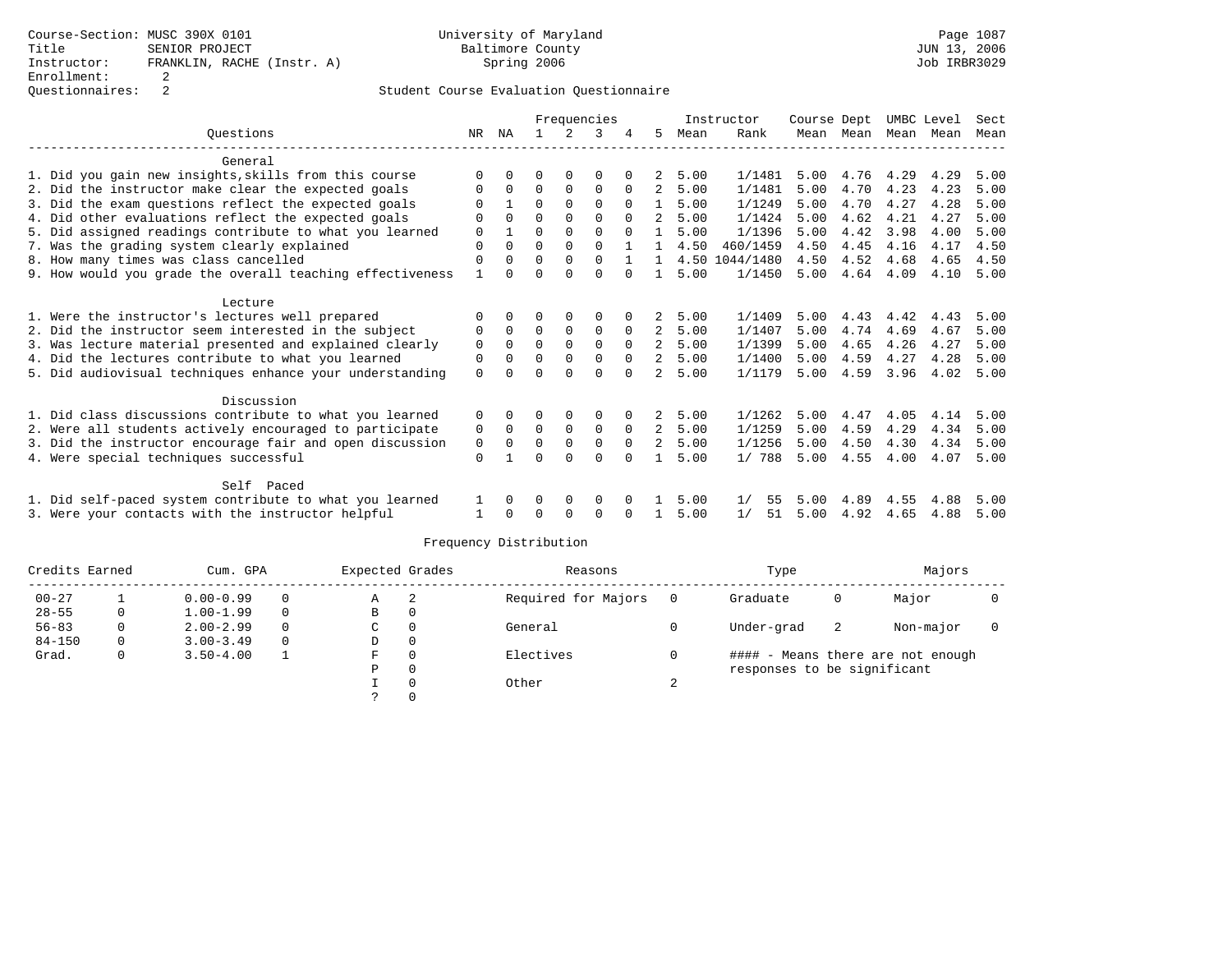|                                                           | Frequencies |              |          |             |             |              |                |      | Instructor | Course Dept |           |      | UMBC Level | Sect |
|-----------------------------------------------------------|-------------|--------------|----------|-------------|-------------|--------------|----------------|------|------------|-------------|-----------|------|------------|------|
| Ouestions                                                 | NR          | ΝA           |          | 2           | 3           | 4            | .5             | Mean | Rank       |             | Mean Mean | Mean | Mean       | Mean |
| General                                                   |             |              |          |             |             |              |                |      |            |             |           |      |            |      |
| 1. Did you gain new insights, skills from this course     | ∩           |              |          |             | $\Omega$    |              |                | 5.00 | 1/1481     | 5.00        | 4.76      | 4.29 | 4.29       | 5.00 |
| 2. Did the instructor make clear the expected goals       | O           | $\Omega$     | 0        | 0           | 0           | $\Omega$     | 2              | 5.00 | 1/1481     | 5.00        | 4.70      | 4.23 | 4.23       | 5.00 |
| 3. Did the exam questions reflect the expected goals      | $\Omega$    |              | $\Omega$ | $\Omega$    | $\Omega$    | $\Omega$     | $\mathbf{1}$   | 5.00 | 1/1249     | 5.00        | 4.70      | 4.27 | 4.28       | 5.00 |
| 4. Did other evaluations reflect the expected goals       | $\Omega$    |              | $\Omega$ | $\Omega$    | $\Omega$    | $\Omega$     | 2              | 5.00 | 1/1424     | 5.00        | 4.62      | 4.21 | 4.27       | 5.00 |
| 5. Did assigned readings contribute to what you learned   | $\Omega$    |              | $\Omega$ | 0           | $\Omega$    |              |                | 5.00 | 1/1396     | 5.00        | 4.42      | 3.98 | 4.00       | 5.00 |
| 7. Was the grading system clearly explained               | $\Omega$    |              | $\Omega$ | $\Omega$    | $\Omega$    |              |                | 4.50 | 460/1459   | 4.50        | 4.45      | 4.16 | 4.17       | 4.50 |
| 8. How many times was class cancelled                     | $\Omega$    |              | $\Omega$ | $\Omega$    | $\Omega$    |              |                | 4.50 | 1044/1480  | 4.50        | 4.52      | 4.68 | 4.65       | 4.50 |
| 9. How would you grade the overall teaching effectiveness | 1           | <sup>n</sup> | $\Omega$ | $\cap$      | $\Omega$    | $\Omega$     |                | 5.00 | 1/1450     | 5.00        | 4.64      | 4.09 | 4.10       | 5.00 |
| Lecture                                                   |             |              |          |             |             |              |                |      |            |             |           |      |            |      |
| 1. Were the instructor's lectures well prepared           |             |              | 0        | 0           | $\Omega$    |              |                | 5.00 | 1/1409     | 5.00        | 4.43      | 4.42 | 4.43       | 5.00 |
| 2. Did the instructor seem interested in the subject      | $\Omega$    | $\Omega$     | $\Omega$ | $\mathbf 0$ | $\Omega$    | $\Omega$     | 2              | 5.00 | 1/1407     | 5.00        | 4.74      | 4.69 | 4.67       | 5.00 |
| 3. Was lecture material presented and explained clearly   | 0           | 0            | $\Omega$ | $\Omega$    | $\Omega$    | $\Omega$     | 2              | 5.00 | 1/1399     | 5.00        | 4.65      | 4.26 | 4.27       | 5.00 |
| 4. Did the lectures contribute to what you learned        | 0           | <sup>0</sup> | $\Omega$ | $\mathbf 0$ | $\Omega$    | $\Omega$     | 2              | 5.00 | 1/1400     | 5.00        | 4.59      | 4.27 | 4.28       | 5.00 |
| 5. Did audiovisual techniques enhance your understanding  | $\Omega$    |              | U        | $\cap$      | $\Omega$    | $\Omega$     | 2              | 5.00 | 1/1179     | 5.00        | 4.59      | 3.96 | 4.02       | 5.00 |
| Discussion                                                |             |              |          |             |             |              |                |      |            |             |           |      |            |      |
| 1. Did class discussions contribute to what you learned   | 0           |              |          |             | $\Omega$    |              |                | 5.00 | 1/1262     | 5.00        | 4.47      | 4.05 | 4.14       | 5.00 |
| 2. Were all students actively encouraged to participate   | 0           | 0            | 0        | $\mathbf 0$ | $\mathbf 0$ | 0            | 2              | 5.00 | 1/1259     | 5.00        | 4.59      | 4.29 | 4.34       | 5.00 |
| 3. Did the instructor encourage fair and open discussion  | 0           |              | $\Omega$ | 0           | $\mathbf 0$ | $\Omega$     | $\overline{2}$ | 5.00 | 1/1256     | 5.00        | 4.50      | 4.30 | 4.34       | 5.00 |
| 4. Were special techniques successful                     | $\Omega$    |              | U        | $\cap$      | $\cap$      | <sup>n</sup> |                | 5.00 | 1/788      | 5.00        | 4.55      | 4.00 | 4.07       | 5.00 |
|                                                           |             |              |          |             |             |              |                |      |            |             |           |      |            |      |
| Self Paced                                                |             |              |          |             |             |              |                |      |            |             |           |      |            |      |
| 1. Did self-paced system contribute to what you learned   |             |              | 0        | 0           | 0           |              |                | 5.00 | 1/<br>55   | 5.00        | 4.89      | 4.55 | 4.88       | 5.00 |
| 3. Were your contacts with the instructor helpful         |             |              |          | $\Omega$    | $\Omega$    |              |                | 5.00 | 1/<br>51   | 5.00        | 4.92      | 4.65 | 4.88       | 5.00 |

| Credits Earned |          | Cum. GPA      |          | Expected Grades |          | Reasons             |    | Type                        |    | Majors                            |  |
|----------------|----------|---------------|----------|-----------------|----------|---------------------|----|-----------------------------|----|-----------------------------------|--|
| $00 - 27$      |          | $0.00 - 0.99$ | $\Omega$ | Α               | 2        | Required for Majors |    | Graduate                    | 0  | Major                             |  |
| $28 - 55$      |          | $1.00 - 1.99$ | $\Omega$ | B               | 0        |                     |    |                             |    |                                   |  |
| $56 - 83$      | 0        | $2.00 - 2.99$ | $\Omega$ | C               | $\Omega$ | General             |    | Under-grad                  | -2 | Non-major                         |  |
| $84 - 150$     | $\Omega$ | $3.00 - 3.49$ | $\Omega$ | D               | $\circ$  |                     |    |                             |    |                                   |  |
| Grad.          | 0        | $3.50 - 4.00$ |          | F               | 0        | Electives           |    |                             |    | #### - Means there are not enough |  |
|                |          |               |          | P               | 0        |                     |    | responses to be significant |    |                                   |  |
|                |          |               |          |                 | $\Omega$ | Other               | z. |                             |    |                                   |  |
|                |          |               |          |                 |          |                     |    |                             |    |                                   |  |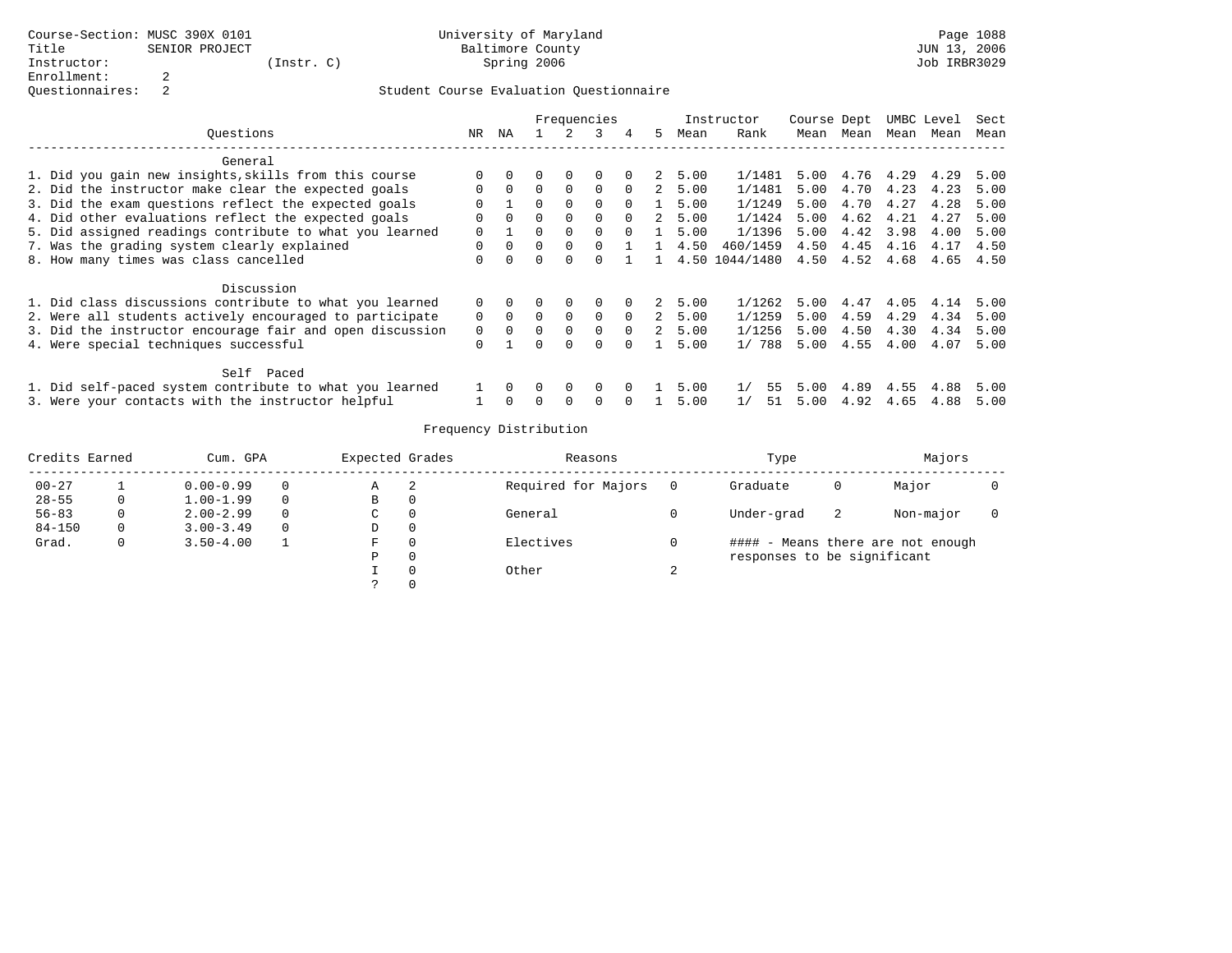|                                                          |             |          |          |              | Frequencies |                |             |         | Instructor     | Course Dept |           | UMBC Level |      | Sect |
|----------------------------------------------------------|-------------|----------|----------|--------------|-------------|----------------|-------------|---------|----------------|-------------|-----------|------------|------|------|
| Ouestions                                                | NR          | NA       |          | 2            | 3           | $\overline{4}$ | 5.          | Mean    | Rank           | Mean        | Mean      | Mean       | Mean | Mean |
| General                                                  |             |          |          |              |             |                |             |         |                |             |           |            |      |      |
| 1. Did you gain new insights, skills from this course    | $\Omega$    |          |          | 0            | $\Omega$    |                |             | 2, 5.00 | 1/1481         | 5.00        | 4.76 4.29 |            | 4.29 | 5.00 |
| 2. Did the instructor make clear the expected goals      | $\Omega$    | $\Omega$ | $\Omega$ | $\Omega$     | $\Omega$    | $\Omega$       | $2^{\circ}$ | 5.00    | 1/1481         | 5.00        | 4.70      | 4.23       | 4.23 | 5.00 |
| 3. Did the exam questions reflect the expected goals     | $\Omega$    |          | $\Omega$ | $\Omega$     | $\Omega$    | $\Omega$       |             | 5.00    | 1/1249         | 5.00        | 4.70      | 4.27       | 4.28 | 5.00 |
| 4. Did other evaluations reflect the expected goals      | $\Omega$    | $\Omega$ |          | $\Omega$     | $\Omega$    | $\Omega$       | $2^{\circ}$ | 5.00    | 1/1424         | 5.00        | 4.62      | 4.21       | 4.27 | 5.00 |
| 5. Did assigned readings contribute to what you learned  | $\Omega$    |          |          | $\Omega$     | $\Omega$    | $\Omega$       |             | 5.00    | 1/1396         | 5.00        | 4.42      | 3.98       | 4.00 | 5.00 |
| 7. Was the grading system clearly explained              | $\mathbf 0$ | $\Omega$ |          | $\mathbf 0$  |             |                |             | 4.50    | 460/1459       | 4.50        | 4.45      | 4.16       | 4.17 | 4.50 |
| 8. How many times was class cancelled                    | $\Omega$    | $\cap$   | $\cap$   | $\Omega$     | $\cap$      |                |             |         | 4.50 1044/1480 | 4.50        | 4.52      | 4.68       | 4.65 | 4.50 |
| Discussion                                               |             |          |          |              |             |                |             |         |                |             |           |            |      |      |
| 1. Did class discussions contribute to what you learned  | $\Omega$    | $\Omega$ |          | 0            | $\Omega$    |                | 2           | 5.00    | 1/1262         | 5.00        | 4.47      | 4.05       | 4.14 | 5.00 |
| 2. Were all students actively encouraged to participate  | $\Omega$    | $\Omega$ | $\Omega$ | $\Omega$     | $\Omega$    | $\Omega$       | $2^{\circ}$ | 5.00    | 1/1259         | 5.00        | 4.59      | 4.29       | 4.34 | 5.00 |
| 3. Did the instructor encourage fair and open discussion | $\Omega$    | $\Omega$ | $\Omega$ | $\Omega$     | $\Omega$    | $\Omega$       | $2^{\circ}$ | 5.00    | 1/1256         | 5.00        | 4.50      | 4.30       | 4.34 | 5.00 |
| 4. Were special techniques successful                    | $\Omega$    |          |          | $\Omega$     | $\Omega$    |                |             | 5.00    | 1/788          | 5.00        | 4.55      | 4.00       | 4.07 | 5.00 |
| Self Paced                                               |             |          |          |              |             |                |             |         |                |             |           |            |      |      |
| 1. Did self-paced system contribute to what you learned  |             | $\Omega$ | $\Omega$ | $\mathbf{0}$ | $\Omega$    |                |             | 5.00    | 55             | 5.00        | 4.89      | 4.55       | 4.88 | 5.00 |
| 3. Were your contacts with the instructor helpful        |             |          |          |              |             |                |             | 5.00    | 51             | 5.00        | 4.92      | 4.65       | 4.88 | 5.00 |

| Credits Earned |   | Cum. GPA      |          | Expected Grades |   | Reasons             |   | Type                        |    | Majors                            |  |
|----------------|---|---------------|----------|-----------------|---|---------------------|---|-----------------------------|----|-----------------------------------|--|
| $00 - 27$      |   | $0.00 - 0.99$ | 0        | Α               | 2 | Required for Majors |   | Graduate                    | 0  | Major                             |  |
| $28 - 55$      | 0 | $1.00 - 1.99$ | $\Omega$ | B               |   |                     |   |                             |    |                                   |  |
| $56 - 83$      |   | $2.00 - 2.99$ | $\Omega$ | C               |   | General             |   | Under-grad                  | -2 | Non-major                         |  |
| $84 - 150$     | 0 | $3.00 - 3.49$ | $\Omega$ | D               |   |                     |   |                             |    |                                   |  |
| Grad.          | 0 | $3.50 - 4.00$ |          | F               |   | Electives           |   |                             |    | #### - Means there are not enough |  |
|                |   |               |          | P               |   |                     |   | responses to be significant |    |                                   |  |
|                |   |               |          |                 |   | Other               | 4 |                             |    |                                   |  |
|                |   |               |          |                 |   |                     |   |                             |    |                                   |  |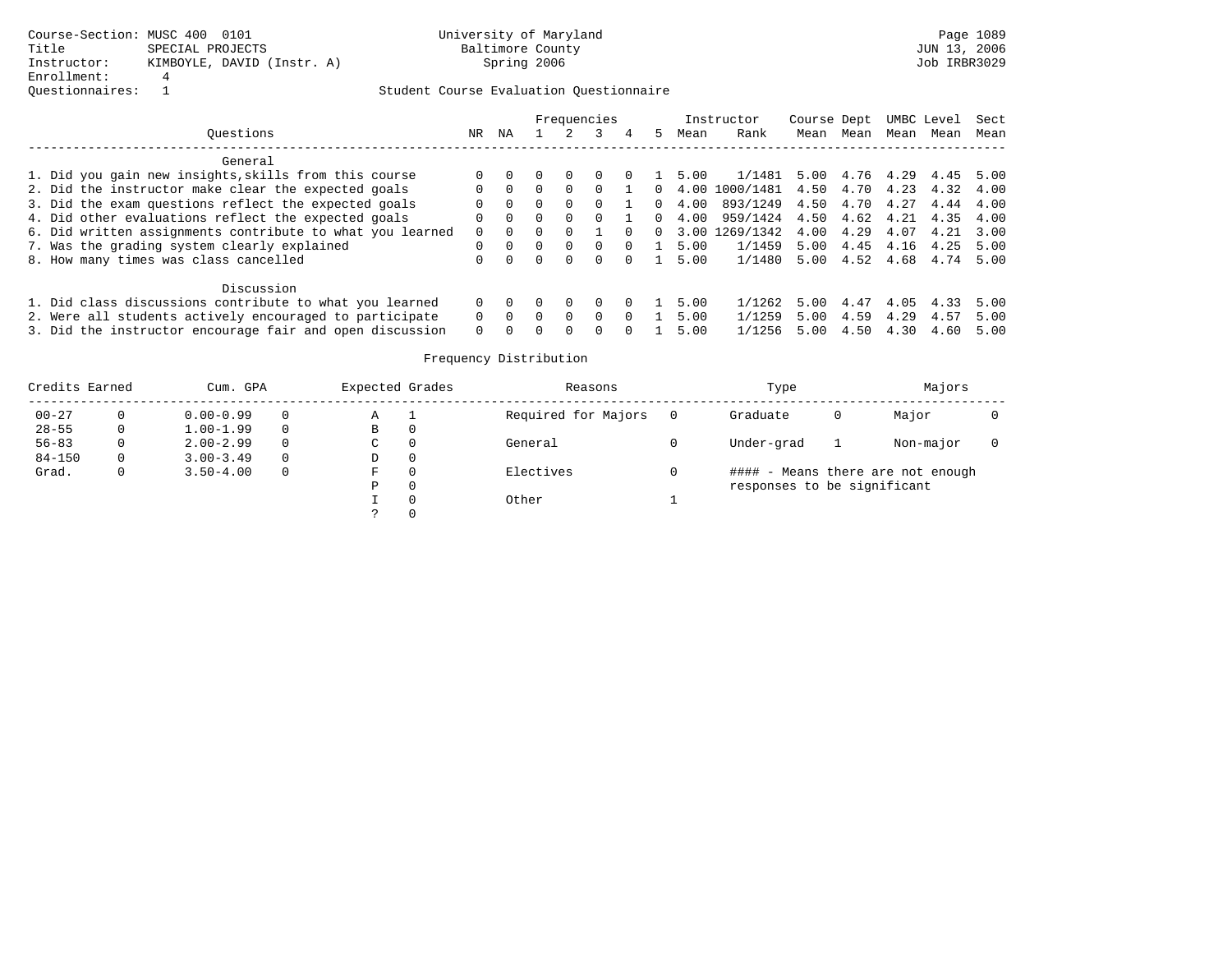|                                                           |          |          |        |          | Frequencies |          |    |      | Instructor     | Course Dept |      | UMBC Level |      | Sect |
|-----------------------------------------------------------|----------|----------|--------|----------|-------------|----------|----|------|----------------|-------------|------|------------|------|------|
| Ouestions                                                 | NR       | ΝA       |        |          |             |          | 5. | Mean | Rank           | Mean        | Mean | Mean       | Mean | Mean |
| General                                                   |          |          |        |          |             |          |    |      |                |             |      |            |      |      |
| 1. Did you gain new insights, skills from this course     |          |          |        |          |             |          |    | 5.00 | 1/1481         | 5.00        | 4.76 | 4.29       | 4.45 | 5.00 |
| 2. Did the instructor make clear the expected goals       |          |          |        | $\Omega$ |             |          | 0. | 4.00 | 1000/1481 4.50 |             | 4.70 | 4.23       | 4.32 | 4.00 |
| 3. Did the exam questions reflect the expected goals      | $\Omega$ | $\Omega$ |        | $\Omega$ | $\Omega$    |          | 0. | 4.00 | 893/1249       | 4.50        | 4.70 | 4.27       | 4.44 | 4.00 |
| 4. Did other evaluations reflect the expected goals       | $\Omega$ | $\Omega$ | $\cap$ | $\Omega$ | $\cap$      |          | 0. | 4.00 | 959/1424 4.50  |             | 4.62 | 4.21       | 4.35 | 4.00 |
| 6. Did written assignments contribute to what you learned |          |          |        |          |             |          | 0  | 3.00 | 1269/1342      | 4.00        | 4.29 | 4.07       | 4.21 | 3.00 |
| 7. Was the grading system clearly explained               | $\Omega$ | $\cap$   | $\cap$ | $\Omega$ | $\Omega$    | $\Omega$ |    | 5.00 | 1/1459         | 5.00        | 4.45 | 4.16       | 4.25 | 5.00 |
| 8. How many times was class cancelled                     |          |          | $\cap$ | $\Omega$ | $\Omega$    | $\Omega$ |    | 5.00 | 1/1480         | 5.00        | 4.52 | 4.68       | 4.74 | 5.00 |
| Discussion                                                |          |          |        |          |             |          |    |      |                |             |      |            |      |      |
| 1. Did class discussions contribute to what you learned   |          |          |        |          |             |          |    | 5.00 | 1/1262         | 5.00        | 4.47 | 4.05       | 4.33 | 5.00 |
| 2. Were all students actively encouraged to participate   | $\Omega$ |          |        | $\Omega$ | $\Omega$    |          |    | 5.00 | 1/1259         | 5.00        | 4.59 | 4.29       | 4.57 | 5.00 |
| 3. Did the instructor encourage fair and open discussion  | $\Omega$ |          |        | $\cap$   | $\cap$      |          |    | 5.00 | 1/1256         | 5.00        | 4.50 | 4.30       | 4.60 | 5.00 |

| Credits Earned |          | Cum. GPA      |          | Expected Grades |   | Reasons             | Type                        |   | Majors                            |  |
|----------------|----------|---------------|----------|-----------------|---|---------------------|-----------------------------|---|-----------------------------------|--|
| $00 - 27$      | 0        | $0.00 - 0.99$ | $\Omega$ | Α               |   | Required for Majors | Graduate                    | 0 | Major                             |  |
| $28 - 55$      | 0        | $1.00 - 1.99$ | $\Omega$ | В               | 0 |                     |                             |   |                                   |  |
| $56 - 83$      |          | $2.00 - 2.99$ | $\Omega$ | С               | 0 | General             | Under-grad                  |   | Non-major                         |  |
| $84 - 150$     | $\Omega$ | $3.00 - 3.49$ | $\Omega$ | D               | 0 |                     |                             |   |                                   |  |
| Grad.          | 0        | $3.50 - 4.00$ | $\Omega$ | F               | 0 | Electives           |                             |   | #### - Means there are not enough |  |
|                |          |               |          | D               | 0 |                     | responses to be significant |   |                                   |  |
|                |          |               |          |                 | 0 | Other               |                             |   |                                   |  |
|                |          |               |          |                 | 0 |                     |                             |   |                                   |  |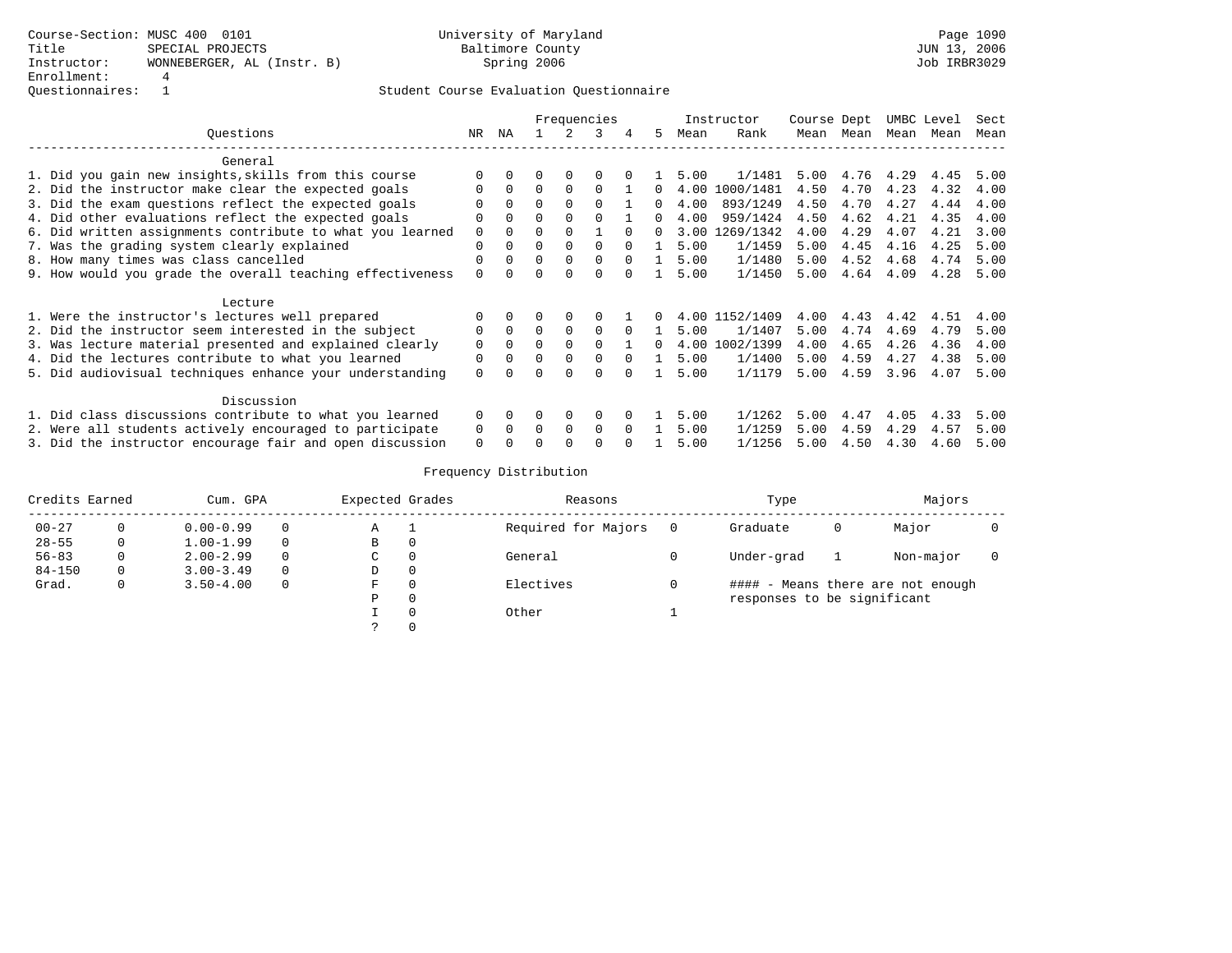|                                                           |          |          |          |          | Frequencies  |          |          |      | Instructor     | Course Dept |      | UMBC Level |      | Sect |
|-----------------------------------------------------------|----------|----------|----------|----------|--------------|----------|----------|------|----------------|-------------|------|------------|------|------|
| Ouestions                                                 | NR.      | ΝA       |          |          | ર            | 4        | 5.       | Mean | Rank           | Mean        | Mean | Mean       | Mean | Mean |
| General                                                   |          |          |          |          |              |          |          |      |                |             |      |            |      |      |
| 1. Did you gain new insights, skills from this course     | O        |          |          | $\Omega$ |              |          |          | 5.00 | 1/1481         | 5.00        | 4.76 | 4.29       | 4.45 | 5.00 |
| 2. Did the instructor make clear the expected goals       | O        | $\Omega$ | $\Omega$ | $\Omega$ | $\Omega$     |          |          | 4.00 | 1000/1481      | 4.50        | 4.70 | 4.23       | 4.32 | 4.00 |
| 3. Did the exam questions reflect the expected goals      |          | $\Omega$ | 0        | $\Omega$ | O            |          | $\Omega$ | 4.00 | 893/1249       | 4.50        | 4.70 | 4.27       | 4.44 | 4.00 |
| 4. Did other evaluations reflect the expected goals       | 0        | $\Omega$ | $\Omega$ | $\Omega$ | $\Omega$     |          | $\Omega$ | 4.00 | 959/1424       | 4.50        | 4.62 | 4.21       | 4.35 | 4.00 |
| 6. Did written assignments contribute to what you learned | $\Omega$ | $\Omega$ | 0        | $\Omega$ |              | $\cap$   | 0        | 3.00 | 1269/1342      | 4.00        | 4.29 | 4.07       | 4.21 | 3.00 |
| 7. Was the grading system clearly explained               | $\Omega$ | $\Omega$ | 0        | $\Omega$ | 0            | $\cap$   |          | 5.00 | 1/1459         | 5.00        | 4.45 | 4.16       | 4.25 | 5.00 |
| 8. How many times was class cancelled                     |          |          | 0        | $\Omega$ | <sup>0</sup> |          |          | 5.00 | 1/1480         | 5.00        | 4.52 | 4.68       | 4.74 | 5.00 |
| 9. How would you grade the overall teaching effectiveness | O        |          |          |          |              |          |          | 5.00 | 1/1450         | 5.00        | 4.64 | 4.09       | 4.28 | 5.00 |
| Lecture                                                   |          |          |          |          |              |          |          |      |                |             |      |            |      |      |
| 1. Were the instructor's lectures well prepared           |          |          |          | $\Omega$ |              |          |          |      | 4.00 1152/1409 | 4.00        | 4.43 | 4.42       | 4.51 | 4.00 |
| 2. Did the instructor seem interested in the subject      | $\Omega$ | $\Omega$ | $\Omega$ | $\Omega$ | $\Omega$     | $\Omega$ |          | 5.00 | 1/1407         | 5.00        | 4.74 | 4.69       | 4.79 | 5.00 |
| 3. Was lecture material presented and explained clearly   | $\Omega$ | $\Omega$ | $\Omega$ | $\Omega$ | 0            |          | 0        |      | 4.00 1002/1399 | 4.00        | 4.65 | 4.26       | 4.36 | 4.00 |
| 4. Did the lectures contribute to what you learned        | $\Omega$ | $\Omega$ | 0        | $\Omega$ | 0            | $\Omega$ |          | 5.00 | 1/1400         | 5.00        | 4.59 | 4.27       | 4.38 | 5.00 |
| 5. Did audiovisual techniques enhance your understanding  | $\Omega$ |          | ∩        | $\cap$   | <sup>n</sup> |          |          | 5.00 | 1/1179         | 5.00        | 4.59 | 3.96       | 4.07 | 5.00 |
| Discussion                                                |          |          |          |          |              |          |          |      |                |             |      |            |      |      |
| 1. Did class discussions contribute to what you learned   | $\Omega$ | $\Omega$ |          | $\Omega$ | $\Omega$     |          |          | 5.00 | 1/1262         | 5.00        | 4.47 | 4.05       | 4.33 | 5.00 |
| 2. Were all students actively encouraged to participate   | 0        | $\Omega$ | $\Omega$ | $\Omega$ | $\Omega$     | $\Omega$ |          | 5.00 | 1/1259         | 5.00        | 4.59 | 4.29       | 4.57 | 5.00 |
| 3. Did the instructor encourage fair and open discussion  | $\Omega$ |          |          |          | O            |          |          | 5.00 | 1/1256         | 5.00        | 4.50 | 4.30       | 4.60 | 5.00 |

| Credits Earned |          | Cum. GPA      |          | Expected Grades |          | Reasons             | Type                        |   | Majors                            |  |
|----------------|----------|---------------|----------|-----------------|----------|---------------------|-----------------------------|---|-----------------------------------|--|
| $00 - 27$      |          | $0.00 - 0.99$ | $\Omega$ | Α               | - 1      | Required for Majors | Graduate                    | 0 | Major                             |  |
| $28 - 55$      | $\Omega$ | $1.00 - 1.99$ | $\Omega$ | В               | 0        |                     |                             |   |                                   |  |
| $56 - 83$      | 0        | $2.00 - 2.99$ | $\Omega$ | C               | 0        | General             | Under-grad                  |   | Non-major                         |  |
| $84 - 150$     | $\Omega$ | $3.00 - 3.49$ | $\Omega$ | D               | 0        |                     |                             |   |                                   |  |
| Grad.          | 0        | $3.50 - 4.00$ | $\Omega$ | F               | 0        | Electives           |                             |   | #### - Means there are not enough |  |
|                |          |               |          | Ρ               | 0        |                     | responses to be significant |   |                                   |  |
|                |          |               |          |                 | $\Omega$ | Other               |                             |   |                                   |  |
|                |          |               |          |                 | $\Omega$ |                     |                             |   |                                   |  |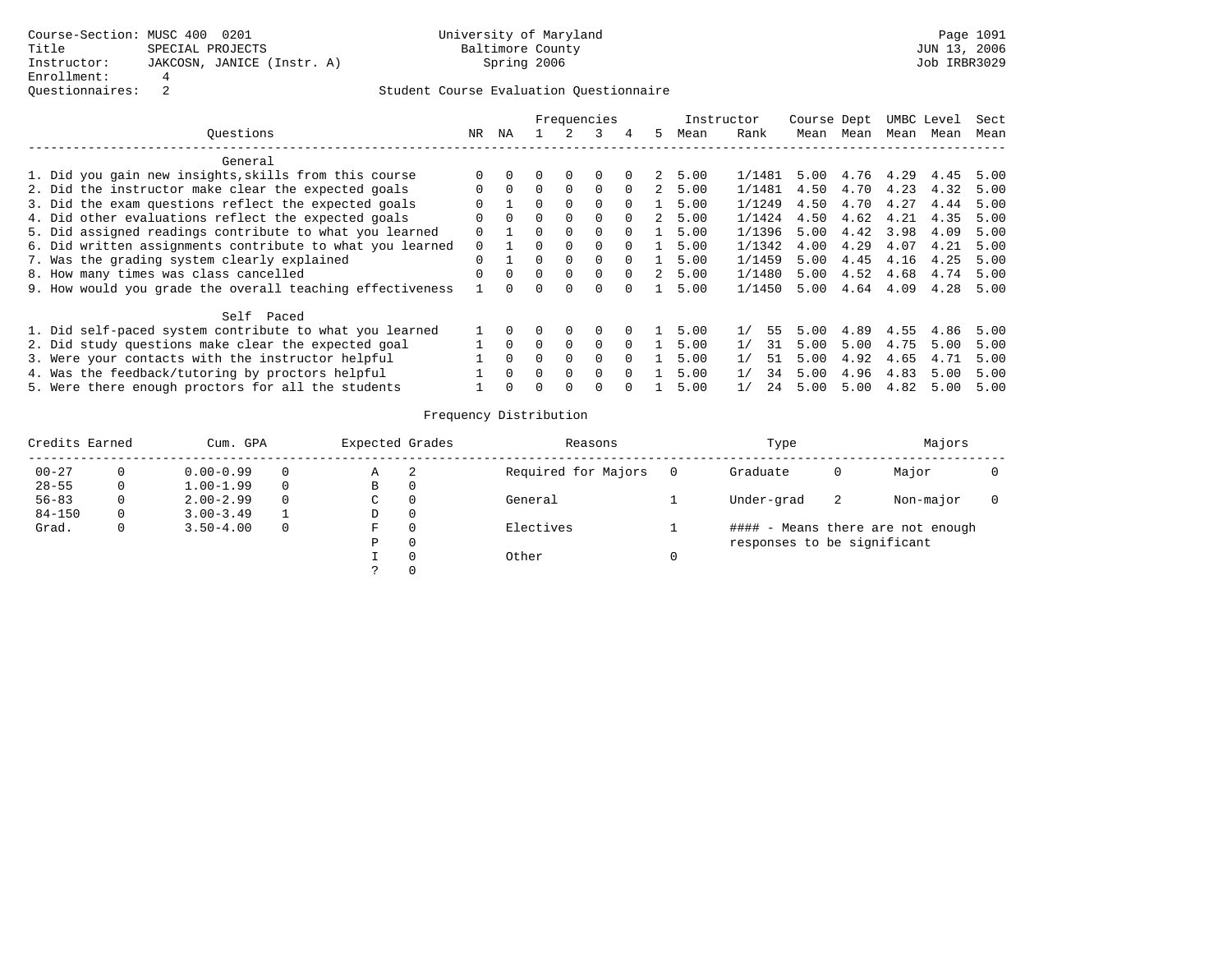|                                                           |              |              |              |          | Frequencies |          |    |      | Instructor | Course Dept |      |           | UMBC Level | Sect |
|-----------------------------------------------------------|--------------|--------------|--------------|----------|-------------|----------|----|------|------------|-------------|------|-----------|------------|------|
| Ouestions                                                 | NR           | ΝA           |              |          |             | 4        | 5  | Mean | Rank       | Mean        | Mean | Mean      | Mean       | Mean |
| General                                                   |              |              |              |          |             |          |    |      |            |             |      |           |            |      |
| 1. Did you gain new insights, skills from this course     |              |              |              | $\Omega$ | $\Omega$    | $\Omega$ | 2  | 5.00 | 1/1481     | 5.00        |      | 4.76 4.29 | 4.45       | 5.00 |
| 2. Did the instructor make clear the expected goals       | 0            | $\Omega$     | 0            | $\Omega$ | $\Omega$    | $\Omega$ | 2  | 5.00 | 1/1481     | 4.50        | 4.70 | 4.23      | 4.32       | 5.00 |
| 3. Did the exam questions reflect the expected goals      |              |              | 0            | $\Omega$ | $\Omega$    | $\Omega$ |    | 5.00 | 1/1249     | 4.50        | 4.70 | 4.27      | 4.44       | 5.00 |
| 4. Did other evaluations reflect the expected goals       | 0            | $\Omega$     | 0            | $\Omega$ | $\Omega$    | $\Omega$ | 2  | 5.00 | 1/1424     | 4.50        | 4.62 | 4.21      | 4.35       | 5.00 |
| 5. Did assigned readings contribute to what you learned   | 0            |              | <sup>0</sup> | $\Omega$ | $\Omega$    | $\Omega$ |    | 5.00 | 1/1396     | 5.00        | 4.42 | 3.98      | 4.09       | 5.00 |
| 6. Did written assignments contribute to what you learned | $\Omega$     |              | <sup>0</sup> | $\Omega$ | $\Omega$    | $\Omega$ |    | 5.00 | 1/1342     | 4.00        | 4.29 | 4.07      | 4.21       | 5.00 |
| 7. Was the grading system clearly explained               | <sup>0</sup> |              | 0            | $\Omega$ | $\Omega$    | $\Omega$ |    | 5.00 | 1/1459     | 5.00        | 4.45 | 4.16      | 4.25       | 5.00 |
| 8. How many times was class cancelled                     |              | $\Omega$     | $\Omega$     | $\Omega$ | $\Omega$    | $\Omega$ | 2. | 5.00 | 1/1480     | 5.00        | 4.52 | 4.68      | 4.74       | 5.00 |
| 9. How would you grade the overall teaching effectiveness |              | <sup>n</sup> |              | $\Omega$ |             |          |    | 5.00 | 1/1450     | 5.00        | 4.64 | 4.09      | 4.28       | 5.00 |
| Self Paced                                                |              |              |              |          |             |          |    |      |            |             |      |           |            |      |
| 1. Did self-paced system contribute to what you learned   |              | $\Omega$     |              | $\Omega$ | $\Omega$    | $\Omega$ |    | 5.00 | 55<br>1/   | 5.00        | 4.89 | 4.55      | 4.86       | 5.00 |
| 2. Did study questions make clear the expected goal       |              | $\Omega$     | 0            | $\Omega$ | $\Omega$    | $\Omega$ |    | 5.00 | 1/<br>31   | 5.00        | 5.00 | 4.75      | 5.00       | 5.00 |
| 3. Were your contacts with the instructor helpful         |              | $\Omega$     | 0            | $\Omega$ | $\Omega$    | $\Omega$ |    | 5.00 | 1/<br>51   | 5.00        | 4.92 | 4.65      | 4.71       | 5.00 |
| 4. Was the feedback/tutoring by proctors helpful          |              | $\Omega$     | 0            | $\Omega$ | $\Omega$    | $\Omega$ |    | 5.00 | 1/<br>34   | 5.00        | 4.96 | 4.83      | 5.00       | 5.00 |
| 5. Were there enough proctors for all the students        |              |              |              | $\Omega$ | $\Omega$    |          |    | 5.00 | 1/<br>24   | 5.00        | 5.00 | 4.82      | 5.00       | 5.00 |

| Credits Earned |   | Cum. GPA      |          | Expected Grades |   | Reasons             | Type                        |    | Majors                            |  |
|----------------|---|---------------|----------|-----------------|---|---------------------|-----------------------------|----|-----------------------------------|--|
| $00 - 27$      |   | $0.00 - 0.99$ | $\Omega$ | Α               | 2 | Required for Majors | Graduate                    | 0  | Major                             |  |
| $28 - 55$      |   | $1.00 - 1.99$ | $\Omega$ | В               |   |                     |                             |    |                                   |  |
| $56 - 83$      |   | $2.00 - 2.99$ | $\Omega$ | C               |   | General             | Under-grad                  | -2 | Non-major                         |  |
| $84 - 150$     | 0 | $3.00 - 3.49$ |          | D               |   |                     |                             |    |                                   |  |
| Grad.          |   | $3.50 - 4.00$ | 0        | F.              |   | Electives           |                             |    | #### - Means there are not enough |  |
|                |   |               |          | P               |   |                     | responses to be significant |    |                                   |  |
|                |   |               |          |                 |   | Other               |                             |    |                                   |  |
|                |   |               |          |                 |   |                     |                             |    |                                   |  |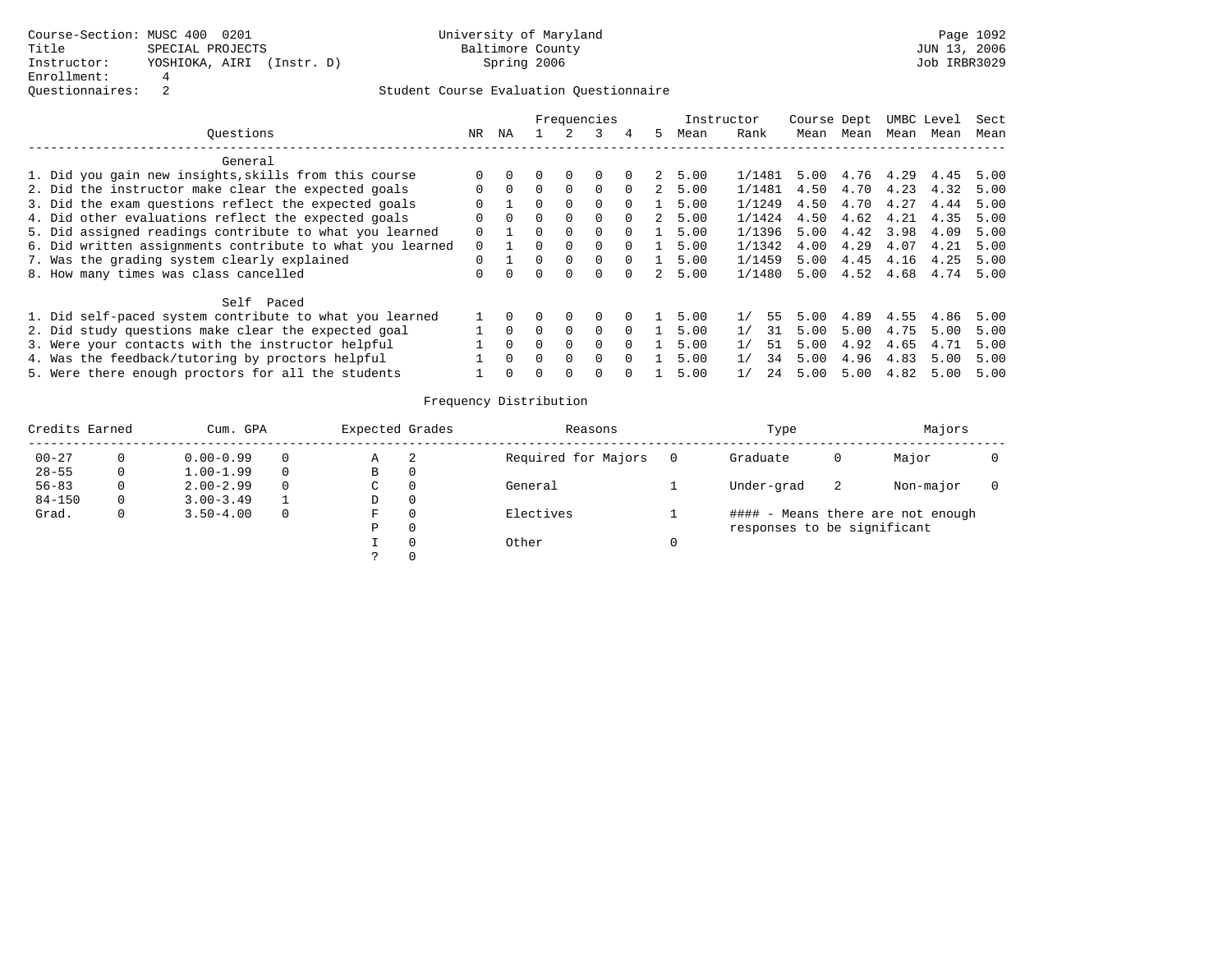|                                                           |    |          |          |          | Frequencies |          |             | Instructor |          | Course Dept |      |           | UMBC Level | Sect |
|-----------------------------------------------------------|----|----------|----------|----------|-------------|----------|-------------|------------|----------|-------------|------|-----------|------------|------|
| Ouestions                                                 | NR | ΝA       |          |          | २           | 4        | 5.          | Mean       | Rank     | Mean        | Mean | Mean      | Mean       | Mean |
| General                                                   |    |          |          |          |             |          |             |            |          |             |      |           |            |      |
| 1. Did you gain new insights, skills from this course     |    |          | 0        | $\Omega$ | $\Omega$    | $\Omega$ | $2^{\circ}$ | 5.00       | 1/1481   | 5.00        |      | 4.76 4.29 | 4.45       | 5.00 |
| 2. Did the instructor make clear the expected goals       |    | $\Omega$ | $\Omega$ | $\Omega$ | $\Omega$    | $\Omega$ | 2           | 5.00       | 1/1481   | 4.50        | 4.70 | 4.23      | 4.32       | 5.00 |
| 3. Did the exam questions reflect the expected goals      |    |          | 0        | $\Omega$ | $\Omega$    | $\Omega$ |             | 5.00       | 1/1249   | 4.50        | 4.70 | 4.27      | 4.44       | 5.00 |
| 4. Did other evaluations reflect the expected goals       |    | $\Omega$ | 0        | $\Omega$ | $\Omega$    | $\Omega$ |             | 5.00       | 1/1424   | 4.50        | 4.62 | 4.21      | 4.35       | 5.00 |
| 5. Did assigned readings contribute to what you learned   |    |          | 0        | $\Omega$ | $\Omega$    | $\Omega$ |             | 5.00       | 1/1396   | 5.00        | 4.42 | 3.98      | 4.09       | 5.00 |
| 6. Did written assignments contribute to what you learned | 0  |          | 0        | $\Omega$ | $\Omega$    | $\Omega$ |             | 5.00       | 1/1342   | 4.00        | 4.29 | 4.07      | 4.21       | 5.00 |
| 7. Was the grading system clearly explained               | 0  |          | 0        | $\Omega$ | $\Omega$    | $\Omega$ |             | 5.00       | 1/1459   | 5.00        | 4.45 | 4.16      | 4.25       | 5.00 |
| 8. How many times was class cancelled                     |    |          |          | $\Omega$ |             |          | 2.          | 5.00       | 1/1480   | 5.00        | 4.52 | 4.68      | 4.74       | 5.00 |
| Self Paced                                                |    |          |          |          |             |          |             |            |          |             |      |           |            |      |
| 1. Did self-paced system contribute to what you learned   |    |          |          | $\Omega$ | $\Omega$    |          |             | 5.00       | 1/<br>55 | 5.00        | 4.89 | 4.55      | 4.86       | 5.00 |
| 2. Did study questions make clear the expected goal       |    | $\Omega$ |          | $\Omega$ | $\Omega$    | $\Omega$ |             | 5.00       | 31       | 5.00        | 5.00 | 4.75      | 5.00       | 5.00 |
| 3. Were your contacts with the instructor helpful         |    |          | U        | $\Omega$ | $\Omega$    | $\Omega$ |             | 5.00       | 51<br>1/ | 5.00        | 4.92 | 4.65      | 4.71       | 5.00 |
| 4. Was the feedback/tutoring by proctors helpful          |    | $\Omega$ | 0        | $\Omega$ | $\Omega$    | $\Omega$ |             | 5.00       | 1/<br>34 | 5.00        | 4.96 | 4.83      | 5.00       | 5.00 |
| 5. Were there enough proctors for all the students        |    |          |          | $\Omega$ |             |          |             | 5.00       | 1/<br>24 | 5.00        | 5.00 | 4.82      | 5.00       | 5.00 |

| Credits Earned |    | Cum. GPA      |          | Expected Grades |                          | Reasons             | Type                        |    | Majors                            |  |
|----------------|----|---------------|----------|-----------------|--------------------------|---------------------|-----------------------------|----|-----------------------------------|--|
| $00 - 27$      |    | $0.00 - 0.99$ | 0        | Α               | $\overline{\phantom{a}}$ | Required for Majors | Graduate                    |    | Major                             |  |
| $28 - 55$      | 0  | $1.00 - 1.99$ | $\Omega$ | В               |                          |                     |                             |    |                                   |  |
| $56 - 83$      |    | $2.00 - 2.99$ | $\Omega$ | C               |                          | General             | Under-grad                  | -2 | Non-major                         |  |
| $84 - 150$     | 0. | $3.00 - 3.49$ |          | D               |                          |                     |                             |    |                                   |  |
| Grad.          |    | $3.50 - 4.00$ | $\Omega$ | F               |                          | Electives           |                             |    | #### - Means there are not enough |  |
|                |    |               |          | P               |                          |                     | responses to be significant |    |                                   |  |
|                |    |               |          |                 |                          | Other               |                             |    |                                   |  |
|                |    |               |          |                 |                          |                     |                             |    |                                   |  |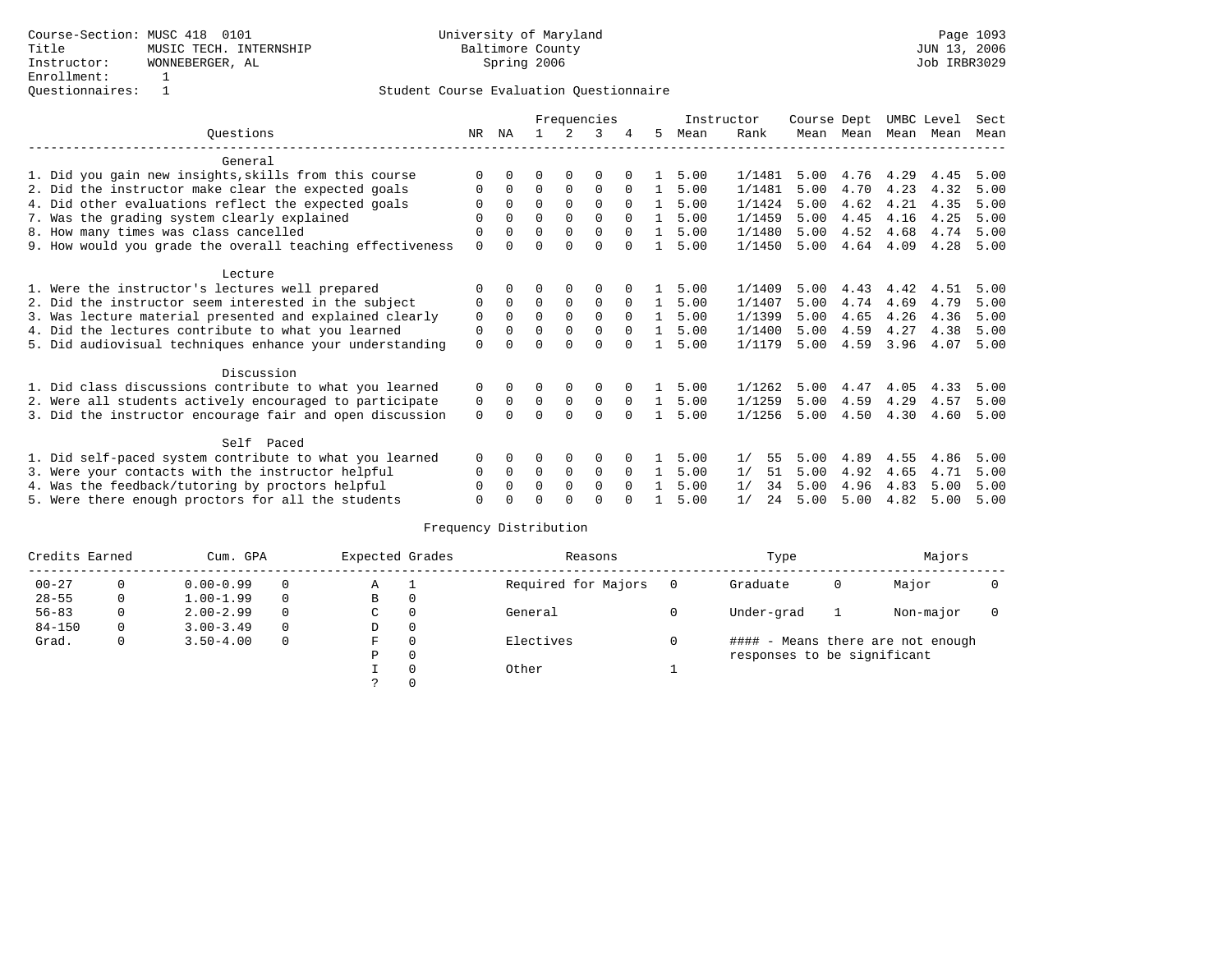|                                                           |              |             |          |              | Frequencies |          |                | Instructor |          | Course Dept |           |      | UMBC Level | Sect |
|-----------------------------------------------------------|--------------|-------------|----------|--------------|-------------|----------|----------------|------------|----------|-------------|-----------|------|------------|------|
| Ouestions                                                 | NR           | ΝA          |          | 2            | 3           | 4        | 5              | Mean       | Rank     |             | Mean Mean | Mean | Mean       | Mean |
| General                                                   |              |             |          |              |             |          |                |            |          |             |           |      |            |      |
| 1. Did you gain new insights, skills from this course     | <sup>0</sup> | $\Omega$    | 0        | $\Omega$     | 0           |          |                | 5.00       | 1/1481   | 5.00        | 4.76      | 4.29 | 4.45       | 5.00 |
| 2. Did the instructor make clear the expected goals       | 0            | $\Omega$    | $\Omega$ | $\Omega$     | $\Omega$    | $\Omega$ | 1              | 5.00       | 1/1481   | 5.00        | 4.70      | 4.23 | 4.32       | 5.00 |
| 4. Did other evaluations reflect the expected goals       |              | $\Omega$    | $\Omega$ | $\Omega$     | $\Omega$    | $\Omega$ | -1.            | 5.00       | 1/1424   | 5.00        | 4.62      | 4.21 | 4.35       | 5.00 |
| 7. Was the grading system clearly explained               | 0            | 0           | $\Omega$ | $\Omega$     | $\Omega$    | $\Omega$ | $\mathbf{1}$   | 5.00       | 1/1459   | 5.00        | 4.45      | 4.16 | 4.25       | 5.00 |
| 8. How many times was class cancelled                     | 0            | $\Omega$    | $\Omega$ | $\mathbf 0$  | $\Omega$    | $\Omega$ | 1              | 5.00       | 1/1480   | 5.00        | 4.52      | 4.68 | 4.74       | 5.00 |
| 9. How would you grade the overall teaching effectiveness | $\mathbf 0$  | $\Omega$    | U        | $\Omega$     | $\Omega$    | $\Omega$ | $\mathbf{1}$   | 5.00       | 1/1450   | 5.00        | 4.64      | 4.09 | 4.28       | 5.00 |
| Lecture                                                   |              |             |          |              |             |          |                |            |          |             |           |      |            |      |
| 1. Were the instructor's lectures well prepared           | 0            | $\Omega$    |          | $\Omega$     | 0           |          |                | 5.00       | 1/1409   | 5.00        | 4.43      | 4.42 | 4.51       | 5.00 |
| 2. Did the instructor seem interested in the subject      | 0            | $\Omega$    | $\Omega$ | $\Omega$     | $\Omega$    | $\Omega$ | $\mathbf{1}$   | 5.00       | 1/1407   | 5.00        | 4.74      | 4.69 | 4.79       | 5.00 |
| 3. Was lecture material presented and explained clearly   | 0            | $\Omega$    | $\Omega$ | $\Omega$     | $\Omega$    | $\Omega$ | $\overline{1}$ | 5.00       | 1/1399   | 5.00        | 4.65      | 4.26 | 4.36       | 5.00 |
| 4. Did the lectures contribute to what you learned        | 0            | $\Omega$    | $\Omega$ | $\Omega$     | $\Omega$    | $\Omega$ | $\mathbf{1}$   | 5.00       | 1/1400   | 5.00        | 4.59      | 4.27 | 4.38       | 5.00 |
| 5. Did audiovisual techniques enhance your understanding  | $\Omega$     | $\Omega$    |          | $\Omega$     | $\Omega$    | $\Omega$ | $\mathbf{1}$   | 5.00       | 1/1179   | 5.00        | 4.59      | 3.96 | 4.07       | 5.00 |
| Discussion                                                |              |             |          |              |             |          |                |            |          |             |           |      |            |      |
| 1. Did class discussions contribute to what you learned   | 0            | 0           | 0        | 0            | 0           |          |                | 5.00       | 1/1262   | 5.00        | 4.47      | 4.05 | 4.33       | 5.00 |
| 2. Were all students actively encouraged to participate   | 0            | $\mathbf 0$ | $\Omega$ | $\mathbf 0$  | 0           | $\Omega$ | $\mathbf{1}$   | 5.00       | 1/1259   | 5.00        | 4.59      | 4.29 | 4.57       | 5.00 |
| 3. Did the instructor encourage fair and open discussion  | $\Omega$     | $\Omega$    | 0        | $\Omega$     | $\Omega$    | $\Omega$ | $\mathbf{1}$   | 5.00       | 1/1256   | 5.00        | 4.50      | 4.30 | 4.60       | 5.00 |
| Self Paced                                                |              |             |          |              |             |          |                |            |          |             |           |      |            |      |
| 1. Did self-paced system contribute to what you learned   | 0            | $\Omega$    | 0        | 0            | 0           |          |                | 5.00       | 1/<br>55 | 5.00        | 4.89      | 4.55 | 4.86       | 5.00 |
| 3. Were your contacts with the instructor helpful         | $\Omega$     | $\Omega$    | $\Omega$ | $\Omega$     | $\Omega$    | $\Omega$ | $\mathbf{1}$   | 5.00       | 51<br>1/ | 5.00        | 4.92      | 4.65 | 4.71       | 5.00 |
| 4. Was the feedback/tutoring by proctors helpful          | 0            | $\Omega$    | $\Omega$ | $\Omega$     | $\Omega$    | $\Omega$ |                | 5.00       | 1/<br>34 | 5.00        | 4.96      | 4.83 | 5.00       | 5.00 |
| 5. Were there enough proctors for all the students        | 0            |             |          | <sup>0</sup> | $\Omega$    |          |                | 5.00       | 1/<br>24 | 5.00        | 5.00      | 4.82 | 5.00       | 5.00 |
|                                                           |              |             |          |              |             |          |                |            |          |             |           |      |            |      |

| Credits Earned |              | Cum. GPA      |          | Expected Grades |          | Reasons             |     | Type                        |   | Majors                            |  |
|----------------|--------------|---------------|----------|-----------------|----------|---------------------|-----|-----------------------------|---|-----------------------------------|--|
| $00 - 27$      | 0            | $0.00 - 0.99$ | $\Omega$ | A               |          | Required for Majors | - 0 | Graduate                    | 0 | Major                             |  |
| $28 - 55$      | $\mathbf{0}$ | $1.00 - 1.99$ | $\Omega$ | В               | 0        |                     |     |                             |   |                                   |  |
| $56 - 83$      | 0            | $2.00 - 2.99$ | $\Omega$ | $\mathsf{C}$    | $\Omega$ | General             |     | Under-grad                  |   | Non-major                         |  |
| $84 - 150$     | 0            | $3.00 - 3.49$ | $\Omega$ | D               | $\Omega$ |                     |     |                             |   |                                   |  |
| Grad.          | 0            | $3.50 - 4.00$ | $\Omega$ | F.              | $\Omega$ | Electives           |     |                             |   | #### - Means there are not enough |  |
|                |              |               |          | P               | $\Omega$ |                     |     | responses to be significant |   |                                   |  |
|                |              |               |          |                 |          | Other               |     |                             |   |                                   |  |
|                |              |               |          |                 |          |                     |     |                             |   |                                   |  |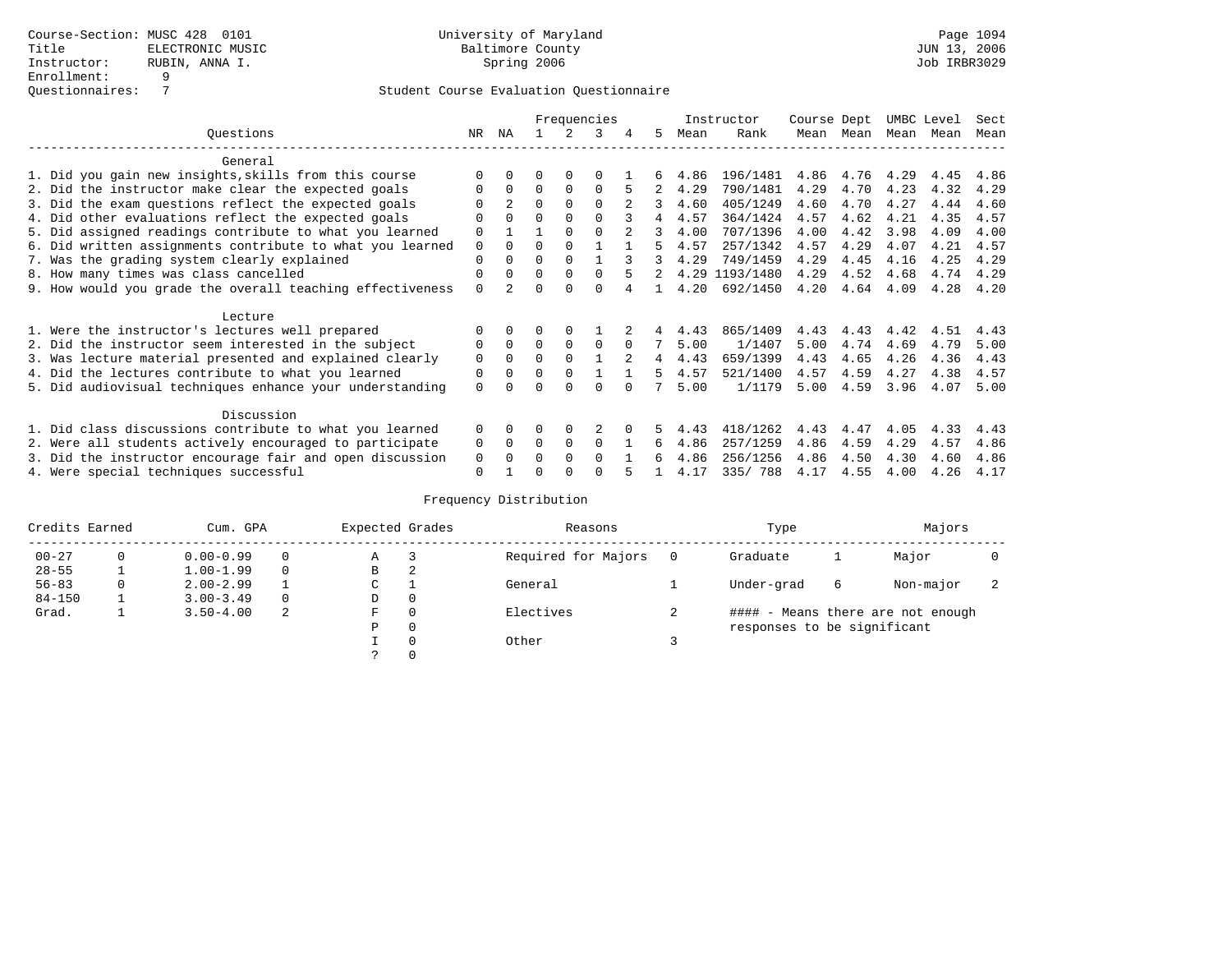|                                                           |             |                |          |          | Frequencies |          |    |      | Instructor     | Course Dept |      | UMBC Level |      | Sect |
|-----------------------------------------------------------|-------------|----------------|----------|----------|-------------|----------|----|------|----------------|-------------|------|------------|------|------|
| Ouestions                                                 | NR.         | ΝA             |          |          | 3           |          | 5. | Mean | Rank           | Mean        | Mean | Mean       | Mean | Mean |
| General                                                   |             |                |          |          |             |          |    |      |                |             |      |            |      |      |
| 1. Did you gain new insights, skills from this course     | ∩           |                | O        | $\Omega$ | $\Omega$    |          |    | 4.86 | 196/1481       | 4.86        | 4.76 | 4.29       | 4.45 | 4.86 |
| 2. Did the instructor make clear the expected goals       | $\Omega$    | $\Omega$       | $\Omega$ | $\Omega$ | $\Omega$    |          |    | 4.29 | 790/1481       | 4.29        | 4.70 | 4.23       | 4.32 | 4.29 |
| 3. Did the exam questions reflect the expected goals      |             | $\overline{2}$ | $\Omega$ | $\Omega$ | $\Omega$    |          | 3  | 4.60 | 405/1249       | 4.60        | 4.70 | 4.27       | 4.44 | 4.60 |
| 4. Did other evaluations reflect the expected goals       | $\Omega$    |                | $\Omega$ |          | $\Omega$    |          | 4  | 4.57 | 364/1424       | 4.57        | 4.62 | 4.21       | 4.35 | 4.57 |
| 5. Did assigned readings contribute to what you learned   | $\Omega$    |                |          |          | $\Omega$    |          | 3  | 4.00 | 707/1396       | 4.00        | 4.42 | 3.98       | 4.09 | 4.00 |
| 6. Did written assignments contribute to what you learned | $\mathbf 0$ | $\Omega$       | $\Omega$ |          |             |          | 5  | 4.57 | 257/1342       | 4.57        | 4.29 | 4.07       | 4.21 | 4.57 |
| 7. Was the grading system clearly explained               | $\Omega$    |                | $\Omega$ | $\Omega$ |             |          |    | 4.29 | 749/1459       | 4.29        | 4.45 | 4.16       | 4.25 | 4.29 |
| 8. How many times was class cancelled                     | $\Omega$    | 0              | $\Omega$ | $\Omega$ | $\Omega$    | 5        | 2  |      | 4.29 1193/1480 | 4.29        | 4.52 | 4.68       | 4.74 | 4.29 |
| 9. How would you grade the overall teaching effectiveness | $\Omega$    |                | U        | ∩        | $\cap$      |          |    | 4.20 | 692/1450       | 4.20        | 4.64 | 4.09       | 4.28 | 4.20 |
|                                                           |             |                |          |          |             |          |    |      |                |             |      |            |      |      |
| Lecture                                                   |             |                |          |          |             |          |    |      |                |             |      |            |      |      |
| 1. Were the instructor's lectures well prepared           |             |                |          |          |             |          |    | 4.43 | 865/1409       | 4.43        | 4.43 | 4.42       | 4.51 | 4.43 |
| 2. Did the instructor seem interested in the subject      | 0           | $\Omega$       | $\Omega$ | $\Omega$ | $\Omega$    | $\Omega$ |    | 5.00 | 1/1407         | 5.00        | 4.74 | 4.69       | 4.79 | 5.00 |
| 3. Was lecture material presented and explained clearly   | $\mathbf 0$ | $\Omega$       | $\Omega$ |          |             | $2^{1}$  | 4  | 4.43 | 659/1399       | 4.43        | 4.65 | 4.26       | 4.36 | 4.43 |
| 4. Did the lectures contribute to what you learned        | 0           |                | $\Omega$ | $\Omega$ |             |          | 5. | 4.57 | 521/1400       | 4.57        | 4.59 | 4.27       | 4.38 | 4.57 |
| 5. Did audiovisual techniques enhance your understanding  | $\Omega$    |                |          |          | ∩           |          |    | 5.00 | 1/1179         | 5.00        | 4.59 | 3.96       | 4.07 | 5.00 |
|                                                           |             |                |          |          |             |          |    |      |                |             |      |            |      |      |
| Discussion                                                |             |                |          |          |             |          |    |      |                |             |      |            |      |      |
| 1. Did class discussions contribute to what you learned   | $\Omega$    | 0              | O        | 0        |             |          | 5. | 4.43 | 418/1262       | 4.43        | 4.47 | 4.05       | 4.33 | 4.43 |
| 2. Were all students actively encouraged to participate   | 0           | 0              | $\Omega$ | 0        | $\Omega$    |          | 6  | 4.86 | 257/1259       | 4.86        | 4.59 | 4.29       | 4.57 | 4.86 |
| 3. Did the instructor encourage fair and open discussion  | 0           |                | O        |          | $\Omega$    |          | 6  | 4.86 | 256/1256       | 4.86        | 4.50 | 4.30       | 4.60 | 4.86 |
| 4. Were special techniques successful                     | $\Omega$    |                |          |          | ∩           |          |    | 4.17 | 335/788        | 4.17        | 4.55 | 4.00       | 4.26 | 4.17 |

| Credits Earned |          | Cum. GPA      |          | Expected Grades |          | Reasons             |   | Type                        |   | Majors                            |  |
|----------------|----------|---------------|----------|-----------------|----------|---------------------|---|-----------------------------|---|-----------------------------------|--|
| $00 - 27$      | $\Omega$ | $0.00 - 0.99$ |          | Α               |          | Required for Majors | 0 | Graduate                    |   | Major                             |  |
| $28 - 55$      | ᅩ        | $1.00 - 1.99$ |          | В               | 2        |                     |   |                             |   |                                   |  |
| $56 - 83$      | 0        | $2.00 - 2.99$ |          | $\sim$<br>◡     |          | General             |   | Under-grad                  | 6 | Non-major                         |  |
| $84 - 150$     |          | $3.00 - 3.49$ | $\Omega$ | D               | 0        |                     |   |                             |   |                                   |  |
| Grad.          |          | $3.50 - 4.00$ | 2        | F               | 0        | Electives           |   |                             |   | #### - Means there are not enough |  |
|                |          |               |          | Ρ               | 0        |                     |   | responses to be significant |   |                                   |  |
|                |          |               |          |                 | $\Omega$ | Other               |   |                             |   |                                   |  |
|                |          |               |          |                 |          |                     |   |                             |   |                                   |  |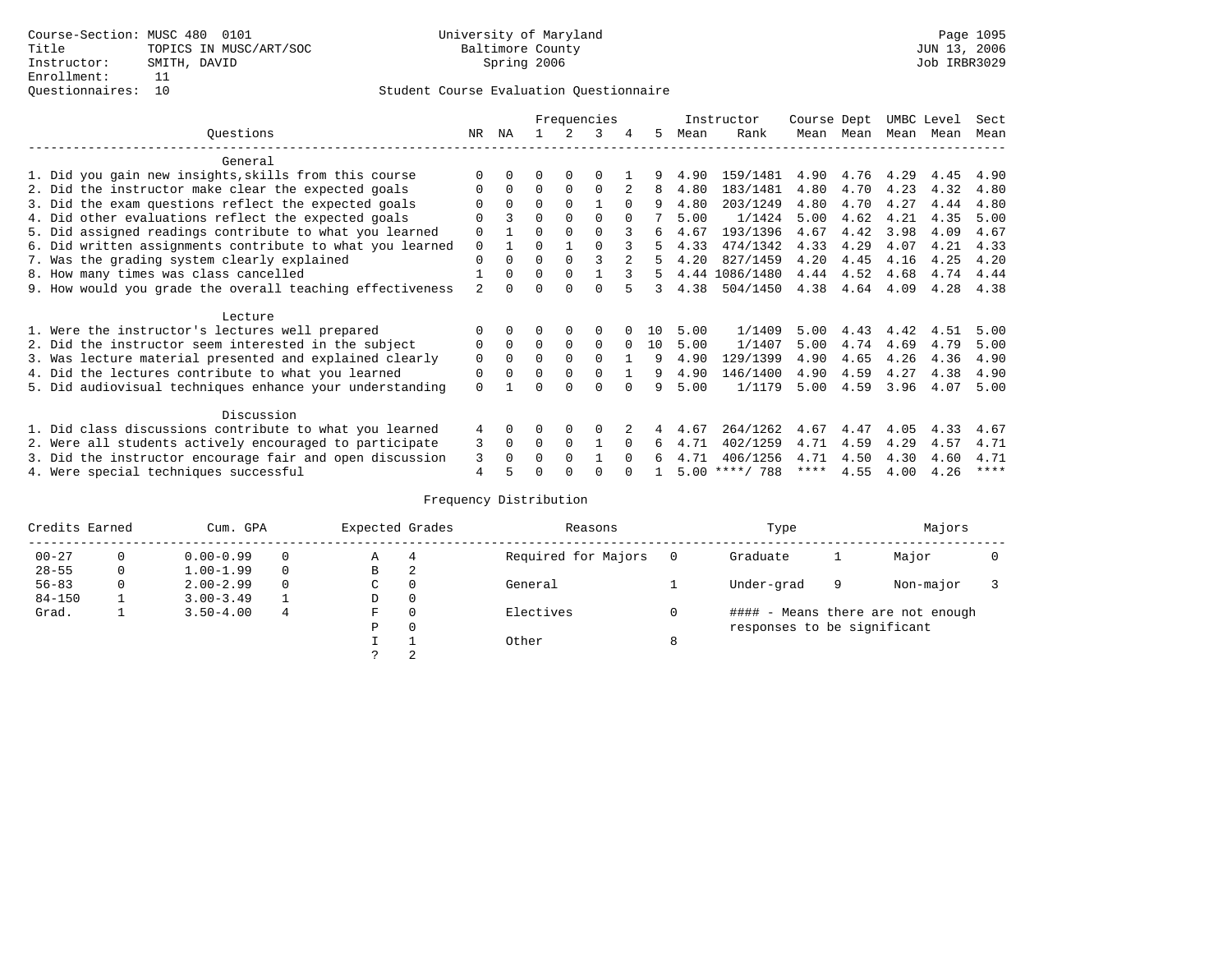|                                                           |                |          |          |          | Frequencies |          |     |      | Instructor       | Course Dept |      | UMBC Level |      | Sect |
|-----------------------------------------------------------|----------------|----------|----------|----------|-------------|----------|-----|------|------------------|-------------|------|------------|------|------|
| Questions                                                 | NR             | ΝA       |          |          |             | 4        | 5   | Mean | Rank             | Mean        | Mean | Mean Mean  |      | Mean |
| General                                                   |                |          |          |          |             |          |     |      |                  |             |      |            |      |      |
| 1. Did you gain new insights, skills from this course     |                |          |          |          |             |          |     | 4.90 | 159/1481         | 4.90        | 4.76 | 4.29       | 4.45 | 4.90 |
| 2. Did the instructor make clear the expected goals       |                | $\Omega$ | $\Omega$ | $\Omega$ | $\Omega$    |          | 8   | 4.80 | 183/1481         | 4.80        | 4.70 | 4.23       | 4.32 | 4.80 |
| 3. Did the exam questions reflect the expected goals      |                | $\Omega$ | 0        | $\Omega$ |             | $\Omega$ | 9   | 4.80 | 203/1249         | 4.80        | 4.70 | 4.27       | 4.44 | 4.80 |
| 4. Did other evaluations reflect the expected goals       | O              |          | $\Omega$ | $\Omega$ | $\Omega$    | $\Omega$ |     | 5.00 | 1/1424           | 5.00        | 4.62 | 4.21       | 4.35 | 5.00 |
| 5. Did assigned readings contribute to what you learned   | $\mathbf 0$    |          | $\Omega$ |          |             |          | б.  | 4.67 | 193/1396         | 4.67        | 4.42 | 3.98       | 4.09 | 4.67 |
| 6. Did written assignments contribute to what you learned | $\Omega$       |          | 0        |          |             |          | 5   | 4.33 | 474/1342         | 4.33        | 4.29 | 4.07       | 4.21 | 4.33 |
| 7. Was the grading system clearly explained               | $\Omega$       | $\Omega$ | $\Omega$ | $\Omega$ |             |          |     | 4.20 | 827/1459         | 4.20        | 4.45 | 4.16       | 4.25 | 4.20 |
| 8. How many times was class cancelled                     |                | $\Omega$ | $\Omega$ | $\Omega$ |             | २        | 5.  |      | 4.44 1086/1480   | 4.44        | 4.52 | 4.68       | 4.74 | 4.44 |
| 9. How would you grade the overall teaching effectiveness | $\mathfrak{D}$ |          |          |          | U           |          | 3   | 4.38 | 504/1450         | 4.38        | 4.64 | 4.09       | 4.28 | 4.38 |
| Lecture                                                   |                |          |          |          |             |          |     |      |                  |             |      |            |      |      |
| 1. Were the instructor's lectures well prepared           |                |          |          |          |             |          | 1 O | 5.00 | 1/1409           | 5.00        | 4.43 | 4.42       | 4.51 | 5.00 |
| 2. Did the instructor seem interested in the subject      | 0              | $\Omega$ | $\Omega$ | $\Omega$ | 0           | $\Omega$ | 10  | 5.00 | 1/1407           | 5.00        | 4.74 | 4.69       | 4.79 | 5.00 |
| 3. Was lecture material presented and explained clearly   | 0              | $\Omega$ | $\Omega$ |          | $\Omega$    |          | 9   | 4.90 | 129/1399         | 4.90        | 4.65 | 4.26       | 4.36 | 4.90 |
| 4. Did the lectures contribute to what you learned        | 0              | $\Omega$ | O        | $\Omega$ |             |          | 9   | 4.90 | 146/1400         | 4.90        | 4.59 | 4.27       | 4.38 | 4.90 |
| 5. Did audiovisual techniques enhance your understanding  | $\Omega$       |          |          |          | $\cap$      |          | q   | 5.00 | 1/1179           | 5.00        | 4.59 | 3.96       | 4.07 | 5.00 |
| Discussion                                                |                |          |          |          |             |          |     |      |                  |             |      |            |      |      |
| 1. Did class discussions contribute to what you learned   | 4              | 0        | 0        | $\Omega$ | O           |          |     | 4.67 | 264/1262         | 4.67        | 4.47 | 4.05       | 4.33 | 4.67 |
| 2. Were all students actively encouraged to participate   | 3              | $\Omega$ | $\Omega$ | $\Omega$ |             | $\Omega$ | 6   | 4.71 | 402/1259         | 4.71        | 4.59 | 4.29       | 4.57 | 4.71 |
| 3. Did the instructor encourage fair and open discussion  | 3              | $\Omega$ | 0        | $\Omega$ |             |          |     | 4.71 | 406/1256         | 4.71        | 4.50 | 4.30       | 4.60 | 4.71 |
| 4. Were special techniques successful                     | 4              |          |          |          |             |          |     |      | $5.00$ ****/ 788 | ****        | 4.55 | 4.00       | 4.26 | **** |

| Credits Earned |          | Cum. GPA      |   | Expected Grades |   | Reasons             |   | Type                        |   | Majors                            |  |
|----------------|----------|---------------|---|-----------------|---|---------------------|---|-----------------------------|---|-----------------------------------|--|
| $00 - 27$      | $\Omega$ | $0.00 - 0.99$ |   | А               | 4 | Required for Majors | 0 | Graduate                    |   | Major                             |  |
| $28 - 55$      | 0        | $1.00 - 1.99$ |   | В               | 2 |                     |   |                             |   |                                   |  |
| $56 - 83$      | 0        | $2.00 - 2.99$ |   | $\sim$<br>◡     |   | General             |   | Under-grad                  | 9 | Non-major                         |  |
| $84 - 150$     |          | $3.00 - 3.49$ |   | D               | 0 |                     |   |                             |   |                                   |  |
| Grad.          |          | $3.50 - 4.00$ | 4 | F               | 0 | Electives           | 0 |                             |   | #### - Means there are not enough |  |
|                |          |               |   | Ρ               | 0 |                     |   | responses to be significant |   |                                   |  |
|                |          |               |   |                 |   | Other               | 8 |                             |   |                                   |  |
|                |          |               |   |                 | 2 |                     |   |                             |   |                                   |  |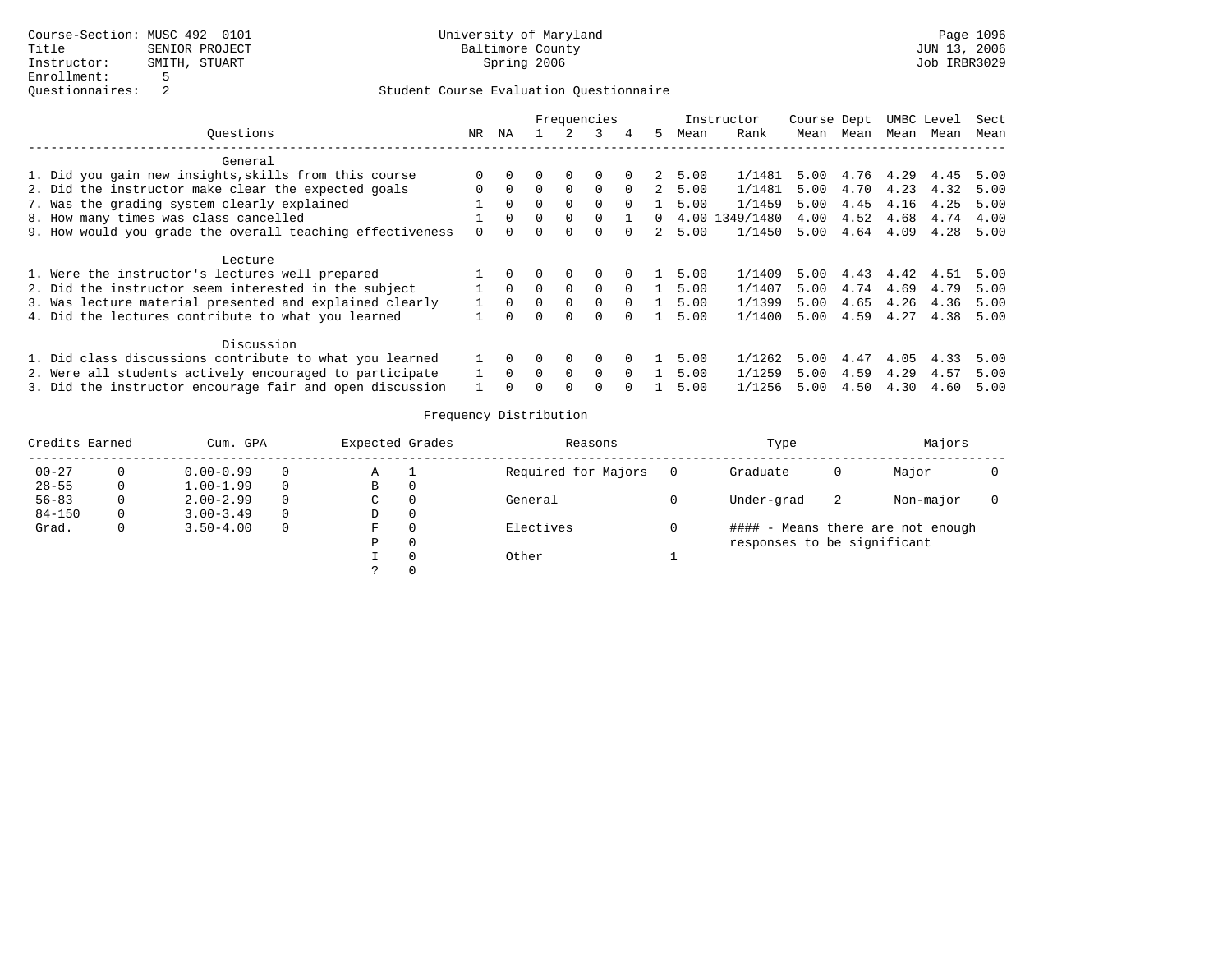|                                                           |          |          |          | Frequencies |          |          |    |        | Instructor     | Course Dept |      |      | UMBC Level | Sect |
|-----------------------------------------------------------|----------|----------|----------|-------------|----------|----------|----|--------|----------------|-------------|------|------|------------|------|
| Ouestions                                                 | NR.      | ΝA       |          |             | 3        | 4        | 5. | Mean   | Rank           | Mean        | Mean | Mean | Mean       | Mean |
| General                                                   |          |          |          |             |          |          |    |        |                |             |      |      |            |      |
| 1. Did you gain new insights, skills from this course     | 0        |          |          | 0           | 0        |          |    | 2 5.00 | 1/1481         | 5.00        | 4.76 | 4.29 | 4.45       | 5.00 |
| 2. Did the instructor make clear the expected goals       | $\Omega$ | $\Omega$ | $\Omega$ | $\Omega$    | $\Omega$ | $\Omega$ | 2  | 5.00   | 1/1481         | 5.00        | 4.70 | 4.23 | 4.32       | 5.00 |
| 7. Was the grading system clearly explained               |          | $\Omega$ | $\Omega$ | $\Omega$    | $\Omega$ | $\Omega$ |    | 5.00   | 1/1459         | 5.00        | 4.45 | 4.16 | 4.25       | 5.00 |
| 8. How many times was class cancelled                     |          | $\Omega$ |          | $\Omega$    |          |          | 0  |        | 4.00 1349/1480 | 4.00        | 4.52 | 4.68 | 4.74       | 4.00 |
| 9. How would you grade the overall teaching effectiveness |          | $\Omega$ | $\cap$   | $\Omega$    | $\Omega$ | $\Omega$ | 2  | 5.00   | 1/1450         | 5.00        | 4.64 | 4.09 | 4.28       | 5.00 |
| Lecture                                                   |          |          |          |             |          |          |    |        |                |             |      |      |            |      |
| 1. Were the instructor's lectures well prepared           |          |          |          | $\Omega$    | $\Omega$ | $\Omega$ |    | 5.00   | 1/1409         | 5.00        | 4.43 | 4.42 | 4.51       | 5.00 |
| 2. Did the instructor seem interested in the subject      |          | $\Omega$ | $\Omega$ | $\Omega$    | $\Omega$ | $\Omega$ |    | 5.00   | 1/1407         | 5.00        | 4.74 | 4.69 | 4.79       | 5.00 |
| 3. Was lecture material presented and explained clearly   |          | $\Omega$ | $\Omega$ | $\Omega$    | $\Omega$ | $\Omega$ |    | 5.00   | 1/1399         | 5.00        | 4.65 | 4.26 | 4.36       | 5.00 |
| 4. Did the lectures contribute to what you learned        |          | $\Omega$ | $\Omega$ | $\Omega$    | $\Omega$ | $\Omega$ |    | 5.00   | 1/1400         | 5.00        | 4.59 | 4.27 | 4.38       | 5.00 |
| Discussion                                                |          |          |          |             |          |          |    |        |                |             |      |      |            |      |
| 1. Did class discussions contribute to what you learned   |          | $\Omega$ |          | 0           | 0        | $\Omega$ |    | 5.00   | 1/1262         | 5.00        | 4.47 | 4.05 | 4.33       | 5.00 |
| 2. Were all students actively encouraged to participate   |          | $\Omega$ | 0        | $\Omega$    | $\Omega$ | $\Omega$ |    | 5.00   | 1/1259         | 5.00        | 4.59 | 4.29 | 4.57       | 5.00 |
| 3. Did the instructor encourage fair and open discussion  |          |          |          | $\Omega$    | $\Omega$ | $\Omega$ |    | 5.00   | 1/1256         | 5.00        | 4.50 | 4.30 | 4.60       | 5.00 |

| Credits Earned |   | Cum. GPA      |          | Expected Grades | Reasons             | Type                        |    | Majors                            |  |
|----------------|---|---------------|----------|-----------------|---------------------|-----------------------------|----|-----------------------------------|--|
| $00 - 27$      |   | $0.00 - 0.99$ | 0        | Α               | Required for Majors | Graduate                    | O  | Major                             |  |
| $28 - 55$      | 0 | $1.00 - 1.99$ | $\Omega$ | в               |                     |                             |    |                                   |  |
| $56 - 83$      |   | $2.00 - 2.99$ | $\Omega$ | C               | General             | Under-grad                  | -2 | Non-major                         |  |
| $84 - 150$     | 0 | $3.00 - 3.49$ | $\Omega$ | D               |                     |                             |    |                                   |  |
| Grad.          |   | $3.50 - 4.00$ | $\Omega$ | F               | Electives           |                             |    | #### - Means there are not enough |  |
|                |   |               |          | P               |                     | responses to be significant |    |                                   |  |
|                |   |               |          |                 | Other               |                             |    |                                   |  |
|                |   |               |          |                 |                     |                             |    |                                   |  |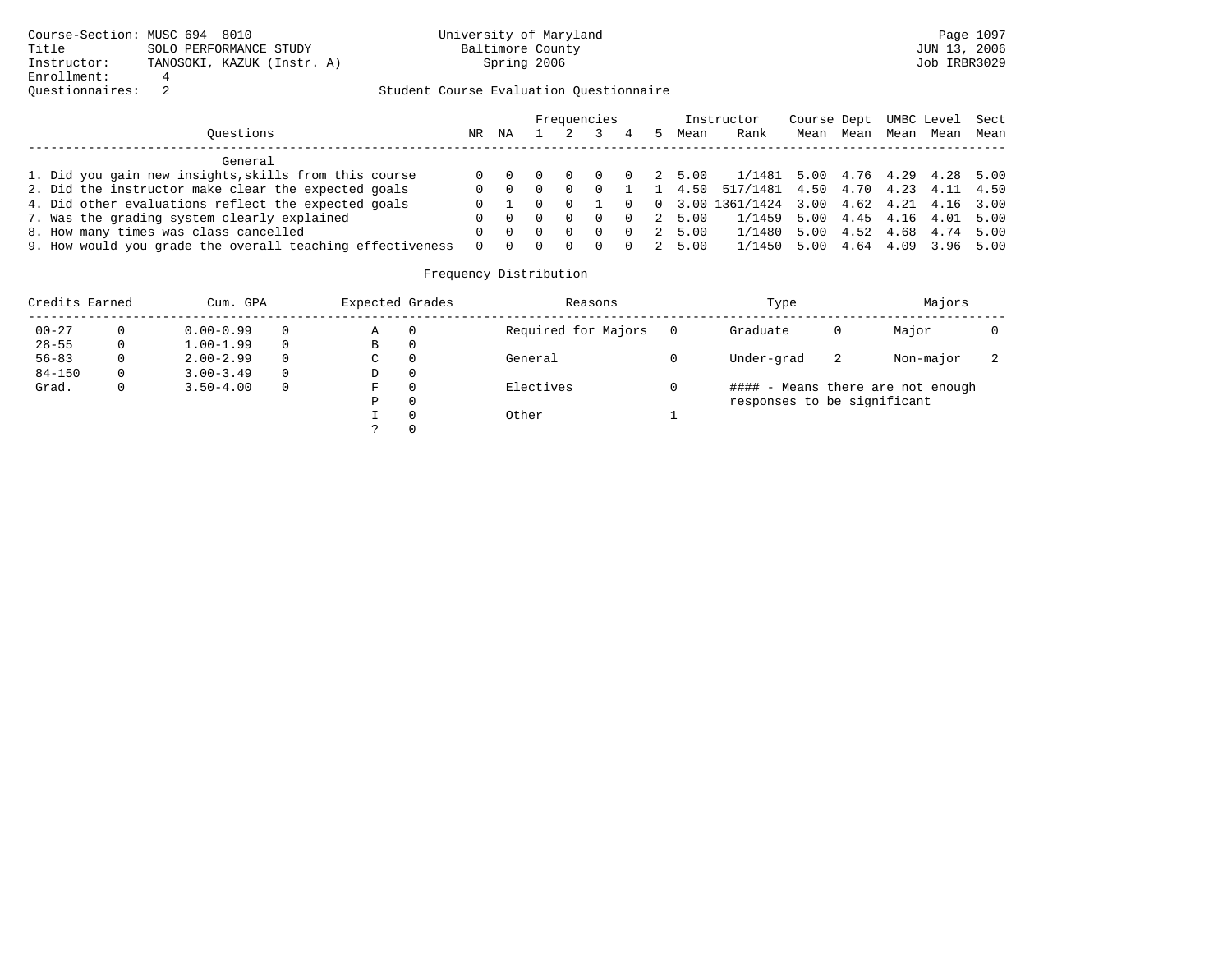|                                                           |     |    |                     | Frequencies |          |        | Instructor                                    | Course Dept UMBC Level Sect |      |      |                     |      |
|-----------------------------------------------------------|-----|----|---------------------|-------------|----------|--------|-----------------------------------------------|-----------------------------|------|------|---------------------|------|
| Ouestions                                                 | NR. | ΝA |                     |             |          | Mean   | Rank                                          | Mean                        | Mean | Mean | Mean                | Mean |
| General                                                   |     |    |                     |             |          |        |                                               |                             |      |      |                     |      |
| 1. Did you gain new insights, skills from this course     |     |    |                     |             | $\Omega$ | 2 5.00 | 1/1481 5.00 4.76 4.29 4.28 5.00               |                             |      |      |                     |      |
| 2. Did the instructor make clear the expected goals       | 0   |    |                     | $\Omega$    |          | 1 4.50 | 517/1481 4.50 4.70 4.23 4.11 4.50             |                             |      |      |                     |      |
| 4. Did other evaluations reflect the expected goals       |     |    | $0 \quad 0 \quad 1$ |             |          |        | $0$ 0 3.00 1361/1424 3.00 4.62 4.21 4.16 3.00 |                             |      |      |                     |      |
| 7. Was the grading system clearly explained               |     |    |                     | - 0         | $\Omega$ | 2 5.00 | 1/1459 5.00 4.45 4.16 4.01 5.00               |                             |      |      |                     |      |
| 8. How many times was class cancelled                     |     |    |                     | $\Omega$    | $\Omega$ | 2 5.00 | 1/1480 5.00 4.52 4.68 4.74 5.00               |                             |      |      |                     |      |
| 9. How would you grade the overall teaching effectiveness | 0   |    |                     |             |          | 2 5.00 | 1/1450 5.00                                   |                             |      |      | 4.64 4.09 3.96 5.00 |      |

| Credits Earned |   | Cum. GPA      |          | Expected Grades |             | Reasons             | Type                        |   | Majors                            |  |
|----------------|---|---------------|----------|-----------------|-------------|---------------------|-----------------------------|---|-----------------------------------|--|
| $00 - 27$      |   | $0.00 - 0.99$ | $\Omega$ | Α               | $\Omega$    | Required for Majors | Graduate                    | 0 | Major                             |  |
| $28 - 55$      |   | $1.00 - 1.99$ | $\Omega$ | B               | $\mathbf 0$ |                     |                             |   |                                   |  |
| $56 - 83$      | 0 | $2.00 - 2.99$ | $\Omega$ | C               | $\Omega$    | General             | Under-grad                  | 2 | Non-major                         |  |
| $84 - 150$     | 0 | $3.00 - 3.49$ | $\Omega$ | D               | 0           |                     |                             |   |                                   |  |
| Grad.          | 0 | $3.50 - 4.00$ | $\Omega$ | F               | $\Omega$    | Electives           |                             |   | #### - Means there are not enough |  |
|                |   |               |          | Ρ               | 0           |                     | responses to be significant |   |                                   |  |
|                |   |               |          |                 | $\Omega$    | Other               |                             |   |                                   |  |
|                |   |               |          |                 | $\Omega$    |                     |                             |   |                                   |  |